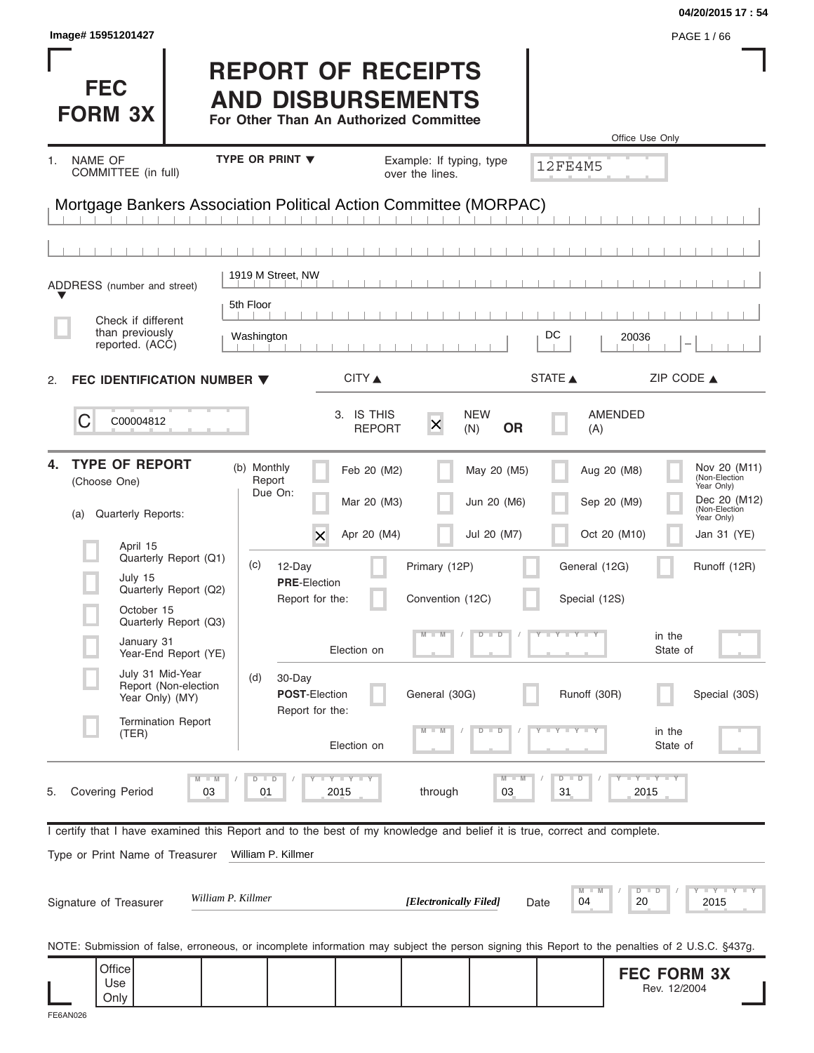|                                                                                                                                                |                                                                                                 |                                         |                                |                                | 04/20/2015 17:54                            |
|------------------------------------------------------------------------------------------------------------------------------------------------|-------------------------------------------------------------------------------------------------|-----------------------------------------|--------------------------------|--------------------------------|---------------------------------------------|
| Image# 15951201427                                                                                                                             |                                                                                                 |                                         |                                |                                | PAGE 1/66                                   |
| <b>FEC</b><br><b>FORM 3X</b>                                                                                                                   | <b>REPORT OF RECEIPTS</b><br><b>AND DISBURSEMENTS</b><br>For Other Than An Authorized Committee |                                         |                                |                                | Office Use Only                             |
| <b>NAME OF</b><br>1.                                                                                                                           | TYPE OR PRINT V                                                                                 | Example: If typing, type                |                                |                                |                                             |
| COMMITTEE (in full)                                                                                                                            |                                                                                                 | over the lines.                         |                                | <b>12FE4M5</b>                 |                                             |
| Mortgage Bankers Association Political Action Committee (MORPAC)                                                                               |                                                                                                 |                                         |                                |                                |                                             |
|                                                                                                                                                |                                                                                                 |                                         |                                |                                |                                             |
|                                                                                                                                                |                                                                                                 |                                         |                                |                                |                                             |
| ADDRESS (number and street)                                                                                                                    | 1919 M Street, NW                                                                               |                                         |                                |                                |                                             |
| Check if different                                                                                                                             | 5th Floor                                                                                       |                                         |                                |                                |                                             |
| than previously<br>reported. (ACC)                                                                                                             | Washington                                                                                      |                                         |                                | DC<br>20036                    |                                             |
|                                                                                                                                                |                                                                                                 |                                         |                                |                                |                                             |
| FEC IDENTIFICATION NUMBER ▼<br>2.                                                                                                              |                                                                                                 | CITY ▲                                  |                                | STATE A                        | ZIP CODE $\triangle$                        |
| C<br>C00004812                                                                                                                                 |                                                                                                 | 3. IS THIS<br>$\times$<br><b>REPORT</b> | <b>NEW</b><br><b>OR</b><br>(N) | AMENDED<br>(A)                 |                                             |
| <b>TYPE OF REPORT</b><br>4.<br>(Choose One)                                                                                                    | (b) Monthly<br>Report<br>Due On:                                                                | Feb 20 (M2)                             | May 20 (M5)                    | Aug 20 (M8)                    | Nov 20 (M11)<br>(Non-Election<br>Year Only) |
| Quarterly Reports:<br>(a)                                                                                                                      |                                                                                                 | Mar 20 (M3)                             | Jun 20 (M6)                    | Sep 20 (M9)                    | Dec 20 (M12)<br>(Non-Election<br>Year Only) |
| April 15                                                                                                                                       | X                                                                                               | Apr 20 (M4)                             | Jul 20 (M7)                    | Oct 20 (M10)                   | Jan 31 (YE)                                 |
| Quarterly Report (Q1)<br>July 15                                                                                                               | (c)<br>12-Day                                                                                   | Primary (12P)                           |                                | General (12G)                  | Runoff (12R)                                |
| Quarterly Report (Q2)                                                                                                                          | <b>PRE-Election</b><br>Report for the:                                                          | Convention (12C)                        |                                | Special (12S)                  |                                             |
| October 15<br>Quarterly Report (Q3)                                                                                                            |                                                                                                 |                                         | $\overline{D}$<br>$\Box$       | $+$ Y $+$ Y $+$                |                                             |
| January 31<br>Year-End Report (YE)                                                                                                             |                                                                                                 | Election on                             |                                |                                | in the<br>State of                          |
| July 31 Mid-Year<br>Report (Non-election<br>Year Only) (MY)                                                                                    | (d)<br>30-Day<br><b>POST-Election</b><br>Report for the:                                        | General (30G)                           |                                | Runoff (30R)                   | Special (30S)                               |
| <b>Termination Report</b><br>(TER)                                                                                                             |                                                                                                 | Election on                             | $\Box$<br>D                    |                                | in the<br>State of                          |
| $\blacksquare$<br>M<br><b>Covering Period</b><br>03<br>5.                                                                                      | $D$ $D$<br><b>LYLYLY</b><br>2015<br>01                                                          | through                                 | $M -$<br>03                    | $\overline{D}$<br>$\Box$<br>31 | $-Y - Y - Y$<br>2015                        |
| I certify that I have examined this Report and to the best of my knowledge and belief it is true, correct and complete.                        |                                                                                                 |                                         |                                |                                |                                             |
| Type or Print Name of Treasurer                                                                                                                | William P. Killmer                                                                              |                                         |                                |                                |                                             |
| Signature of Treasurer                                                                                                                         | William P. Killmer                                                                              | [Electronically Filed]                  |                                | M<br>04<br>Date                | <b>LEY LEY LEY</b><br>$D$ $D$<br>20<br>2015 |
| NOTE: Submission of false, erroneous, or incomplete information may subject the person signing this Report to the penalties of 2 U.S.C. §437g. |                                                                                                 |                                         |                                |                                |                                             |
| Office                                                                                                                                         |                                                                                                 |                                         |                                |                                | <b>FEC FORM 3X</b>                          |
| Use<br>Only                                                                                                                                    |                                                                                                 |                                         |                                |                                | Rev. 12/2004                                |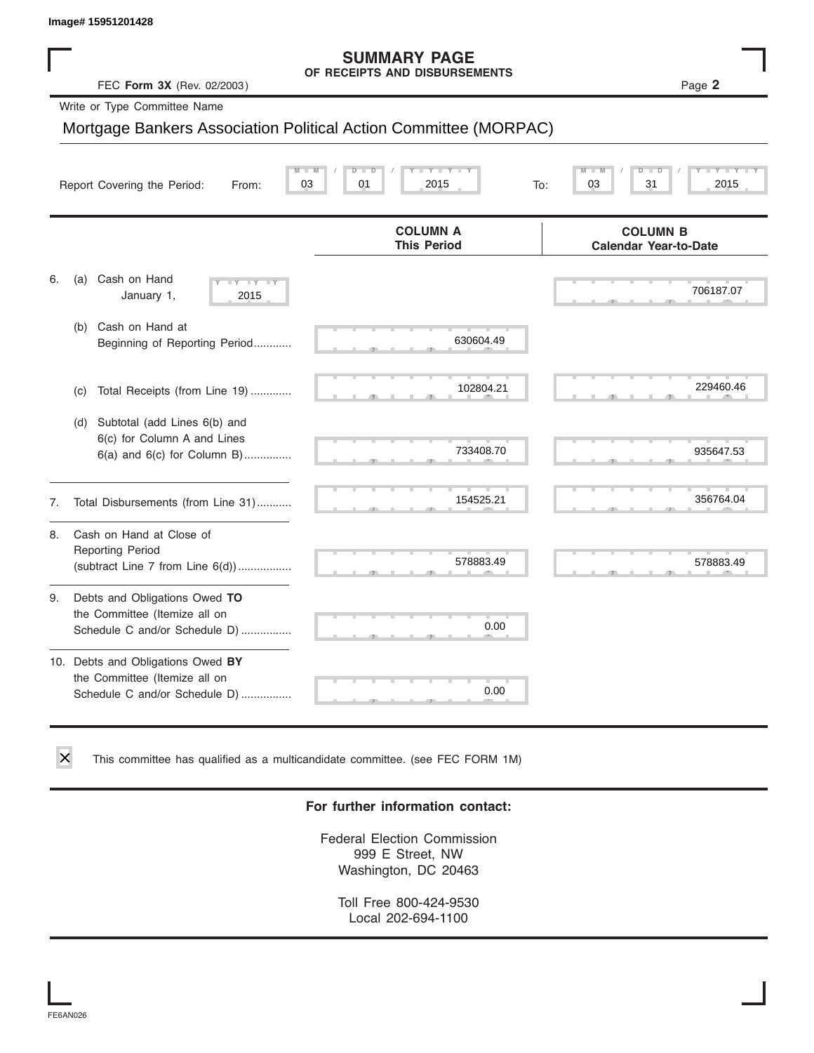# **SUMMARY PAGE**

|    | Image# 15951201428                                                                                    |                                                                  |                                                 |
|----|-------------------------------------------------------------------------------------------------------|------------------------------------------------------------------|-------------------------------------------------|
|    | FEC Form 3X (Rev. 02/2003)                                                                            | <b>SUMMARY PAGE</b><br>OF RECEIPTS AND DISBURSEMENTS             | Page 2                                          |
|    | Write or Type Committee Name                                                                          |                                                                  |                                                 |
|    |                                                                                                       | Mortgage Bankers Association Political Action Committee (MORPAC) |                                                 |
|    |                                                                                                       |                                                                  |                                                 |
|    | Report Covering the Period:<br>From:                                                                  | $-Y$<br>$\overline{\mathsf{M}}$<br>D<br>03<br>01<br>2015<br>To:  | 03<br>31<br>2015                                |
|    |                                                                                                       | <b>COLUMN A</b><br><b>This Period</b>                            | <b>COLUMN B</b><br><b>Calendar Year-to-Date</b> |
| 6. | Cash on Hand<br>(a)<br>$-1$ $Y - 1$ $Y$<br>January 1,<br>2015                                         |                                                                  | 706187.07                                       |
|    | Cash on Hand at<br>(b)<br>Beginning of Reporting Period                                               | 630604.49                                                        |                                                 |
|    | Total Receipts (from Line 19)<br>(c)                                                                  | 102804.21                                                        | 229460.46                                       |
|    | Subtotal (add Lines 6(b) and<br>(d)<br>6(c) for Column A and Lines<br>$6(a)$ and $6(c)$ for Column B) | 733408.70                                                        | 935647.53                                       |
| 7. | Total Disbursements (from Line 31)                                                                    | 154525.21                                                        | 356764.04                                       |
| 8. | Cash on Hand at Close of<br><b>Reporting Period</b><br>(subtract Line 7 from Line 6(d))               | 578883.49                                                        | 578883.49                                       |
| 9. | Debts and Obligations Owed TO<br>the Committee (Itemize all on<br>Schedule C and/or Schedule D)       | 0.00                                                             |                                                 |
|    | 10. Debts and Obligations Owed BY<br>the Committee (Itemize all on<br>Schedule C and/or Schedule D)   | u.<br>0.00                                                       |                                                 |

This committee has qualified as a multicandidate committee. (see FEC FORM 1M)

#### **For further information contact:**

Federal Election Commission 999 E Street, NW Washington, DC 20463

Toll Free 800-424-9530 Local 202-694-1100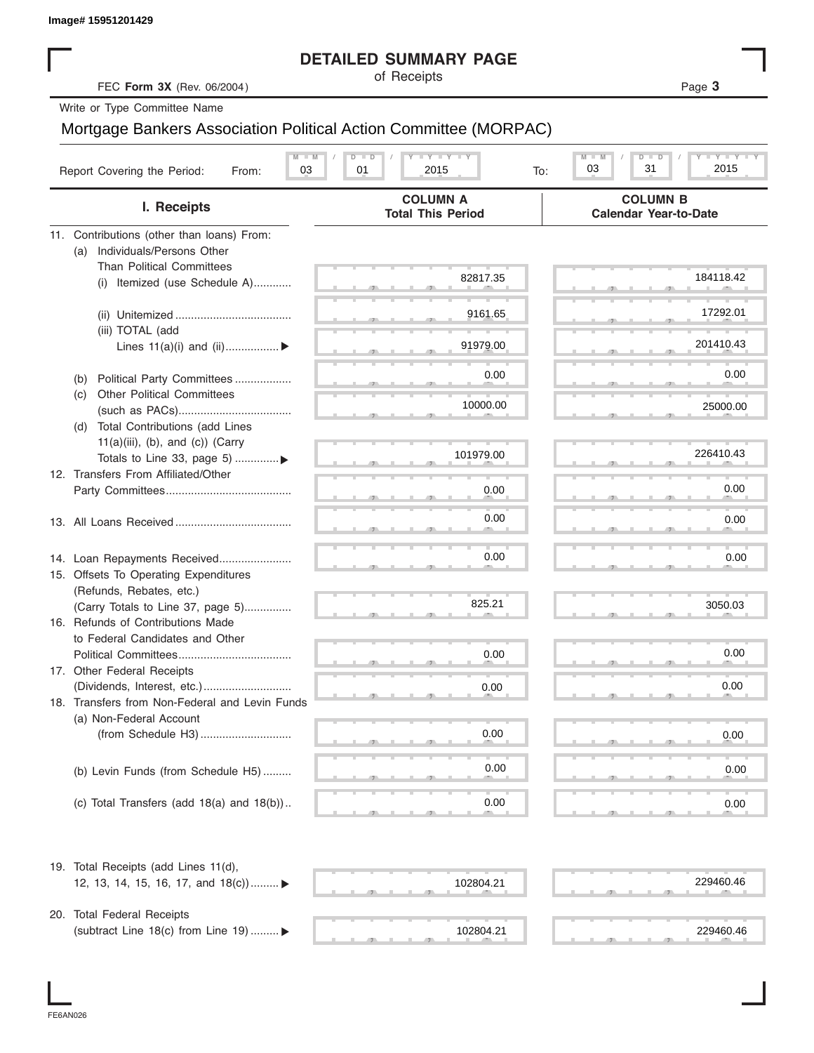|                                                                              | <b>DETAILED SUMMARY PAGE</b>                                                                                                                  |                                                 |
|------------------------------------------------------------------------------|-----------------------------------------------------------------------------------------------------------------------------------------------|-------------------------------------------------|
| FEC Form 3X (Rev. 06/2004)                                                   | of Receipts                                                                                                                                   | Page 3                                          |
| Write or Type Committee Name                                                 |                                                                                                                                               |                                                 |
| Mortgage Bankers Association Political Action Committee (MORPAC)             |                                                                                                                                               |                                                 |
| $M - M$                                                                      | $\begin{array}{c c c c c} \hline \textbf{I} & \textbf{Y} & \textbf{I} & \textbf{Y} & \textbf{I} & \textbf{Y} \\\hline \end{array}$<br>$D$ $D$ | $T - Y = T - Y$<br>$M - M$<br>$D$ $D$           |
| Report Covering the Period:<br>03<br>From:                                   | 2015<br>01<br>To:                                                                                                                             | 31<br>2015<br>03                                |
| I. Receipts                                                                  | <b>COLUMN A</b><br><b>Total This Period</b>                                                                                                   | <b>COLUMN B</b><br><b>Calendar Year-to-Date</b> |
| 11. Contributions (other than loans) From:                                   |                                                                                                                                               |                                                 |
| Individuals/Persons Other<br>(a)                                             |                                                                                                                                               |                                                 |
| <b>Than Political Committees</b><br>Itemized (use Schedule A)                | 82817.35                                                                                                                                      | 184118.42                                       |
| (i)                                                                          |                                                                                                                                               |                                                 |
|                                                                              | 9161.65                                                                                                                                       | 17292.01                                        |
| (iii) TOTAL (add                                                             |                                                                                                                                               |                                                 |
| Lines $11(a)(i)$ and $(ii)$                                                  | 91979.00                                                                                                                                      | 201410.43                                       |
| Political Party Committees                                                   | 0.00                                                                                                                                          | 0.00                                            |
| (b)<br><b>Other Political Committees</b><br>(C)                              |                                                                                                                                               |                                                 |
|                                                                              | 10000.00                                                                                                                                      | 25000.00                                        |
| Total Contributions (add Lines<br>(d)                                        |                                                                                                                                               |                                                 |
| $11(a)(iii)$ , (b), and (c)) (Carry                                          |                                                                                                                                               |                                                 |
| Totals to Line 33, page 5)                                                   | 101979.00                                                                                                                                     | 226410.43                                       |
| 12. Transfers From Affiliated/Other                                          | 0.00                                                                                                                                          | 0.00                                            |
|                                                                              |                                                                                                                                               |                                                 |
|                                                                              | 0.00                                                                                                                                          | 0.00                                            |
|                                                                              |                                                                                                                                               |                                                 |
| 14. Loan Repayments Received                                                 | 0.00                                                                                                                                          | 0.00                                            |
| 15. Offsets To Operating Expenditures                                        |                                                                                                                                               |                                                 |
| (Refunds, Rebates, etc.)                                                     | 825.21                                                                                                                                        |                                                 |
| (Carry Totals to Line 37, page 5)                                            |                                                                                                                                               | 3050.03                                         |
| 16. Refunds of Contributions Made<br>to Federal Candidates and Other         |                                                                                                                                               |                                                 |
| Political Committees                                                         | 0.00                                                                                                                                          | 0.00                                            |
| 17. Other Federal Receipts                                                   |                                                                                                                                               |                                                 |
|                                                                              | 0.00                                                                                                                                          | 0.00                                            |
| 18. Transfers from Non-Federal and Levin Funds                               |                                                                                                                                               |                                                 |
| (a) Non-Federal Account                                                      |                                                                                                                                               |                                                 |
|                                                                              | 0.00                                                                                                                                          | 0.00                                            |
| (b) Levin Funds (from Schedule H5)                                           | 0.00                                                                                                                                          | 0.00                                            |
|                                                                              |                                                                                                                                               |                                                 |
| (c) Total Transfers (add $18(a)$ and $18(b)$ )                               | 0.00                                                                                                                                          | 0.00                                            |
|                                                                              |                                                                                                                                               |                                                 |
| 19. Total Receipts (add Lines 11(d),<br>12, 13, 14, 15, 16, 17, and 18(c)) ► | 102804.21                                                                                                                                     | 229460.46                                       |
|                                                                              |                                                                                                                                               |                                                 |
| 20. Total Federal Receipts                                                   |                                                                                                                                               |                                                 |
| (subtract Line 18(c) from Line 19)  ▶                                        | 102804.21                                                                                                                                     | 229460.46                                       |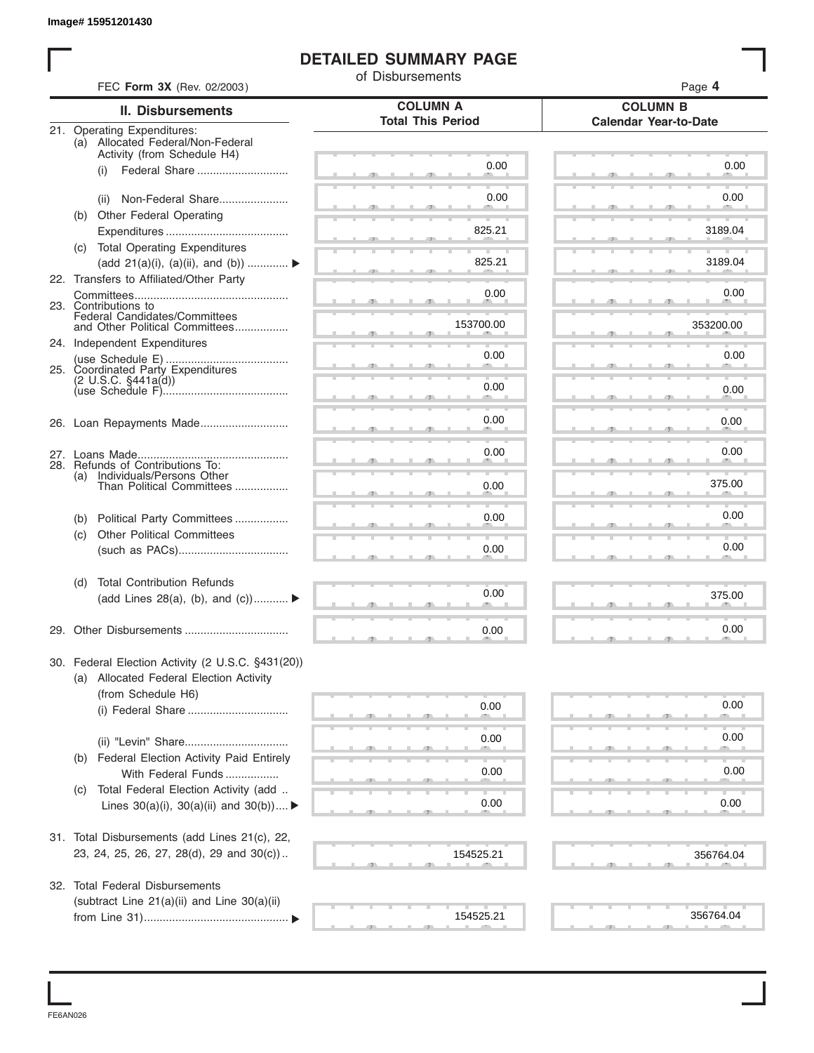#### **DETAILED SUMMARY PAGE**

|     | FEC Form 3X (Rev. 02/2003)                                                          | of Disbursements         | Page 4                       |
|-----|-------------------------------------------------------------------------------------|--------------------------|------------------------------|
|     | <b>II. Disbursements</b>                                                            | <b>COLUMN A</b>          | <b>COLUMN B</b>              |
|     | 21. Operating Expenditures:                                                         | <b>Total This Period</b> | <b>Calendar Year-to-Date</b> |
|     | (a) Allocated Federal/Non-Federal                                                   |                          |                              |
|     | Activity (from Schedule H4)<br>Federal Share<br>(i)                                 | 0.00                     | 0.00                         |
|     |                                                                                     |                          |                              |
|     | Non-Federal Share<br>(ii)                                                           | 0.00                     | 0.00                         |
|     | (b) Other Federal Operating                                                         |                          |                              |
|     |                                                                                     | 825.21                   | 3189.04                      |
|     | (c) Total Operating Expenditures<br>(add 21(a)(i), (a)(ii), and (b))                | 825.21                   | 3189.04                      |
|     | 22. Transfers to Affiliated/Other Party                                             |                          |                              |
|     |                                                                                     | 0.00                     | 0.00                         |
|     | 23. Contributions to<br>Federal Candidates/Committees                               |                          |                              |
|     | and Other Political Committees                                                      | 153700.00                | 353200.00                    |
|     | 24. Independent Expenditures                                                        | 0.00                     | 0.00                         |
|     | 25. Coordinated Party Expenditures                                                  |                          |                              |
|     | (2 U.S.C. §441a(d))                                                                 | 0.00                     | 0.00                         |
|     |                                                                                     |                          |                              |
|     |                                                                                     | 0.00                     | 0.00                         |
|     |                                                                                     |                          |                              |
|     | 28. Refunds of Contributions To:                                                    | 0.00                     | 0.00                         |
| (a) | Individuals/Persons Other<br>Than Political Committees                              | 0.00                     | 375.00                       |
|     |                                                                                     |                          |                              |
| (b) | Political Party Committees                                                          | 0.00                     | 0.00                         |
| (c) | <b>Other Political Committees</b>                                                   |                          |                              |
|     |                                                                                     | 0.00                     | 0.00                         |
| (d) | <b>Total Contribution Refunds</b>                                                   |                          |                              |
|     | (add Lines 28(a), (b), and (c))                                                     | 0.00                     | 375.00                       |
|     | 29. Other Disbursements                                                             | 0.00                     | 0.00                         |
|     |                                                                                     |                          |                              |
|     | 30. Federal Election Activity (2 U.S.C. §431(20))                                   |                          |                              |
|     | (a) Allocated Federal Election Activity<br>(from Schedule H6)                       |                          |                              |
|     |                                                                                     | 0.00                     | 0.00                         |
|     |                                                                                     |                          |                              |
|     |                                                                                     | 0.00                     | 0.00                         |
|     | (b) Federal Election Activity Paid Entirely                                         |                          |                              |
|     | With Federal Funds                                                                  | 0.00                     | 0.00                         |
| (C) | Total Federal Election Activity (add<br>Lines $30(a)(i)$ , $30(a)(ii)$ and $30(b))$ | 0.00                     | 0.00                         |
|     |                                                                                     |                          |                              |
|     | 31. Total Disbursements (add Lines 21(c), 22,                                       |                          |                              |
|     | 23, 24, 25, 26, 27, 28(d), 29 and 30(c))                                            | 154525.21                | 356764.04                    |
|     |                                                                                     |                          |                              |
|     | 32. Total Federal Disbursements                                                     |                          |                              |
|     | (subtract Line 21(a)(ii) and Line 30(a)(ii)                                         | 154525.21                | 356764.04                    |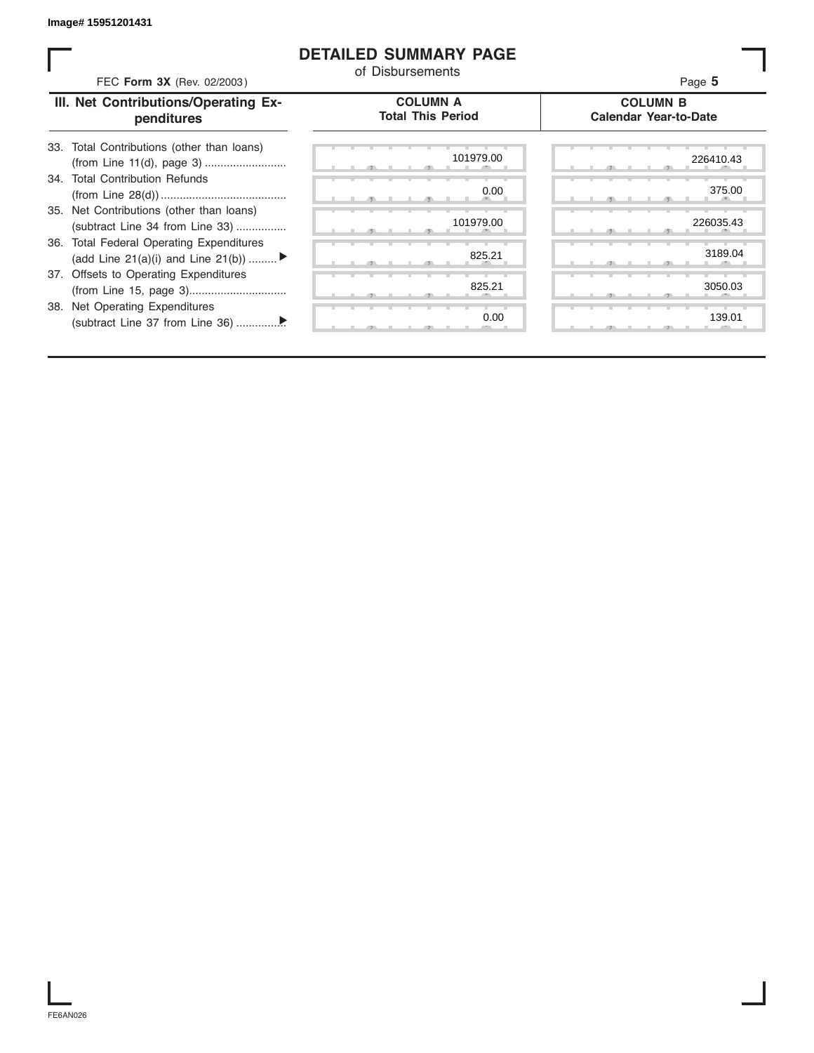#### **DETAILED SUMMARY PAGE**

| FEC Form 3X (Rev. 02/2003)                                                     | of Disbursements                            | Page 5                                          |
|--------------------------------------------------------------------------------|---------------------------------------------|-------------------------------------------------|
| III. Net Contributions/Operating Ex-<br>penditures                             | <b>COLUMN A</b><br><b>Total This Period</b> | <b>COLUMN B</b><br><b>Calendar Year-to-Date</b> |
| 33. Total Contributions (other than loans)                                     | 101979.00                                   | 226410.43                                       |
| 34. Total Contribution Refunds                                                 | 0.00                                        | 375.00                                          |
| 35. Net Contributions (other than loans)<br>(subtract Line 34 from Line 33)    | 101979.00                                   | 226035.43                                       |
| 36. Total Federal Operating Expenditures<br>(add Line 21(a)(i) and Line 21(b)) | 825.21                                      | 3189.04                                         |
| 37. Offsets to Operating Expenditures                                          | 825.21                                      | 3050.03                                         |
| <b>Net Operating Expenditures</b><br>38.                                       | 0.00                                        | 139.01                                          |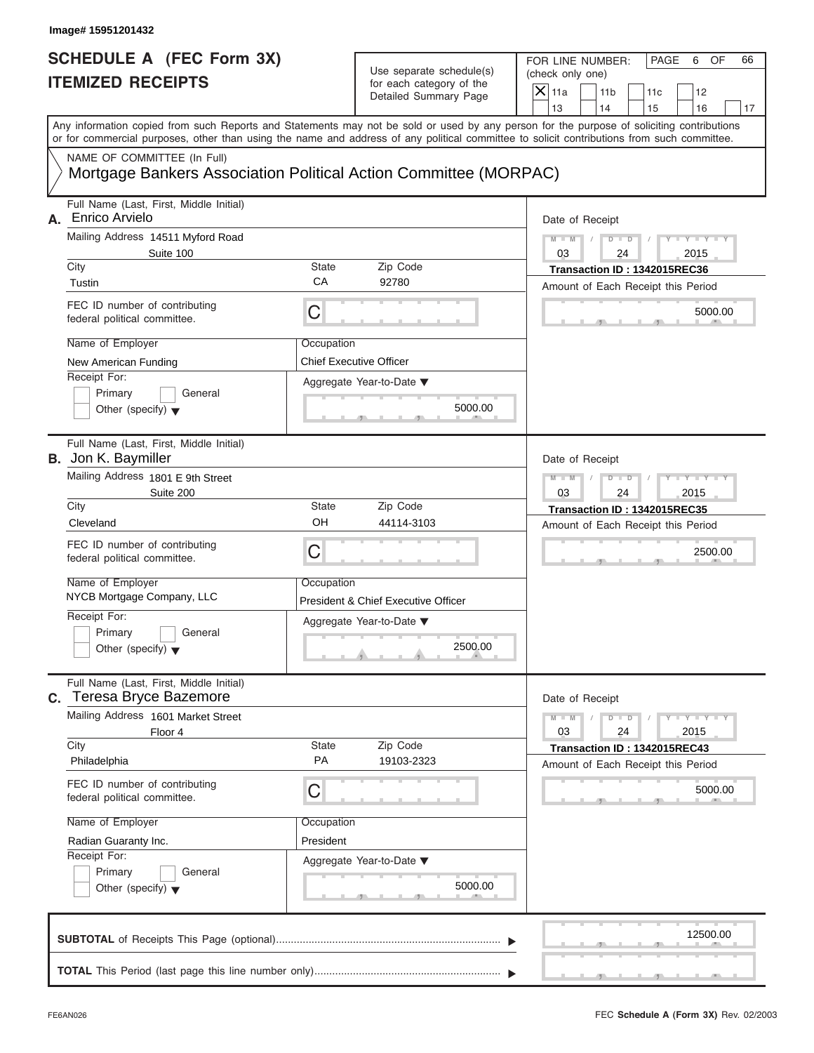FOR LINE NUMBER: PAGE 6 OF<br>(check only one)

| SCHEDULE A (FEC Form 3X)<br><b>ITEMIZED RECEIPTS</b>                                                                                                                                                                                                                                                                                                                                       | Use separate schedule(s)<br>for each category of the<br>Detailed Summary Page                                                                      | FOR LINE NUMBER:<br>PAGE<br>6<br>OF<br>66<br>(check only one)<br>$\mathsf{X}$ 11a<br>11 <sub>b</sub><br>12<br>11c                                                                                                               |
|--------------------------------------------------------------------------------------------------------------------------------------------------------------------------------------------------------------------------------------------------------------------------------------------------------------------------------------------------------------------------------------------|----------------------------------------------------------------------------------------------------------------------------------------------------|---------------------------------------------------------------------------------------------------------------------------------------------------------------------------------------------------------------------------------|
| Any information copied from such Reports and Statements may not be sold or used by any person for the purpose of soliciting contributions<br>or for commercial purposes, other than using the name and address of any political committee to solicit contributions from such committee.<br>NAME OF COMMITTEE (In Full)<br>Mortgage Bankers Association Political Action Committee (MORPAC) |                                                                                                                                                    | 13<br>14<br>15<br>16<br>17                                                                                                                                                                                                      |
| Full Name (Last, First, Middle Initial)<br>Enrico Arvielo<br>А.<br>Mailing Address 14511 Myford Road<br>Suite 100<br>City<br>Tustin<br>FEC ID number of contributing<br>C<br>federal political committee.<br>Name of Employer<br>New American Funding<br>Receipt For:<br>Primary<br>General<br>Other (specify) $\blacktriangledown$                                                        | <b>State</b><br>Zip Code<br>CA<br>92780<br>Occupation<br><b>Chief Executive Officer</b><br>Aggregate Year-to-Date ▼<br>5000.00                     | Date of Receipt<br>$M - M$<br>$D$ $D$<br>03<br>24<br>2015<br>Transaction ID: 1342015REC36<br>Amount of Each Receipt this Period<br>5000.00                                                                                      |
| Full Name (Last, First, Middle Initial)<br><b>B.</b> Jon K. Baymiller<br>Mailing Address 1801 E 9th Street<br>Suite 200<br>City<br>Cleveland<br>FEC ID number of contributing<br>C<br>federal political committee.<br>Name of Employer<br>NYCB Mortgage Company, LLC<br>Receipt For:<br>Primary<br>General<br>Other (specify) $\blacktriangledown$                                         | Zip Code<br><b>State</b><br>OH<br>44114-3103<br>Occupation<br>President & Chief Executive Officer<br>Aggregate Year-to-Date ▼<br>2500.00<br>$\sim$ | Date of Receipt<br>$M - M$<br>D<br>$\Box$<br>2015<br>03<br>24<br>Transaction ID: 1342015REC35<br>Amount of Each Receipt this Period<br>2500.00                                                                                  |
| Full Name (Last, First, Middle Initial)<br><b>Teresa Bryce Bazemore</b><br>С.<br>Mailing Address 1601 Market Street<br>Floor 4<br>City<br>Philadelphia<br>FEC ID number of contributing<br>$\mathsf C$<br>federal political committee.<br>Name of Employer<br>Radian Guaranty Inc.<br>Receipt For:<br>Primary<br>General<br>Other (specify) $\blacktriangledown$                           | Zip Code<br><b>State</b><br>PA<br>19103-2323<br>Occupation<br>President<br>Aggregate Year-to-Date ▼<br>5000.00                                     | Date of Receipt<br>$M - M$<br>$\mathbf{I} = \mathbf{Y} - \mathbf{I} - \mathbf{Y} - \mathbf{I}$<br>$\overline{D}$<br>$\Box$<br>03<br>24<br>2015<br>Transaction ID: 1342015REC43<br>Amount of Each Receipt this Period<br>5000.00 |
|                                                                                                                                                                                                                                                                                                                                                                                            |                                                                                                                                                    | 12500.00                                                                                                                                                                                                                        |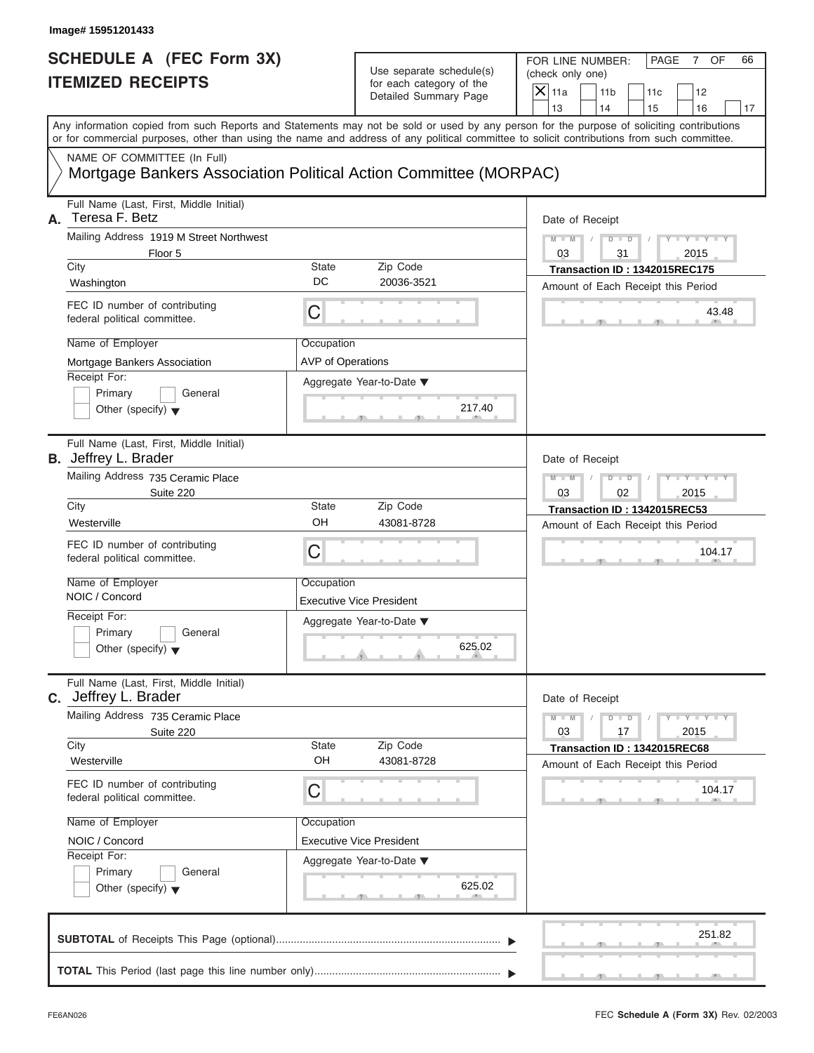FOR LINE NUMBER: PAGE 7 OF<br>(check only one)

| SCHEDULE A (FEC Form 3X)<br><b>ITEMIZED RECEIPTS</b>                                                                                                                                                                                                                                                                                                                                       | Use separate schedule(s)<br>for each category of the<br>Detailed Summary Page                        | FOR LINE NUMBER:<br>PAGE<br>OF<br>66<br>7<br>(check only one)<br>$X$ 11a<br>11 <sub>b</sub><br>12<br>11c<br>13<br>14<br>15<br>16<br>17                   |
|--------------------------------------------------------------------------------------------------------------------------------------------------------------------------------------------------------------------------------------------------------------------------------------------------------------------------------------------------------------------------------------------|------------------------------------------------------------------------------------------------------|----------------------------------------------------------------------------------------------------------------------------------------------------------|
| Any information copied from such Reports and Statements may not be sold or used by any person for the purpose of soliciting contributions<br>or for commercial purposes, other than using the name and address of any political committee to solicit contributions from such committee.<br>NAME OF COMMITTEE (In Full)<br>Mortgage Bankers Association Political Action Committee (MORPAC) |                                                                                                      |                                                                                                                                                          |
| Full Name (Last, First, Middle Initial)<br>Teresa F. Betz<br>А.<br>Mailing Address 1919 M Street Northwest<br>Floor 5<br>City<br><b>State</b><br>DC<br>Washington<br>FEC ID number of contributing<br>C<br>federal political committee.<br>Name of Employer<br>Occupation<br>Mortgage Bankers Association<br>Receipt For:<br>Primary<br>General<br>Other (specify) $\blacktriangledown$    | Zip Code<br>20036-3521<br><b>AVP of Operations</b><br>Aggregate Year-to-Date ▼<br>217.40             | Date of Receipt<br>$Y - Y - I$<br>$M - M$<br>$D$ $D$<br>03<br>31<br>2015<br>Transaction ID: 1342015REC175<br>Amount of Each Receipt this Period<br>43.48 |
| Full Name (Last, First, Middle Initial)<br><b>B.</b> Jeffrey L. Brader<br>Mailing Address 735 Ceramic Place<br>Suite 220<br>City<br><b>State</b><br>OH<br>Westerville<br>FEC ID number of contributing<br>C<br>federal political committee.<br>Name of Employer<br>Occupation<br>NOIC / Concord<br>Receipt For:<br>Primary<br>General<br>Other (specify) $\blacktriangledown$              | Zip Code<br>43081-8728<br><b>Executive Vice President</b><br>Aggregate Year-to-Date ▼<br>625.02<br>A | Date of Receipt<br>$M - M$<br>$D$ $D$<br>02<br>2015<br>03<br>Transaction ID: 1342015REC53<br>Amount of Each Receipt this Period<br>104.17                |
| Full Name (Last, First, Middle Initial)<br><b>C.</b> Jeffrey L. Brader<br>Mailing Address 735 Ceramic Place<br>Suite 220<br>City<br><b>State</b><br>OH<br>Westerville<br>FEC ID number of contributing<br>C<br>federal political committee.<br>Name of Employer<br>Occupation<br>NOIC / Concord<br>Receipt For:<br>Primary<br>General<br>Other (specify) $\blacktriangledown$              | Zip Code<br>43081-8728<br><b>Executive Vice President</b><br>Aggregate Year-to-Date ▼<br>625.02      | Date of Receipt<br>$M - M$<br>$Y = Y$<br>$D$ $D$<br>03<br>17<br>2015<br>Transaction ID: 1342015REC68<br>Amount of Each Receipt this Period<br>104.17     |
|                                                                                                                                                                                                                                                                                                                                                                                            |                                                                                                      | 251.82                                                                                                                                                   |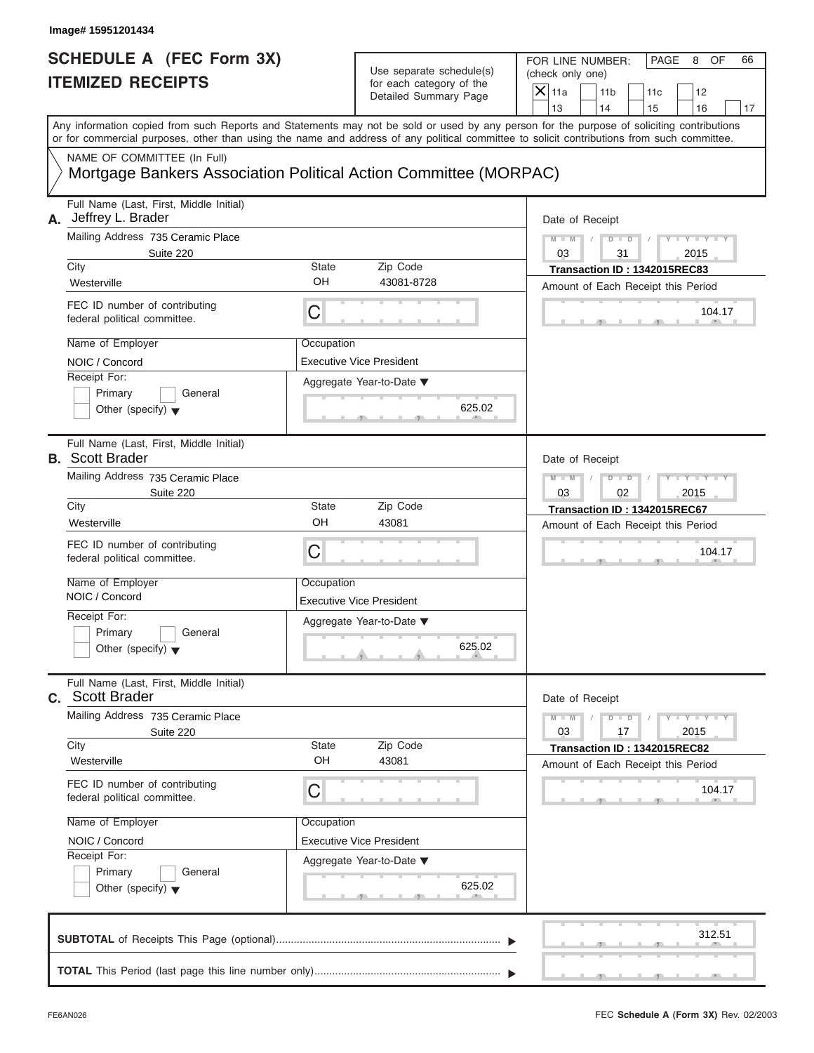FOR LINE NUMBER: PAGE 8 OF<br>(check only one)

| Any information copied from such Reports and Statements may not be sold or used by any person for the purpose of soliciting contributions<br>or for commercial purposes, other than using the name and address of any political committee to solicit contributions from such committee.<br>NAME OF COMMITTEE (In Full)<br>Mortgage Bankers Association Political Action Committee (MORPAC)<br>Full Name (Last, First, Middle Initial)<br>Mailing Address 735 Ceramic Place<br>Suite 220            | 13<br>14<br>15<br>16<br>17<br>Date of Receipt                                                                                                                                                                 |
|----------------------------------------------------------------------------------------------------------------------------------------------------------------------------------------------------------------------------------------------------------------------------------------------------------------------------------------------------------------------------------------------------------------------------------------------------------------------------------------------------|---------------------------------------------------------------------------------------------------------------------------------------------------------------------------------------------------------------|
| A. Jeffrey L. Brader                                                                                                                                                                                                                                                                                                                                                                                                                                                                               |                                                                                                                                                                                                               |
| City<br>State<br>Zip Code<br>OH<br>43081-8728<br>Westerville<br>FEC ID number of contributing<br>С<br>federal political committee.<br>Name of Employer<br>Occupation<br>NOIC / Concord<br><b>Executive Vice President</b><br>Receipt For:<br>Aggregate Year-to-Date ▼<br>Primary<br>General<br>625.02<br>Other (specify) $\blacktriangledown$                                                                                                                                                      | $Y = Y =$<br>$M - M$<br>$D$ $D$<br>03<br>31<br>2015<br>Transaction ID: 1342015REC83<br>Amount of Each Receipt this Period<br>104.17                                                                           |
| Full Name (Last, First, Middle Initial)<br><b>B.</b> Scott Brader<br>Mailing Address 735 Ceramic Place<br>Suite 220<br>City<br><b>State</b><br>Zip Code<br>OH<br>Westerville<br>43081<br>FEC ID number of contributing<br>C<br>federal political committee.<br>Name of Employer<br>Occupation<br>NOIC / Concord<br><b>Executive Vice President</b><br>Receipt For:<br>Aggregate Year-to-Date ▼<br>Primary<br>General<br>625.02<br>Other (specify) $\blacktriangledown$<br><b>Contract Contract</b> | Date of Receipt<br>$M - M$<br>T<br>$D$ $D$<br>03<br>02<br>2015<br>Transaction ID: 1342015REC67<br>Amount of Each Receipt this Period<br>104.17                                                                |
| Full Name (Last, First, Middle Initial)<br><b>Scott Brader</b><br>С.<br>Mailing Address 735 Ceramic Place<br>Suite 220<br>City<br>Zip Code<br>State<br>OH<br>43081<br>Westerville<br>FEC ID number of contributing<br>C<br>federal political committee.<br>Name of Employer<br>Occupation<br><b>Executive Vice President</b><br>NOIC / Concord<br>Receipt For:<br>Aggregate Year-to-Date ▼<br>Primary<br>General<br>625.02<br>Other (specify) $\blacktriangledown$                                 | Date of Receipt<br>$M - M$<br>$\mathbf{I} = \mathbf{Y} - \mathbf{I} - \mathbf{Y} - \mathbf{I}$<br>$D$ $D$<br>03<br>17<br>2015<br>Transaction ID: 1342015REC82<br>Amount of Each Receipt this Period<br>104.17 |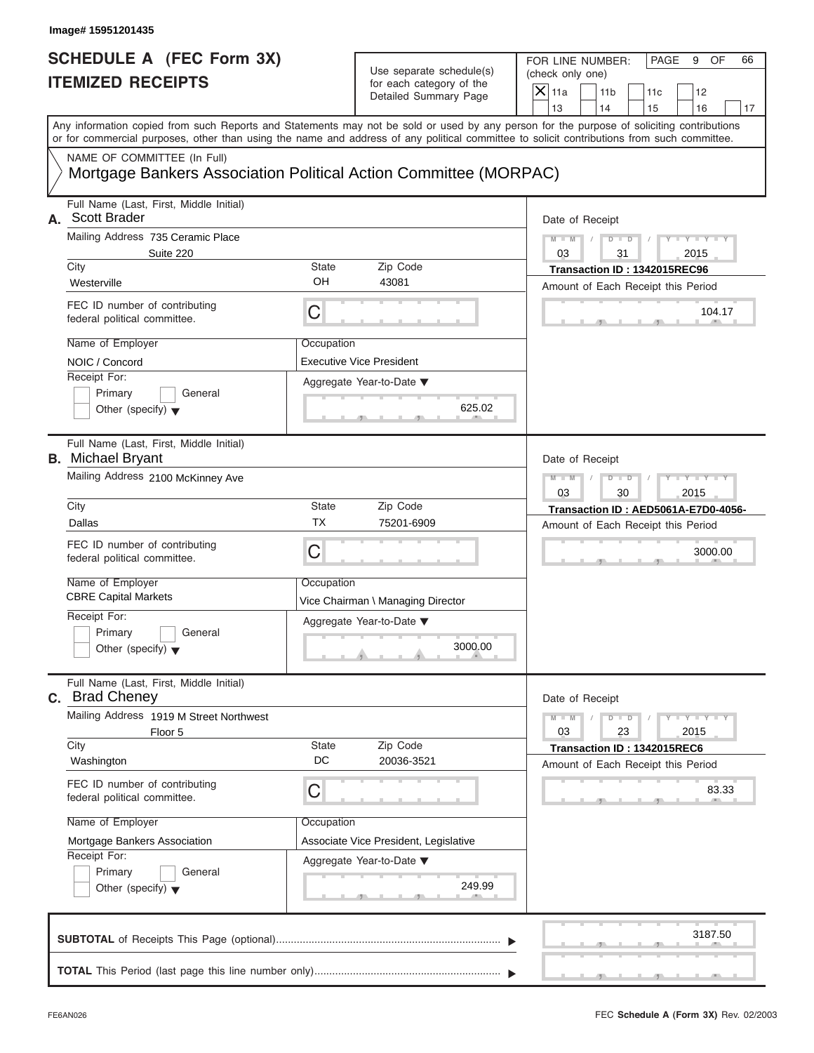FOR LINE NUMBER: PAGE 9 OF<br>(check only one)

| SCHEDULE A (FEC Form 3X)<br><b>ITEMIZED RECEIPTS</b>                                                                                                                                                                                                                                                                                               | Use separate schedule(s)<br>for each category of the<br>Detailed Summary Page                                                               | FOR LINE NUMBER:<br>PAGE<br>9<br>OF<br>66<br>(check only one)<br>$X$ 11a<br>11 <sub>b</sub><br>11c<br>12<br>13<br>14<br>15<br>16<br>17                                                                                                                                                  |
|----------------------------------------------------------------------------------------------------------------------------------------------------------------------------------------------------------------------------------------------------------------------------------------------------------------------------------------------------|---------------------------------------------------------------------------------------------------------------------------------------------|-----------------------------------------------------------------------------------------------------------------------------------------------------------------------------------------------------------------------------------------------------------------------------------------|
| NAME OF COMMITTEE (In Full)<br>Mortgage Bankers Association Political Action Committee (MORPAC)                                                                                                                                                                                                                                                    |                                                                                                                                             | Any information copied from such Reports and Statements may not be sold or used by any person for the purpose of soliciting contributions<br>or for commercial purposes, other than using the name and address of any political committee to solicit contributions from such committee. |
| Full Name (Last, First, Middle Initial)<br>A. Scott Brader<br>Mailing Address 735 Ceramic Place<br>Suite 220<br>City<br>Westerville<br>FEC ID number of contributing<br>federal political committee.<br>Name of Employer<br>NOIC / Concord<br>Receipt For:<br>Primary<br>General<br>Other (specify) $\blacktriangledown$                           | <b>State</b><br>Zip Code<br>OH<br>43081<br>С<br>Occupation<br><b>Executive Vice President</b><br>Aggregate Year-to-Date ▼                   | Date of Receipt<br>$Y - Y - I$<br>$M - M$<br>$D$ $D$<br>03<br>31<br>2015<br>Transaction ID: 1342015REC96<br>Amount of Each Receipt this Period<br>104.17<br>625.02                                                                                                                      |
| Full Name (Last, First, Middle Initial)<br><b>B.</b> Michael Bryant<br>Mailing Address 2100 McKinney Ave<br>City<br>Dallas<br>FEC ID number of contributing<br>federal political committee.<br>Name of Employer<br><b>CBRE Capital Markets</b><br>Receipt For:<br>Primary<br>General<br>Other (specify) $\blacktriangledown$                       | <b>State</b><br>Zip Code<br>ТX<br>75201-6909<br>С<br>Occupation<br>Vice Chairman \ Managing Director<br>Aggregate Year-to-Date ▼<br>3000.00 | Date of Receipt<br>$M - M$<br><b>TELEVISION</b><br>$D$ $D$<br>30<br>2015<br>03<br>Transaction ID: AED5061A-E7D0-4056-<br>Amount of Each Receipt this Period<br>3000.00                                                                                                                  |
| Full Name (Last, First, Middle Initial)<br><b>Brad Cheney</b><br>С.<br>Mailing Address 1919 M Street Northwest<br>Floor 5<br>City<br>Washington<br>FEC ID number of contributing<br>federal political committee.<br>Name of Employer<br>Mortgage Bankers Association<br>Receipt For:<br>Primary<br>General<br>Other (specify) $\blacktriangledown$ | Zip Code<br><b>State</b><br>DC<br>20036-3521<br>C<br>Occupation<br>Associate Vice President, Legislative<br>Aggregate Year-to-Date ▼        | Date of Receipt<br>$M - M$<br>$\mathbf{I} = \mathbf{Y} - \mathbf{I} - \mathbf{Y} - \mathbf{I}$<br>$D$ $D$<br>03<br>23<br>2015<br>Transaction ID: 1342015REC6<br>Amount of Each Receipt this Period<br>83.33<br>249.99                                                                   |
|                                                                                                                                                                                                                                                                                                                                                    |                                                                                                                                             | 3187.50<br><b>The Contract Contract Contract</b>                                                                                                                                                                                                                                        |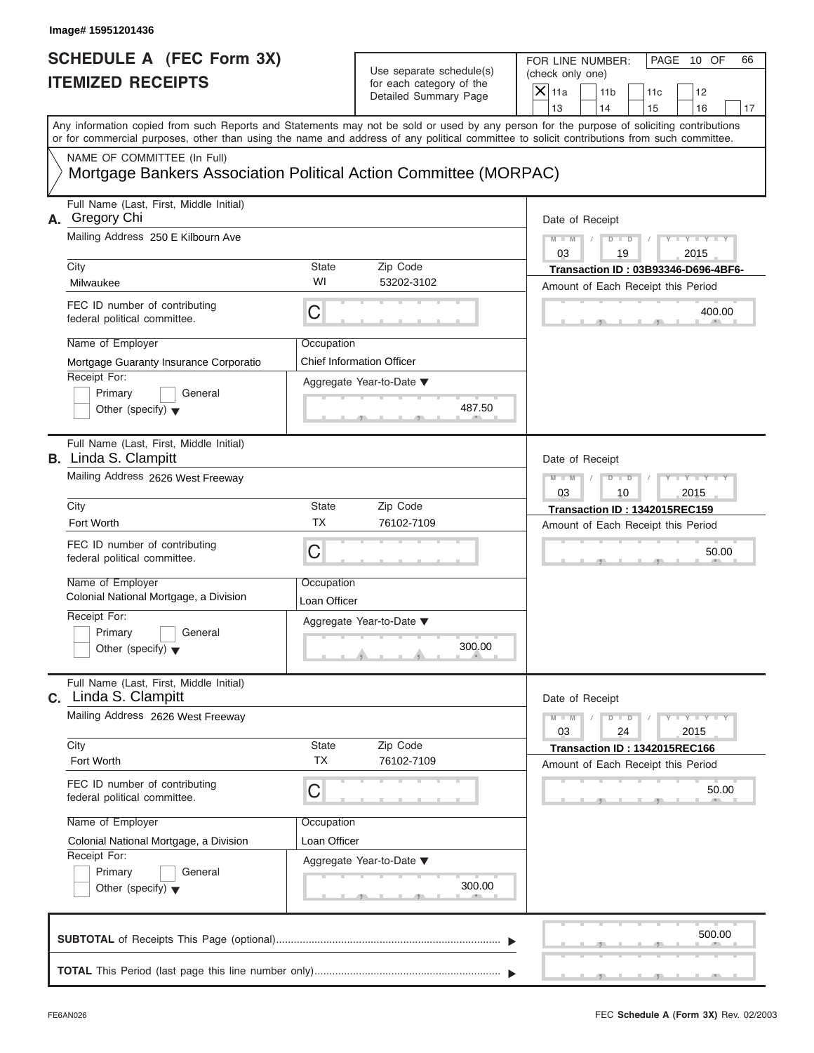| Image# 15951201436<br><b>SCHEDULE A (FEC Form 3X)</b>                      | Use separate schedule(s)                                         | FOR LINE NUMBER:<br>PAGE 10 OF<br>66<br>(check only one)                                                                                                                                                                                                                                |
|----------------------------------------------------------------------------|------------------------------------------------------------------|-----------------------------------------------------------------------------------------------------------------------------------------------------------------------------------------------------------------------------------------------------------------------------------------|
| <b>ITEMIZED RECEIPTS</b>                                                   | for each category of the<br>Detailed Summary Page                | $X$ 11a<br>11 <sub>b</sub><br>11c<br>12<br>13<br>14<br>16<br>15<br>17                                                                                                                                                                                                                   |
|                                                                            |                                                                  | Any information copied from such Reports and Statements may not be sold or used by any person for the purpose of soliciting contributions<br>or for commercial purposes, other than using the name and address of any political committee to solicit contributions from such committee. |
| NAME OF COMMITTEE (In Full)                                                | Mortgage Bankers Association Political Action Committee (MORPAC) |                                                                                                                                                                                                                                                                                         |
| Full Name (Last, First, Middle Initial)<br>A. Gregory Chi                  |                                                                  | Date of Receipt                                                                                                                                                                                                                                                                         |
| Mailing Address 250 E Kilbourn Ave                                         |                                                                  | $M - M$<br>$D$ $D$<br>$Y - Y - Y - Y - Y$                                                                                                                                                                                                                                               |
| City                                                                       | Zip Code<br>State                                                | 03<br>2015<br>19<br>Transaction ID: 03B93346-D696-4BF6-                                                                                                                                                                                                                                 |
| Milwaukee                                                                  | WI<br>53202-3102                                                 | Amount of Each Receipt this Period                                                                                                                                                                                                                                                      |
| FEC ID number of contributing<br>federal political committee.              | C                                                                | 400.00                                                                                                                                                                                                                                                                                  |
| Name of Employer                                                           | Occupation                                                       |                                                                                                                                                                                                                                                                                         |
| Mortgage Guaranty Insurance Corporatio                                     | <b>Chief Information Officer</b>                                 |                                                                                                                                                                                                                                                                                         |
| Receipt For:<br>Primary<br>General<br>Other (specify) $\blacktriangledown$ | Aggregate Year-to-Date ▼<br>487.50                               |                                                                                                                                                                                                                                                                                         |
| Full Name (Last, First, Middle Initial)<br><b>B.</b> Linda S. Clampitt     |                                                                  | Date of Receipt                                                                                                                                                                                                                                                                         |
| Mailing Address 2626 West Freeway                                          |                                                                  | $Y - Y - Y - Y - Y$<br>$M - M$<br>$D - D$<br>03<br>10<br>2015                                                                                                                                                                                                                           |
| City                                                                       | <b>State</b><br>Zip Code                                         | Transaction ID: 1342015REC159                                                                                                                                                                                                                                                           |
| Fort Worth                                                                 | ТX<br>76102-7109                                                 | Amount of Each Receipt this Period                                                                                                                                                                                                                                                      |
| FEC ID number of contributing<br>federal political committee.              | C                                                                | 50.00                                                                                                                                                                                                                                                                                   |
| Name of Employer<br>Colonial National Mortgage, a Division                 | Occupation<br>Loan Officer                                       |                                                                                                                                                                                                                                                                                         |
| Receipt For:                                                               | Aggregate Year-to-Date ▼                                         |                                                                                                                                                                                                                                                                                         |
| Primary<br>General<br>Other (specify) $\blacktriangledown$                 | 300.00                                                           |                                                                                                                                                                                                                                                                                         |
| Full Name (Last, First, Middle Initial)<br>C. Linda S. Clampitt            |                                                                  | Date of Receipt                                                                                                                                                                                                                                                                         |
| Mailing Address 2626 West Freeway                                          |                                                                  | $M - M$<br>$D$ $\Box$ $D$<br>$Y - Y - Y - Y - I$<br>03<br>24<br>2015                                                                                                                                                                                                                    |
| City<br>Fort Worth                                                         | Zip Code<br>State<br><b>TX</b><br>76102-7109                     | Transaction ID: 1342015REC166<br>Amount of Each Receipt this Period                                                                                                                                                                                                                     |
| FEC ID number of contributing<br>federal political committee.              | С                                                                | 50.00                                                                                                                                                                                                                                                                                   |
| Name of Employer                                                           | Occupation                                                       |                                                                                                                                                                                                                                                                                         |
| Colonial National Mortgage, a Division                                     | Loan Officer                                                     |                                                                                                                                                                                                                                                                                         |
| Receipt For:<br>Primary<br>General                                         | Aggregate Year-to-Date ▼                                         |                                                                                                                                                                                                                                                                                         |
| Other (specify) $\blacktriangledown$                                       | 300.00                                                           |                                                                                                                                                                                                                                                                                         |
|                                                                            |                                                                  | 500.00                                                                                                                                                                                                                                                                                  |
|                                                                            |                                                                  |                                                                                                                                                                                                                                                                                         |

S S S , , .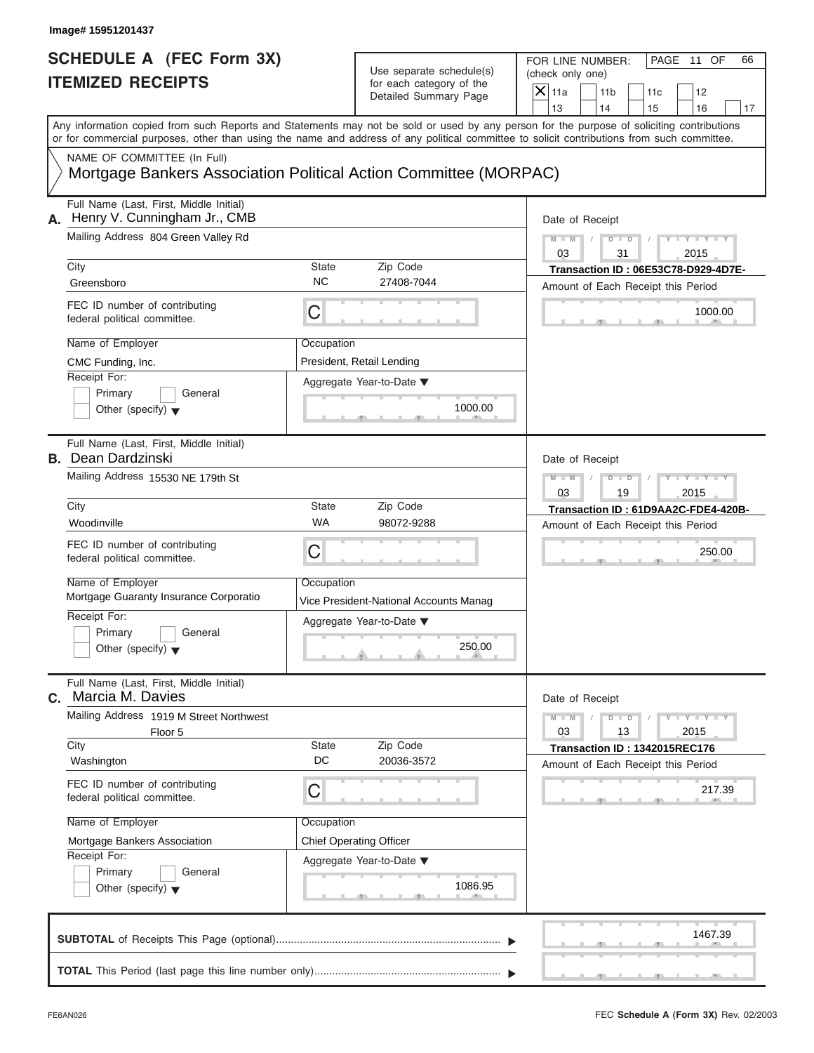| Image# 15951201437                                                                                                                                                                                                                                                                                                                                     |                    |                                                                               |                                                                             |                                             |
|--------------------------------------------------------------------------------------------------------------------------------------------------------------------------------------------------------------------------------------------------------------------------------------------------------------------------------------------------------|--------------------|-------------------------------------------------------------------------------|-----------------------------------------------------------------------------|---------------------------------------------|
| <b>SCHEDULE A (FEC Form 3X)</b><br><b>ITEMIZED RECEIPTS</b><br>Any information copied from such Reports and Statements may not be sold or used by any person for the purpose of soliciting contributions<br>or for commercial purposes, other than using the name and address of any political committee to solicit contributions from such committee. |                    | Use separate schedule(s)<br>for each category of the<br>Detailed Summary Page | FOR LINE NUMBER:<br>(check only one)<br>$\mathsf{X}$ 11a<br>11 <sub>b</sub> | PAGE 11 OF<br>66<br>11c<br>12               |
|                                                                                                                                                                                                                                                                                                                                                        |                    |                                                                               | 13<br>14                                                                    | 15<br>16<br>17                              |
| NAME OF COMMITTEE (In Full)<br>Mortgage Bankers Association Political Action Committee (MORPAC)                                                                                                                                                                                                                                                        |                    |                                                                               |                                                                             |                                             |
| Full Name (Last, First, Middle Initial)<br>Henry V. Cunningham Jr., CMB<br>А.<br>Mailing Address 804 Green Valley Rd                                                                                                                                                                                                                                   |                    |                                                                               | Date of Receipt<br>$M - M$<br>$D$ $\Box$ $D$                                | $Y - Y - Y$                                 |
| City<br>Greensboro                                                                                                                                                                                                                                                                                                                                     | State<br><b>NC</b> | Zip Code<br>27408-7044                                                        | 03<br>31                                                                    | 2015<br>Transaction ID: 06E53C78-D929-4D7E- |
| FEC ID number of contributing<br>federal political committee.                                                                                                                                                                                                                                                                                          | С                  |                                                                               | Amount of Each Receipt this Period                                          | 1000.00                                     |
| Name of Employer<br>CMC Funding, Inc.<br>Receipt For:                                                                                                                                                                                                                                                                                                  | Occupation         | President, Retail Lending<br>Aggregate Year-to-Date ▼                         |                                                                             |                                             |
| Primary<br>General<br>Other (specify) $\blacktriangledown$                                                                                                                                                                                                                                                                                             |                    | 1000.00                                                                       |                                                                             |                                             |
| Full Name (Last, First, Middle Initial)<br><b>B.</b> Dean Dardzinski                                                                                                                                                                                                                                                                                   |                    |                                                                               | Date of Receipt                                                             |                                             |
| Mailing Address 15530 NE 179th St                                                                                                                                                                                                                                                                                                                      |                    |                                                                               | $M - M$<br>$D$ $D$<br>03<br>19                                              | $Y - Y - Y - Y - Y$<br>2015                 |
| City<br>Woodinville                                                                                                                                                                                                                                                                                                                                    | State<br><b>WA</b> | Zip Code<br>98072-9288                                                        | Amount of Each Receipt this Period                                          | Transaction ID: 61D9AA2C-FDE4-420B-         |
| FEC ID number of contributing<br>federal political committee.                                                                                                                                                                                                                                                                                          | C                  |                                                                               |                                                                             | 250.00                                      |
| Name of Employer<br>Mortgage Guaranty Insurance Corporatio                                                                                                                                                                                                                                                                                             | Occupation         | Vice President-National Accounts Manag                                        |                                                                             |                                             |
| Receipt For:<br>Primary<br>General<br>Other (specify) $\blacktriangledown$                                                                                                                                                                                                                                                                             |                    | Aggregate Year-to-Date ▼<br>250.00                                            |                                                                             |                                             |
| Full Name (Last, First, Middle Initial)<br>C. Marcia M. Davies                                                                                                                                                                                                                                                                                         |                    |                                                                               | Date of Receipt                                                             |                                             |
| Mailing Address 1919 M Street Northwest<br>Floor 5                                                                                                                                                                                                                                                                                                     |                    |                                                                               | $M - M$<br>$D$ $D$<br>03<br>13                                              | $Y = Y$<br>2015                             |
| City<br>Washington                                                                                                                                                                                                                                                                                                                                     | <b>State</b><br>DC | Zip Code<br>20036-3572                                                        | Amount of Each Receipt this Period                                          | Transaction ID: 1342015REC176               |
| FEC ID number of contributing<br>federal political committee.                                                                                                                                                                                                                                                                                          | С                  |                                                                               |                                                                             | 217.39                                      |
| Name of Employer<br>Mortgage Bankers Association                                                                                                                                                                                                                                                                                                       | Occupation         | <b>Chief Operating Officer</b>                                                |                                                                             |                                             |
| Receipt For:<br>Primary<br>General<br>Other (specify) $\blacktriangledown$                                                                                                                                                                                                                                                                             |                    | Aggregate Year-to-Date ▼<br>1086.95                                           |                                                                             |                                             |
|                                                                                                                                                                                                                                                                                                                                                        |                    |                                                                               |                                                                             | 1467.39                                     |
|                                                                                                                                                                                                                                                                                                                                                        |                    |                                                                               |                                                                             |                                             |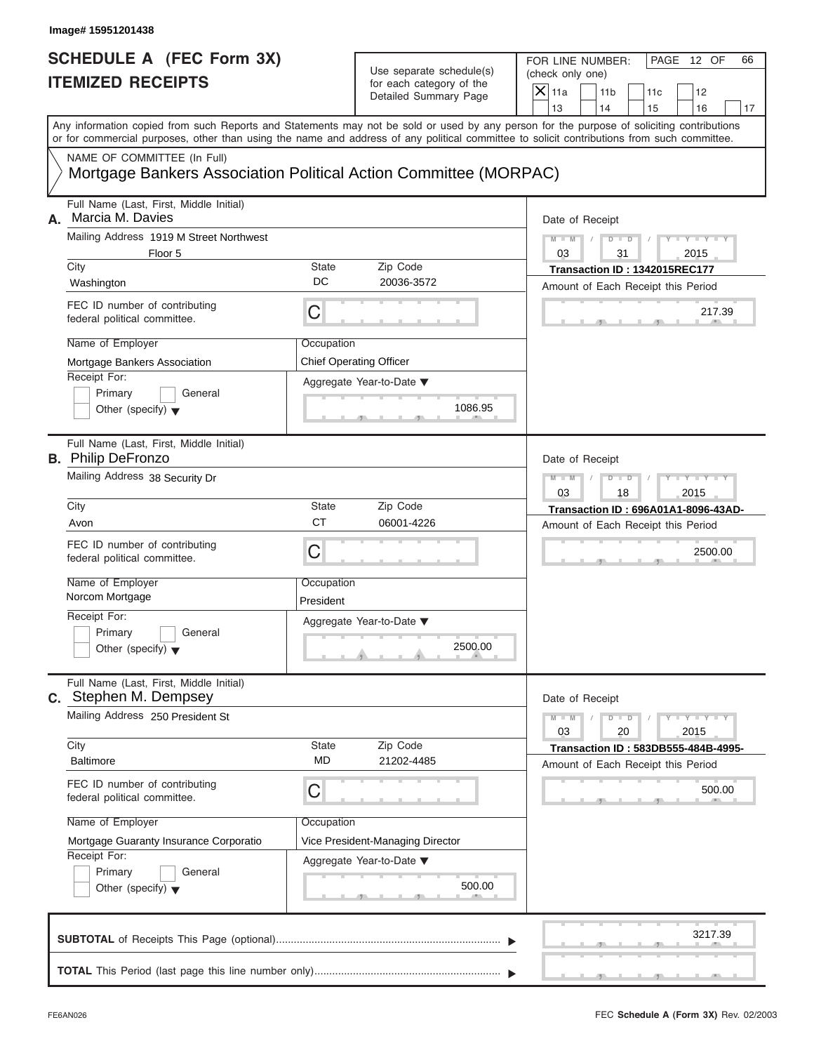| Image# 15951201438                                                                                                                                                        |                           |                                                                               |                                                                                                                                           |
|---------------------------------------------------------------------------------------------------------------------------------------------------------------------------|---------------------------|-------------------------------------------------------------------------------|-------------------------------------------------------------------------------------------------------------------------------------------|
| <b>SCHEDULE A (FEC Form 3X)</b><br><b>ITEMIZED RECEIPTS</b>                                                                                                               |                           | Use separate schedule(s)<br>for each category of the<br>Detailed Summary Page | FOR LINE NUMBER:<br>PAGE 12 OF<br>66<br>(check only one)<br>$X$ 11a<br>11 <sub>b</sub><br>11c<br>12<br>13<br>14<br>15<br>16<br>17         |
| or for commercial purposes, other than using the name and address of any political committee to solicit contributions from such committee.<br>NAME OF COMMITTEE (In Full) |                           |                                                                               | Any information copied from such Reports and Statements may not be sold or used by any person for the purpose of soliciting contributions |
| Mortgage Bankers Association Political Action Committee (MORPAC)                                                                                                          |                           |                                                                               |                                                                                                                                           |
| Full Name (Last, First, Middle Initial)<br>Marcia M. Davies<br>А.                                                                                                         |                           |                                                                               | Date of Receipt                                                                                                                           |
| Mailing Address 1919 M Street Northwest<br>Floor 5                                                                                                                        |                           |                                                                               | $Y - Y - Y - Y - Y$<br>$M - M$<br>$D - D$<br>03<br>31<br>2015                                                                             |
| City<br>Washington                                                                                                                                                        | <b>State</b><br>DC        | Zip Code<br>20036-3572                                                        | Transaction ID: 1342015REC177<br>Amount of Each Receipt this Period                                                                       |
| FEC ID number of contributing<br>federal political committee.                                                                                                             | C                         |                                                                               | 217.39                                                                                                                                    |
| Name of Employer<br>Mortgage Bankers Association<br>Receipt For:<br>Primary<br>General<br>Other (specify) $\blacktriangledown$                                            | Occupation                | <b>Chief Operating Officer</b><br>Aggregate Year-to-Date ▼<br>1086.95         |                                                                                                                                           |
| Full Name (Last, First, Middle Initial)<br><b>B.</b> Philip DeFronzo<br>Mailing Address 38 Security Dr                                                                    |                           |                                                                               | Date of Receipt<br>$Y - Y - Y - Y - Y$<br>$M - M$<br>$D$ $D$                                                                              |
| City<br>Avon                                                                                                                                                              | <b>State</b><br><b>CT</b> | Zip Code<br>06001-4226                                                        | 03<br>18<br>2015<br>Transaction ID: 696A01A1-8096-43AD-<br>Amount of Each Receipt this Period                                             |
| FEC ID number of contributing<br>federal political committee.                                                                                                             | C                         |                                                                               | 2500.00                                                                                                                                   |
| Name of Employer<br>Norcom Mortgage                                                                                                                                       | Occupation<br>President   |                                                                               |                                                                                                                                           |
| Receipt For:<br>Primary<br>General<br>Other (specify) $\blacktriangledown$                                                                                                |                           | Aggregate Year-to-Date ▼<br>2500.00                                           |                                                                                                                                           |
| Full Name (Last, First, Middle Initial)<br>C. Stephen M. Dempsey                                                                                                          |                           |                                                                               | Date of Receipt                                                                                                                           |
| Mailing Address 250 President St                                                                                                                                          |                           |                                                                               | $M - M$<br>$D - D$<br>$Y - Y - Y - Y - Y$<br>03<br>20<br>2015                                                                             |
| City<br><b>Baltimore</b>                                                                                                                                                  | State<br><b>MD</b>        | Zip Code<br>21202-4485                                                        | Transaction ID: 583DB555-484B-4995-<br>Amount of Each Receipt this Period                                                                 |
| FEC ID number of contributing<br>federal political committee.                                                                                                             | С                         |                                                                               | 500.00                                                                                                                                    |
| Name of Employer<br>Mortgage Guaranty Insurance Corporatio<br>Receipt For:<br>Primary<br>General                                                                          | Occupation                | Vice President-Managing Director<br>Aggregate Year-to-Date ▼                  |                                                                                                                                           |
| Other (specify) $\blacktriangledown$                                                                                                                                      |                           | 500.00                                                                        |                                                                                                                                           |
|                                                                                                                                                                           |                           |                                                                               | 3217.39                                                                                                                                   |
|                                                                                                                                                                           |                           |                                                                               |                                                                                                                                           |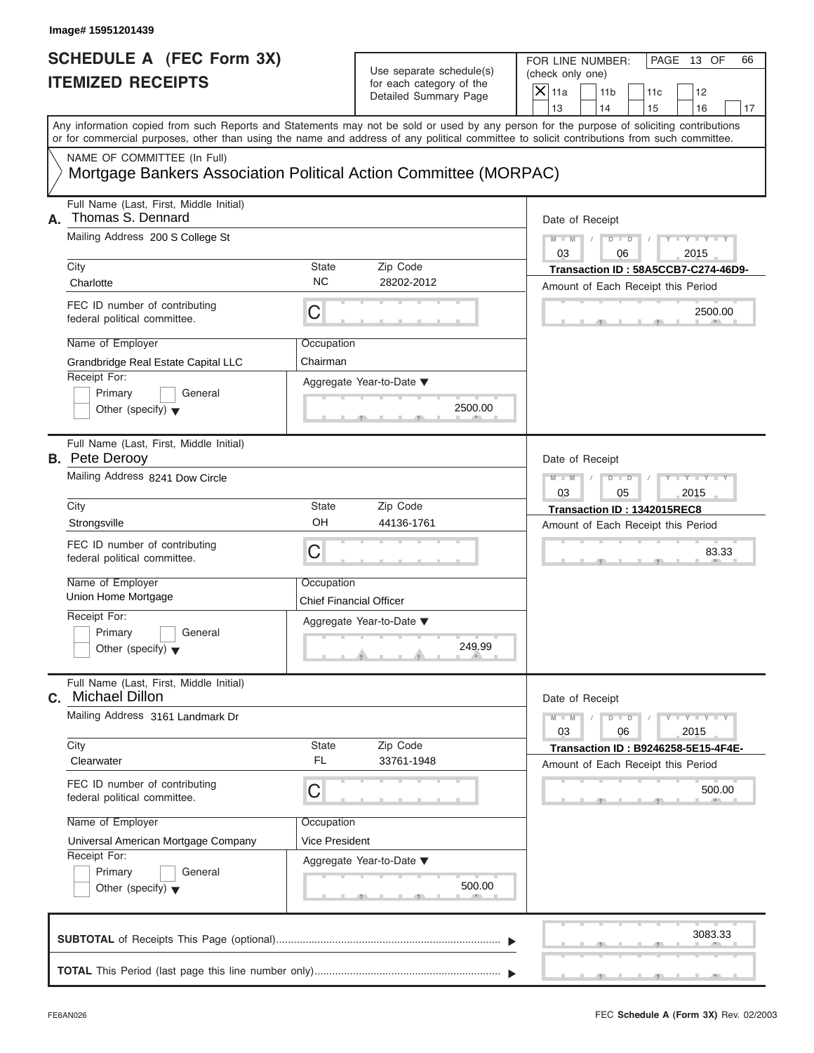| Image# 15951201439                                                                                                                         |                                              |                                                                               |                                                                                                                                           |
|--------------------------------------------------------------------------------------------------------------------------------------------|----------------------------------------------|-------------------------------------------------------------------------------|-------------------------------------------------------------------------------------------------------------------------------------------|
| <b>SCHEDULE A (FEC Form 3X)</b><br><b>ITEMIZED RECEIPTS</b>                                                                                |                                              | Use separate schedule(s)<br>for each category of the<br>Detailed Summary Page | FOR LINE NUMBER:<br>PAGE 13 OF<br>66<br>(check only one)<br>$X$ 11a<br>11 <sub>b</sub><br>11c<br>12<br>13<br>14<br>15<br>16<br>17         |
| or for commercial purposes, other than using the name and address of any political committee to solicit contributions from such committee. |                                              |                                                                               | Any information copied from such Reports and Statements may not be sold or used by any person for the purpose of soliciting contributions |
| NAME OF COMMITTEE (In Full)<br>Mortgage Bankers Association Political Action Committee (MORPAC)                                            |                                              |                                                                               |                                                                                                                                           |
| Full Name (Last, First, Middle Initial)<br>Thomas S. Dennard<br>А.                                                                         |                                              |                                                                               | Date of Receipt                                                                                                                           |
| Mailing Address 200 S College St                                                                                                           |                                              |                                                                               | $M - M$<br>$D - D$<br>$Y - Y - Y - Y - Y$<br>03<br>2015<br>06                                                                             |
| City<br>Charlotte                                                                                                                          | <b>State</b><br><b>NC</b>                    | Zip Code<br>28202-2012                                                        | Transaction ID: 58A5CCB7-C274-46D9-<br>Amount of Each Receipt this Period                                                                 |
| FEC ID number of contributing<br>federal political committee.                                                                              | С                                            |                                                                               | 2500.00                                                                                                                                   |
| Name of Employer<br>Grandbridge Real Estate Capital LLC                                                                                    | Occupation<br>Chairman                       |                                                                               |                                                                                                                                           |
| Receipt For:<br>Primary<br>General<br>Other (specify) $\blacktriangledown$                                                                 |                                              | Aggregate Year-to-Date ▼<br>2500.00                                           |                                                                                                                                           |
| Full Name (Last, First, Middle Initial)<br><b>B.</b> Pete Derooy                                                                           |                                              |                                                                               | Date of Receipt                                                                                                                           |
| Mailing Address 8241 Dow Circle                                                                                                            |                                              |                                                                               | $Y = Y = Y + Y$<br>$M - M$<br>$D$ $D$<br>03<br>05<br>2015                                                                                 |
| City<br>Strongsville                                                                                                                       | <b>State</b><br>OH                           | Zip Code<br>44136-1761                                                        | Transaction ID: 1342015REC8<br>Amount of Each Receipt this Period                                                                         |
| FEC ID number of contributing<br>federal political committee.                                                                              | C                                            |                                                                               | 83.33                                                                                                                                     |
| Name of Employer<br>Union Home Mortgage                                                                                                    | Occupation<br><b>Chief Financial Officer</b> |                                                                               |                                                                                                                                           |
| Receipt For:<br>Primary<br>General<br>Other (specify) $\blacktriangledown$                                                                 |                                              | Aggregate Year-to-Date ▼<br>249.99                                            |                                                                                                                                           |
| Full Name (Last, First, Middle Initial)<br><b>Michael Dillon</b><br>С.                                                                     |                                              |                                                                               | Date of Receipt                                                                                                                           |
| Mailing Address 3161 Landmark Dr                                                                                                           |                                              |                                                                               | $Y - Y - Y - Y - Y$<br>$M - M$<br>$D - D$<br>03<br>06<br>2015                                                                             |
| City<br>Clearwater                                                                                                                         | State<br><b>FL</b>                           | Zip Code<br>33761-1948                                                        | Transaction ID: B9246258-5E15-4F4E-<br>Amount of Each Receipt this Period                                                                 |
| FEC ID number of contributing<br>federal political committee.                                                                              | С                                            |                                                                               | 500.00                                                                                                                                    |
| Name of Employer<br>Universal American Mortgage Company                                                                                    | Occupation<br>Vice President                 |                                                                               |                                                                                                                                           |
| Receipt For:<br>Primary<br>General<br>Other (specify) $\blacktriangledown$                                                                 |                                              | Aggregate Year-to-Date ▼<br>500.00                                            |                                                                                                                                           |
|                                                                                                                                            |                                              |                                                                               | 3083.33                                                                                                                                   |
|                                                                                                                                            |                                              |                                                                               |                                                                                                                                           |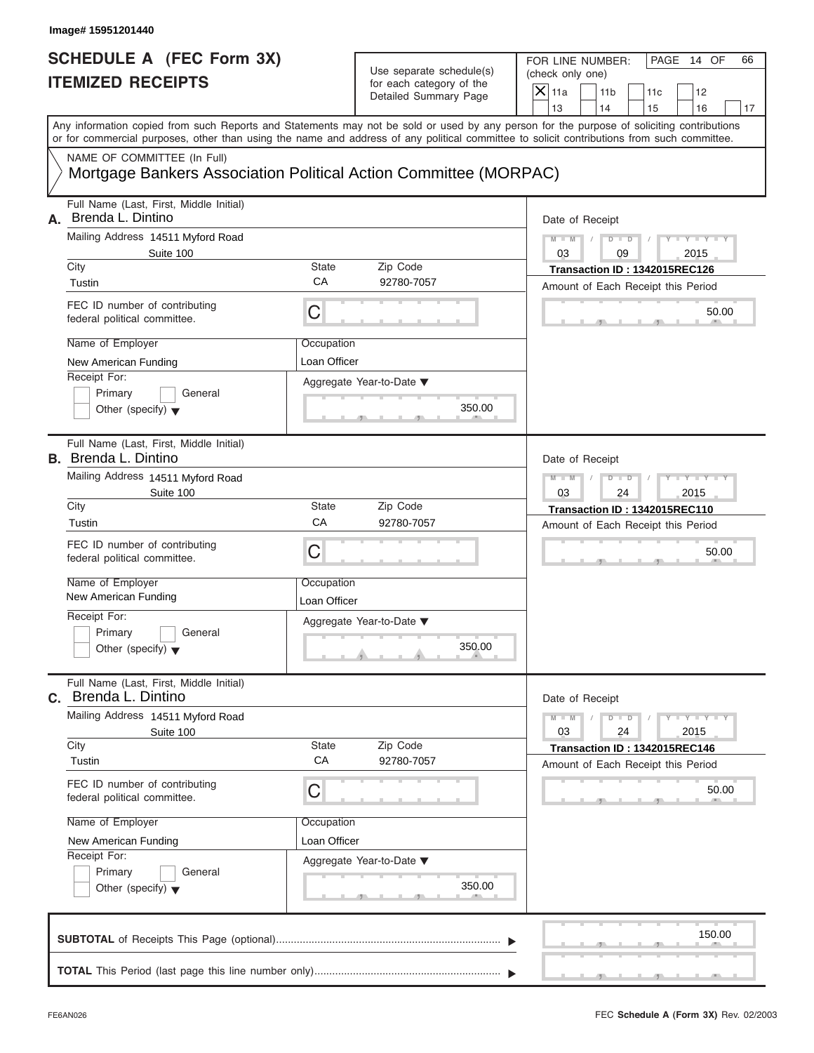| Image# 15951201440                                                                                                                                                                                                                                                                      |                            |                                                                               |                                                                     |                       |                                                             |             |    |
|-----------------------------------------------------------------------------------------------------------------------------------------------------------------------------------------------------------------------------------------------------------------------------------------|----------------------------|-------------------------------------------------------------------------------|---------------------------------------------------------------------|-----------------------|-------------------------------------------------------------|-------------|----|
| <b>SCHEDULE A (FEC Form 3X)</b><br><b>ITEMIZED RECEIPTS</b>                                                                                                                                                                                                                             |                            | Use separate schedule(s)<br>for each category of the<br>Detailed Summary Page | FOR LINE NUMBER:<br>(check only one)<br>$\mathsf{X}$ 11a<br>13      | 11 <sub>b</sub><br>14 | PAGE 14 OF<br>11c<br>12                                     |             | 66 |
| Any information copied from such Reports and Statements may not be sold or used by any person for the purpose of soliciting contributions<br>or for commercial purposes, other than using the name and address of any political committee to solicit contributions from such committee. |                            |                                                                               |                                                                     | 15                    | 16                                                          |             | 17 |
| NAME OF COMMITTEE (In Full)<br>Mortgage Bankers Association Political Action Committee (MORPAC)                                                                                                                                                                                         |                            |                                                                               |                                                                     |                       |                                                             |             |    |
| Full Name (Last, First, Middle Initial)<br>Brenda L. Dintino<br>А.<br>Mailing Address 14511 Myford Road                                                                                                                                                                                 |                            |                                                                               | Date of Receipt<br>$M - M$                                          | $D$ $\Box$ $D$        |                                                             | $Y - Y - Y$ |    |
| Suite 100<br>City                                                                                                                                                                                                                                                                       | State                      | Zip Code                                                                      | 03<br>Transaction ID: 1342015REC126                                 | 09                    | 2015                                                        |             |    |
| Tustin                                                                                                                                                                                                                                                                                  | CA                         | 92780-7057                                                                    | Amount of Each Receipt this Period                                  |                       |                                                             |             |    |
| FEC ID number of contributing<br>federal political committee.                                                                                                                                                                                                                           | C                          |                                                                               |                                                                     |                       |                                                             | 50.00       |    |
| Name of Employer                                                                                                                                                                                                                                                                        | Occupation                 |                                                                               |                                                                     |                       |                                                             |             |    |
| New American Funding                                                                                                                                                                                                                                                                    | Loan Officer               |                                                                               |                                                                     |                       |                                                             |             |    |
| Receipt For:<br>Primary<br>General<br>Other (specify) $\blacktriangledown$                                                                                                                                                                                                              |                            | Aggregate Year-to-Date ▼<br>350.00                                            |                                                                     |                       |                                                             |             |    |
| Full Name (Last, First, Middle Initial)<br><b>B.</b> Brenda L. Dintino                                                                                                                                                                                                                  |                            |                                                                               | Date of Receipt                                                     |                       |                                                             |             |    |
| Mailing Address 14511 Myford Road<br>Suite 100                                                                                                                                                                                                                                          |                            |                                                                               | $M - M$<br>03                                                       | $D$ $D$<br>24         | Y T Y T Y T<br>2015                                         |             |    |
| City                                                                                                                                                                                                                                                                                    | State                      | Zip Code                                                                      | Transaction ID: 1342015REC110                                       |                       |                                                             |             |    |
| Tustin                                                                                                                                                                                                                                                                                  | CA                         | 92780-7057                                                                    | Amount of Each Receipt this Period                                  |                       |                                                             |             |    |
| FEC ID number of contributing<br>federal political committee.                                                                                                                                                                                                                           | C                          |                                                                               |                                                                     |                       |                                                             | 50.00       |    |
| Name of Employer<br>New American Funding                                                                                                                                                                                                                                                | Occupation<br>Loan Officer |                                                                               |                                                                     |                       |                                                             |             |    |
| Receipt For:<br>Primary<br>General<br>Other (specify) $\blacktriangledown$                                                                                                                                                                                                              |                            | Aggregate Year-to-Date ▼<br>350.00                                            |                                                                     |                       |                                                             |             |    |
| Full Name (Last, First, Middle Initial)<br>C. Brenda L. Dintino                                                                                                                                                                                                                         |                            |                                                                               | Date of Receipt                                                     |                       |                                                             |             |    |
| Mailing Address 14511 Myford Road<br>Suite 100                                                                                                                                                                                                                                          |                            |                                                                               | $M - M$<br>03                                                       | $D$ $D$<br>24         | $\mathbf{I} = \mathbf{Y} + \mathbf{I} - \mathbf{Y}$<br>2015 |             |    |
| City<br>Tustin                                                                                                                                                                                                                                                                          | <b>State</b><br>CA         | Zip Code<br>92780-7057                                                        | Transaction ID: 1342015REC146<br>Amount of Each Receipt this Period |                       |                                                             |             |    |
| FEC ID number of contributing<br>federal political committee.                                                                                                                                                                                                                           | С                          |                                                                               |                                                                     |                       |                                                             | 50.00       |    |
| Name of Employer                                                                                                                                                                                                                                                                        | Occupation                 |                                                                               |                                                                     |                       |                                                             |             |    |
| New American Funding<br>Receipt For:                                                                                                                                                                                                                                                    | Loan Officer               |                                                                               |                                                                     |                       |                                                             |             |    |
| Primary<br>General<br>Other (specify) $\blacktriangledown$                                                                                                                                                                                                                              |                            | Aggregate Year-to-Date ▼<br>350.00                                            |                                                                     |                       |                                                             |             |    |
|                                                                                                                                                                                                                                                                                         |                            |                                                                               |                                                                     |                       |                                                             | 150.00      |    |
|                                                                                                                                                                                                                                                                                         |                            |                                                                               |                                                                     |                       |                                                             |             |    |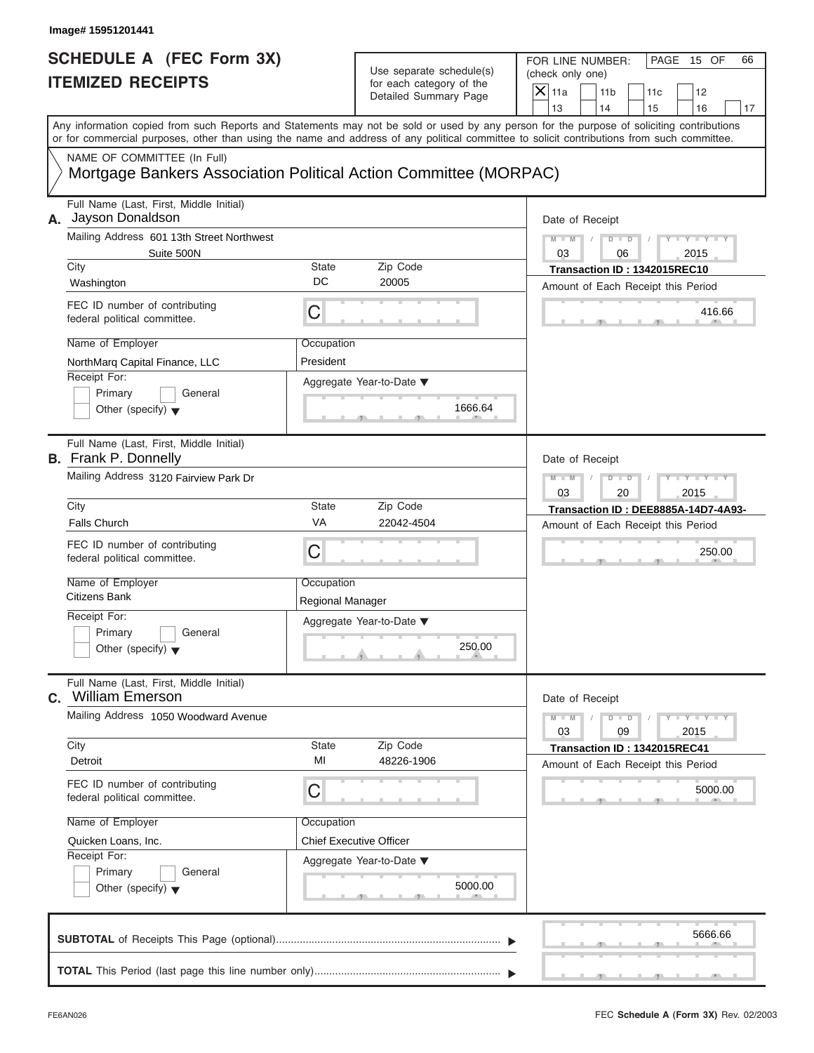| Image# 15951201441                                                                              |                                |                                                      |                                                                                                                                                                                                                                                                                         |  |
|-------------------------------------------------------------------------------------------------|--------------------------------|------------------------------------------------------|-----------------------------------------------------------------------------------------------------------------------------------------------------------------------------------------------------------------------------------------------------------------------------------------|--|
| <b>SCHEDULE A (FEC Form 3X)</b><br><b>ITEMIZED RECEIPTS</b>                                     |                                | Use separate schedule(s)<br>for each category of the |                                                                                                                                                                                                                                                                                         |  |
|                                                                                                 |                                | Detailed Summary Page                                | $X$ 11a<br>11 <sub>b</sub><br>11c<br>12<br>13<br>14<br>15<br>16<br>17                                                                                                                                                                                                                   |  |
|                                                                                                 |                                |                                                      | Any information copied from such Reports and Statements may not be sold or used by any person for the purpose of soliciting contributions<br>or for commercial purposes, other than using the name and address of any political committee to solicit contributions from such committee. |  |
| NAME OF COMMITTEE (In Full)<br>Mortgage Bankers Association Political Action Committee (MORPAC) |                                |                                                      |                                                                                                                                                                                                                                                                                         |  |
| Full Name (Last, First, Middle Initial)<br>A. Jayson Donaldson                                  |                                |                                                      | Date of Receipt                                                                                                                                                                                                                                                                         |  |
| Mailing Address 601 13th Street Northwest<br>Suite 500N                                         |                                |                                                      | $Y - Y - Y - Y - Y$<br>$M - M$<br>$D - D$<br>03<br>2015<br>06                                                                                                                                                                                                                           |  |
| City<br>Washington                                                                              | <b>State</b><br>DC             | Zip Code<br>20005                                    | Transaction ID: 1342015REC10<br>Amount of Each Receipt this Period                                                                                                                                                                                                                      |  |
| FEC ID number of contributing<br>federal political committee.                                   | С                              |                                                      | 416.66                                                                                                                                                                                                                                                                                  |  |
| Name of Employer<br>NorthMarq Capital Finance, LLC                                              | Occupation<br>President        |                                                      |                                                                                                                                                                                                                                                                                         |  |
| Receipt For:<br>Primary<br>General<br>Other (specify) $\blacktriangledown$                      |                                | Aggregate Year-to-Date ▼<br>1666.64                  |                                                                                                                                                                                                                                                                                         |  |
| Full Name (Last, First, Middle Initial)<br><b>B.</b> Frank P. Donnelly                          |                                |                                                      | Date of Receipt                                                                                                                                                                                                                                                                         |  |
| Mailing Address 3120 Fairview Park Dr                                                           |                                |                                                      | $Y - Y - Y - Y - Y$<br>$M - M$<br>$D$ $D$<br>03<br>20<br>2015                                                                                                                                                                                                                           |  |
| City                                                                                            | <b>State</b>                   | Zip Code                                             | Transaction ID: DEE8885A-14D7-4A93-                                                                                                                                                                                                                                                     |  |
| <b>Falls Church</b>                                                                             | VA                             | 22042-4504                                           | Amount of Each Receipt this Period                                                                                                                                                                                                                                                      |  |
| FEC ID number of contributing<br>federal political committee.                                   | C                              |                                                      | 250.00                                                                                                                                                                                                                                                                                  |  |
| Name of Employer<br>Citizens Bank                                                               | Occupation<br>Regional Manager |                                                      |                                                                                                                                                                                                                                                                                         |  |
| Receipt For:                                                                                    |                                | Aggregate Year-to-Date ▼                             |                                                                                                                                                                                                                                                                                         |  |
| Primary<br>General<br>Other (specify) $\blacktriangledown$                                      |                                | 250.00                                               |                                                                                                                                                                                                                                                                                         |  |
| Full Name (Last, First, Middle Initial)<br><b>c.</b> William Emerson                            |                                |                                                      | Date of Receipt                                                                                                                                                                                                                                                                         |  |
| Mailing Address 1050 Woodward Avenue                                                            |                                |                                                      | $M - M$<br>$D - D$<br>$Y - Y - Y - Y - I$<br>03<br>09<br>2015                                                                                                                                                                                                                           |  |
| City<br>Detroit                                                                                 | <b>State</b><br>MI             | Zip Code<br>48226-1906                               | Transaction ID: 1342015REC41<br>Amount of Each Receipt this Period                                                                                                                                                                                                                      |  |
| FEC ID number of contributing<br>federal political committee.                                   | С                              |                                                      | 5000.00                                                                                                                                                                                                                                                                                 |  |
| Name of Employer                                                                                | Occupation                     |                                                      |                                                                                                                                                                                                                                                                                         |  |
| Quicken Loans, Inc.                                                                             | Chief Executive Officer        |                                                      |                                                                                                                                                                                                                                                                                         |  |
| Receipt For:<br>Primary<br>General<br>Other (specify) $\blacktriangledown$                      |                                | Aggregate Year-to-Date ▼<br>5000.00                  |                                                                                                                                                                                                                                                                                         |  |
|                                                                                                 |                                |                                                      | 5666.66                                                                                                                                                                                                                                                                                 |  |
|                                                                                                 |                                |                                                      |                                                                                                                                                                                                                                                                                         |  |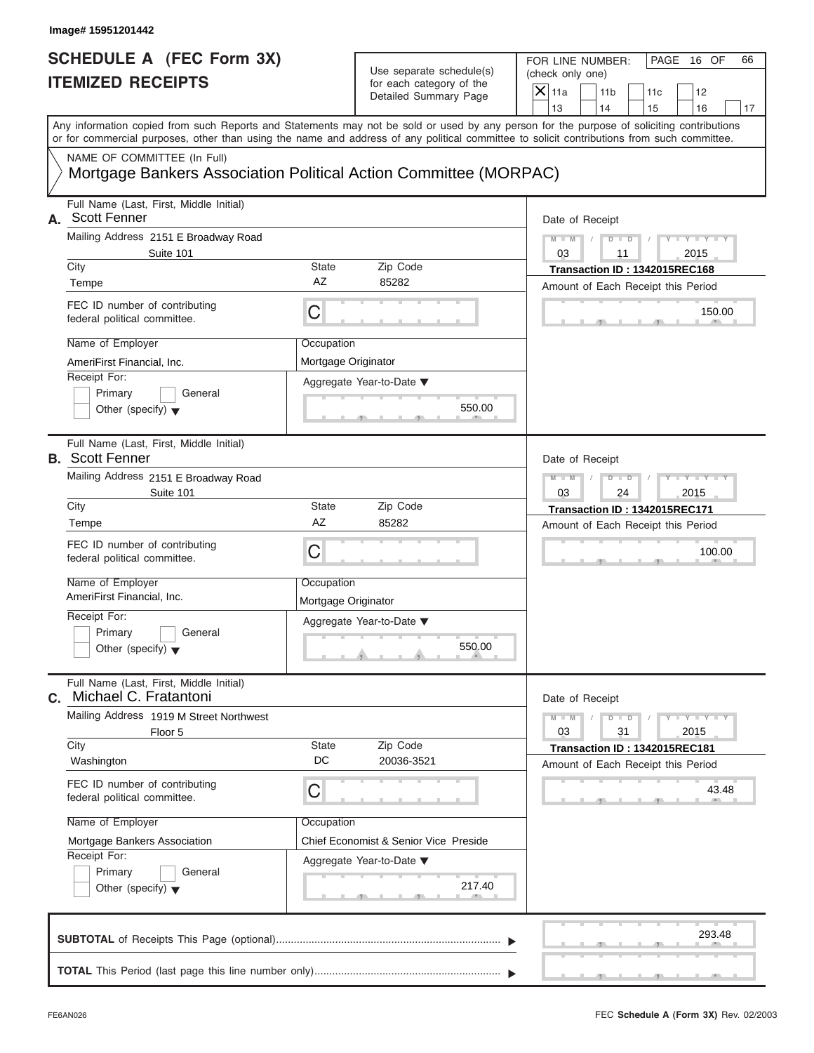|                    | Image# 15951201442                                                                                                                                                                                                                                                                      |                                   |                                                      |                             |                                                                     |           |                                 |    |
|--------------------|-----------------------------------------------------------------------------------------------------------------------------------------------------------------------------------------------------------------------------------------------------------------------------------------|-----------------------------------|------------------------------------------------------|-----------------------------|---------------------------------------------------------------------|-----------|---------------------------------|----|
|                    | <b>SCHEDULE A (FEC Form 3X)</b><br><b>ITEMIZED RECEIPTS</b>                                                                                                                                                                                                                             |                                   | Use separate schedule(s)<br>for each category of the | (check only one)<br>$X$ 11a | FOR LINE NUMBER:                                                    |           | PAGE 16 OF                      | 66 |
|                    |                                                                                                                                                                                                                                                                                         |                                   | Detailed Summary Page                                | 13                          | 11 <sub>b</sub><br>14                                               | 11c<br>15 | 12<br>16                        | 17 |
|                    | Any information copied from such Reports and Statements may not be sold or used by any person for the purpose of soliciting contributions<br>or for commercial purposes, other than using the name and address of any political committee to solicit contributions from such committee. |                                   |                                                      |                             |                                                                     |           |                                 |    |
|                    | NAME OF COMMITTEE (In Full)<br>Mortgage Bankers Association Political Action Committee (MORPAC)                                                                                                                                                                                         |                                   |                                                      |                             |                                                                     |           |                                 |    |
|                    | Full Name (Last, First, Middle Initial)<br>A. Scott Fenner                                                                                                                                                                                                                              |                                   |                                                      |                             | Date of Receipt                                                     |           |                                 |    |
|                    | Mailing Address 2151 E Broadway Road<br>Suite 101                                                                                                                                                                                                                                       |                                   |                                                      | $M - M$<br>03               | $D$ $D$<br>11                                                       |           | $Y - Y - Y - Y - Y$<br>2015     |    |
| City               |                                                                                                                                                                                                                                                                                         | <b>State</b>                      | Zip Code                                             |                             | Transaction ID: 1342015REC168                                       |           |                                 |    |
| Tempe              |                                                                                                                                                                                                                                                                                         | AZ                                | 85282                                                |                             | Amount of Each Receipt this Period                                  |           |                                 |    |
|                    | FEC ID number of contributing<br>federal political committee.                                                                                                                                                                                                                           | С                                 |                                                      |                             |                                                                     |           | 150.00                          |    |
|                    | Name of Employer                                                                                                                                                                                                                                                                        | Occupation                        |                                                      |                             |                                                                     |           |                                 |    |
|                    | AmeriFirst Financial, Inc.                                                                                                                                                                                                                                                              | Mortgage Originator               |                                                      |                             |                                                                     |           |                                 |    |
| Receipt For:       | Primary<br>General                                                                                                                                                                                                                                                                      |                                   | Aggregate Year-to-Date ▼                             |                             |                                                                     |           |                                 |    |
|                    | Other (specify) $\blacktriangledown$                                                                                                                                                                                                                                                    |                                   | 550.00                                               |                             |                                                                     |           |                                 |    |
|                    | Full Name (Last, First, Middle Initial)<br><b>B.</b> Scott Fenner                                                                                                                                                                                                                       |                                   |                                                      |                             | Date of Receipt                                                     |           |                                 |    |
|                    | Mailing Address 2151 E Broadway Road                                                                                                                                                                                                                                                    |                                   |                                                      | $M - M$                     | $D$ $D$                                                             |           | Y TYTTY                         |    |
| City               | Suite 101                                                                                                                                                                                                                                                                               | <b>State</b>                      | Zip Code                                             | 03                          | 24                                                                  |           | 2015                            |    |
| Tempe              |                                                                                                                                                                                                                                                                                         | AZ                                | 85282                                                |                             | Transaction ID: 1342015REC171<br>Amount of Each Receipt this Period |           |                                 |    |
|                    | FEC ID number of contributing<br>federal political committee.                                                                                                                                                                                                                           | C                                 |                                                      |                             |                                                                     |           | 100.00                          |    |
|                    | Name of Employer<br>AmeriFirst Financial, Inc.                                                                                                                                                                                                                                          | Occupation<br>Mortgage Originator |                                                      |                             |                                                                     |           |                                 |    |
| Receipt For:       |                                                                                                                                                                                                                                                                                         |                                   | Aggregate Year-to-Date ▼                             |                             |                                                                     |           |                                 |    |
|                    | Primary<br>General<br>Other (specify) $\blacktriangledown$                                                                                                                                                                                                                              |                                   | 550.00                                               |                             |                                                                     |           |                                 |    |
| С.                 | Full Name (Last, First, Middle Initial)<br>Michael C. Fratantoni                                                                                                                                                                                                                        |                                   |                                                      |                             | Date of Receipt                                                     |           |                                 |    |
|                    | Mailing Address 1919 M Street Northwest<br>Floor 5                                                                                                                                                                                                                                      |                                   |                                                      | $M - M$<br>03               | $D - D$<br>31                                                       |           | $Y - I - Y - I - Y - I$<br>2015 |    |
| City<br>Washington |                                                                                                                                                                                                                                                                                         | State<br>DC                       | Zip Code<br>20036-3521                               |                             | Transaction ID: 1342015REC181                                       |           |                                 |    |
|                    | FEC ID number of contributing<br>federal political committee.                                                                                                                                                                                                                           | С                                 |                                                      |                             | Amount of Each Receipt this Period                                  |           | 43.48                           |    |
|                    |                                                                                                                                                                                                                                                                                         |                                   |                                                      |                             |                                                                     |           |                                 |    |
|                    | Name of Employer                                                                                                                                                                                                                                                                        | Occupation                        |                                                      |                             |                                                                     |           |                                 |    |
| Receipt For:       | Mortgage Bankers Association                                                                                                                                                                                                                                                            |                                   | Chief Economist & Senior Vice Preside                |                             |                                                                     |           |                                 |    |
|                    | Primary<br>General                                                                                                                                                                                                                                                                      |                                   | Aggregate Year-to-Date ▼                             |                             |                                                                     |           |                                 |    |
|                    | Other (specify) $\blacktriangledown$                                                                                                                                                                                                                                                    |                                   | 217.40                                               |                             |                                                                     |           |                                 |    |
|                    |                                                                                                                                                                                                                                                                                         |                                   |                                                      |                             |                                                                     |           | 293.48                          |    |
|                    |                                                                                                                                                                                                                                                                                         |                                   |                                                      |                             |                                                                     |           |                                 |    |
|                    |                                                                                                                                                                                                                                                                                         |                                   |                                                      |                             |                                                                     |           |                                 |    |

S S S , , .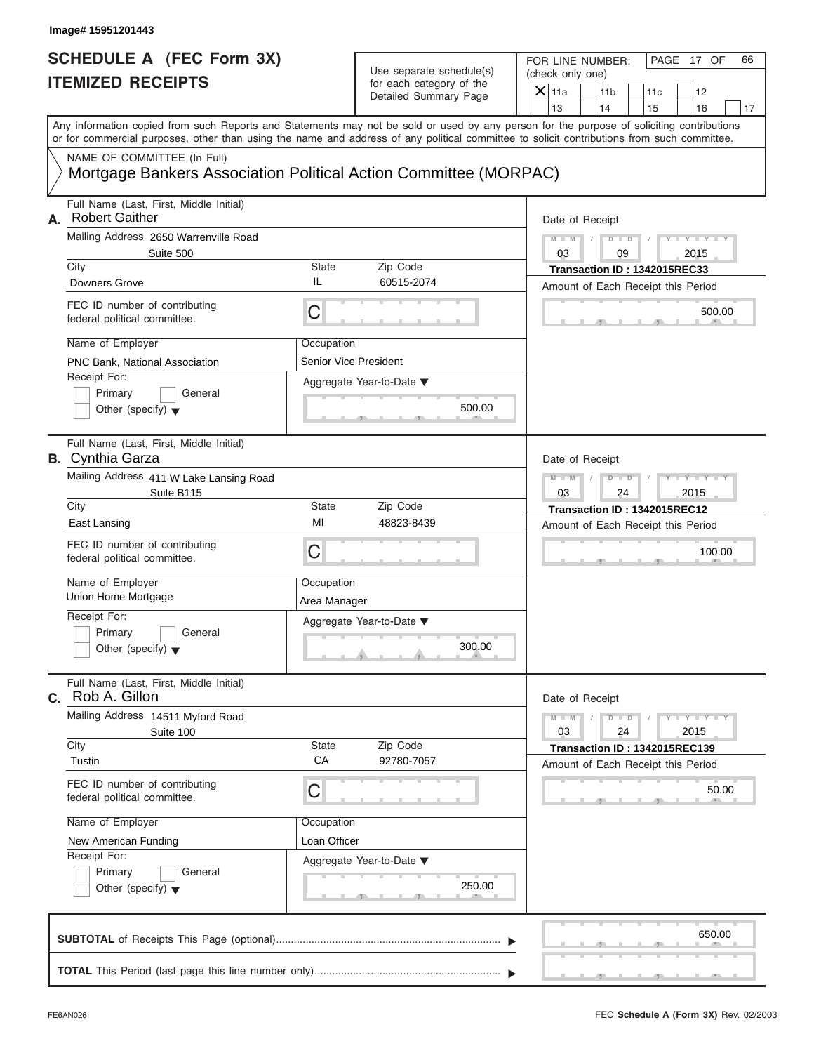| <b>SCHEDULE A (FEC Form 3X)</b>                                                                 |                              | Use separate schedule(s)<br>for each category of the | FOR LINE NUMBER:<br>PAGE 17 OF<br>66<br>(check only one)                                                                                                                                                                                                                                |  |  |  |  |
|-------------------------------------------------------------------------------------------------|------------------------------|------------------------------------------------------|-----------------------------------------------------------------------------------------------------------------------------------------------------------------------------------------------------------------------------------------------------------------------------------------|--|--|--|--|
| <b>ITEMIZED RECEIPTS</b>                                                                        |                              |                                                      | $X$ 11a<br>11 <sub>b</sub><br>11c<br>12                                                                                                                                                                                                                                                 |  |  |  |  |
|                                                                                                 |                              | Detailed Summary Page                                | 13<br>14<br>16<br>15                                                                                                                                                                                                                                                                    |  |  |  |  |
|                                                                                                 |                              |                                                      | Any information copied from such Reports and Statements may not be sold or used by any person for the purpose of soliciting contributions<br>or for commercial purposes, other than using the name and address of any political committee to solicit contributions from such committee. |  |  |  |  |
| NAME OF COMMITTEE (In Full)<br>Mortgage Bankers Association Political Action Committee (MORPAC) |                              |                                                      |                                                                                                                                                                                                                                                                                         |  |  |  |  |
| Full Name (Last, First, Middle Initial)<br><b>Robert Gaither</b><br>А.                          |                              |                                                      | Date of Receipt                                                                                                                                                                                                                                                                         |  |  |  |  |
| Mailing Address 2650 Warrenville Road                                                           |                              |                                                      | $Y - Y - Y - Y - Y$<br>$M - M$<br>$D$ $D$                                                                                                                                                                                                                                               |  |  |  |  |
| Suite 500<br>City                                                                               | <b>State</b>                 | Zip Code                                             | 03<br>2015<br>09                                                                                                                                                                                                                                                                        |  |  |  |  |
| Downers Grove                                                                                   | IL                           | 60515-2074                                           | Transaction ID: 1342015REC33<br>Amount of Each Receipt this Period                                                                                                                                                                                                                      |  |  |  |  |
| FEC ID number of contributing<br>federal political committee.                                   | C                            |                                                      | 500.00                                                                                                                                                                                                                                                                                  |  |  |  |  |
| Name of Employer                                                                                | Occupation                   |                                                      |                                                                                                                                                                                                                                                                                         |  |  |  |  |
| PNC Bank, National Association                                                                  | <b>Senior Vice President</b> |                                                      |                                                                                                                                                                                                                                                                                         |  |  |  |  |
| Receipt For:<br>Primary<br>General<br>Other (specify) $\blacktriangledown$                      |                              | Aggregate Year-to-Date ▼<br>500.00                   |                                                                                                                                                                                                                                                                                         |  |  |  |  |
| Full Name (Last, First, Middle Initial)<br><b>B.</b> Cynthia Garza                              |                              |                                                      | Date of Receipt                                                                                                                                                                                                                                                                         |  |  |  |  |
| Mailing Address 411 W Lake Lansing Road<br>Suite B115                                           |                              |                                                      | $Y - Y - Y - Y - Y$<br>$M - M$<br>$D$ $D$<br>03<br>24<br>2015                                                                                                                                                                                                                           |  |  |  |  |
| City                                                                                            | <b>State</b>                 | Zip Code                                             | Transaction ID: 1342015REC12                                                                                                                                                                                                                                                            |  |  |  |  |
| East Lansing                                                                                    | MI                           | 48823-8439                                           | Amount of Each Receipt this Period                                                                                                                                                                                                                                                      |  |  |  |  |
| FEC ID number of contributing<br>federal political committee.                                   | C                            |                                                      | 100.00                                                                                                                                                                                                                                                                                  |  |  |  |  |
| Name of Employer<br>Union Home Mortgage                                                         | Occupation<br>Area Manager   |                                                      |                                                                                                                                                                                                                                                                                         |  |  |  |  |
| Receipt For:<br>Primary<br>General<br>Other (specify) $\blacktriangledown$                      |                              | Aggregate Year-to-Date ▼<br>300.00                   |                                                                                                                                                                                                                                                                                         |  |  |  |  |
| Full Name (Last, First, Middle Initial)<br>C. Rob A. Gillon                                     |                              |                                                      | Date of Receipt                                                                                                                                                                                                                                                                         |  |  |  |  |
| Mailing Address 14511 Myford Road<br>Suite 100                                                  |                              |                                                      | $M - M$<br>$D$ $\Box$ $D$<br>$Y - Y - Y - Y - I$<br>03<br>24<br>2015                                                                                                                                                                                                                    |  |  |  |  |
| City<br>Tustin                                                                                  | State<br>CA                  | Zip Code<br>92780-7057                               | Transaction ID: 1342015REC139<br>Amount of Each Receipt this Period                                                                                                                                                                                                                     |  |  |  |  |
| FEC ID number of contributing<br>federal political committee.                                   | С                            |                                                      | 50.00                                                                                                                                                                                                                                                                                   |  |  |  |  |
| Name of Employer                                                                                | Occupation                   |                                                      |                                                                                                                                                                                                                                                                                         |  |  |  |  |
| New American Funding                                                                            | Loan Officer                 |                                                      |                                                                                                                                                                                                                                                                                         |  |  |  |  |
| Receipt For:<br>Primary<br>General<br>Other (specify) $\blacktriangledown$                      |                              | Aggregate Year-to-Date ▼<br>250.00                   |                                                                                                                                                                                                                                                                                         |  |  |  |  |
|                                                                                                 |                              |                                                      | 650.00                                                                                                                                                                                                                                                                                  |  |  |  |  |
|                                                                                                 |                              |                                                      |                                                                                                                                                                                                                                                                                         |  |  |  |  |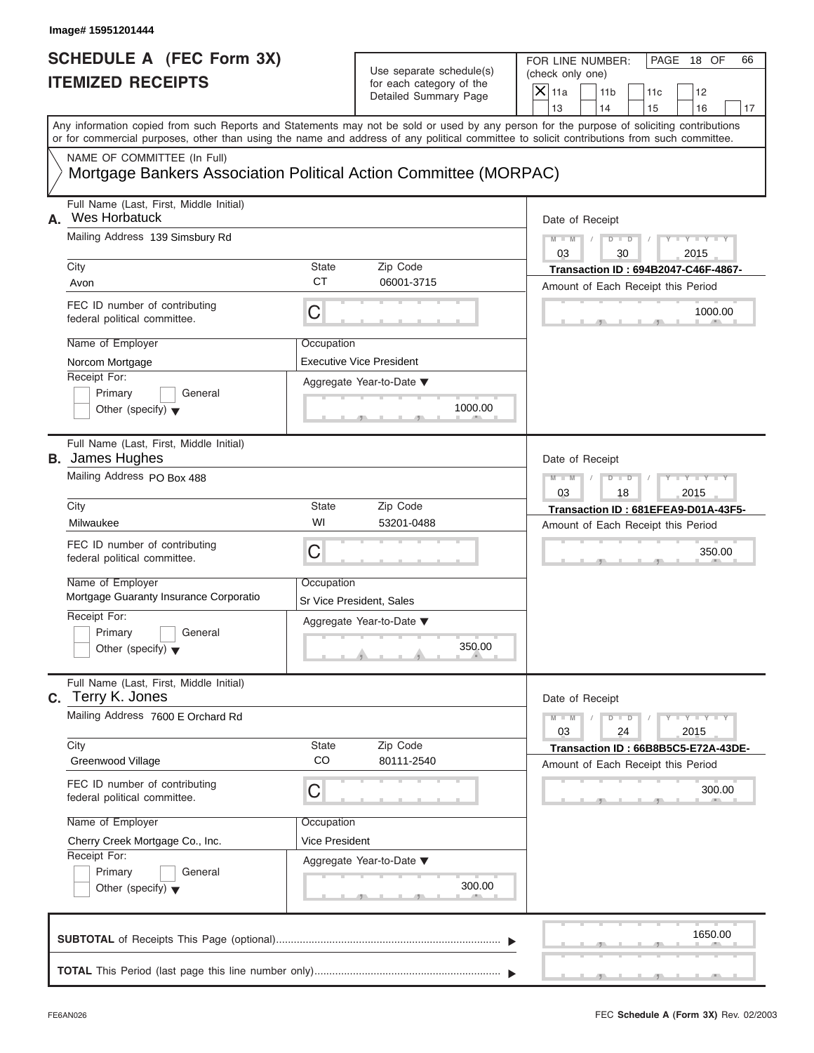# Use separate schedule(s) (check only one)<br>for each category of the  $\Box$

| Image# 15951201444                                                                              |                |                                                                               |                                                                                                                                                                                                                                                                                         |
|-------------------------------------------------------------------------------------------------|----------------|-------------------------------------------------------------------------------|-----------------------------------------------------------------------------------------------------------------------------------------------------------------------------------------------------------------------------------------------------------------------------------------|
| <b>SCHEDULE A (FEC Form 3X)</b><br><b>ITEMIZED RECEIPTS</b>                                     |                | Use separate schedule(s)<br>for each category of the<br>Detailed Summary Page | FOR LINE NUMBER:<br>PAGE 18 OF<br>66<br>(check only one)<br>$\overline{X}$ 11a<br>11 <sub>b</sub><br>11c<br>12                                                                                                                                                                          |
|                                                                                                 |                |                                                                               | 13<br>14<br>15<br>16<br>17                                                                                                                                                                                                                                                              |
|                                                                                                 |                |                                                                               | Any information copied from such Reports and Statements may not be sold or used by any person for the purpose of soliciting contributions<br>or for commercial purposes, other than using the name and address of any political committee to solicit contributions from such committee. |
| NAME OF COMMITTEE (In Full)<br>Mortgage Bankers Association Political Action Committee (MORPAC) |                |                                                                               |                                                                                                                                                                                                                                                                                         |
| Full Name (Last, First, Middle Initial)<br>Wes Horbatuck<br>А.                                  |                |                                                                               | Date of Receipt                                                                                                                                                                                                                                                                         |
| Mailing Address 139 Simsbury Rd                                                                 |                |                                                                               | $M - M$<br>$D$ $D$<br>$Y = Y =$<br>03<br>30<br>2015                                                                                                                                                                                                                                     |
| City                                                                                            | State          | Zip Code                                                                      | Transaction ID: 694B2047-C46F-4867-                                                                                                                                                                                                                                                     |
| Avon                                                                                            | <b>CT</b>      | 06001-3715                                                                    | Amount of Each Receipt this Period                                                                                                                                                                                                                                                      |
| FEC ID number of contributing<br>federal political committee.                                   | С              |                                                                               | 1000.00                                                                                                                                                                                                                                                                                 |
| Name of Employer                                                                                | Occupation     |                                                                               |                                                                                                                                                                                                                                                                                         |
| Norcom Mortgage                                                                                 |                | <b>Executive Vice President</b>                                               |                                                                                                                                                                                                                                                                                         |
| Receipt For:<br>Primary<br>General                                                              |                | Aggregate Year-to-Date ▼                                                      |                                                                                                                                                                                                                                                                                         |
| Other (specify) $\blacktriangledown$                                                            |                | 1000.00                                                                       |                                                                                                                                                                                                                                                                                         |
| Full Name (Last, First, Middle Initial)<br><b>B.</b> James Hughes                               |                |                                                                               | Date of Receipt                                                                                                                                                                                                                                                                         |
| Mailing Address PO Box 488                                                                      |                |                                                                               | $M - M$<br>$D$ $D$<br>$+Y+Y+$<br>2015<br>03<br>18                                                                                                                                                                                                                                       |
| City                                                                                            | State          | Zip Code                                                                      | Transaction ID: 681EFEA9-D01A-43F5-                                                                                                                                                                                                                                                     |
| Milwaukee                                                                                       | WI             | 53201-0488                                                                    | Amount of Each Receipt this Period                                                                                                                                                                                                                                                      |
| FEC ID number of contributing<br>federal political committee.                                   | C              |                                                                               | 350.00                                                                                                                                                                                                                                                                                  |
| Name of Employer<br>Mortgage Guaranty Insurance Corporatio                                      | Occupation     | Sr Vice President, Sales                                                      |                                                                                                                                                                                                                                                                                         |
| Receipt For:                                                                                    |                | Aggregate Year-to-Date ▼                                                      |                                                                                                                                                                                                                                                                                         |
| Primary<br>General<br>Other (specify) $\blacktriangledown$                                      |                | 350.00                                                                        |                                                                                                                                                                                                                                                                                         |
| Full Name (Last, First, Middle Initial)<br>C. Terry K. Jones                                    |                |                                                                               | Date of Receipt                                                                                                                                                                                                                                                                         |
| Mailing Address 7600 E Orchard Rd                                                               |                |                                                                               | $M - M$<br>$Y = Y = Y$<br>$D$ $D$<br>2015<br>03<br>24                                                                                                                                                                                                                                   |
| City<br>Greenwood Village                                                                       | State<br>CO    | Zip Code<br>80111-2540                                                        | Transaction ID: 66B8B5C5-E72A-43DE-<br>Amount of Each Receipt this Period                                                                                                                                                                                                               |
| FEC ID number of contributing<br>federal political committee.                                   | С              |                                                                               | 300.00                                                                                                                                                                                                                                                                                  |
| Name of Employer                                                                                | Occupation     |                                                                               |                                                                                                                                                                                                                                                                                         |
| Cherry Creek Mortgage Co., Inc.                                                                 | Vice President |                                                                               |                                                                                                                                                                                                                                                                                         |
| Receipt For:<br>Primary<br>General                                                              |                | Aggregate Year-to-Date ▼                                                      |                                                                                                                                                                                                                                                                                         |
| Other (specify) $\blacktriangledown$                                                            |                | 300.00                                                                        |                                                                                                                                                                                                                                                                                         |
|                                                                                                 |                |                                                                               | 1650.00                                                                                                                                                                                                                                                                                 |
|                                                                                                 |                |                                                                               |                                                                                                                                                                                                                                                                                         |

FEC **Schedule A (Form 3X)** Rev. 02/2003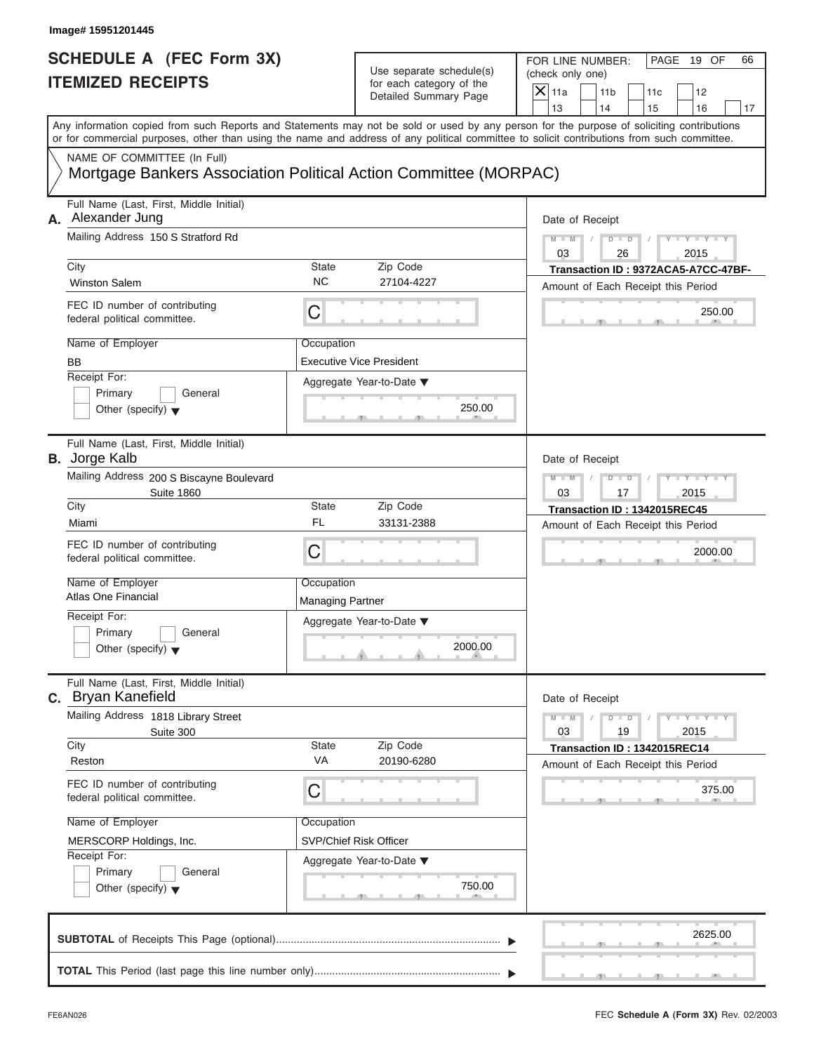| <b>SCHEDULE A (FEC Form 3X)</b>                                                                                                                                                                                                                                                         |                                       | Use separate schedule(s)                              | FOR LINE NUMBER:<br>(check only one) |                             |                                                                           | PAGE 19 OF                      | 66 |
|-----------------------------------------------------------------------------------------------------------------------------------------------------------------------------------------------------------------------------------------------------------------------------------------|---------------------------------------|-------------------------------------------------------|--------------------------------------|-----------------------------|---------------------------------------------------------------------------|---------------------------------|----|
| <b>ITEMIZED RECEIPTS</b>                                                                                                                                                                                                                                                                |                                       | for each category of the<br>Detailed Summary Page     | $\overline{X} _{11a}$<br>13          | 11 <sub>b</sub><br>14       | 11c<br>15                                                                 | 12<br>16                        | 17 |
| Any information copied from such Reports and Statements may not be sold or used by any person for the purpose of soliciting contributions<br>or for commercial purposes, other than using the name and address of any political committee to solicit contributions from such committee. |                                       |                                                       |                                      |                             |                                                                           |                                 |    |
| NAME OF COMMITTEE (In Full)<br>Mortgage Bankers Association Political Action Committee (MORPAC)                                                                                                                                                                                         |                                       |                                                       |                                      |                             |                                                                           |                                 |    |
| Full Name (Last, First, Middle Initial)<br>Alexander Jung<br>А.                                                                                                                                                                                                                         |                                       |                                                       |                                      | Date of Receipt             |                                                                           |                                 |    |
| Mailing Address 150 S Stratford Rd                                                                                                                                                                                                                                                      |                                       |                                                       | $M - M$<br>03                        | $D$ $D$<br>$\sqrt{2}$<br>26 |                                                                           | $Y - Y - Y - Y - Y$<br>2015     |    |
| City<br><b>Winston Salem</b>                                                                                                                                                                                                                                                            | State<br><b>NC</b>                    | Zip Code<br>27104-4227                                |                                      |                             | Transaction ID: 9372ACA5-A7CC-47BF-<br>Amount of Each Receipt this Period |                                 |    |
| FEC ID number of contributing<br>federal political committee.                                                                                                                                                                                                                           | C                                     |                                                       |                                      |                             |                                                                           | 250.00                          |    |
| Name of Employer<br><b>BB</b>                                                                                                                                                                                                                                                           | Occupation                            | <b>Executive Vice President</b>                       |                                      |                             |                                                                           |                                 |    |
| Receipt For:<br>Primary<br>General<br>Other (specify) $\blacktriangledown$                                                                                                                                                                                                              |                                       | Aggregate Year-to-Date $\blacktriangledown$<br>250.00 |                                      |                             |                                                                           |                                 |    |
| Full Name (Last, First, Middle Initial)<br><b>B.</b> Jorge Kalb                                                                                                                                                                                                                         |                                       |                                                       |                                      | Date of Receipt             |                                                                           |                                 |    |
| Mailing Address 200 S Biscayne Boulevard<br><b>Suite 1860</b>                                                                                                                                                                                                                           |                                       |                                                       | $M - M$<br>03                        | $D - D$<br>17               |                                                                           | $Y = Y = Y' - Y'$<br>2015       |    |
| City<br>Miami                                                                                                                                                                                                                                                                           | State<br><b>FL</b>                    | Zip Code<br>33131-2388                                |                                      |                             | Transaction ID: 1342015REC45<br>Amount of Each Receipt this Period        |                                 |    |
| FEC ID number of contributing<br>federal political committee.                                                                                                                                                                                                                           | C                                     |                                                       |                                      |                             |                                                                           | 2000.00                         |    |
| Name of Employer<br>Atlas One Financial                                                                                                                                                                                                                                                 | Occupation<br><b>Managing Partner</b> |                                                       |                                      |                             |                                                                           |                                 |    |
| Receipt For:<br>Primary<br>General<br>Other (specify) $\blacktriangledown$                                                                                                                                                                                                              |                                       | Aggregate Year-to-Date ▼<br>2000.00                   |                                      |                             |                                                                           |                                 |    |
| Full Name (Last, First, Middle Initial)<br>c. Bryan Kanefield                                                                                                                                                                                                                           |                                       |                                                       |                                      | Date of Receipt             |                                                                           |                                 |    |
| Mailing Address 1818 Library Street<br>Suite 300<br>City                                                                                                                                                                                                                                | State                                 | Zip Code                                              | $M - M$<br>03                        | $D$ $\Box$ $D$<br>19        |                                                                           | $Y - I - Y - I - Y - I$<br>2015 |    |
| Reston                                                                                                                                                                                                                                                                                  | VA                                    | 20190-6280                                            |                                      |                             | Transaction ID: 1342015REC14<br>Amount of Each Receipt this Period        |                                 |    |
| FEC ID number of contributing<br>federal political committee.                                                                                                                                                                                                                           | С                                     |                                                       |                                      |                             |                                                                           | 375.00                          |    |
| Name of Employer<br>MERSCORP Holdings, Inc.                                                                                                                                                                                                                                             | Occupation                            | <b>SVP/Chief Risk Officer</b>                         |                                      |                             |                                                                           |                                 |    |
| Receipt For:<br>Primary<br>General<br>Other (specify) $\blacktriangledown$                                                                                                                                                                                                              |                                       | Aggregate Year-to-Date ▼<br>750.00                    |                                      |                             |                                                                           |                                 |    |
|                                                                                                                                                                                                                                                                                         |                                       |                                                       |                                      |                             |                                                                           | 2625.00                         |    |
|                                                                                                                                                                                                                                                                                         |                                       |                                                       |                                      |                             |                                                                           |                                 |    |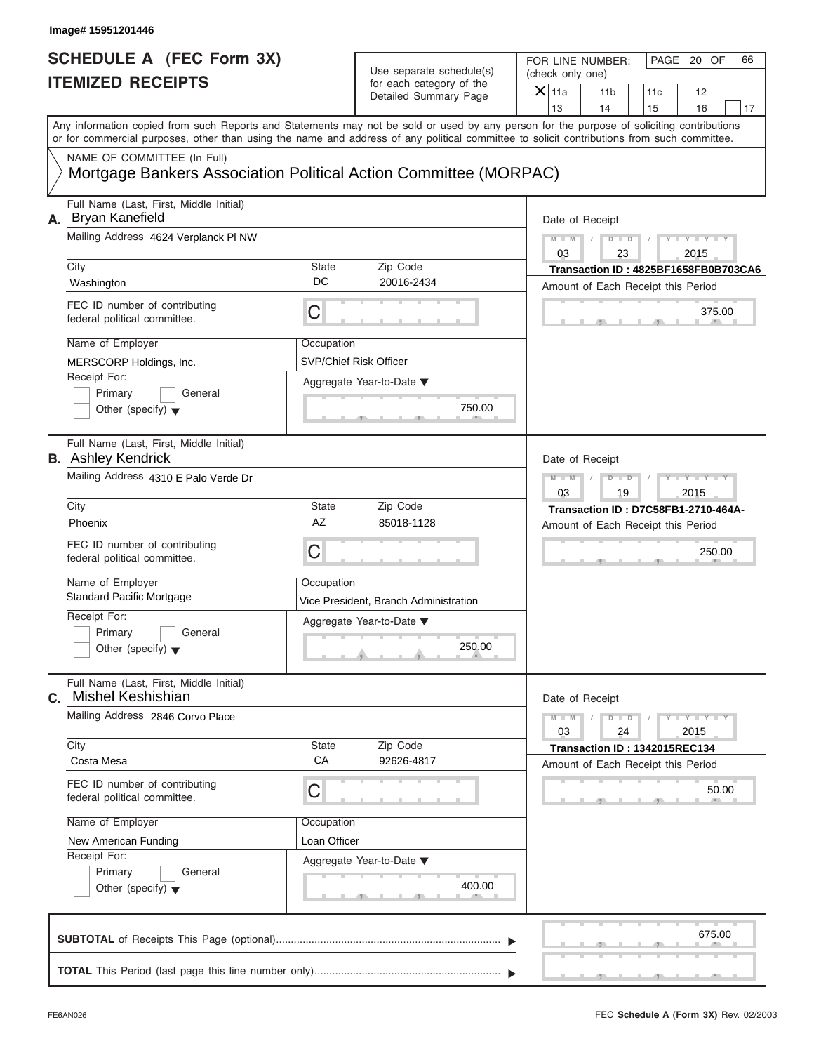| <b>SCHEDULE A (FEC Form 3X)</b>                                                                                                                                                                                                                                                         |                               |                                                                               | PAGE 20 OF<br>FOR LINE NUMBER:<br>66 |                      |                                      |                           |    |  |
|-----------------------------------------------------------------------------------------------------------------------------------------------------------------------------------------------------------------------------------------------------------------------------------------|-------------------------------|-------------------------------------------------------------------------------|--------------------------------------|----------------------|--------------------------------------|---------------------------|----|--|
| <b>ITEMIZED RECEIPTS</b>                                                                                                                                                                                                                                                                |                               | Use separate schedule(s)<br>for each category of the<br>Detailed Summary Page | (check only one)                     |                      |                                      |                           |    |  |
|                                                                                                                                                                                                                                                                                         |                               |                                                                               | $X$ 11a                              | 11 <sub>b</sub>      | 11c                                  | 12                        |    |  |
|                                                                                                                                                                                                                                                                                         |                               |                                                                               | 13                                   | 14                   | 15                                   | 16                        | 17 |  |
| Any information copied from such Reports and Statements may not be sold or used by any person for the purpose of soliciting contributions<br>or for commercial purposes, other than using the name and address of any political committee to solicit contributions from such committee. |                               |                                                                               |                                      |                      |                                      |                           |    |  |
| NAME OF COMMITTEE (In Full)<br>Mortgage Bankers Association Political Action Committee (MORPAC)                                                                                                                                                                                         |                               |                                                                               |                                      |                      |                                      |                           |    |  |
| Full Name (Last, First, Middle Initial)<br>A. Bryan Kanefield                                                                                                                                                                                                                           |                               |                                                                               | Date of Receipt                      |                      |                                      |                           |    |  |
| Mailing Address 4624 Verplanck PI NW                                                                                                                                                                                                                                                    |                               |                                                                               | $M - M$<br>03                        | $D$ $D$<br>23        |                                      | $  Y$ $  Y$ $  Y$<br>2015 |    |  |
| City                                                                                                                                                                                                                                                                                    | State                         | Zip Code                                                                      |                                      |                      | Transaction ID: 4825BF1658FB0B703CA6 |                           |    |  |
| Washington                                                                                                                                                                                                                                                                              | DC                            | 20016-2434                                                                    |                                      |                      | Amount of Each Receipt this Period   |                           |    |  |
| FEC ID number of contributing<br>federal political committee.                                                                                                                                                                                                                           | C                             |                                                                               |                                      |                      |                                      | 375.00                    |    |  |
| Name of Employer                                                                                                                                                                                                                                                                        | Occupation                    |                                                                               |                                      |                      |                                      |                           |    |  |
| MERSCORP Holdings, Inc.                                                                                                                                                                                                                                                                 | <b>SVP/Chief Risk Officer</b> |                                                                               |                                      |                      |                                      |                           |    |  |
| Receipt For:                                                                                                                                                                                                                                                                            |                               | Aggregate Year-to-Date ▼                                                      |                                      |                      |                                      |                           |    |  |
| Primary<br>General                                                                                                                                                                                                                                                                      |                               |                                                                               |                                      |                      |                                      |                           |    |  |
| Other (specify) $\blacktriangledown$                                                                                                                                                                                                                                                    |                               | 750.00                                                                        |                                      |                      |                                      |                           |    |  |
| Full Name (Last, First, Middle Initial)<br><b>B.</b> Ashley Kendrick                                                                                                                                                                                                                    |                               |                                                                               | Date of Receipt                      |                      |                                      |                           |    |  |
| Mailing Address 4310 E Palo Verde Dr                                                                                                                                                                                                                                                    |                               |                                                                               | $M - M$                              | $D - D$              |                                      | $Y - Y - Y - Y - Y$       |    |  |
|                                                                                                                                                                                                                                                                                         |                               |                                                                               | 03                                   | 19                   |                                      | 2015                      |    |  |
| City                                                                                                                                                                                                                                                                                    | State                         | Zip Code                                                                      |                                      |                      | Transaction ID: D7C58FB1-2710-464A-  |                           |    |  |
| Phoenix                                                                                                                                                                                                                                                                                 | AZ                            | 85018-1128                                                                    |                                      |                      | Amount of Each Receipt this Period   |                           |    |  |
| FEC ID number of contributing<br>federal political committee.                                                                                                                                                                                                                           | C                             |                                                                               |                                      |                      |                                      | 250.00                    |    |  |
| Name of Employer                                                                                                                                                                                                                                                                        | Occupation                    |                                                                               |                                      |                      |                                      |                           |    |  |
| <b>Standard Pacific Mortgage</b>                                                                                                                                                                                                                                                        |                               | Vice President, Branch Administration                                         |                                      |                      |                                      |                           |    |  |
| Receipt For:                                                                                                                                                                                                                                                                            |                               | Aggregate Year-to-Date ▼                                                      |                                      |                      |                                      |                           |    |  |
| Primary<br>General<br>Other (specify) $\blacktriangledown$                                                                                                                                                                                                                              |                               | 250.00                                                                        |                                      |                      |                                      |                           |    |  |
| Full Name (Last, First, Middle Initial)<br><b>Mishel Keshishian</b><br>С.                                                                                                                                                                                                               |                               |                                                                               | Date of Receipt                      |                      |                                      |                           |    |  |
| Mailing Address 2846 Corvo Place                                                                                                                                                                                                                                                        |                               |                                                                               | $M - M$<br>03                        | $D$ $\Box$ $D$<br>24 |                                      | $Y = Y = Y - Y$<br>2015   |    |  |
| City<br>Costa Mesa                                                                                                                                                                                                                                                                      | State<br>CA                   | Zip Code<br>92626-4817                                                        |                                      |                      | Transaction ID: 1342015REC134        |                           |    |  |
|                                                                                                                                                                                                                                                                                         |                               |                                                                               |                                      |                      | Amount of Each Receipt this Period   |                           |    |  |
| FEC ID number of contributing<br>federal political committee.                                                                                                                                                                                                                           | С                             |                                                                               |                                      |                      |                                      | 50.00                     |    |  |
| Name of Employer                                                                                                                                                                                                                                                                        | Occupation                    |                                                                               |                                      |                      |                                      |                           |    |  |
| New American Funding                                                                                                                                                                                                                                                                    | Loan Officer                  |                                                                               |                                      |                      |                                      |                           |    |  |
| Receipt For:                                                                                                                                                                                                                                                                            |                               | Aggregate Year-to-Date ▼                                                      |                                      |                      |                                      |                           |    |  |
| Primary<br>General                                                                                                                                                                                                                                                                      |                               |                                                                               |                                      |                      |                                      |                           |    |  |
| Other (specify) $\blacktriangledown$                                                                                                                                                                                                                                                    |                               | 400.00                                                                        |                                      |                      |                                      |                           |    |  |
|                                                                                                                                                                                                                                                                                         |                               |                                                                               |                                      |                      |                                      | 675.00                    |    |  |
|                                                                                                                                                                                                                                                                                         |                               |                                                                               |                                      |                      |                                      |                           |    |  |
|                                                                                                                                                                                                                                                                                         |                               |                                                                               |                                      |                      |                                      |                           |    |  |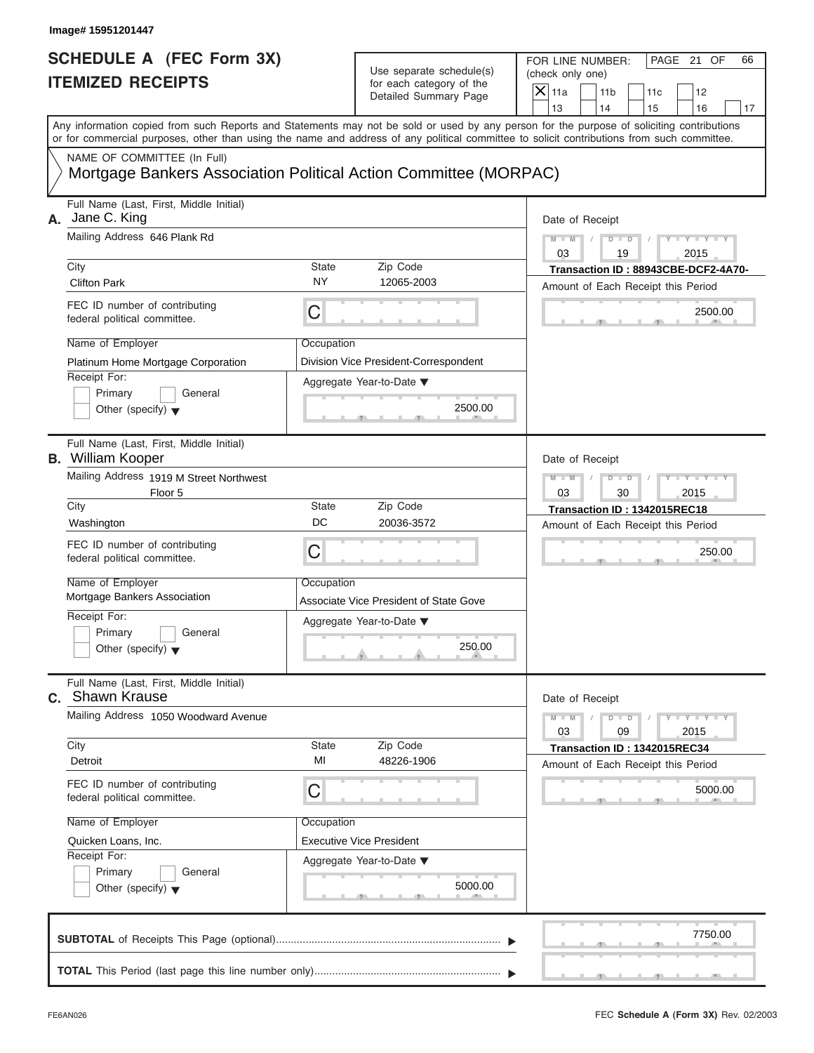# Use separate schedule(s) (check only one)<br>for each category of the  $\Box$

| Image# 15951201447                                                                                                                                                                                                                                                                                                                                 |                                                                                                                                                 |                                                                                                                                                                     |
|----------------------------------------------------------------------------------------------------------------------------------------------------------------------------------------------------------------------------------------------------------------------------------------------------------------------------------------------------|-------------------------------------------------------------------------------------------------------------------------------------------------|---------------------------------------------------------------------------------------------------------------------------------------------------------------------|
| <b>SCHEDULE A (FEC Form 3X)</b><br><b>ITEMIZED RECEIPTS</b>                                                                                                                                                                                                                                                                                        | Use separate schedule(s)<br>for each category of the<br>Detailed Summary Page                                                                   | FOR LINE NUMBER:<br>PAGE 21 OF<br>66<br>(check only one)<br>$\overline{X}$ 11a<br>11 <sub>b</sub><br>11c<br>12<br>13<br>14<br>15<br>16<br>17                        |
| Any information copied from such Reports and Statements may not be sold or used by any person for the purpose of soliciting contributions<br>or for commercial purposes, other than using the name and address of any political committee to solicit contributions from such committee.                                                            |                                                                                                                                                 |                                                                                                                                                                     |
| NAME OF COMMITTEE (In Full)                                                                                                                                                                                                                                                                                                                        | Mortgage Bankers Association Political Action Committee (MORPAC)                                                                                |                                                                                                                                                                     |
| Full Name (Last, First, Middle Initial)<br>Jane C. King<br>А.<br>Mailing Address 646 Plank Rd<br>City<br><b>Clifton Park</b><br>FEC ID number of contributing<br>federal political committee.<br>Name of Employer<br>Platinum Home Mortgage Corporation<br>Receipt For:<br>Primary<br>General<br>Other (specify) $\blacktriangledown$              | State<br>Zip Code<br><b>NY</b><br>12065-2003<br>C<br>Occupation<br>Division Vice President-Correspondent<br>Aggregate Year-to-Date ▼<br>2500.00 | Date of Receipt<br>$D$ $\Box$ $D$<br>Y I Y I<br>$M - M$<br>03<br>2015<br>19<br>Transaction ID: 88943CBE-DCF2-4A70-<br>Amount of Each Receipt this Period<br>2500.00 |
| Full Name (Last, First, Middle Initial)<br><b>B.</b> William Kooper<br>Mailing Address 1919 M Street Northwest<br>Floor 5<br>City<br>Washington<br>FEC ID number of contributing<br>federal political committee.<br>Name of Employer<br>Mortgage Bankers Association<br>Receipt For:<br>Primary<br>General<br>Other (specify) $\blacktriangledown$ | State<br>Zip Code<br>DC<br>20036-3572<br>C<br>Occupation<br>Associate Vice President of State Gove<br>Aggregate Year-to-Date ▼<br>250.00        | Date of Receipt<br>$M - M$<br>$D$ $\Box$ $D$<br>$Y - Y - I$<br>03<br>30<br>2015<br>Transaction ID: 1342015REC18<br>Amount of Each Receipt this Period<br>250.00     |
| Full Name (Last, First, Middle Initial)<br>C. Shawn Krause<br>Mailing Address 1050 Woodward Avenue<br>City<br>Detroit<br>FEC ID number of contributing<br>federal political committee.<br>Name of Employer<br>Quicken Loans, Inc.<br>Receipt For:<br>Primary<br>General<br>Other (specify) $\blacktriangledown$                                    | State<br>Zip Code<br>MI<br>48226-1906<br>С<br>Occupation<br><b>Executive Vice President</b><br>Aggregate Year-to-Date ▼<br>5000.00              | Date of Receipt<br>$M - M$<br>$Y - Y$<br>$D - D$<br>03<br>2015<br>09<br>Transaction ID: 1342015REC34<br>Amount of Each Receipt this Period<br>5000.00               |
|                                                                                                                                                                                                                                                                                                                                                    |                                                                                                                                                 | 7750.00                                                                                                                                                             |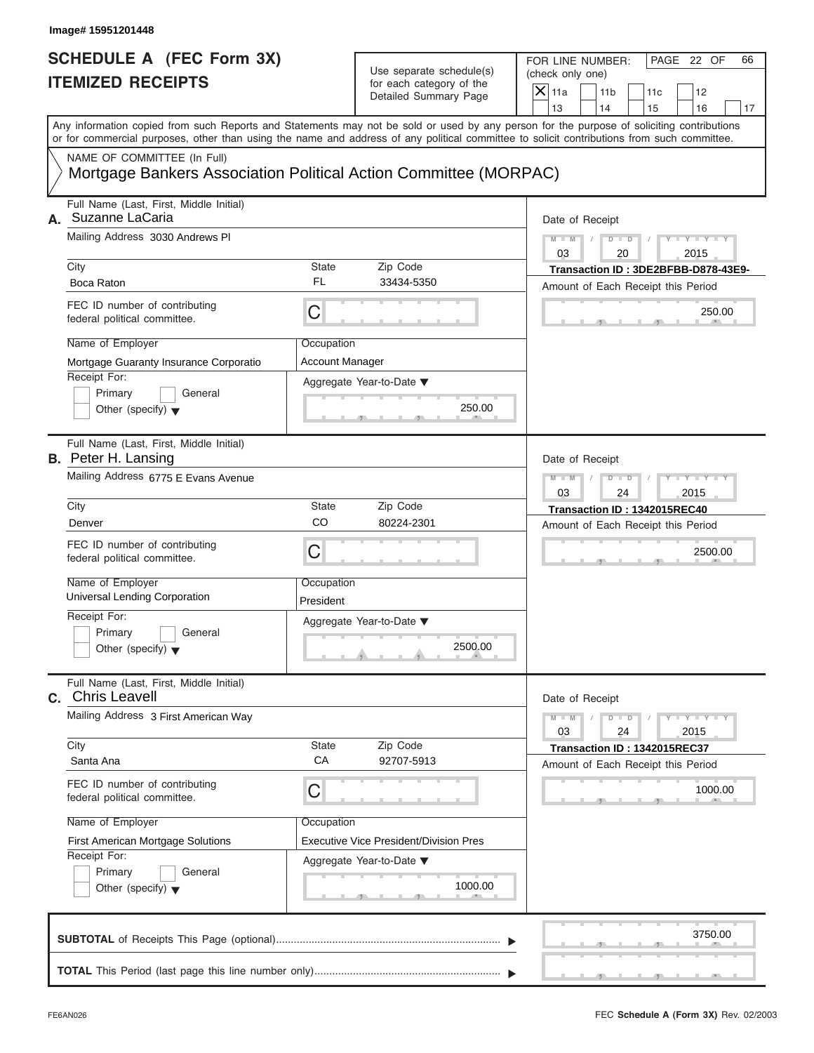| Image# 15951201448                                                                                                                                                                                                                                                                      |                                      |                                                      |                                                                    |                                                                           |
|-----------------------------------------------------------------------------------------------------------------------------------------------------------------------------------------------------------------------------------------------------------------------------------------|--------------------------------------|------------------------------------------------------|--------------------------------------------------------------------|---------------------------------------------------------------------------|
| <b>SCHEDULE A (FEC Form 3X)</b><br><b>ITEMIZED RECEIPTS</b>                                                                                                                                                                                                                             |                                      | Use separate schedule(s)<br>for each category of the | FOR LINE NUMBER:<br>(check only one)<br>$X$ 11a<br>11 <sub>b</sub> | PAGE 22 OF<br>66<br>11c<br>12                                             |
|                                                                                                                                                                                                                                                                                         |                                      | Detailed Summary Page                                | 13<br>14                                                           | 15<br>16<br>17                                                            |
| Any information copied from such Reports and Statements may not be sold or used by any person for the purpose of soliciting contributions<br>or for commercial purposes, other than using the name and address of any political committee to solicit contributions from such committee. |                                      |                                                      |                                                                    |                                                                           |
| NAME OF COMMITTEE (In Full)<br>Mortgage Bankers Association Political Action Committee (MORPAC)                                                                                                                                                                                         |                                      |                                                      |                                                                    |                                                                           |
| Full Name (Last, First, Middle Initial)<br>Suzanne LaCaria<br>А.                                                                                                                                                                                                                        |                                      |                                                      | Date of Receipt                                                    |                                                                           |
| Mailing Address 3030 Andrews PI                                                                                                                                                                                                                                                         |                                      |                                                      | $M - M$<br>$D - D$<br>03<br>20                                     | $Y - Y - Y - Y - Y$<br>2015                                               |
| City<br>Boca Raton                                                                                                                                                                                                                                                                      | <b>State</b><br>FL                   | Zip Code<br>33434-5350                               |                                                                    | Transaction ID: 3DE2BFBB-D878-43E9-<br>Amount of Each Receipt this Period |
| FEC ID number of contributing<br>federal political committee.                                                                                                                                                                                                                           | C                                    |                                                      |                                                                    | 250.00                                                                    |
| Name of Employer<br>Mortgage Guaranty Insurance Corporatio                                                                                                                                                                                                                              | Occupation<br><b>Account Manager</b> |                                                      |                                                                    |                                                                           |
| Receipt For:<br>Primary<br>General<br>Other (specify) $\blacktriangledown$                                                                                                                                                                                                              | Aggregate Year-to-Date ▼             | 250.00                                               |                                                                    |                                                                           |
| Full Name (Last, First, Middle Initial)<br><b>B.</b> Peter H. Lansing                                                                                                                                                                                                                   |                                      |                                                      | Date of Receipt                                                    |                                                                           |
| Mailing Address 6775 E Evans Avenue                                                                                                                                                                                                                                                     |                                      |                                                      | $M - M$<br>$D$ $D$<br>03<br>24                                     | $Y = Y = Y$<br>2015                                                       |
| City                                                                                                                                                                                                                                                                                    | <b>State</b><br>CO                   | Zip Code                                             |                                                                    | Transaction ID: 1342015REC40                                              |
| Denver                                                                                                                                                                                                                                                                                  |                                      | 80224-2301                                           |                                                                    | Amount of Each Receipt this Period                                        |
| FEC ID number of contributing<br>federal political committee.                                                                                                                                                                                                                           | C                                    |                                                      |                                                                    | 2500.00                                                                   |
| Name of Employer<br>Universal Lending Corporation                                                                                                                                                                                                                                       | Occupation<br>President              |                                                      |                                                                    |                                                                           |
| Receipt For:                                                                                                                                                                                                                                                                            | Aggregate Year-to-Date ▼             |                                                      |                                                                    |                                                                           |
| Primary<br>General<br>Other (specify) $\blacktriangledown$                                                                                                                                                                                                                              |                                      | 2500.00                                              |                                                                    |                                                                           |
| Full Name (Last, First, Middle Initial)<br>C. Chris Leavell                                                                                                                                                                                                                             |                                      |                                                      | Date of Receipt                                                    |                                                                           |
| Mailing Address 3 First American Way                                                                                                                                                                                                                                                    |                                      |                                                      | $M - M$<br>$D - D$<br>03<br>24                                     | $Y - Y - Y - Y - I$<br>2015                                               |
| City<br>Santa Ana                                                                                                                                                                                                                                                                       | State<br>CA                          | Zip Code<br>92707-5913                               |                                                                    | Transaction ID: 1342015REC37<br>Amount of Each Receipt this Period        |
| FEC ID number of contributing<br>federal political committee.                                                                                                                                                                                                                           | С                                    |                                                      |                                                                    | 1000.00                                                                   |
| Name of Employer                                                                                                                                                                                                                                                                        | Occupation                           |                                                      |                                                                    |                                                                           |
| First American Mortgage Solutions<br>Receipt For:                                                                                                                                                                                                                                       |                                      | Executive Vice President/Division Pres               |                                                                    |                                                                           |
| Primary<br>General                                                                                                                                                                                                                                                                      | Aggregate Year-to-Date ▼             |                                                      |                                                                    |                                                                           |
| Other (specify) $\blacktriangledown$                                                                                                                                                                                                                                                    |                                      | 1000.00                                              |                                                                    |                                                                           |
|                                                                                                                                                                                                                                                                                         |                                      |                                                      |                                                                    | 3750.00                                                                   |
|                                                                                                                                                                                                                                                                                         |                                      |                                                      |                                                                    |                                                                           |

S S S , , .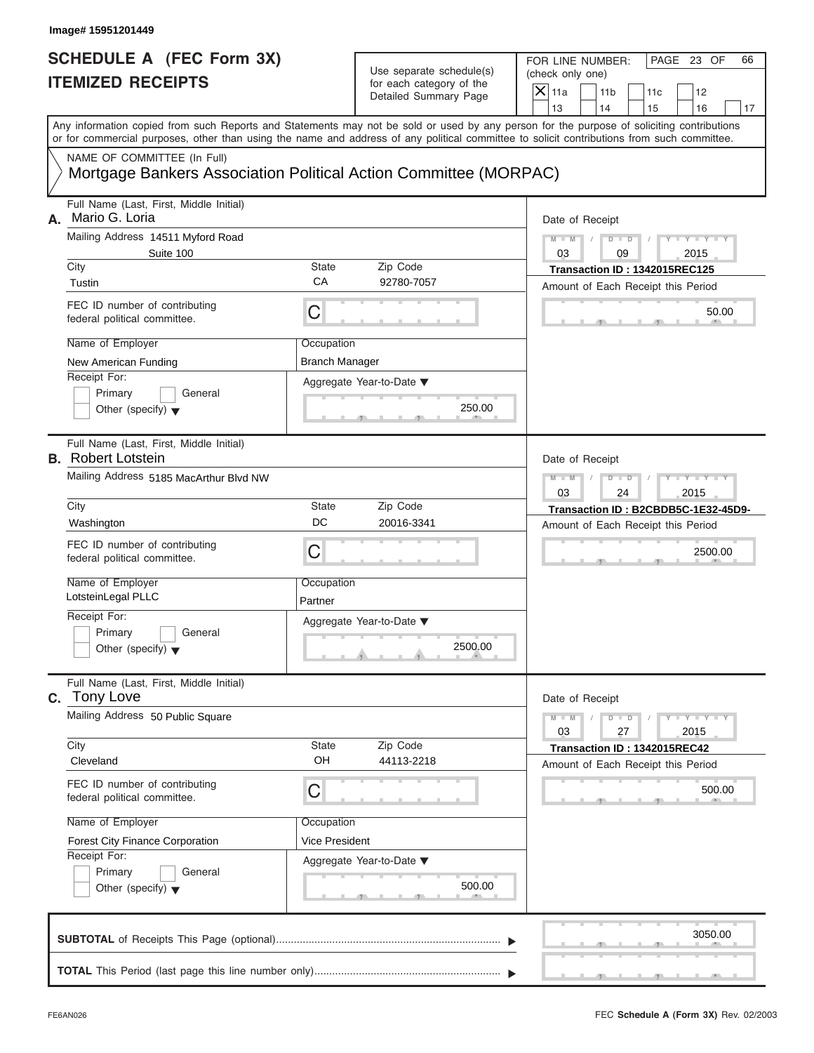| <b>SCHEDULE A (FEC Form 3X)</b><br><b>ITEMIZED RECEIPTS</b><br>or for commercial purposes, other than using the name and address of any political committee to solicit contributions from such committee.<br>NAME OF COMMITTEE (In Full)<br>Mortgage Bankers Association Political Action Committee (MORPAC)<br>Full Name (Last, First, Middle Initial)<br>Mario G. Loria<br>Mailing Address 14511 Myford Road<br>Suite 100<br>City<br><b>State</b><br>CA<br>Tustin<br>FEC ID number of contributing<br>C | PAGE 23 OF<br>FOR LINE NUMBER:<br>66<br>Use separate schedule(s)<br>(check only one)<br>for each category of the<br>$X$ 11a<br>11 <sub>b</sub><br>11c<br>12<br>Detailed Summary Page<br>13<br>14<br>15<br>16<br>17<br>Any information copied from such Reports and Statements may not be sold or used by any person for the purpose of soliciting contributions<br>Date of Receipt<br>$Y - Y - Y - Y - Y$<br>$M - M$<br>$D$ $D$<br>03<br>2015<br>09<br>Zip Code<br>Transaction ID: 1342015REC125<br>92780-7057<br>Amount of Each Receipt this Period<br>50.00<br>250.00 |
|-----------------------------------------------------------------------------------------------------------------------------------------------------------------------------------------------------------------------------------------------------------------------------------------------------------------------------------------------------------------------------------------------------------------------------------------------------------------------------------------------------------|-------------------------------------------------------------------------------------------------------------------------------------------------------------------------------------------------------------------------------------------------------------------------------------------------------------------------------------------------------------------------------------------------------------------------------------------------------------------------------------------------------------------------------------------------------------------------|
| А.                                                                                                                                                                                                                                                                                                                                                                                                                                                                                                        |                                                                                                                                                                                                                                                                                                                                                                                                                                                                                                                                                                         |
|                                                                                                                                                                                                                                                                                                                                                                                                                                                                                                           |                                                                                                                                                                                                                                                                                                                                                                                                                                                                                                                                                                         |
|                                                                                                                                                                                                                                                                                                                                                                                                                                                                                                           |                                                                                                                                                                                                                                                                                                                                                                                                                                                                                                                                                                         |
|                                                                                                                                                                                                                                                                                                                                                                                                                                                                                                           |                                                                                                                                                                                                                                                                                                                                                                                                                                                                                                                                                                         |
|                                                                                                                                                                                                                                                                                                                                                                                                                                                                                                           |                                                                                                                                                                                                                                                                                                                                                                                                                                                                                                                                                                         |
|                                                                                                                                                                                                                                                                                                                                                                                                                                                                                                           |                                                                                                                                                                                                                                                                                                                                                                                                                                                                                                                                                                         |
| federal political committee.                                                                                                                                                                                                                                                                                                                                                                                                                                                                              |                                                                                                                                                                                                                                                                                                                                                                                                                                                                                                                                                                         |
| Name of Employer<br>Occupation<br><b>Branch Manager</b><br>New American Funding                                                                                                                                                                                                                                                                                                                                                                                                                           |                                                                                                                                                                                                                                                                                                                                                                                                                                                                                                                                                                         |
| Receipt For:<br>Aggregate Year-to-Date ▼<br>Primary<br>General<br>Other (specify) $\blacktriangledown$                                                                                                                                                                                                                                                                                                                                                                                                    |                                                                                                                                                                                                                                                                                                                                                                                                                                                                                                                                                                         |
| Full Name (Last, First, Middle Initial)<br><b>B.</b> Robert Lotstein                                                                                                                                                                                                                                                                                                                                                                                                                                      | Date of Receipt                                                                                                                                                                                                                                                                                                                                                                                                                                                                                                                                                         |
| Mailing Address 5185 MacArthur Blvd NW                                                                                                                                                                                                                                                                                                                                                                                                                                                                    | $Y - Y - Y - Y - Y$<br>$M - M$<br>$D$ $D$<br>2015<br>03<br>24                                                                                                                                                                                                                                                                                                                                                                                                                                                                                                           |
| <b>State</b><br>City<br>DC<br>Washington                                                                                                                                                                                                                                                                                                                                                                                                                                                                  | Zip Code<br>Transaction ID: B2CBDB5C-1E32-45D9-<br>20016-3341<br>Amount of Each Receipt this Period                                                                                                                                                                                                                                                                                                                                                                                                                                                                     |
| FEC ID number of contributing<br>C<br>federal political committee.                                                                                                                                                                                                                                                                                                                                                                                                                                        | 2500.00                                                                                                                                                                                                                                                                                                                                                                                                                                                                                                                                                                 |
| Name of Employer<br>Occupation<br>LotsteinLegal PLLC<br>Partner                                                                                                                                                                                                                                                                                                                                                                                                                                           |                                                                                                                                                                                                                                                                                                                                                                                                                                                                                                                                                                         |
| Receipt For:<br>Aggregate Year-to-Date ▼<br>Primary<br>General<br>Other (specify) $\blacktriangledown$                                                                                                                                                                                                                                                                                                                                                                                                    | 2500.00                                                                                                                                                                                                                                                                                                                                                                                                                                                                                                                                                                 |
| Full Name (Last, First, Middle Initial)<br>C. Tony Love                                                                                                                                                                                                                                                                                                                                                                                                                                                   | Date of Receipt                                                                                                                                                                                                                                                                                                                                                                                                                                                                                                                                                         |
| Mailing Address 50 Public Square                                                                                                                                                                                                                                                                                                                                                                                                                                                                          | $M - M$<br>$D$ $\Box$ $D$<br>$Y - Y - Y - Y - I$<br>03<br>27<br>2015                                                                                                                                                                                                                                                                                                                                                                                                                                                                                                    |
| City<br>State<br>OH<br>Cleveland                                                                                                                                                                                                                                                                                                                                                                                                                                                                          | Zip Code<br>Transaction ID: 1342015REC42<br>44113-2218<br>Amount of Each Receipt this Period                                                                                                                                                                                                                                                                                                                                                                                                                                                                            |
| FEC ID number of contributing<br>С<br>federal political committee.                                                                                                                                                                                                                                                                                                                                                                                                                                        | 500.00                                                                                                                                                                                                                                                                                                                                                                                                                                                                                                                                                                  |
| Name of Employer<br>Occupation                                                                                                                                                                                                                                                                                                                                                                                                                                                                            |                                                                                                                                                                                                                                                                                                                                                                                                                                                                                                                                                                         |
| Vice President<br><b>Forest City Finance Corporation</b><br>Receipt For:<br>Aggregate Year-to-Date ▼<br>Primary<br>General<br>Other (specify) $\blacktriangledown$                                                                                                                                                                                                                                                                                                                                        | 500.00                                                                                                                                                                                                                                                                                                                                                                                                                                                                                                                                                                  |
|                                                                                                                                                                                                                                                                                                                                                                                                                                                                                                           | 3050.00                                                                                                                                                                                                                                                                                                                                                                                                                                                                                                                                                                 |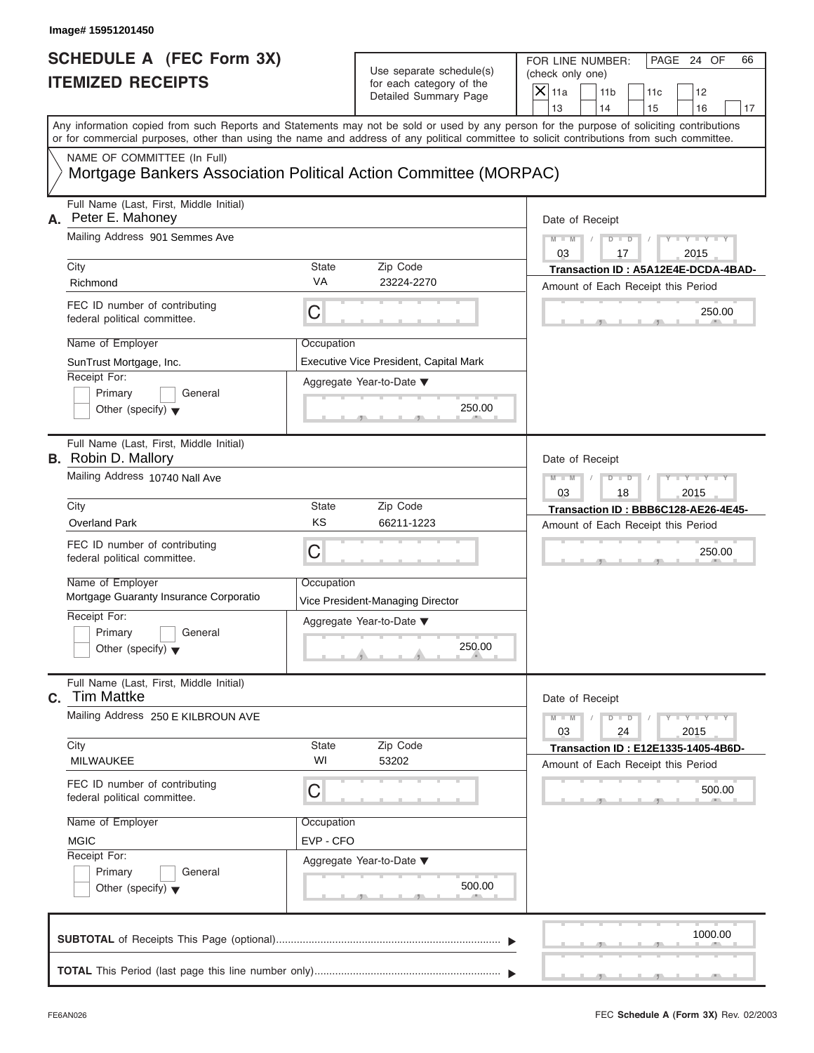| Image# 15951201450                                                                              |                           |                                                                               |                                                                                                                                                                                                                                                                                         |
|-------------------------------------------------------------------------------------------------|---------------------------|-------------------------------------------------------------------------------|-----------------------------------------------------------------------------------------------------------------------------------------------------------------------------------------------------------------------------------------------------------------------------------------|
| <b>SCHEDULE A (FEC Form 3X)</b><br><b>ITEMIZED RECEIPTS</b>                                     |                           | Use separate schedule(s)<br>for each category of the<br>Detailed Summary Page | FOR LINE NUMBER:<br>PAGE 24 OF<br>66<br>(check only one)<br>$X$ 11a<br>11 <sub>b</sub><br>11c<br>12<br>13<br>14<br>15<br>16<br>17                                                                                                                                                       |
|                                                                                                 |                           |                                                                               | Any information copied from such Reports and Statements may not be sold or used by any person for the purpose of soliciting contributions<br>or for commercial purposes, other than using the name and address of any political committee to solicit contributions from such committee. |
| NAME OF COMMITTEE (In Full)<br>Mortgage Bankers Association Political Action Committee (MORPAC) |                           |                                                                               |                                                                                                                                                                                                                                                                                         |
| Full Name (Last, First, Middle Initial)<br>Peter E. Mahoney<br>А.                               |                           |                                                                               | Date of Receipt                                                                                                                                                                                                                                                                         |
| Mailing Address 901 Semmes Ave                                                                  |                           |                                                                               | $D - D$<br>$M - M$<br>$Y - Y - Y - Y - Y$<br>03<br>2015<br>17                                                                                                                                                                                                                           |
| City<br>Richmond                                                                                | <b>State</b><br><b>VA</b> | Zip Code<br>23224-2270                                                        | Transaction ID: A5A12E4E-DCDA-4BAD-<br>Amount of Each Receipt this Period                                                                                                                                                                                                               |
| FEC ID number of contributing<br>federal political committee.                                   | C                         |                                                                               | 250.00                                                                                                                                                                                                                                                                                  |
| Name of Employer<br>SunTrust Mortgage, Inc.<br>Receipt For:                                     | Occupation                | Executive Vice President, Capital Mark<br>Aggregate Year-to-Date ▼            |                                                                                                                                                                                                                                                                                         |
| Primary<br>General<br>Other (specify) $\blacktriangledown$                                      |                           | 250.00                                                                        |                                                                                                                                                                                                                                                                                         |
| Full Name (Last, First, Middle Initial)<br><b>B.</b> Robin D. Mallory                           |                           |                                                                               | Date of Receipt                                                                                                                                                                                                                                                                         |
| Mailing Address 10740 Nall Ave                                                                  |                           |                                                                               | $Y - Y - Y - Y - Y$<br>$M - M$<br>$D$ $D$<br>03<br>18<br>2015                                                                                                                                                                                                                           |
| City                                                                                            | State                     | Zip Code                                                                      | Transaction ID: BBB6C128-AE26-4E45-                                                                                                                                                                                                                                                     |
| <b>Overland Park</b><br>FEC ID number of contributing                                           | KS                        | 66211-1223                                                                    | Amount of Each Receipt this Period                                                                                                                                                                                                                                                      |
| federal political committee.                                                                    | C                         |                                                                               | 250.00                                                                                                                                                                                                                                                                                  |
| Name of Employer<br>Mortgage Guaranty Insurance Corporatio                                      | Occupation                | Vice President-Managing Director                                              |                                                                                                                                                                                                                                                                                         |
| Receipt For:<br>Primary<br>General<br>Other (specify) $\blacktriangledown$                      |                           | Aggregate Year-to-Date ▼<br>250.00                                            |                                                                                                                                                                                                                                                                                         |
| Full Name (Last, First, Middle Initial)<br><b>Tim Mattke</b><br>С.                              |                           |                                                                               | Date of Receipt                                                                                                                                                                                                                                                                         |
| Mailing Address 250 E KILBROUN AVE                                                              |                           |                                                                               | $Y - Y - Y - Y - Y$<br>$M - M$<br>$D - D$<br>03<br>24<br>2015                                                                                                                                                                                                                           |
| City<br><b>MILWAUKEE</b>                                                                        | State<br>WI               | Zip Code<br>53202                                                             | <b>Transaction ID: E12E1335-1405-4B6D-</b><br>Amount of Each Receipt this Period                                                                                                                                                                                                        |
| FEC ID number of contributing<br>federal political committee.                                   | С                         |                                                                               | 500.00                                                                                                                                                                                                                                                                                  |
| Name of Employer                                                                                | Occupation                |                                                                               |                                                                                                                                                                                                                                                                                         |
| <b>MGIC</b><br>Receipt For:                                                                     | EVP - CFO                 |                                                                               |                                                                                                                                                                                                                                                                                         |
| Primary<br>General<br>Other (specify) $\blacktriangledown$                                      |                           | Aggregate Year-to-Date ▼<br>500.00                                            |                                                                                                                                                                                                                                                                                         |
|                                                                                                 |                           |                                                                               |                                                                                                                                                                                                                                                                                         |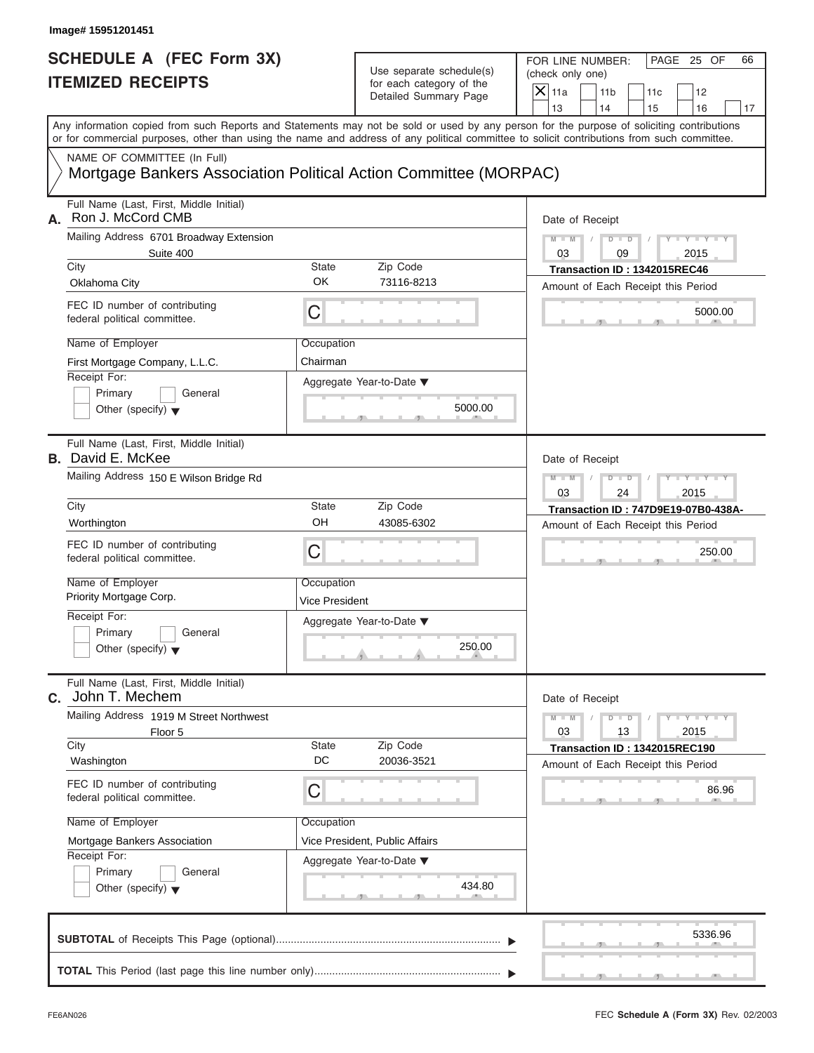| Image# 15951201451                                                                                                                                                                                                                                                                      |                                     |                                                                               |                                                                             |                                                                     |
|-----------------------------------------------------------------------------------------------------------------------------------------------------------------------------------------------------------------------------------------------------------------------------------------|-------------------------------------|-------------------------------------------------------------------------------|-----------------------------------------------------------------------------|---------------------------------------------------------------------|
| <b>SCHEDULE A (FEC Form 3X)</b><br><b>ITEMIZED RECEIPTS</b>                                                                                                                                                                                                                             |                                     | Use separate schedule(s)<br>for each category of the<br>Detailed Summary Page | FOR LINE NUMBER:<br>(check only one)<br>$\mathsf{X}$ 11a<br>11 <sub>b</sub> | PAGE 25 OF<br>66<br>11c<br>12                                       |
| Any information copied from such Reports and Statements may not be sold or used by any person for the purpose of soliciting contributions<br>or for commercial purposes, other than using the name and address of any political committee to solicit contributions from such committee. |                                     |                                                                               | 13<br>14                                                                    | 15<br>16<br>17                                                      |
| NAME OF COMMITTEE (In Full)<br>Mortgage Bankers Association Political Action Committee (MORPAC)                                                                                                                                                                                         |                                     |                                                                               |                                                                             |                                                                     |
| Full Name (Last, First, Middle Initial)<br>Ron J. McCord CMB<br>А.                                                                                                                                                                                                                      |                                     |                                                                               | Date of Receipt                                                             |                                                                     |
| Mailing Address 6701 Broadway Extension                                                                                                                                                                                                                                                 |                                     |                                                                               | $M - M$                                                                     | $D$ $\Box$ $D$<br>$Y = Y$                                           |
| Suite 400<br>City                                                                                                                                                                                                                                                                       | State                               | Zip Code                                                                      | 03                                                                          | 09<br>2015<br>Transaction ID: 1342015REC46                          |
| Oklahoma City                                                                                                                                                                                                                                                                           | OK                                  | 73116-8213                                                                    |                                                                             | Amount of Each Receipt this Period                                  |
| FEC ID number of contributing<br>federal political committee.                                                                                                                                                                                                                           | С                                   |                                                                               |                                                                             | 5000.00                                                             |
| Name of Employer                                                                                                                                                                                                                                                                        | Occupation                          |                                                                               |                                                                             |                                                                     |
| First Mortgage Company, L.L.C.                                                                                                                                                                                                                                                          | Chairman                            |                                                                               |                                                                             |                                                                     |
| Receipt For:<br>Primary<br>General<br>Other (specify) $\blacktriangledown$                                                                                                                                                                                                              |                                     | Aggregate Year-to-Date ▼<br>5000.00                                           |                                                                             |                                                                     |
| Full Name (Last, First, Middle Initial)<br><b>B.</b> David E. McKee                                                                                                                                                                                                                     |                                     |                                                                               | Date of Receipt                                                             |                                                                     |
| Mailing Address 150 E Wilson Bridge Rd                                                                                                                                                                                                                                                  |                                     |                                                                               | $M - M$                                                                     | Y T Y T Y T<br>$D$ $D$                                              |
| City                                                                                                                                                                                                                                                                                    | State                               | Zip Code                                                                      | 03                                                                          | 2015<br>24<br>Transaction ID: 747D9E19-07B0-438A-                   |
| Worthington                                                                                                                                                                                                                                                                             | OH                                  | 43085-6302                                                                    |                                                                             | Amount of Each Receipt this Period                                  |
| FEC ID number of contributing<br>federal political committee.                                                                                                                                                                                                                           | C                                   |                                                                               |                                                                             | 250.00                                                              |
| Name of Employer<br>Priority Mortgage Corp.                                                                                                                                                                                                                                             | Occupation<br><b>Vice President</b> |                                                                               |                                                                             |                                                                     |
| Receipt For:<br>Primary<br>General<br>Other (specify) $\blacktriangledown$                                                                                                                                                                                                              |                                     | Aggregate Year-to-Date ▼<br>250.00                                            |                                                                             |                                                                     |
| Full Name (Last, First, Middle Initial)<br>C. John T. Mechem                                                                                                                                                                                                                            |                                     |                                                                               | Date of Receipt                                                             |                                                                     |
| Mailing Address 1919 M Street Northwest<br>Floor 5                                                                                                                                                                                                                                      |                                     |                                                                               | $M - M$<br>03                                                               | $Y = Y$<br>$D$ $D$<br>13<br>2015                                    |
| City<br>Washington                                                                                                                                                                                                                                                                      | State<br>DC                         | Zip Code<br>20036-3521                                                        |                                                                             | Transaction ID: 1342015REC190<br>Amount of Each Receipt this Period |
| FEC ID number of contributing<br>federal political committee.                                                                                                                                                                                                                           | С                                   |                                                                               |                                                                             | 86.96                                                               |
| Name of Employer                                                                                                                                                                                                                                                                        | Occupation                          |                                                                               |                                                                             |                                                                     |
| Mortgage Bankers Association                                                                                                                                                                                                                                                            |                                     | Vice President, Public Affairs                                                |                                                                             |                                                                     |
| Receipt For:<br>Primary<br>General<br>Other (specify) $\blacktriangledown$                                                                                                                                                                                                              |                                     | Aggregate Year-to-Date ▼<br>434.80                                            |                                                                             |                                                                     |
|                                                                                                                                                                                                                                                                                         |                                     |                                                                               |                                                                             | 5336.96                                                             |
|                                                                                                                                                                                                                                                                                         |                                     |                                                                               |                                                                             |                                                                     |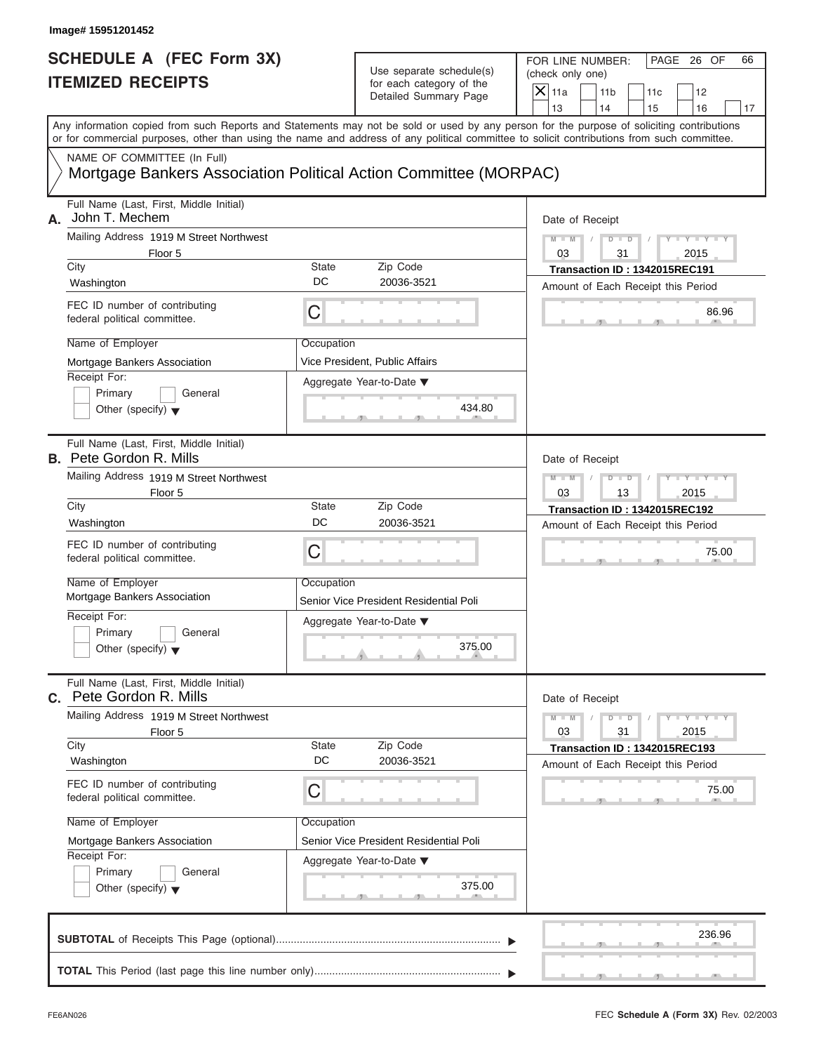| <b>SCHEDULE A (FEC Form 3X)</b><br><b>ITEMIZED RECEIPTS</b>                                     |             | Use separate schedule(s)<br>for each category of the<br>Detailed Summary Page | FOR LINE NUMBER:<br>PAGE 26 OF<br>66<br>(check only one)<br>$\overline{X}$ 11a<br>11 <sub>b</sub><br>11c<br>12<br>14<br>13<br>15<br>16<br>17                                                                                                                                            |
|-------------------------------------------------------------------------------------------------|-------------|-------------------------------------------------------------------------------|-----------------------------------------------------------------------------------------------------------------------------------------------------------------------------------------------------------------------------------------------------------------------------------------|
|                                                                                                 |             |                                                                               | Any information copied from such Reports and Statements may not be sold or used by any person for the purpose of soliciting contributions<br>or for commercial purposes, other than using the name and address of any political committee to solicit contributions from such committee. |
| NAME OF COMMITTEE (In Full)<br>Mortgage Bankers Association Political Action Committee (MORPAC) |             |                                                                               |                                                                                                                                                                                                                                                                                         |
| Full Name (Last, First, Middle Initial)<br>John T. Mechem<br>А.                                 |             |                                                                               | Date of Receipt                                                                                                                                                                                                                                                                         |
| Mailing Address 1919 M Street Northwest<br>Floor 5                                              |             |                                                                               | $Y = Y = Y + Y$<br>$M - M$<br>$D - D$<br>03<br>31<br>2015                                                                                                                                                                                                                               |
| City<br>Washington                                                                              | State<br>DC | Zip Code<br>20036-3521                                                        | Transaction ID: 1342015REC191<br>Amount of Each Receipt this Period                                                                                                                                                                                                                     |
| FEC ID number of contributing<br>federal political committee.                                   | C           |                                                                               | 86.96                                                                                                                                                                                                                                                                                   |
| Name of Employer<br>Mortgage Bankers Association                                                | Occupation  | Vice President, Public Affairs                                                |                                                                                                                                                                                                                                                                                         |
| Receipt For:<br>Primary<br>General<br>Other (specify) $\blacktriangledown$                      |             | Aggregate Year-to-Date ▼<br>434.80                                            |                                                                                                                                                                                                                                                                                         |
| Full Name (Last, First, Middle Initial)<br><b>B.</b> Pete Gordon R. Mills                       |             |                                                                               | Date of Receipt                                                                                                                                                                                                                                                                         |
| Mailing Address 1919 M Street Northwest<br>Floor 5                                              |             |                                                                               | $Y = Y = Y$<br>$M - M$<br>$D$ $D$<br>03<br>13<br>2015                                                                                                                                                                                                                                   |
| State<br>City<br>DC<br>Washington                                                               |             | Zip Code<br>20036-3521                                                        | Transaction ID: 1342015REC192<br>Amount of Each Receipt this Period                                                                                                                                                                                                                     |
| FEC ID number of contributing<br>federal political committee.                                   | C           |                                                                               | 75.00                                                                                                                                                                                                                                                                                   |
| Name of Employer<br>Mortgage Bankers Association                                                | Occupation  | Senior Vice President Residential Poli                                        |                                                                                                                                                                                                                                                                                         |
| Receipt For:<br>Primary<br>General<br>Other (specify) $\blacktriangledown$                      |             | Aggregate Year-to-Date ▼<br>375.00                                            |                                                                                                                                                                                                                                                                                         |
| Full Name (Last, First, Middle Initial)<br>C. Pete Gordon R. Mills                              |             |                                                                               | Date of Receipt                                                                                                                                                                                                                                                                         |
| Mailing Address 1919 M Street Northwest<br>Floor 5<br>City                                      | State       | Zip Code                                                                      | $M - M$<br>$D - D$<br>$Y - I - Y - I - Y - I$<br>03<br>31<br>2015                                                                                                                                                                                                                       |
| Washington                                                                                      | DC          | 20036-3521                                                                    | Transaction ID: 1342015REC193<br>Amount of Each Receipt this Period                                                                                                                                                                                                                     |
| FEC ID number of contributing<br>С<br>federal political committee.                              |             |                                                                               | 75.00                                                                                                                                                                                                                                                                                   |
| Name of Employer<br>Mortgage Bankers Association<br>Receipt For:                                | Occupation  | Senior Vice President Residential Poli                                        |                                                                                                                                                                                                                                                                                         |
| Primary<br>General<br>Other (specify) $\blacktriangledown$                                      |             | Aggregate Year-to-Date ▼<br>375.00                                            |                                                                                                                                                                                                                                                                                         |
|                                                                                                 |             |                                                                               | 236.96                                                                                                                                                                                                                                                                                  |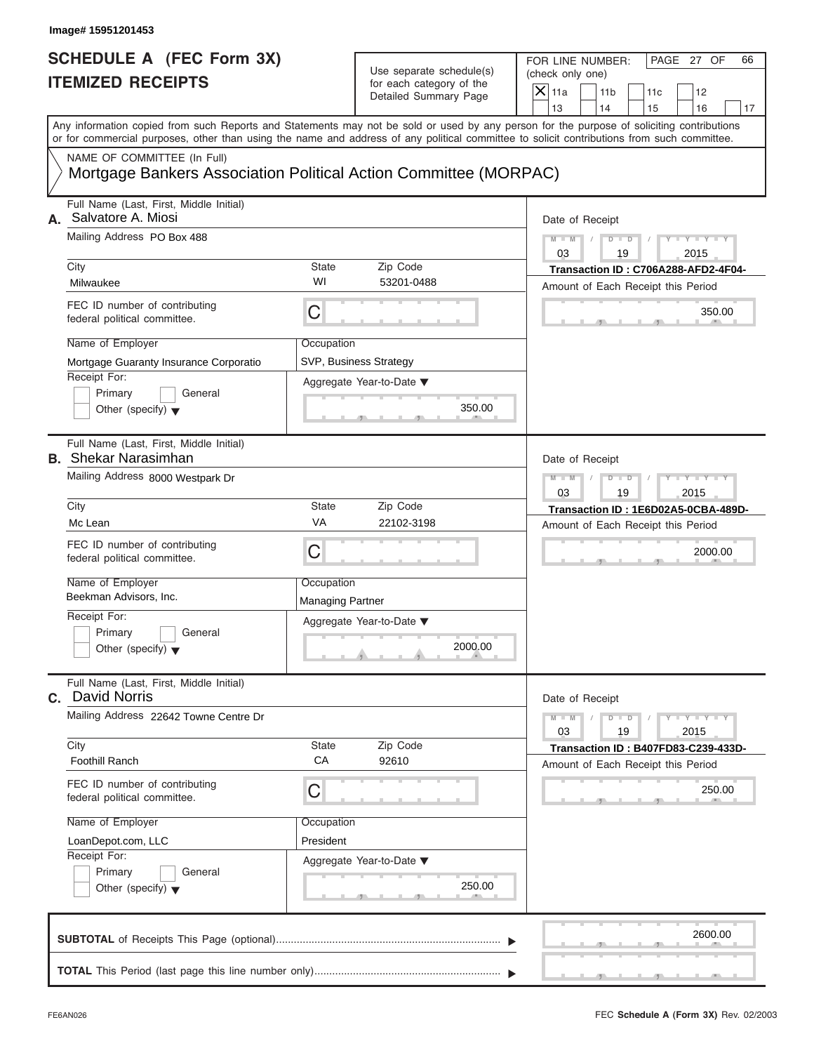# Use separate schedule(s) (check only one)<br>for each category of the  $\Box$

|                                                             | Image# 15951201453                                                                                                                                                                                                                                                                                                            |                                             |                                                                                        |                                                                                                                                                                    |
|-------------------------------------------------------------|-------------------------------------------------------------------------------------------------------------------------------------------------------------------------------------------------------------------------------------------------------------------------------------------------------------------------------|---------------------------------------------|----------------------------------------------------------------------------------------|--------------------------------------------------------------------------------------------------------------------------------------------------------------------|
| <b>SCHEDULE A (FEC Form 3X)</b><br><b>ITEMIZED RECEIPTS</b> |                                                                                                                                                                                                                                                                                                                               |                                             | Use separate schedule(s)<br>for each category of the<br>Detailed Summary Page          | FOR LINE NUMBER:<br>PAGE 27 OF<br>66<br>(check only one)<br>$\overline{X}$ 11a<br>11 <sub>b</sub><br>11c<br>12<br>13<br>14<br>15<br>16<br>17                       |
|                                                             | or for commercial purposes, other than using the name and address of any political committee to solicit contributions from such committee.                                                                                                                                                                                    |                                             |                                                                                        | Any information copied from such Reports and Statements may not be sold or used by any person for the purpose of soliciting contributions                          |
|                                                             | NAME OF COMMITTEE (In Full)<br>Mortgage Bankers Association Political Action Committee (MORPAC)                                                                                                                                                                                                                               |                                             |                                                                                        |                                                                                                                                                                    |
| А.                                                          | Full Name (Last, First, Middle Initial)<br>Salvatore A. Miosi<br>Mailing Address PO Box 488<br>City<br>Milwaukee<br>FEC ID number of contributing<br>federal political committee.<br>Name of Employer<br>Mortgage Guaranty Insurance Corporatio<br>Receipt For:<br>Primary<br>General<br>Other (specify) $\blacktriangledown$ | State<br>WI<br>C<br>Occupation              | Zip Code<br>53201-0488<br>SVP, Business Strategy<br>Aggregate Year-to-Date ▼<br>350.00 | Date of Receipt<br>$D$ $\Box$ $D$<br>$- Y -$<br>$M - M$<br>03<br>2015<br>19<br>Transaction ID: C706A288-AFD2-4F04-<br>Amount of Each Receipt this Period<br>350.00 |
|                                                             | Full Name (Last, First, Middle Initial)<br><b>B.</b> Shekar Narasimhan<br>Mailing Address 8000 Westpark Dr<br>City<br>Mc Lean<br>FEC ID number of contributing<br>federal political committee.<br>Name of Employer<br>Beekman Advisors, Inc.                                                                                  | State<br>VA<br>C<br>Occupation              | Zip Code<br>22102-3198                                                                 | Date of Receipt<br>$M - M$<br>$D$ $D$<br>$Y - Y - I$<br>2015<br>03<br>19<br>Transaction ID: 1E6D02A5-0CBA-489D-<br>Amount of Each Receipt this Period<br>2000.00   |
|                                                             | Receipt For:<br>Primary<br>General<br>Other (specify) $\blacktriangledown$                                                                                                                                                                                                                                                    | <b>Managing Partner</b>                     | Aggregate Year-to-Date ▼<br>2000.00                                                    |                                                                                                                                                                    |
|                                                             | Full Name (Last, First, Middle Initial)<br>C. David Norris<br>Mailing Address 22642 Towne Centre Dr<br>City<br><b>Foothill Ranch</b><br>FEC ID number of contributing<br>federal political committee.<br>Name of Employer<br>LoanDepot.com, LLC<br>Receipt For:<br>Primary<br>General<br>Other (specify) $\blacktriangledown$ | State<br>CA<br>С<br>Occupation<br>President | Zip Code<br>92610<br>Aggregate Year-to-Date ▼<br>250.00                                | Date of Receipt<br>$M - M$<br>Y TYT<br>$D$ $D$<br>03<br>2015<br>19<br>Transaction ID: B407FD83-C239-433D-<br>Amount of Each Receipt this Period<br>250.00          |
|                                                             |                                                                                                                                                                                                                                                                                                                               |                                             |                                                                                        | 2600.00                                                                                                                                                            |
|                                                             |                                                                                                                                                                                                                                                                                                                               |                                             |                                                                                        |                                                                                                                                                                    |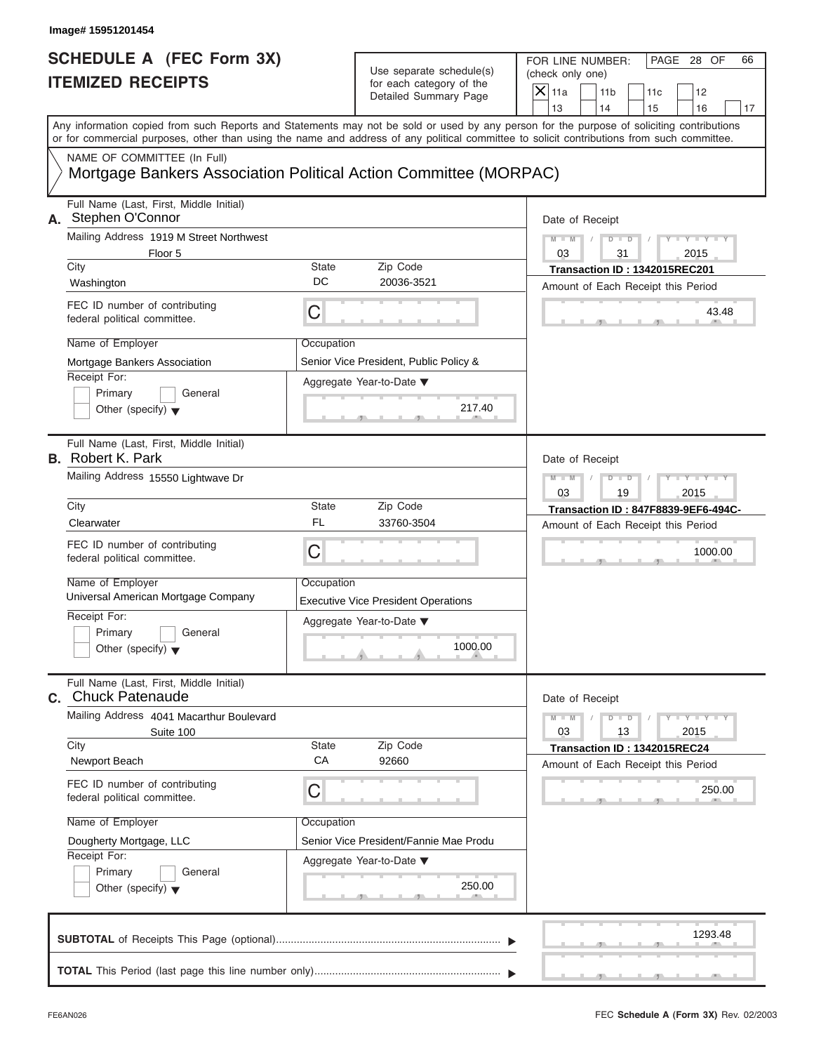| Image# 15951201454                                                                              |                                                      |                                            |                                                                                                                                                                                                                                                                                         |
|-------------------------------------------------------------------------------------------------|------------------------------------------------------|--------------------------------------------|-----------------------------------------------------------------------------------------------------------------------------------------------------------------------------------------------------------------------------------------------------------------------------------------|
| <b>SCHEDULE A (FEC Form 3X)</b><br><b>ITEMIZED RECEIPTS</b>                                     | Use separate schedule(s)<br>for each category of the |                                            | FOR LINE NUMBER:<br>PAGE 28 OF<br>66<br>(check only one)<br>$X$ 11a                                                                                                                                                                                                                     |
|                                                                                                 |                                                      | Detailed Summary Page                      | 11 <sub>b</sub><br>11c<br>12<br>13<br>14<br>16<br>15<br>17                                                                                                                                                                                                                              |
|                                                                                                 |                                                      |                                            | Any information copied from such Reports and Statements may not be sold or used by any person for the purpose of soliciting contributions<br>or for commercial purposes, other than using the name and address of any political committee to solicit contributions from such committee. |
| NAME OF COMMITTEE (In Full)<br>Mortgage Bankers Association Political Action Committee (MORPAC) |                                                      |                                            |                                                                                                                                                                                                                                                                                         |
| Full Name (Last, First, Middle Initial)<br>A. Stephen O'Connor                                  |                                                      |                                            | Date of Receipt                                                                                                                                                                                                                                                                         |
| Mailing Address 1919 M Street Northwest<br>Floor 5                                              |                                                      |                                            | $M - M$<br>$D - D$<br>$Y - Y - Y - Y - Y$<br>03<br>31<br>2015                                                                                                                                                                                                                           |
| City<br>Washington                                                                              | <b>State</b><br>DC                                   | Zip Code<br>20036-3521                     | Transaction ID: 1342015REC201<br>Amount of Each Receipt this Period                                                                                                                                                                                                                     |
| FEC ID number of contributing<br>federal political committee.                                   | C                                                    |                                            | 43.48                                                                                                                                                                                                                                                                                   |
| Name of Employer<br>Mortgage Bankers Association                                                | Occupation                                           | Senior Vice President, Public Policy &     |                                                                                                                                                                                                                                                                                         |
| Receipt For:<br>Primary<br>General<br>Other (specify) $\blacktriangledown$                      |                                                      | Aggregate Year-to-Date ▼<br>217.40         |                                                                                                                                                                                                                                                                                         |
| Full Name (Last, First, Middle Initial)<br><b>B.</b> Robert K. Park                             |                                                      |                                            | Date of Receipt                                                                                                                                                                                                                                                                         |
| Mailing Address 15550 Lightwave Dr                                                              |                                                      |                                            | $Y - Y - Y - Y - Y$<br>$M - M$<br>$D$ $D$<br>03<br>19<br>2015                                                                                                                                                                                                                           |
| City                                                                                            | <b>State</b>                                         | Zip Code                                   | Transaction ID: 847F8839-9EF6-494C-                                                                                                                                                                                                                                                     |
| Clearwater                                                                                      | <b>FL</b>                                            | 33760-3504                                 | Amount of Each Receipt this Period                                                                                                                                                                                                                                                      |
| FEC ID number of contributing<br>federal political committee.                                   | C                                                    |                                            | 1000.00                                                                                                                                                                                                                                                                                 |
| Name of Employer<br>Universal American Mortgage Company                                         | Occupation                                           | <b>Executive Vice President Operations</b> |                                                                                                                                                                                                                                                                                         |
| Receipt For:<br>Primary<br>General<br>Other (specify) $\blacktriangledown$                      |                                                      | Aggregate Year-to-Date ▼<br>1000.00        |                                                                                                                                                                                                                                                                                         |
| Full Name (Last, First, Middle Initial)<br>C. Chuck Patenaude                                   |                                                      |                                            | Date of Receipt                                                                                                                                                                                                                                                                         |
| Mailing Address 4041 Macarthur Boulevard<br>Suite 100                                           |                                                      |                                            | $M - M$<br>$D$ $\Box$ $D$<br>$Y - I - Y - I - Y - I$<br>03<br>13<br>2015                                                                                                                                                                                                                |
| City<br>Newport Beach                                                                           | <b>State</b><br>CA                                   | Zip Code<br>92660                          | Transaction ID: 1342015REC24<br>Amount of Each Receipt this Period                                                                                                                                                                                                                      |
| FEC ID number of contributing<br>federal political committee.                                   | С                                                    |                                            | 250.00                                                                                                                                                                                                                                                                                  |
| Name of Employer                                                                                | Occupation                                           |                                            |                                                                                                                                                                                                                                                                                         |
| Dougherty Mortgage, LLC                                                                         |                                                      | Senior Vice President/Fannie Mae Produ     |                                                                                                                                                                                                                                                                                         |
| Receipt For:<br>Primary<br>General<br>Other (specify) $\blacktriangledown$                      |                                                      | Aggregate Year-to-Date ▼<br>250.00         |                                                                                                                                                                                                                                                                                         |
|                                                                                                 |                                                      |                                            | 1293.48                                                                                                                                                                                                                                                                                 |
|                                                                                                 |                                                      |                                            |                                                                                                                                                                                                                                                                                         |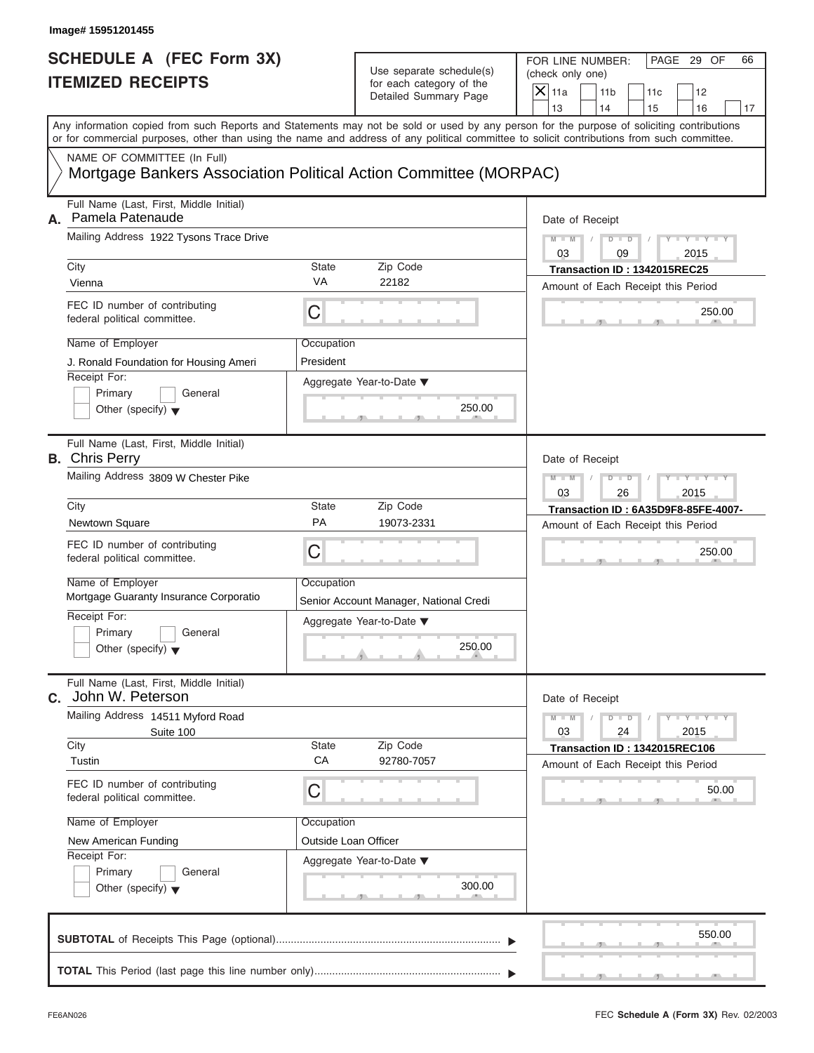| Image# 15951201455                                                                                                                                                                                                                                                                                                                             |                                                                                                                                          |                                                                                                                                                                 |
|------------------------------------------------------------------------------------------------------------------------------------------------------------------------------------------------------------------------------------------------------------------------------------------------------------------------------------------------|------------------------------------------------------------------------------------------------------------------------------------------|-----------------------------------------------------------------------------------------------------------------------------------------------------------------|
| <b>SCHEDULE A (FEC Form 3X)</b><br><b>ITEMIZED RECEIPTS</b>                                                                                                                                                                                                                                                                                    | Use separate schedule(s)<br>for each category of the<br>Detailed Summary Page                                                            | FOR LINE NUMBER:<br>PAGE 29 OF<br>66<br>(check only one)<br>$\overline{X}$ 11a<br>11 <sub>b</sub><br>11c<br>12<br>13<br>14<br>15<br>16<br>17                    |
| Any information copied from such Reports and Statements may not be sold or used by any person for the purpose of soliciting contributions<br>or for commercial purposes, other than using the name and address of any political committee to solicit contributions from such committee.                                                        |                                                                                                                                          |                                                                                                                                                                 |
| NAME OF COMMITTEE (In Full)                                                                                                                                                                                                                                                                                                                    | Mortgage Bankers Association Political Action Committee (MORPAC)                                                                         |                                                                                                                                                                 |
| Full Name (Last, First, Middle Initial)<br>Pamela Patenaude<br>А.<br>Mailing Address 1922 Tysons Trace Drive<br>City<br>Vienna<br>FEC ID number of contributing                                                                                                                                                                                | State<br>Zip Code<br>VA<br>22182<br>С                                                                                                    | Date of Receipt<br>$Y - Y - I$<br>$M - M$<br>$D$ $D$<br>03<br>2015<br>09<br>Transaction ID: 1342015REC25<br>Amount of Each Receipt this Period<br>250.00        |
| federal political committee.<br>Name of Employer<br>J. Ronald Foundation for Housing Ameri<br>Receipt For:<br>Primary<br>General<br>Other (specify) $\blacktriangledown$                                                                                                                                                                       | Occupation<br>President<br>Aggregate Year-to-Date $\blacktriangledown$<br>250.00                                                         |                                                                                                                                                                 |
| Full Name (Last, First, Middle Initial)<br><b>B.</b> Chris Perry<br>Mailing Address 3809 W Chester Pike<br>City<br>Newtown Square<br>FEC ID number of contributing<br>federal political committee.<br>Name of Employer<br>Mortgage Guaranty Insurance Corporatio<br>Receipt For:<br>Primary<br>General<br>Other (specify) $\blacktriangledown$ | State<br>Zip Code<br>PA<br>19073-2331<br>C<br>Occupation<br>Senior Account Manager, National Credi<br>Aggregate Year-to-Date ▼<br>250.00 | Date of Receipt<br>$M - M$<br>$D$ $D$<br>$Y = Y - I$<br>2015<br>03<br>26<br>Transaction ID: 6A35D9F8-85FE-4007-<br>Amount of Each Receipt this Period<br>250.00 |
| Full Name (Last, First, Middle Initial)<br>John W. Peterson<br>С.<br>Mailing Address 14511 Myford Road<br>Suite 100<br>City<br>Tustin<br>FEC ID number of contributing<br>federal political committee.<br>Name of Employer<br>New American Funding<br>Receipt For:<br>Primary<br>General<br>Other (specify) $\blacktriangledown$               | Zip Code<br>State<br>CA<br>92780-7057<br>С<br>Occupation<br>Outside Loan Officer<br>Aggregate Year-to-Date ▼<br>300.00                   | Date of Receipt<br>$M - M$<br>$Y - Y - I$<br>$D - D$<br>03<br>2015<br>24<br>Transaction ID: 1342015REC106<br>Amount of Each Receipt this Period<br>50.00        |
|                                                                                                                                                                                                                                                                                                                                                |                                                                                                                                          | 550.00                                                                                                                                                          |

FEC **Schedule A (Form 3X)** Rev. 02/2003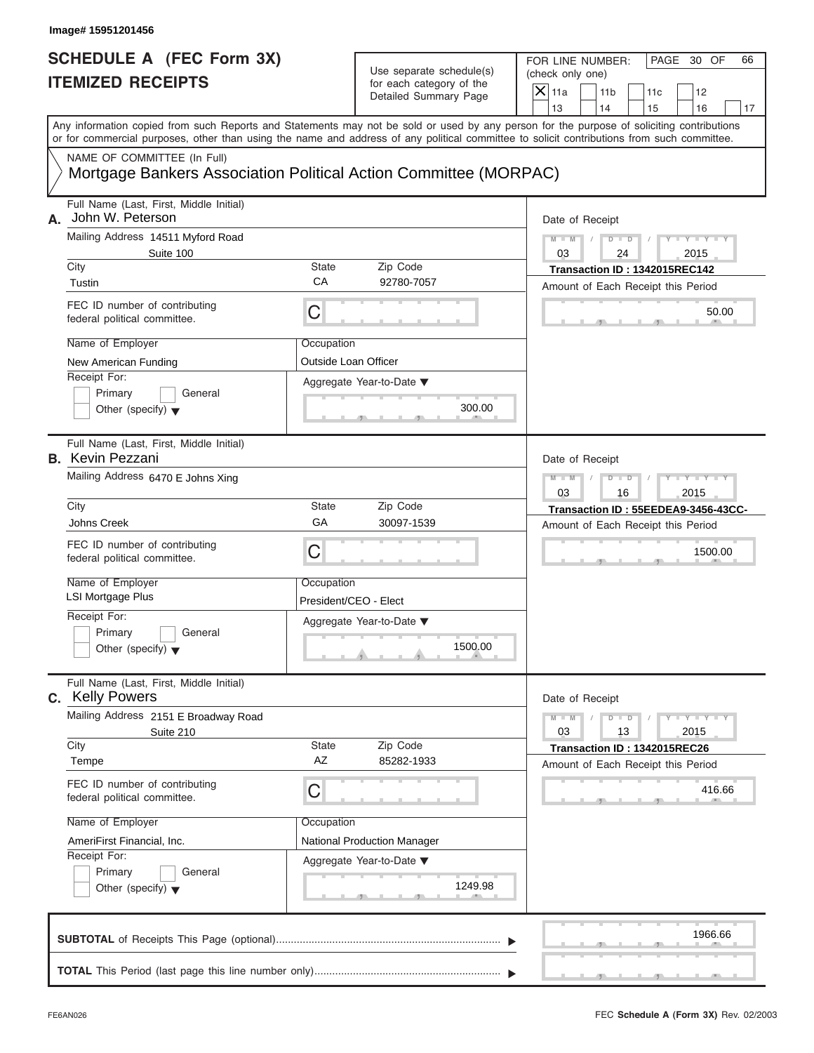| Image# 15951201456                                                                              |                                     |                                                      |                                                                                                                                                                                                                                                                                         |
|-------------------------------------------------------------------------------------------------|-------------------------------------|------------------------------------------------------|-----------------------------------------------------------------------------------------------------------------------------------------------------------------------------------------------------------------------------------------------------------------------------------------|
| <b>SCHEDULE A (FEC Form 3X)</b><br><b>ITEMIZED RECEIPTS</b>                                     |                                     | Use separate schedule(s)<br>for each category of the | FOR LINE NUMBER:<br>PAGE 30 OF<br>66<br>(check only one)<br>$\overline{X}$ 11a<br>11 <sub>b</sub><br>11c<br>12                                                                                                                                                                          |
|                                                                                                 |                                     | Detailed Summary Page                                | 13<br>14<br>15<br>16<br>17                                                                                                                                                                                                                                                              |
|                                                                                                 |                                     |                                                      | Any information copied from such Reports and Statements may not be sold or used by any person for the purpose of soliciting contributions<br>or for commercial purposes, other than using the name and address of any political committee to solicit contributions from such committee. |
| NAME OF COMMITTEE (In Full)<br>Mortgage Bankers Association Political Action Committee (MORPAC) |                                     |                                                      |                                                                                                                                                                                                                                                                                         |
| Full Name (Last, First, Middle Initial)<br>John W. Peterson<br>А.                               |                                     |                                                      | Date of Receipt                                                                                                                                                                                                                                                                         |
| Mailing Address 14511 Myford Road                                                               |                                     |                                                      | $M - M$<br>$D$ $D$<br>$Y = Y +$                                                                                                                                                                                                                                                         |
| Suite 100<br>City                                                                               | State                               | Zip Code                                             | 2015<br>03<br>24<br>Transaction ID: 1342015REC142                                                                                                                                                                                                                                       |
| Tustin                                                                                          | CA                                  | 92780-7057                                           | Amount of Each Receipt this Period                                                                                                                                                                                                                                                      |
| FEC ID number of contributing<br>federal political committee.                                   | С                                   |                                                      | 50.00                                                                                                                                                                                                                                                                                   |
| Name of Employer                                                                                | Occupation                          |                                                      |                                                                                                                                                                                                                                                                                         |
| New American Funding                                                                            | Outside Loan Officer                |                                                      |                                                                                                                                                                                                                                                                                         |
| Receipt For:<br>Primary<br>General<br>Other (specify) $\blacktriangledown$                      |                                     | Aggregate Year-to-Date ▼<br>300.00                   |                                                                                                                                                                                                                                                                                         |
| Full Name (Last, First, Middle Initial)<br><b>B.</b> Kevin Pezzani                              |                                     |                                                      | Date of Receipt                                                                                                                                                                                                                                                                         |
| Mailing Address 6470 E Johns Xing                                                               |                                     |                                                      | $M - M$<br>$D$ $D$<br>$Y = Y + Y + Y$<br>2015<br>03<br>16                                                                                                                                                                                                                               |
| City                                                                                            | Transaction ID: 55EEDEA9-3456-43CC- |                                                      |                                                                                                                                                                                                                                                                                         |
| Johns Creek                                                                                     | GA                                  | 30097-1539                                           | Amount of Each Receipt this Period                                                                                                                                                                                                                                                      |
| FEC ID number of contributing<br>federal political committee.                                   | С                                   |                                                      | 1500.00                                                                                                                                                                                                                                                                                 |
| Name of Employer<br><b>LSI Mortgage Plus</b>                                                    | Occupation<br>President/CEO - Elect |                                                      |                                                                                                                                                                                                                                                                                         |
| Receipt For:                                                                                    |                                     | Aggregate Year-to-Date ▼                             |                                                                                                                                                                                                                                                                                         |
| Primary<br>General<br>Other (specify) $\blacktriangledown$                                      |                                     | 1500.00                                              |                                                                                                                                                                                                                                                                                         |
| Full Name (Last, First, Middle Initial)<br>C. Kelly Powers                                      |                                     |                                                      | Date of Receipt                                                                                                                                                                                                                                                                         |
| Mailing Address 2151 E Broadway Road<br>Suite 210                                               |                                     |                                                      | $M - M$<br>$Y = Y$<br>$D - D$<br>03<br>13<br>2015                                                                                                                                                                                                                                       |
| City<br>Tempe                                                                                   | State<br>AZ                         | Zip Code<br>85282-1933                               | Transaction ID: 1342015REC26<br>Amount of Each Receipt this Period                                                                                                                                                                                                                      |
| FEC ID number of contributing<br>federal political committee.                                   | С                                   |                                                      | 416.66                                                                                                                                                                                                                                                                                  |
| Name of Employer                                                                                | Occupation                          |                                                      |                                                                                                                                                                                                                                                                                         |
| AmeriFirst Financial, Inc.                                                                      |                                     | National Production Manager                          |                                                                                                                                                                                                                                                                                         |
| Receipt For:<br>Primary<br>General                                                              |                                     | Aggregate Year-to-Date ▼                             |                                                                                                                                                                                                                                                                                         |
| Other (specify) $\blacktriangledown$                                                            |                                     | 1249.98                                              |                                                                                                                                                                                                                                                                                         |
|                                                                                                 |                                     |                                                      | 1966.66                                                                                                                                                                                                                                                                                 |
|                                                                                                 |                                     |                                                      |                                                                                                                                                                                                                                                                                         |

J.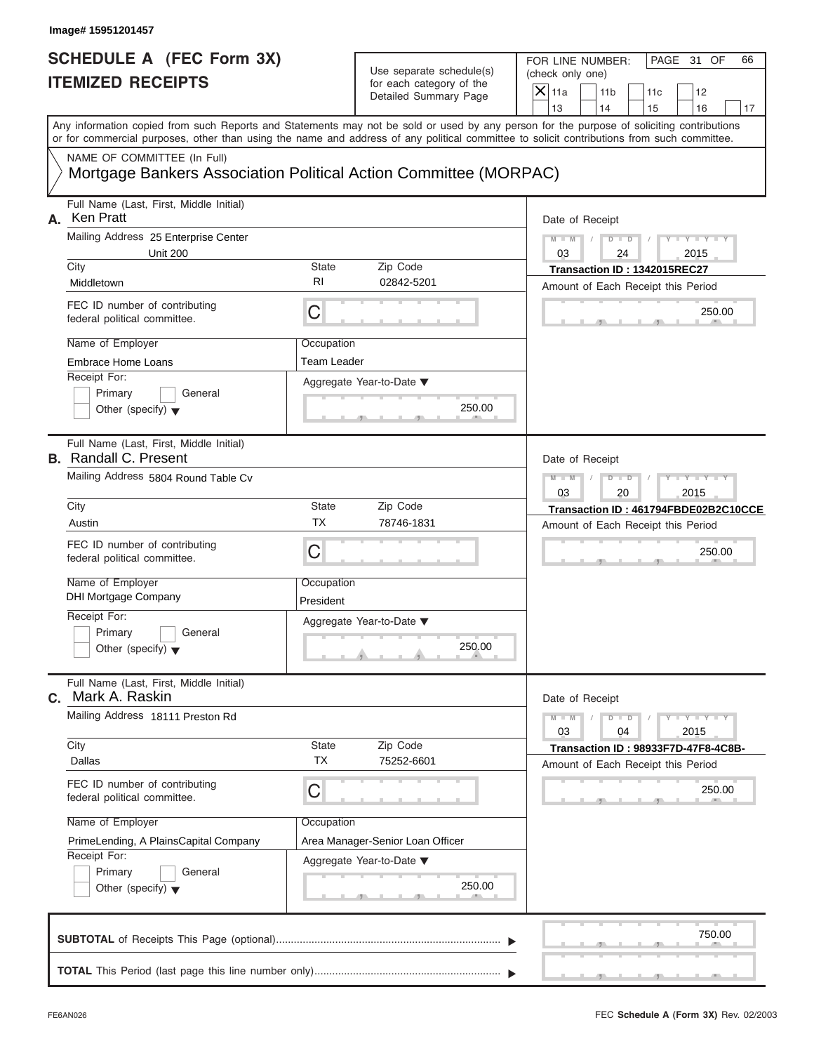| Image# 15951201457                                                                                                                                                                                                                                                                      |                           |                                                      |                                            |                                      |                                            |                             |    |
|-----------------------------------------------------------------------------------------------------------------------------------------------------------------------------------------------------------------------------------------------------------------------------------------|---------------------------|------------------------------------------------------|--------------------------------------------|--------------------------------------|--------------------------------------------|-----------------------------|----|
| <b>SCHEDULE A (FEC Form 3X)</b><br><b>ITEMIZED RECEIPTS</b>                                                                                                                                                                                                                             |                           | Use separate schedule(s)<br>for each category of the |                                            | FOR LINE NUMBER:<br>(check only one) |                                            | PAGE 31 OF                  | 66 |
|                                                                                                                                                                                                                                                                                         |                           | Detailed Summary Page                                | $X$ 11a<br>13                              | 11 <sub>b</sub><br>14                | 11c<br>15                                  | 12<br>16                    | 17 |
| Any information copied from such Reports and Statements may not be sold or used by any person for the purpose of soliciting contributions<br>or for commercial purposes, other than using the name and address of any political committee to solicit contributions from such committee. |                           |                                                      |                                            |                                      |                                            |                             |    |
| NAME OF COMMITTEE (In Full)<br>Mortgage Bankers Association Political Action Committee (MORPAC)                                                                                                                                                                                         |                           |                                                      |                                            |                                      |                                            |                             |    |
| Full Name (Last, First, Middle Initial)<br>Ken Pratt<br>А.                                                                                                                                                                                                                              |                           |                                                      | Date of Receipt                            |                                      |                                            |                             |    |
| Mailing Address 25 Enterprise Center<br><b>Unit 200</b>                                                                                                                                                                                                                                 |                           |                                                      | $M - M$<br>03                              | $D - D$<br>24                        |                                            | $Y - Y - Y - Y - Y$<br>2015 |    |
| City<br>Middletown                                                                                                                                                                                                                                                                      | <b>State</b><br><b>RI</b> | Zip Code<br>02842-5201                               | Amount of Each Receipt this Period         |                                      | Transaction ID: 1342015REC27               |                             |    |
| FEC ID number of contributing<br>federal political committee.                                                                                                                                                                                                                           | C                         |                                                      |                                            |                                      |                                            | 250.00                      |    |
| Name of Employer                                                                                                                                                                                                                                                                        | Occupation                |                                                      |                                            |                                      |                                            |                             |    |
| Embrace Home Loans<br>Receipt For:                                                                                                                                                                                                                                                      | <b>Team Leader</b>        |                                                      |                                            |                                      |                                            |                             |    |
| Primary<br>General<br>Other (specify) $\blacktriangledown$                                                                                                                                                                                                                              |                           | Aggregate Year-to-Date ▼<br>250.00                   |                                            |                                      |                                            |                             |    |
| Full Name (Last, First, Middle Initial)<br><b>B.</b> Randall C. Present                                                                                                                                                                                                                 |                           |                                                      | Date of Receipt                            |                                      |                                            |                             |    |
| Mailing Address 5804 Round Table Cv                                                                                                                                                                                                                                                     |                           |                                                      | $M - M$                                    | $D - D$                              |                                            | $Y - Y - Y - Y - Y$         |    |
| City                                                                                                                                                                                                                                                                                    | <b>State</b>              | Zip Code                                             | 03<br>Transaction ID: 461794FBDE02B2C10CCE | 20                                   |                                            | 2015                        |    |
| Austin                                                                                                                                                                                                                                                                                  | <b>TX</b>                 | 78746-1831                                           | Amount of Each Receipt this Period         |                                      |                                            |                             |    |
| FEC ID number of contributing<br>federal political committee.                                                                                                                                                                                                                           | C                         |                                                      |                                            |                                      |                                            | 250.00                      |    |
| Name of Employer<br><b>DHI Mortgage Company</b>                                                                                                                                                                                                                                         | Occupation<br>President   |                                                      |                                            |                                      |                                            |                             |    |
| Receipt For:<br>Primary<br>General<br>Other (specify) $\blacktriangledown$                                                                                                                                                                                                              |                           | Aggregate Year-to-Date ▼<br>250.00                   |                                            |                                      |                                            |                             |    |
| Full Name (Last, First, Middle Initial)<br>Mark A. Raskin<br>С.                                                                                                                                                                                                                         |                           |                                                      | Date of Receipt                            |                                      |                                            |                             |    |
| Mailing Address 18111 Preston Rd                                                                                                                                                                                                                                                        |                           |                                                      | $M - M$<br>03                              | $D$ $\Box$ $D$<br>04                 |                                            | $T - Y = Y + Y$<br>2015     |    |
| City<br>Dallas                                                                                                                                                                                                                                                                          | State<br><b>TX</b>        | Zip Code<br>75252-6601                               | Amount of Each Receipt this Period         |                                      | <b>Transaction ID: 98933F7D-47F8-4C8B-</b> |                             |    |
| FEC ID number of contributing<br>federal political committee.                                                                                                                                                                                                                           | С                         |                                                      |                                            |                                      |                                            | 250.00                      |    |
| Name of Employer                                                                                                                                                                                                                                                                        | Occupation                |                                                      |                                            |                                      |                                            |                             |    |
| PrimeLending, A PlainsCapital Company<br>Receipt For:                                                                                                                                                                                                                                   |                           | Area Manager-Senior Loan Officer                     |                                            |                                      |                                            |                             |    |
| Primary<br>General<br>Other (specify) $\blacktriangledown$                                                                                                                                                                                                                              |                           | Aggregate Year-to-Date ▼<br>250.00                   |                                            |                                      |                                            |                             |    |
|                                                                                                                                                                                                                                                                                         |                           |                                                      |                                            |                                      |                                            | 750.00                      |    |
|                                                                                                                                                                                                                                                                                         |                           |                                                      |                                            |                                      |                                            |                             |    |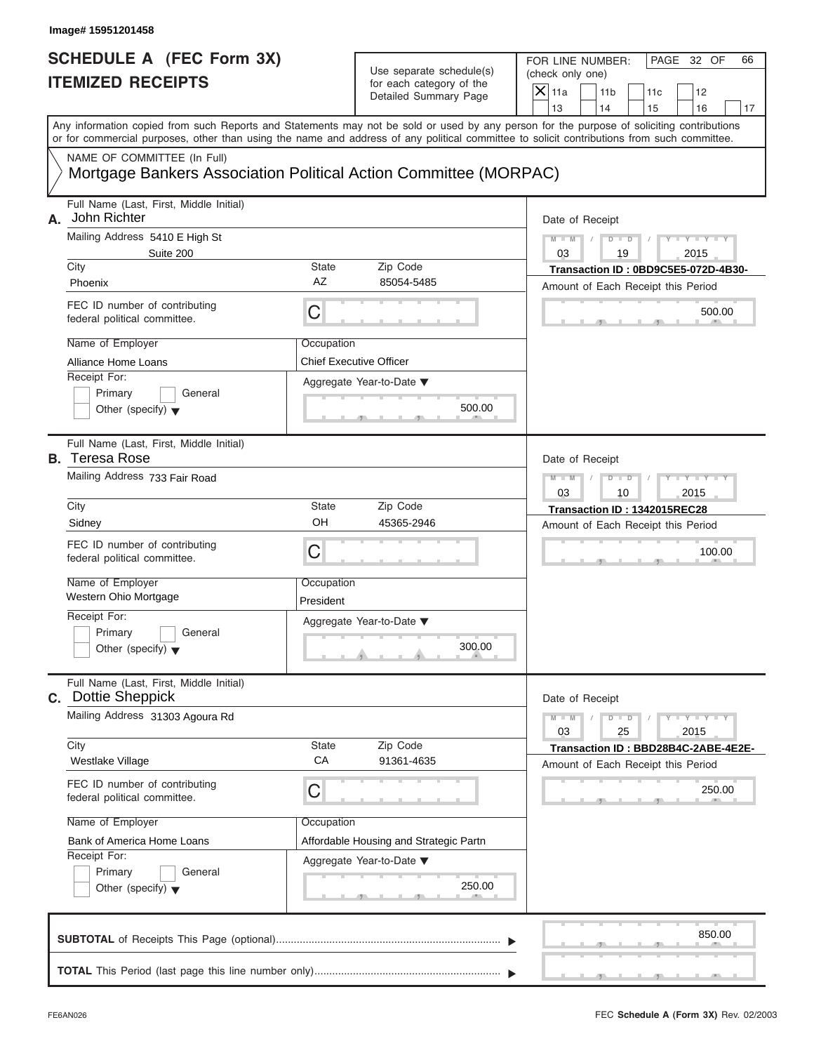| <b>SCHEDULE A (FEC Form 3X)</b><br><b>ITEMIZED RECEIPTS</b><br>Any information copied from such Reports and Statements may not be sold or used by any person for the purpose of soliciting contributions<br>or for commercial purposes, other than using the name and address of any political committee to solicit contributions from such committee.<br>NAME OF COMMITTEE (In Full) |                                | Use separate schedule(s)<br>for each category of the<br>Detailed Summary Page | FOR LINE NUMBER:<br>(check only one)<br>$X$ 11a                    | 11 <sub>b</sub>      | 11c                                 | PAGE 32 OF           | 66 |
|---------------------------------------------------------------------------------------------------------------------------------------------------------------------------------------------------------------------------------------------------------------------------------------------------------------------------------------------------------------------------------------|--------------------------------|-------------------------------------------------------------------------------|--------------------------------------------------------------------|----------------------|-------------------------------------|----------------------|----|
|                                                                                                                                                                                                                                                                                                                                                                                       |                                |                                                                               |                                                                    |                      |                                     |                      |    |
|                                                                                                                                                                                                                                                                                                                                                                                       |                                |                                                                               |                                                                    |                      |                                     |                      |    |
|                                                                                                                                                                                                                                                                                                                                                                                       |                                |                                                                               |                                                                    | 14                   |                                     | 12<br>16             |    |
|                                                                                                                                                                                                                                                                                                                                                                                       |                                |                                                                               | 13                                                                 |                      | 15                                  |                      | 17 |
|                                                                                                                                                                                                                                                                                                                                                                                       |                                |                                                                               |                                                                    |                      |                                     |                      |    |
| Mortgage Bankers Association Political Action Committee (MORPAC)                                                                                                                                                                                                                                                                                                                      |                                |                                                                               |                                                                    |                      |                                     |                      |    |
| Full Name (Last, First, Middle Initial)<br>John Richter<br>А.                                                                                                                                                                                                                                                                                                                         |                                |                                                                               |                                                                    | Date of Receipt      |                                     |                      |    |
| Mailing Address 5410 E High St                                                                                                                                                                                                                                                                                                                                                        |                                |                                                                               | $M - M$                                                            | $D$ $D$              |                                     | $Y - Y - Y - Y - Y$  |    |
| Suite 200                                                                                                                                                                                                                                                                                                                                                                             |                                |                                                                               | 03                                                                 | 19                   |                                     | 2015                 |    |
| City<br>Phoenix                                                                                                                                                                                                                                                                                                                                                                       | <b>State</b><br><b>AZ</b>      | Zip Code<br>85054-5485                                                        |                                                                    |                      | Transaction ID: 0BD9C5E5-072D-4B30- |                      |    |
|                                                                                                                                                                                                                                                                                                                                                                                       |                                |                                                                               |                                                                    |                      | Amount of Each Receipt this Period  |                      |    |
| FEC ID number of contributing<br>federal political committee.                                                                                                                                                                                                                                                                                                                         | C                              |                                                                               |                                                                    |                      |                                     | 500.00               |    |
| Name of Employer                                                                                                                                                                                                                                                                                                                                                                      | Occupation                     |                                                                               |                                                                    |                      |                                     |                      |    |
| Alliance Home Loans                                                                                                                                                                                                                                                                                                                                                                   | <b>Chief Executive Officer</b> |                                                                               |                                                                    |                      |                                     |                      |    |
| Receipt For:                                                                                                                                                                                                                                                                                                                                                                          |                                | Aggregate Year-to-Date ▼                                                      |                                                                    |                      |                                     |                      |    |
| Primary<br>General                                                                                                                                                                                                                                                                                                                                                                    |                                | 500.00                                                                        |                                                                    |                      |                                     |                      |    |
| Other (specify) $\blacktriangledown$                                                                                                                                                                                                                                                                                                                                                  |                                |                                                                               |                                                                    |                      |                                     |                      |    |
| Full Name (Last, First, Middle Initial)<br><b>B.</b> Teresa Rose                                                                                                                                                                                                                                                                                                                      |                                |                                                                               |                                                                    | Date of Receipt      |                                     |                      |    |
| Mailing Address 733 Fair Road                                                                                                                                                                                                                                                                                                                                                         |                                |                                                                               | $M - M$                                                            | $D - D$              |                                     | $Y - Y - Y - Y - Y$  |    |
|                                                                                                                                                                                                                                                                                                                                                                                       |                                |                                                                               | 03                                                                 | 10                   |                                     | 2015                 |    |
| City                                                                                                                                                                                                                                                                                                                                                                                  | <b>State</b>                   | Zip Code                                                                      | Transaction ID: 1342015REC28<br>Amount of Each Receipt this Period |                      |                                     |                      |    |
| Sidney                                                                                                                                                                                                                                                                                                                                                                                | OH                             | 45365-2946                                                                    |                                                                    |                      |                                     |                      |    |
| FEC ID number of contributing<br>federal political committee.                                                                                                                                                                                                                                                                                                                         | C                              |                                                                               |                                                                    |                      |                                     | 100.00               |    |
| Name of Employer                                                                                                                                                                                                                                                                                                                                                                      | Occupation                     |                                                                               |                                                                    |                      |                                     |                      |    |
| Western Ohio Mortgage                                                                                                                                                                                                                                                                                                                                                                 | President                      |                                                                               |                                                                    |                      |                                     |                      |    |
| Receipt For:                                                                                                                                                                                                                                                                                                                                                                          |                                | Aggregate Year-to-Date ▼                                                      |                                                                    |                      |                                     |                      |    |
| Primary<br>General<br>Other (specify) $\blacktriangledown$                                                                                                                                                                                                                                                                                                                            |                                | 300.00                                                                        |                                                                    |                      |                                     |                      |    |
| Full Name (Last, First, Middle Initial)<br>C. Dottie Sheppick                                                                                                                                                                                                                                                                                                                         |                                |                                                                               |                                                                    | Date of Receipt      |                                     |                      |    |
| Mailing Address 31303 Agoura Rd                                                                                                                                                                                                                                                                                                                                                       |                                |                                                                               | $M - M$<br>03                                                      | $D$ $\Box$ $D$<br>25 |                                     | $-Y - Y - Y$<br>2015 |    |
| City                                                                                                                                                                                                                                                                                                                                                                                  | State                          | Zip Code                                                                      |                                                                    |                      | Transaction ID: BBD28B4C-2ABE-4E2E- |                      |    |
| Westlake Village                                                                                                                                                                                                                                                                                                                                                                      | CA                             | 91361-4635                                                                    |                                                                    |                      | Amount of Each Receipt this Period  |                      |    |
| FEC ID number of contributing<br>federal political committee.                                                                                                                                                                                                                                                                                                                         | С                              |                                                                               |                                                                    |                      |                                     | 250.00               |    |
| Name of Employer                                                                                                                                                                                                                                                                                                                                                                      | Occupation                     |                                                                               |                                                                    |                      |                                     |                      |    |
|                                                                                                                                                                                                                                                                                                                                                                                       |                                | Affordable Housing and Strategic Partn                                        |                                                                    |                      |                                     |                      |    |
| Bank of America Home Loans                                                                                                                                                                                                                                                                                                                                                            |                                |                                                                               |                                                                    |                      |                                     |                      |    |
| Receipt For:                                                                                                                                                                                                                                                                                                                                                                          |                                | Aggregate Year-to-Date ▼                                                      |                                                                    |                      |                                     |                      |    |
| Primary<br>General                                                                                                                                                                                                                                                                                                                                                                    |                                |                                                                               |                                                                    |                      |                                     |                      |    |
| Other (specify) $\blacktriangledown$                                                                                                                                                                                                                                                                                                                                                  |                                | 250.00                                                                        |                                                                    |                      |                                     |                      |    |
|                                                                                                                                                                                                                                                                                                                                                                                       |                                |                                                                               |                                                                    |                      |                                     | 850.00               |    |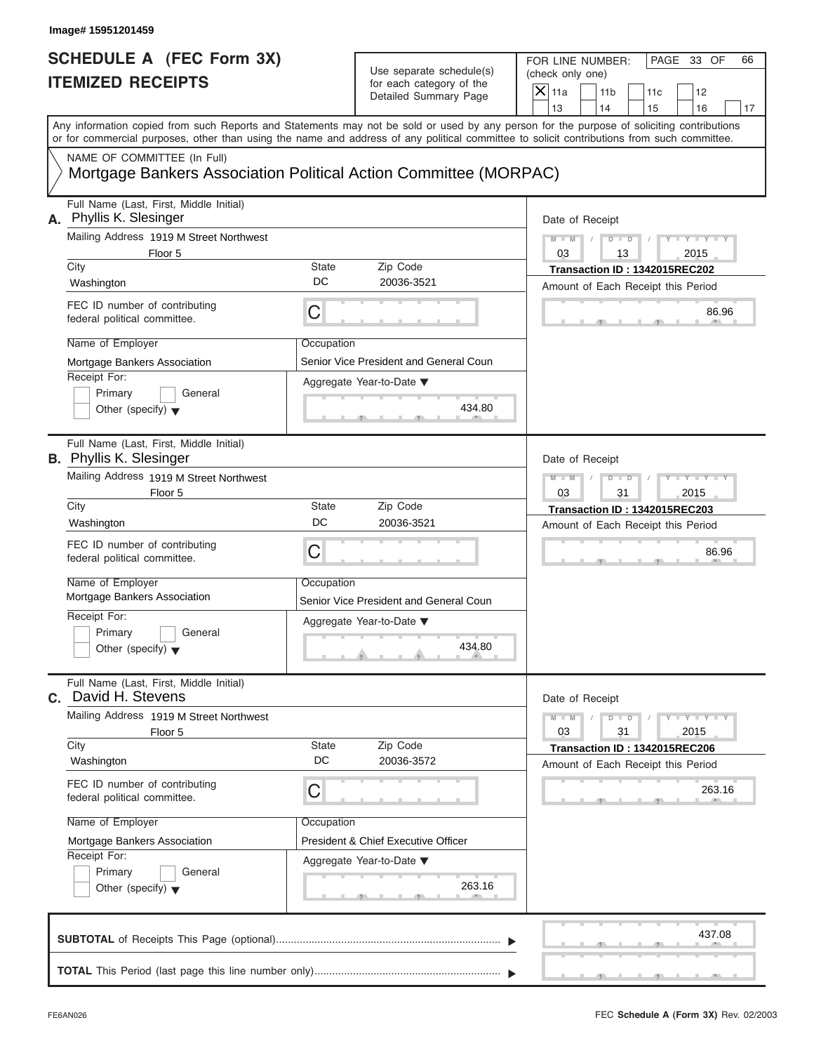|                                                             | Image# 15951201459                                                                                                                                                                                                                                                                                                                                       |                                |                                                                                                                |                                                                                                                                                                         |
|-------------------------------------------------------------|----------------------------------------------------------------------------------------------------------------------------------------------------------------------------------------------------------------------------------------------------------------------------------------------------------------------------------------------------------|--------------------------------|----------------------------------------------------------------------------------------------------------------|-------------------------------------------------------------------------------------------------------------------------------------------------------------------------|
| <b>SCHEDULE A (FEC Form 3X)</b><br><b>ITEMIZED RECEIPTS</b> |                                                                                                                                                                                                                                                                                                                                                          |                                | Use separate schedule(s)<br>for each category of the<br>Detailed Summary Page                                  | FOR LINE NUMBER:<br>PAGE 33 OF<br>66<br>(check only one)<br>$\overline{X}$ 11a<br>11 <sub>b</sub><br>11c<br>12                                                          |
|                                                             | or for commercial purposes, other than using the name and address of any political committee to solicit contributions from such committee.                                                                                                                                                                                                               |                                |                                                                                                                | 13<br>14<br>15<br>16<br>17<br>Any information copied from such Reports and Statements may not be sold or used by any person for the purpose of soliciting contributions |
|                                                             | NAME OF COMMITTEE (In Full)<br>Mortgage Bankers Association Political Action Committee (MORPAC)                                                                                                                                                                                                                                                          |                                |                                                                                                                |                                                                                                                                                                         |
|                                                             | Full Name (Last, First, Middle Initial)<br>A. Phyllis K. Slesinger<br>Mailing Address 1919 M Street Northwest<br>Floor 5<br>City<br>Washington<br>FEC ID number of contributing<br>federal political committee.<br>Name of Employer<br>Mortgage Bankers Association                                                                                      | State<br>DC<br>С<br>Occupation | Zip Code<br>20036-3521<br>Senior Vice President and General Coun                                               | Date of Receipt<br>$D$ $\Box$ $D$<br>$Y - Y - I$<br>$M - M$<br>03<br>2015<br>13<br>Transaction ID: 1342015REC202<br>Amount of Each Receipt this Period<br>86.96         |
|                                                             | Receipt For:<br>Primary<br>General<br>Other (specify) $\blacktriangledown$                                                                                                                                                                                                                                                                               |                                | Aggregate Year-to-Date ▼<br>434.80                                                                             |                                                                                                                                                                         |
|                                                             | Full Name (Last, First, Middle Initial)<br><b>B.</b> Phyllis K. Slesinger<br>Mailing Address 1919 M Street Northwest<br>Floor 5<br>City<br>Washington<br>FEC ID number of contributing<br>federal political committee.<br>Name of Employer<br>Mortgage Bankers Association<br>Receipt For:<br>Primary<br>General<br>Other (specify) $\blacktriangledown$ | State<br>DC<br>C<br>Occupation | Zip Code<br>20036-3521<br>Senior Vice President and General Coun<br>Aggregate Year-to-Date ▼<br>434.80         | Date of Receipt<br>$M - M$<br>$D$ $D$<br>$Y = Y = 1$<br>03<br>31<br>2015<br>Transaction ID: 1342015REC203<br>Amount of Each Receipt this Period<br>86.96                |
|                                                             | Full Name (Last, First, Middle Initial)<br>C. David H. Stevens<br>Mailing Address 1919 M Street Northwest<br>Floor 5<br>City<br>Washington<br>FEC ID number of contributing<br>federal political committee.<br>Name of Employer<br>Mortgage Bankers Association<br>Receipt For:<br>Primary<br>General<br>Other (specify) $\blacktriangledown$            | State<br>DC<br>С<br>Occupation | Zip Code<br>20036-3572<br><b>President &amp; Chief Executive Officer</b><br>Aggregate Year-to-Date ▼<br>263.16 | Date of Receipt<br>$M - M$<br>$Y = Y$<br>$D$ $D$<br>03<br>2015<br>31<br>Transaction ID: 1342015REC206<br>Amount of Each Receipt this Period<br>263.16                   |
|                                                             |                                                                                                                                                                                                                                                                                                                                                          |                                |                                                                                                                | 437.08                                                                                                                                                                  |
|                                                             |                                                                                                                                                                                                                                                                                                                                                          |                                |                                                                                                                |                                                                                                                                                                         |

FEC **Schedule A (Form 3X)** Rev. 02/2003

a.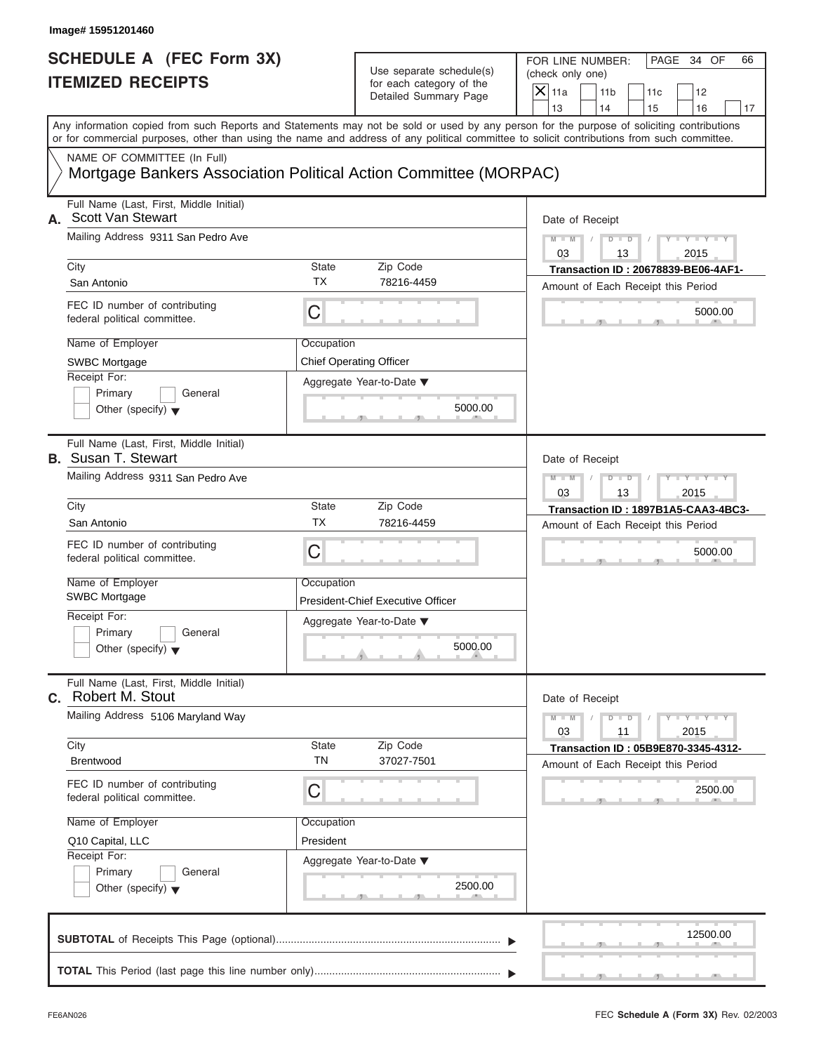| Image# 15951201460                                                                                            |                           |                                                                               |                                                                                                                                                                                                                                                                                         |
|---------------------------------------------------------------------------------------------------------------|---------------------------|-------------------------------------------------------------------------------|-----------------------------------------------------------------------------------------------------------------------------------------------------------------------------------------------------------------------------------------------------------------------------------------|
| <b>SCHEDULE A (FEC Form 3X)</b><br><b>ITEMIZED RECEIPTS</b>                                                   |                           | Use separate schedule(s)<br>for each category of the<br>Detailed Summary Page | FOR LINE NUMBER:<br>PAGE 34 OF<br>66<br>(check only one)<br>$X$ 11a<br>11 <sub>b</sub><br>11c<br>12<br>13<br>14<br>15<br>16<br>17                                                                                                                                                       |
| NAME OF COMMITTEE (In Full)                                                                                   |                           |                                                                               | Any information copied from such Reports and Statements may not be sold or used by any person for the purpose of soliciting contributions<br>or for commercial purposes, other than using the name and address of any political committee to solicit contributions from such committee. |
| Mortgage Bankers Association Political Action Committee (MORPAC)                                              |                           |                                                                               |                                                                                                                                                                                                                                                                                         |
| Full Name (Last, First, Middle Initial)<br>Scott Van Stewart<br>А.                                            |                           |                                                                               | Date of Receipt                                                                                                                                                                                                                                                                         |
| Mailing Address 9311 San Pedro Ave                                                                            |                           |                                                                               | $M - M$<br>$D - D$<br>$Y - Y - Y - Y - Y$<br>03<br>2015<br>13                                                                                                                                                                                                                           |
| City<br>San Antonio                                                                                           | <b>State</b><br><b>TX</b> | Zip Code<br>78216-4459                                                        | Transaction ID: 20678839-BE06-4AF1-<br>Amount of Each Receipt this Period                                                                                                                                                                                                               |
| FEC ID number of contributing<br>federal political committee.                                                 | C                         |                                                                               | 5000.00                                                                                                                                                                                                                                                                                 |
| Name of Employer<br>Occupation<br><b>SWBC Mortgage</b><br>Receipt For:<br>Primary<br>General                  |                           | <b>Chief Operating Officer</b><br>Aggregate Year-to-Date ▼                    |                                                                                                                                                                                                                                                                                         |
| Other (specify) $\blacktriangledown$<br>Full Name (Last, First, Middle Initial)<br><b>B.</b> Susan T. Stewart |                           | 5000.00                                                                       |                                                                                                                                                                                                                                                                                         |
| Mailing Address 9311 San Pedro Ave                                                                            |                           |                                                                               | Date of Receipt<br>$Y - Y - Y - Y - Y$<br>$M - M$<br>$D$ $\Box$ $D$<br>03<br>13<br>2015                                                                                                                                                                                                 |
| City<br>San Antonio                                                                                           | <b>State</b><br>ТX        | Zip Code<br>78216-4459                                                        | Transaction ID: 1897B1A5-CAA3-4BC3-<br>Amount of Each Receipt this Period                                                                                                                                                                                                               |
| FEC ID number of contributing<br>federal political committee.                                                 | C                         |                                                                               | 5000.00                                                                                                                                                                                                                                                                                 |
| Name of Employer<br><b>SWBC Mortgage</b>                                                                      | Occupation                | President-Chief Executive Officer                                             |                                                                                                                                                                                                                                                                                         |
| Receipt For:<br>Primary<br>General<br>Other (specify) $\blacktriangledown$                                    |                           | Aggregate Year-to-Date ▼<br>5000.00                                           |                                                                                                                                                                                                                                                                                         |
| Full Name (Last, First, Middle Initial)<br>C. Robert M. Stout                                                 |                           |                                                                               | Date of Receipt                                                                                                                                                                                                                                                                         |
| Mailing Address 5106 Maryland Way                                                                             |                           |                                                                               | $Y - Y - Y - Y - Y$<br>$M - M$<br>$D - D$<br>03<br>11<br>2015                                                                                                                                                                                                                           |
| City<br><b>Brentwood</b>                                                                                      | State<br><b>TN</b>        | Zip Code<br>37027-7501                                                        | Transaction ID: 05B9E870-3345-4312-<br>Amount of Each Receipt this Period                                                                                                                                                                                                               |
| FEC ID number of contributing<br>federal political committee.                                                 | С                         |                                                                               | 2500.00                                                                                                                                                                                                                                                                                 |
| Name of Employer<br>Q10 Capital, LLC<br>Receipt For:                                                          | Occupation<br>President   |                                                                               |                                                                                                                                                                                                                                                                                         |
| Primary<br>General<br>Other (specify) $\blacktriangledown$                                                    |                           | Aggregate Year-to-Date ▼<br>2500.00                                           |                                                                                                                                                                                                                                                                                         |
|                                                                                                               |                           |                                                                               | 12500.00                                                                                                                                                                                                                                                                                |
|                                                                                                               |                           |                                                                               |                                                                                                                                                                                                                                                                                         |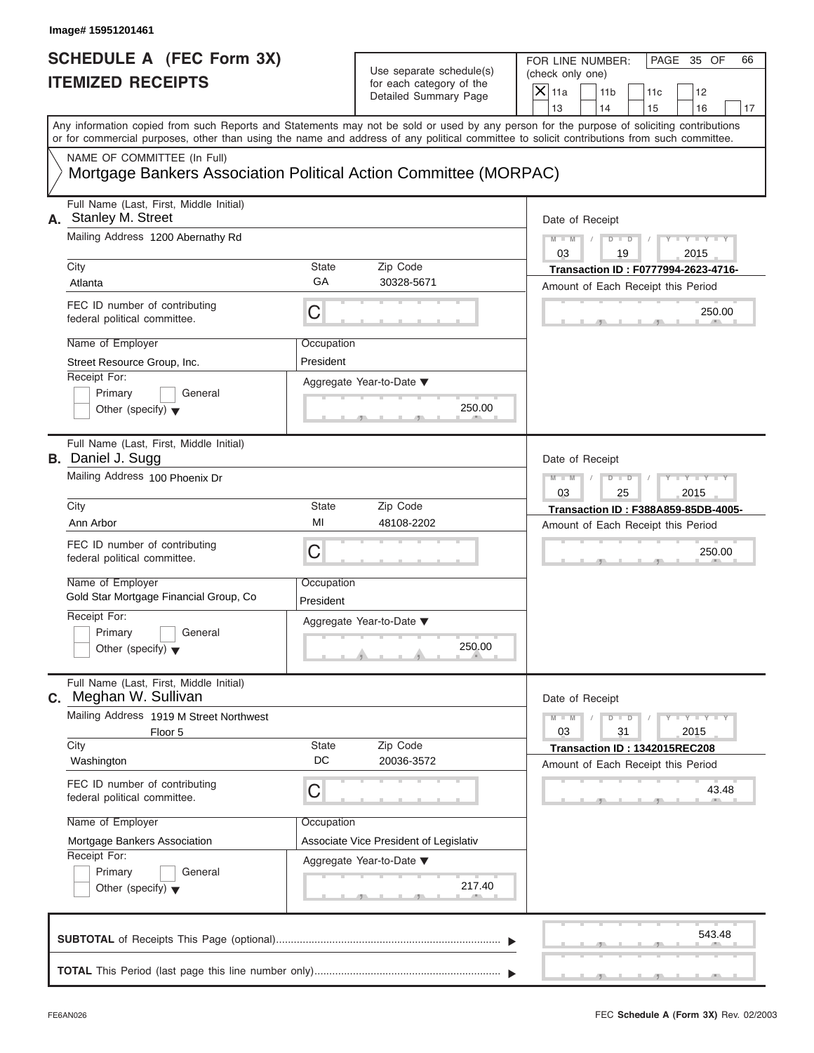| Image# 15951201461                                                                              |                         |                                                                               |                                                                                                                                                                                                                                                                                         |  |  |  |
|-------------------------------------------------------------------------------------------------|-------------------------|-------------------------------------------------------------------------------|-----------------------------------------------------------------------------------------------------------------------------------------------------------------------------------------------------------------------------------------------------------------------------------------|--|--|--|
| <b>SCHEDULE A (FEC Form 3X)</b><br><b>ITEMIZED RECEIPTS</b>                                     |                         | Use separate schedule(s)<br>for each category of the<br>Detailed Summary Page | FOR LINE NUMBER:<br>PAGE 35 OF<br>66<br>(check only one)<br>$\overline{X} _{11a}$<br>11 <sub>b</sub><br>11c<br>12                                                                                                                                                                       |  |  |  |
|                                                                                                 |                         |                                                                               | 13<br>14<br>15<br>16<br>17                                                                                                                                                                                                                                                              |  |  |  |
|                                                                                                 |                         |                                                                               | Any information copied from such Reports and Statements may not be sold or used by any person for the purpose of soliciting contributions<br>or for commercial purposes, other than using the name and address of any political committee to solicit contributions from such committee. |  |  |  |
| NAME OF COMMITTEE (In Full)<br>Mortgage Bankers Association Political Action Committee (MORPAC) |                         |                                                                               |                                                                                                                                                                                                                                                                                         |  |  |  |
| Full Name (Last, First, Middle Initial)<br>A. Stanley M. Street                                 |                         |                                                                               | Date of Receipt                                                                                                                                                                                                                                                                         |  |  |  |
| Mailing Address 1200 Abernathy Rd                                                               |                         |                                                                               | $Y - Y - Y - Y - Y$<br>$M - M$<br>$\sqrt{2}$<br>03<br>19<br>2015                                                                                                                                                                                                                        |  |  |  |
| City<br>Atlanta                                                                                 | State<br>GA             | Zip Code<br>30328-5671                                                        | Transaction ID: F0777994-2623-4716-<br>Amount of Each Receipt this Period                                                                                                                                                                                                               |  |  |  |
| FEC ID number of contributing<br>federal political committee.                                   | C                       |                                                                               | 250.00                                                                                                                                                                                                                                                                                  |  |  |  |
| Name of Employer<br>Street Resource Group, Inc.                                                 | Occupation<br>President |                                                                               |                                                                                                                                                                                                                                                                                         |  |  |  |
| Receipt For:<br>Primary<br>General<br>Other (specify) $\blacktriangledown$                      |                         | Aggregate Year-to-Date ▼<br>250.00                                            |                                                                                                                                                                                                                                                                                         |  |  |  |
| Full Name (Last, First, Middle Initial)<br><b>B.</b> Daniel J. Sugg                             |                         |                                                                               | Date of Receipt                                                                                                                                                                                                                                                                         |  |  |  |
| Mailing Address 100 Phoenix Dr                                                                  |                         |                                                                               | $Y = Y = Y' + Y' + Y$<br>$M - M$<br>$D$ $D$<br>03<br>2015<br>25                                                                                                                                                                                                                         |  |  |  |
| City<br>Ann Arbor                                                                               | State<br>MI             | Zip Code<br>48108-2202                                                        | Transaction ID: F388A859-85DB-4005-<br>Amount of Each Receipt this Period                                                                                                                                                                                                               |  |  |  |
| FEC ID number of contributing<br>federal political committee.                                   | C                       |                                                                               | 250.00                                                                                                                                                                                                                                                                                  |  |  |  |
| Name of Employer<br>Gold Star Mortgage Financial Group, Co                                      | Occupation<br>President |                                                                               |                                                                                                                                                                                                                                                                                         |  |  |  |
| Receipt For:<br>Primary<br>General<br>Other (specify) $\blacktriangledown$                      |                         | Aggregate Year-to-Date ▼<br>250.00                                            |                                                                                                                                                                                                                                                                                         |  |  |  |
| Full Name (Last, First, Middle Initial)<br><b>C.</b> Meghan W. Sullivan                         |                         |                                                                               | Date of Receipt                                                                                                                                                                                                                                                                         |  |  |  |
| Mailing Address 1919 M Street Northwest<br>Floor 5<br>City                                      | State                   | Zip Code                                                                      | $M - M$<br>$\mathbf{I} = \mathbf{Y} + \mathbf{Y}$<br>$D$ $D$<br>03<br>31<br>2015                                                                                                                                                                                                        |  |  |  |
| Washington                                                                                      | DC                      | 20036-3572                                                                    | Transaction ID: 1342015REC208<br>Amount of Each Receipt this Period                                                                                                                                                                                                                     |  |  |  |
| FEC ID number of contributing<br>federal political committee.                                   | C                       |                                                                               | 43.48                                                                                                                                                                                                                                                                                   |  |  |  |
| Name of Employer<br>Mortgage Bankers Association                                                | Occupation              | Associate Vice President of Legislativ                                        |                                                                                                                                                                                                                                                                                         |  |  |  |
| Receipt For:<br>Primary<br>General<br>Other (specify) $\blacktriangledown$                      |                         | Aggregate Year-to-Date ▼<br>217.40                                            |                                                                                                                                                                                                                                                                                         |  |  |  |
|                                                                                                 |                         |                                                                               | 543.48                                                                                                                                                                                                                                                                                  |  |  |  |
|                                                                                                 |                         |                                                                               |                                                                                                                                                                                                                                                                                         |  |  |  |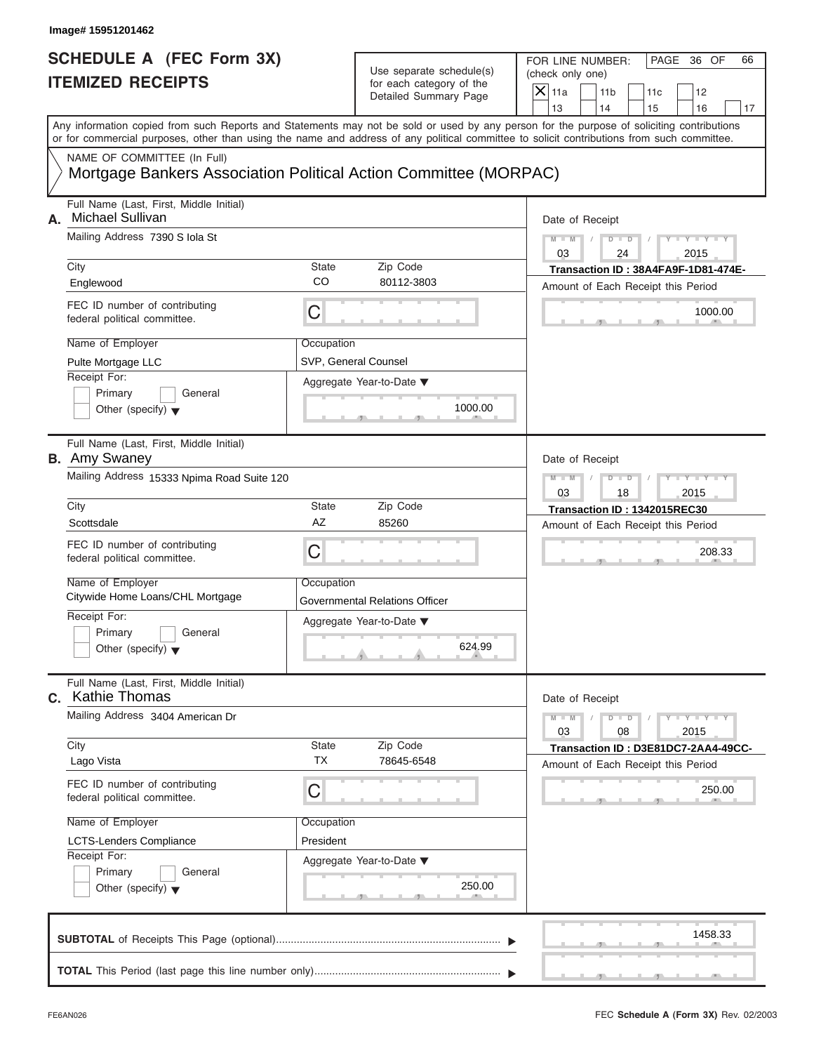#### Use separate schedule(s) for each category of the

| Image# 15951201462                                                                              |                    |                                                                               |                                                                                                                                                                                                                                                                                         |
|-------------------------------------------------------------------------------------------------|--------------------|-------------------------------------------------------------------------------|-----------------------------------------------------------------------------------------------------------------------------------------------------------------------------------------------------------------------------------------------------------------------------------------|
| <b>SCHEDULE A (FEC Form 3X)</b><br><b>ITEMIZED RECEIPTS</b>                                     |                    | Use separate schedule(s)<br>for each category of the<br>Detailed Summary Page | FOR LINE NUMBER:<br>PAGE 36 OF<br>66<br>(check only one)<br>$\overline{X}$ 11a<br>11 <sub>b</sub><br>11c<br>12<br>13<br>14<br>15<br>16<br>17                                                                                                                                            |
|                                                                                                 |                    |                                                                               | Any information copied from such Reports and Statements may not be sold or used by any person for the purpose of soliciting contributions<br>or for commercial purposes, other than using the name and address of any political committee to solicit contributions from such committee. |
| NAME OF COMMITTEE (In Full)<br>Mortgage Bankers Association Political Action Committee (MORPAC) |                    |                                                                               |                                                                                                                                                                                                                                                                                         |
| Full Name (Last, First, Middle Initial)<br>Michael Sullivan<br>А.                               |                    |                                                                               | Date of Receipt                                                                                                                                                                                                                                                                         |
| Mailing Address 7390 S Iola St                                                                  |                    |                                                                               | $M - M$<br>$D$ $D$<br>$Y - Y - Y$<br>03<br>24<br>2015                                                                                                                                                                                                                                   |
| City<br>Englewood                                                                               | State<br>CO        | Zip Code<br>80112-3803                                                        | Transaction ID: 38A4FA9F-1D81-474E-<br>Amount of Each Receipt this Period                                                                                                                                                                                                               |
| FEC ID number of contributing<br>federal political committee.                                   | C                  |                                                                               | 1000.00                                                                                                                                                                                                                                                                                 |
| Name of Employer<br>Pulte Mortgage LLC                                                          | Occupation         | SVP, General Counsel                                                          |                                                                                                                                                                                                                                                                                         |
| Receipt For:<br>Primary<br>General<br>Other (specify) $\blacktriangledown$                      |                    | Aggregate Year-to-Date ▼<br>1000.00                                           |                                                                                                                                                                                                                                                                                         |
| Full Name (Last, First, Middle Initial)<br><b>B.</b> Amy Swaney                                 |                    |                                                                               | Date of Receipt                                                                                                                                                                                                                                                                         |
| Mailing Address 15333 Npima Road Suite 120                                                      |                    |                                                                               | $Y - Y$<br>$M - M$<br>$D$ $\Box$ $D$<br>2015<br>03<br>18                                                                                                                                                                                                                                |
| City<br>Scottsdale                                                                              | State<br>AZ        | Zip Code<br>85260                                                             | Transaction ID: 1342015REC30                                                                                                                                                                                                                                                            |
| FEC ID number of contributing<br>federal political committee.                                   | C                  |                                                                               | Amount of Each Receipt this Period<br>208.33                                                                                                                                                                                                                                            |
| Name of Employer<br>Citywide Home Loans/CHL Mortgage                                            | Occupation         | Governmental Relations Officer                                                |                                                                                                                                                                                                                                                                                         |
| Receipt For:<br>Primary<br>General<br>Other (specify) $\blacktriangledown$                      |                    | Aggregate Year-to-Date ▼<br>624.99                                            |                                                                                                                                                                                                                                                                                         |
| Full Name (Last, First, Middle Initial)<br><b>c.</b> Kathie Thomas                              |                    |                                                                               | Date of Receipt                                                                                                                                                                                                                                                                         |
| Mailing Address 3404 American Dr                                                                |                    |                                                                               | $M - M$<br>$Y = Y + Y + Y$<br>$D$ $D$<br>03<br>08<br>2015                                                                                                                                                                                                                               |
| City<br>Lago Vista                                                                              | State<br><b>TX</b> | Zip Code<br>78645-6548                                                        | Transaction ID: D3E81DC7-2AA4-49CC-<br>Amount of Each Receipt this Period                                                                                                                                                                                                               |
| FEC ID number of contributing<br>federal political committee.                                   | С                  |                                                                               | 250.00                                                                                                                                                                                                                                                                                  |
| Name of Employer                                                                                | Occupation         |                                                                               |                                                                                                                                                                                                                                                                                         |
| <b>LCTS-Lenders Compliance</b><br>Receipt For:                                                  | President          |                                                                               |                                                                                                                                                                                                                                                                                         |
| Primary<br>General<br>Other (specify) $\blacktriangledown$                                      |                    | Aggregate Year-to-Date ▼<br>250.00                                            |                                                                                                                                                                                                                                                                                         |
|                                                                                                 |                    |                                                                               | 1458.33                                                                                                                                                                                                                                                                                 |
|                                                                                                 |                    |                                                                               |                                                                                                                                                                                                                                                                                         |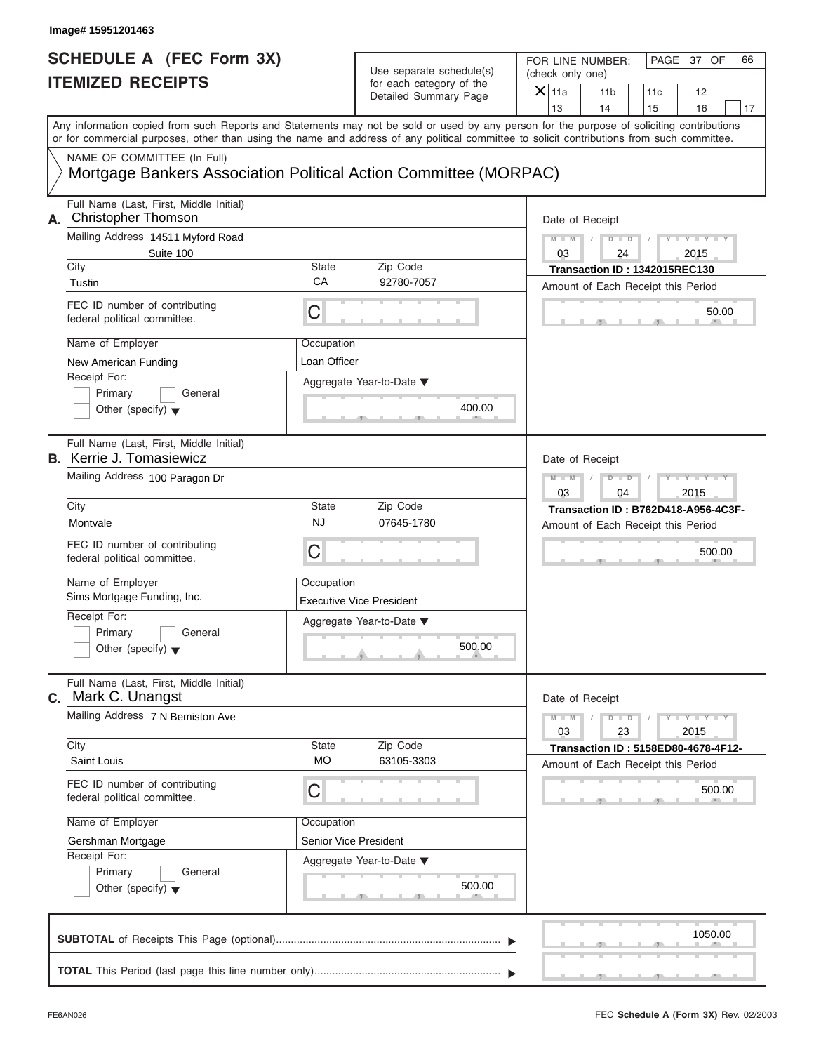| Image# 15951201463                                                                                                                                                                                                                                                                      |                            |                                                                               |                                                                      |                                     |
|-----------------------------------------------------------------------------------------------------------------------------------------------------------------------------------------------------------------------------------------------------------------------------------------|----------------------------|-------------------------------------------------------------------------------|----------------------------------------------------------------------|-------------------------------------|
| <b>SCHEDULE A (FEC Form 3X)</b><br><b>ITEMIZED RECEIPTS</b>                                                                                                                                                                                                                             |                            | Use separate schedule(s)<br>for each category of the<br>Detailed Summary Page | FOR LINE NUMBER:<br>(check only one)<br>$X$   11a<br>11 <sub>b</sub> | PAGE 37 OF<br>66<br>11c<br>12       |
| Any information copied from such Reports and Statements may not be sold or used by any person for the purpose of soliciting contributions<br>or for commercial purposes, other than using the name and address of any political committee to solicit contributions from such committee. |                            |                                                                               | 13<br>14                                                             | 15<br>16<br>17                      |
| NAME OF COMMITTEE (In Full)                                                                                                                                                                                                                                                             |                            | Mortgage Bankers Association Political Action Committee (MORPAC)              |                                                                      |                                     |
| Full Name (Last, First, Middle Initial)<br><b>Christopher Thomson</b><br>А.                                                                                                                                                                                                             |                            |                                                                               | Date of Receipt                                                      |                                     |
| Mailing Address 14511 Myford Road<br>Suite 100                                                                                                                                                                                                                                          |                            |                                                                               | $D$ $D$<br>$M - M$<br>03<br>24                                       | Y TYT<br>Y L<br>2015                |
| City<br>Tustin                                                                                                                                                                                                                                                                          | <b>State</b><br>СA         | Zip Code<br>92780-7057                                                        | Transaction ID: 1342015REC130<br>Amount of Each Receipt this Period  |                                     |
| FEC ID number of contributing<br>federal political committee.                                                                                                                                                                                                                           | C                          |                                                                               |                                                                      | 50.00                               |
| Name of Employer<br>New American Funding                                                                                                                                                                                                                                                | Occupation<br>Loan Officer |                                                                               |                                                                      |                                     |
| Receipt For:<br>Primary<br>General<br>Other (specify) $\blacktriangledown$                                                                                                                                                                                                              |                            | Aggregate Year-to-Date ▼<br>400.00                                            |                                                                      |                                     |
| Full Name (Last, First, Middle Initial)<br><b>B.</b> Kerrie J. Tomasiewicz                                                                                                                                                                                                              |                            |                                                                               | Date of Receipt                                                      |                                     |
| Mailing Address 100 Paragon Dr                                                                                                                                                                                                                                                          |                            |                                                                               | $D$ $D$<br>$M - M$<br>03<br>04                                       | Y T Y T Y T<br>2015                 |
| City                                                                                                                                                                                                                                                                                    | <b>State</b>               | Zip Code                                                                      |                                                                      | Transaction ID: B762D418-A956-4C3F- |
| Montvale                                                                                                                                                                                                                                                                                | <b>NJ</b>                  | 07645-1780                                                                    | Amount of Each Receipt this Period                                   |                                     |
| FEC ID number of contributing<br>federal political committee.                                                                                                                                                                                                                           | C                          |                                                                               |                                                                      | 500.00                              |
| Name of Employer<br>Sims Mortgage Funding, Inc.                                                                                                                                                                                                                                         | Occupation                 | <b>Executive Vice President</b>                                               |                                                                      |                                     |
| Receipt For:<br>Primary<br>General<br>Other (specify) $\blacktriangledown$                                                                                                                                                                                                              |                            | Aggregate Year-to-Date ▼<br>500.00                                            |                                                                      |                                     |
| Full Name (Last, First, Middle Initial)<br>Mark C. Unangst<br>C.                                                                                                                                                                                                                        |                            |                                                                               | Date of Receipt                                                      |                                     |
| Mailing Address 7 N Bemiston Ave                                                                                                                                                                                                                                                        |                            |                                                                               | $M - M$<br>$D$ $D$<br>03<br>23                                       | $Y = Y =$<br>2015                   |
| City<br>Saint Louis                                                                                                                                                                                                                                                                     | <b>State</b><br>МO         | Zip Code<br>63105-3303                                                        | Amount of Each Receipt this Period                                   | Transaction ID: 5158ED80-4678-4F12- |
| FEC ID number of contributing<br>federal political committee.                                                                                                                                                                                                                           | C                          |                                                                               |                                                                      | 500.00                              |
| Name of Employer                                                                                                                                                                                                                                                                        | Occupation                 |                                                                               |                                                                      |                                     |
| Gershman Mortgage<br>Receipt For:                                                                                                                                                                                                                                                       |                            | Senior Vice President                                                         |                                                                      |                                     |
| Primary<br>General<br>Other (specify) $\blacktriangledown$                                                                                                                                                                                                                              |                            | Aggregate Year-to-Date ▼<br>500.00                                            |                                                                      |                                     |
|                                                                                                                                                                                                                                                                                         |                            |                                                                               |                                                                      | 1050.00                             |
|                                                                                                                                                                                                                                                                                         |                            |                                                                               |                                                                      |                                     |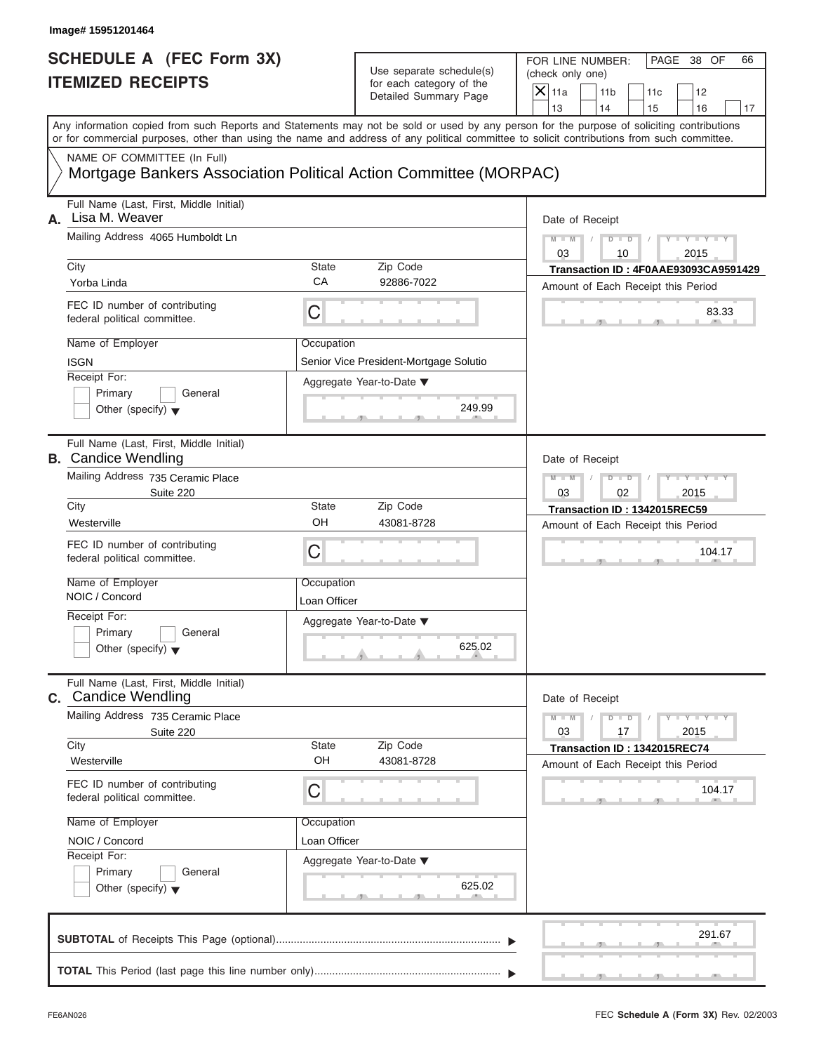| Image# 15951201464                                                                                            |                            |                                                                               |                                                                                                                                                                                                                                                                                         |
|---------------------------------------------------------------------------------------------------------------|----------------------------|-------------------------------------------------------------------------------|-----------------------------------------------------------------------------------------------------------------------------------------------------------------------------------------------------------------------------------------------------------------------------------------|
| <b>SCHEDULE A (FEC Form 3X)</b><br><b>ITEMIZED RECEIPTS</b>                                                   |                            | Use separate schedule(s)<br>for each category of the<br>Detailed Summary Page | FOR LINE NUMBER:<br>PAGE 38 OF<br>66<br>(check only one)<br>$X$ 11a<br>11 <sub>b</sub><br>11c<br>12<br>13<br>14<br>15<br>16<br>17                                                                                                                                                       |
|                                                                                                               |                            |                                                                               | Any information copied from such Reports and Statements may not be sold or used by any person for the purpose of soliciting contributions<br>or for commercial purposes, other than using the name and address of any political committee to solicit contributions from such committee. |
| NAME OF COMMITTEE (In Full)<br>Mortgage Bankers Association Political Action Committee (MORPAC)               |                            |                                                                               |                                                                                                                                                                                                                                                                                         |
| Full Name (Last, First, Middle Initial)<br>Lisa M. Weaver<br>А.                                               |                            |                                                                               | Date of Receipt                                                                                                                                                                                                                                                                         |
| Mailing Address 4065 Humboldt Ln                                                                              |                            |                                                                               | $M - M$<br>$D$ $D$<br>$Y - Y - Y - Y - Y$<br>03<br>2015<br>10                                                                                                                                                                                                                           |
| City<br>Yorba Linda                                                                                           | <b>State</b><br>CA         | Zip Code<br>92886-7022                                                        | Transaction ID: 4F0AAE93093CA9591429<br>Amount of Each Receipt this Period                                                                                                                                                                                                              |
| FEC ID number of contributing<br>federal political committee.                                                 | С                          |                                                                               | 83.33                                                                                                                                                                                                                                                                                   |
| Name of Employer<br><b>ISGN</b><br>Receipt For:<br>Primary<br>General<br>Other (specify) $\blacktriangledown$ | Occupation                 | Senior Vice President-Mortgage Solutio<br>Aggregate Year-to-Date ▼<br>249.99  |                                                                                                                                                                                                                                                                                         |
| Full Name (Last, First, Middle Initial)<br><b>B.</b> Candice Wendling<br>Mailing Address 735 Ceramic Place    |                            |                                                                               | Date of Receipt<br>$Y = Y = Y + Y$<br>$M - M$<br>$D$ $\Box$ $D$                                                                                                                                                                                                                         |
| Suite 220<br>City                                                                                             | <b>State</b>               | Zip Code                                                                      | 03<br>02<br>2015                                                                                                                                                                                                                                                                        |
| Westerville                                                                                                   | OH                         | 43081-8728                                                                    | Transaction ID: 1342015REC59<br>Amount of Each Receipt this Period                                                                                                                                                                                                                      |
| FEC ID number of contributing<br>federal political committee.                                                 | C                          |                                                                               | 104.17                                                                                                                                                                                                                                                                                  |
| Name of Employer<br>NOIC / Concord                                                                            | Occupation<br>Loan Officer |                                                                               |                                                                                                                                                                                                                                                                                         |
| Receipt For:<br>Primary<br>General<br>Other (specify) $\blacktriangledown$                                    |                            | Aggregate Year-to-Date ▼<br>625.02                                            |                                                                                                                                                                                                                                                                                         |
| Full Name (Last, First, Middle Initial)<br><b>c.</b> Candice Wendling                                         |                            |                                                                               | Date of Receipt                                                                                                                                                                                                                                                                         |
| Mailing Address 735 Ceramic Place<br>Suite 220<br>City                                                        | <b>State</b>               | Zip Code                                                                      | $M - M$<br>$D - D$<br>$Y = Y = Y$<br>03<br>17<br>2015                                                                                                                                                                                                                                   |
| Westerville                                                                                                   | OH                         | 43081-8728                                                                    | Transaction ID: 1342015REC74<br>Amount of Each Receipt this Period                                                                                                                                                                                                                      |
| FEC ID number of contributing<br>federal political committee.                                                 | С                          |                                                                               | 104.17                                                                                                                                                                                                                                                                                  |
| Name of Employer                                                                                              | Occupation                 |                                                                               |                                                                                                                                                                                                                                                                                         |
| NOIC / Concord<br>Receipt For:<br>Primary<br>General<br>Other (specify) $\blacktriangledown$                  | Loan Officer               | Aggregate Year-to-Date ▼<br>625.02                                            |                                                                                                                                                                                                                                                                                         |
|                                                                                                               |                            |                                                                               | 291.67                                                                                                                                                                                                                                                                                  |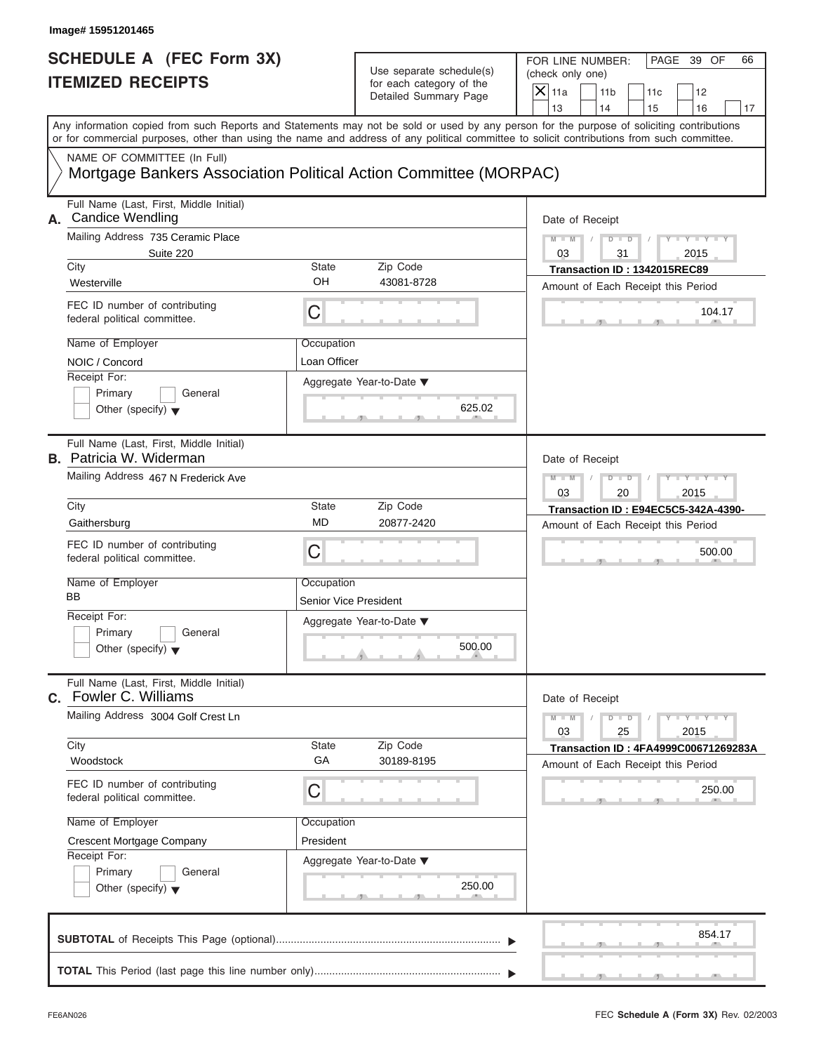|                | Image# 15951201465                                                                                                                         |                                            |                                                                               |                                                                                                       |  |
|----------------|--------------------------------------------------------------------------------------------------------------------------------------------|--------------------------------------------|-------------------------------------------------------------------------------|-------------------------------------------------------------------------------------------------------|--|
|                | <b>SCHEDULE A (FEC Form 3X)</b><br><b>ITEMIZED RECEIPTS</b>                                                                                |                                            | Use separate schedule(s)<br>for each category of the<br>Detailed Summary Page | FOR LINE NUMBER:<br>PAGE 39 OF<br>66<br>(check only one)<br>$X$   11a<br>11 <sub>b</sub><br>11c<br>12 |  |
|                | Any information copied from such Reports and Statements may not be sold or used by any person for the purpose of soliciting contributions  |                                            |                                                                               | 13<br>14<br>15<br>16<br>17                                                                            |  |
|                | or for commercial purposes, other than using the name and address of any political committee to solicit contributions from such committee. |                                            |                                                                               |                                                                                                       |  |
|                | NAME OF COMMITTEE (In Full)<br>Mortgage Bankers Association Political Action Committee (MORPAC)                                            |                                            |                                                                               |                                                                                                       |  |
| А.             | Full Name (Last, First, Middle Initial)<br><b>Candice Wendling</b>                                                                         |                                            |                                                                               | Date of Receipt                                                                                       |  |
|                | Mailing Address 735 Ceramic Place<br>Suite 220                                                                                             |                                            |                                                                               | $D$ $D$<br>$Y - Y - Y - Y - T$<br>$M - M$<br>03<br>2015<br>31                                         |  |
|                | City<br>Westerville                                                                                                                        | <b>State</b><br>OH                         | Zip Code<br>43081-8728                                                        | Transaction ID: 1342015REC89                                                                          |  |
|                | FEC ID number of contributing<br>federal political committee.                                                                              | C                                          |                                                                               | Amount of Each Receipt this Period<br>104.17                                                          |  |
|                | Name of Employer<br>NOIC / Concord                                                                                                         | Occupation<br>Loan Officer                 |                                                                               |                                                                                                       |  |
|                | Receipt For:<br>Primary<br>General<br>Other (specify) $\blacktriangledown$                                                                 |                                            | Aggregate Year-to-Date ▼<br>625.02                                            |                                                                                                       |  |
|                | Full Name (Last, First, Middle Initial)<br><b>B.</b> Patricia W. Widerman                                                                  |                                            |                                                                               | Date of Receipt                                                                                       |  |
|                | Mailing Address 467 N Frederick Ave                                                                                                        |                                            |                                                                               | Y T Y T Y T<br>$D$ $D$<br>$M - M$<br>03<br>20<br>2015                                                 |  |
|                | City                                                                                                                                       | State                                      | Zip Code                                                                      | <b>Transaction ID: E94EC5C5-342A-4390-</b>                                                            |  |
|                | Gaithersburg                                                                                                                               | MD                                         | 20877-2420                                                                    | Amount of Each Receipt this Period                                                                    |  |
|                | FEC ID number of contributing<br>federal political committee.                                                                              | C                                          |                                                                               | 500.00                                                                                                |  |
|                | Name of Employer<br>BB                                                                                                                     | Occupation<br><b>Senior Vice President</b> |                                                                               |                                                                                                       |  |
|                | Receipt For:                                                                                                                               |                                            | Aggregate Year-to-Date ▼                                                      |                                                                                                       |  |
|                | Primary<br>General<br>Other (specify) $\blacktriangledown$                                                                                 |                                            | 500.00                                                                        |                                                                                                       |  |
| $\mathbf{C}$ . | Full Name (Last, First, Middle Initial)<br>Fowler C. Williams                                                                              |                                            |                                                                               | Date of Receipt                                                                                       |  |
|                | Mailing Address 3004 Golf Crest Ln                                                                                                         |                                            |                                                                               | $Y - Y - Y$<br>$M - M$<br>$D$ $D$<br>2015<br>03<br>25                                                 |  |
|                | City<br>Woodstock                                                                                                                          | State<br>GA                                | Zip Code<br>30189-8195                                                        | Transaction ID: 4FA4999C00671269283A<br>Amount of Each Receipt this Period                            |  |
|                | FEC ID number of contributing<br>federal political committee.                                                                              | C                                          |                                                                               | 250.00                                                                                                |  |
|                | Name of Employer                                                                                                                           | Occupation                                 |                                                                               |                                                                                                       |  |
|                | Crescent Mortgage Company                                                                                                                  | President                                  |                                                                               |                                                                                                       |  |
|                | Receipt For:<br>Primary<br>General                                                                                                         |                                            | Aggregate Year-to-Date ▼                                                      |                                                                                                       |  |
|                | Other (specify) $\blacktriangledown$                                                                                                       |                                            | 250.00                                                                        |                                                                                                       |  |
|                |                                                                                                                                            |                                            |                                                                               | 854.17                                                                                                |  |
|                |                                                                                                                                            |                                            |                                                                               |                                                                                                       |  |

FEC **Schedule A (Form 3X)** Rev. 02/2003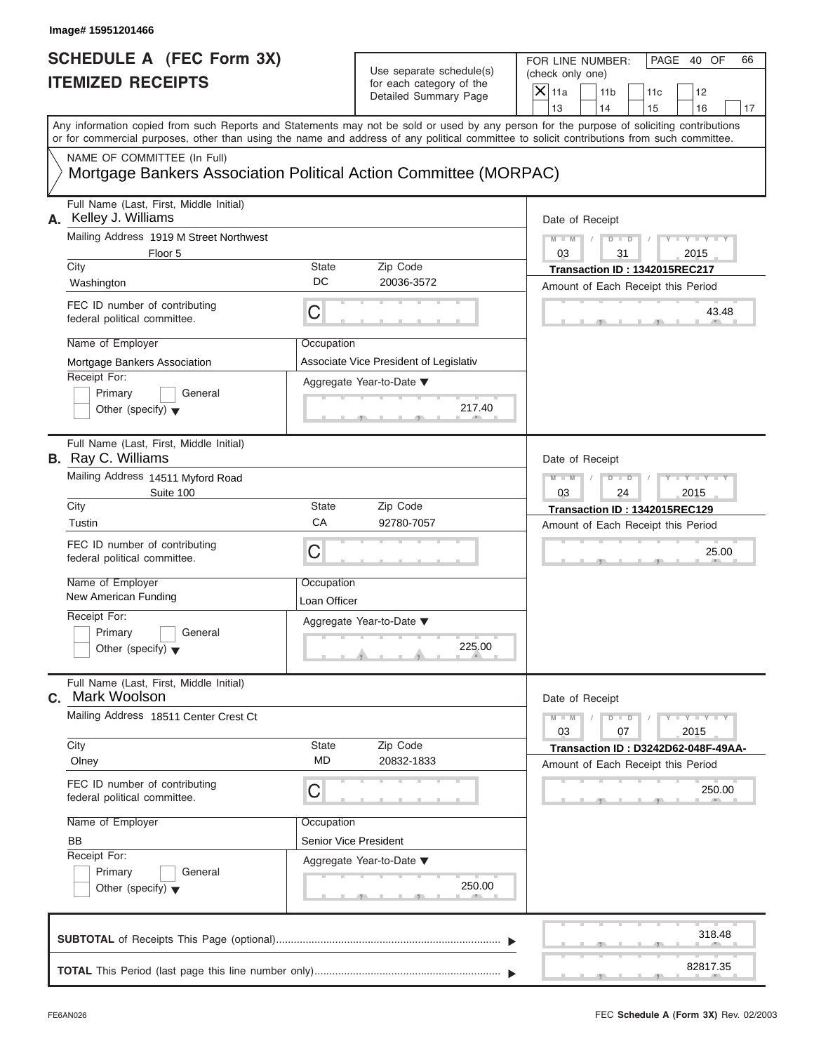| Image# 15951201466        |                                                                                                                                                                                                                                                                                         |                            |                                                                               |                                                                                  |                                                    |
|---------------------------|-----------------------------------------------------------------------------------------------------------------------------------------------------------------------------------------------------------------------------------------------------------------------------------------|----------------------------|-------------------------------------------------------------------------------|----------------------------------------------------------------------------------|----------------------------------------------------|
|                           | <b>SCHEDULE A (FEC Form 3X)</b><br><b>ITEMIZED RECEIPTS</b>                                                                                                                                                                                                                             |                            | Use separate schedule(s)<br>for each category of the<br>Detailed Summary Page | FOR LINE NUMBER:<br>(check only one)<br>$X$   11a<br>11 <sub>b</sub><br>13<br>14 | PAGE<br>40 OF<br>66<br>11c<br>12<br>15<br>16<br>17 |
|                           | Any information copied from such Reports and Statements may not be sold or used by any person for the purpose of soliciting contributions<br>or for commercial purposes, other than using the name and address of any political committee to solicit contributions from such committee. |                            |                                                                               |                                                                                  |                                                    |
|                           | NAME OF COMMITTEE (In Full)<br>Mortgage Bankers Association Political Action Committee (MORPAC)                                                                                                                                                                                         |                            |                                                                               |                                                                                  |                                                    |
| А.                        | Full Name (Last, First, Middle Initial)<br>Kelley J. Williams                                                                                                                                                                                                                           |                            |                                                                               | Date of Receipt                                                                  |                                                    |
|                           | Mailing Address 1919 M Street Northwest<br>Floor 5                                                                                                                                                                                                                                      |                            |                                                                               | $D$ $D$<br>$M - M$<br>03<br>31                                                   | $Y = Y =$<br>Y L<br>2015                           |
| City<br>Washington        |                                                                                                                                                                                                                                                                                         | <b>State</b><br>DC         | Zip Code<br>20036-3572                                                        | Transaction ID: 1342015REC217<br>Amount of Each Receipt this Period              |                                                    |
|                           | FEC ID number of contributing<br>federal political committee.                                                                                                                                                                                                                           | C                          |                                                                               |                                                                                  | 43.48                                              |
| Name of Employer          |                                                                                                                                                                                                                                                                                         | Occupation                 |                                                                               |                                                                                  |                                                    |
| Receipt For:<br>Primary   | Mortgage Bankers Association<br>General<br>Other (specify) $\blacktriangledown$                                                                                                                                                                                                         |                            | Associate Vice President of Legislativ<br>Aggregate Year-to-Date ▼<br>217.40  |                                                                                  |                                                    |
| <b>B.</b> Ray C. Williams | Full Name (Last, First, Middle Initial)                                                                                                                                                                                                                                                 |                            |                                                                               | Date of Receipt                                                                  |                                                    |
|                           | Mailing Address 14511 Myford Road<br>Suite 100                                                                                                                                                                                                                                          |                            |                                                                               | $D$ $D$<br>$M - M$<br>03<br>24                                                   | Y I Y I Y I<br>2015                                |
| City                      |                                                                                                                                                                                                                                                                                         | <b>State</b>               | Zip Code                                                                      | Transaction ID: 1342015REC129                                                    |                                                    |
| Tustin                    |                                                                                                                                                                                                                                                                                         | CA                         | 92780-7057                                                                    | Amount of Each Receipt this Period                                               |                                                    |
|                           | FEC ID number of contributing<br>federal political committee.                                                                                                                                                                                                                           | C                          |                                                                               |                                                                                  | 25.00                                              |
| Name of Employer          | New American Funding                                                                                                                                                                                                                                                                    | Occupation<br>Loan Officer |                                                                               |                                                                                  |                                                    |
| Receipt For:<br>Primary   | General<br>Other (specify) $\blacktriangledown$                                                                                                                                                                                                                                         |                            | Aggregate Year-to-Date ▼<br>225.00                                            |                                                                                  |                                                    |
| C.                        | Full Name (Last, First, Middle Initial)<br>Mark Woolson                                                                                                                                                                                                                                 |                            |                                                                               | Date of Receipt                                                                  |                                                    |
|                           | Mailing Address 18511 Center Crest Ct                                                                                                                                                                                                                                                   |                            |                                                                               | $M - M$<br>$D$ $D$<br>03<br>07                                                   | $Y = Y =$<br>2015                                  |
| City<br>Olney             |                                                                                                                                                                                                                                                                                         | <b>State</b><br><b>MD</b>  | Zip Code<br>20832-1833                                                        | Amount of Each Receipt this Period                                               | Transaction ID: D3242D62-048F-49AA-                |
|                           | FEC ID number of contributing<br>federal political committee.                                                                                                                                                                                                                           | C                          |                                                                               |                                                                                  | 250.00                                             |
| Name of Employer          |                                                                                                                                                                                                                                                                                         | Occupation                 |                                                                               |                                                                                  |                                                    |
| <b>BB</b><br>Receipt For: |                                                                                                                                                                                                                                                                                         |                            | Senior Vice President                                                         |                                                                                  |                                                    |
| Primary                   | General<br>Other (specify) $\blacktriangledown$                                                                                                                                                                                                                                         |                            | Aggregate Year-to-Date ▼<br>250.00                                            |                                                                                  |                                                    |
|                           |                                                                                                                                                                                                                                                                                         |                            |                                                                               |                                                                                  | 318.48                                             |
|                           |                                                                                                                                                                                                                                                                                         |                            |                                                                               |                                                                                  | 82817.35                                           |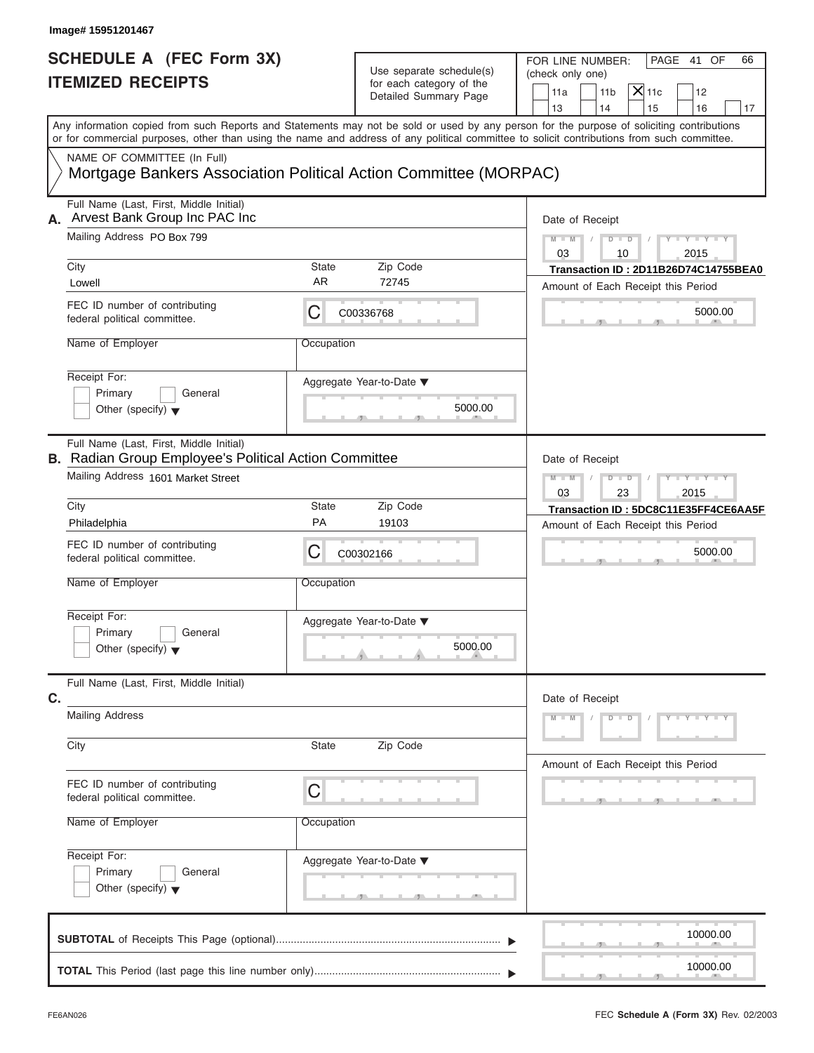| Image# 15951201467                                                                                                                         |                    |                                                                               |                                                                                                                                           |
|--------------------------------------------------------------------------------------------------------------------------------------------|--------------------|-------------------------------------------------------------------------------|-------------------------------------------------------------------------------------------------------------------------------------------|
| <b>SCHEDULE A (FEC Form 3X)</b><br><b>ITEMIZED RECEIPTS</b>                                                                                |                    | Use separate schedule(s)<br>for each category of the<br>Detailed Summary Page | FOR LINE NUMBER:<br>PAGE 41 OF<br>66<br>(check only one)<br>$X$ 11c<br>11a<br>11 <sub>b</sub><br>12<br>14<br>13<br>15<br>16<br>17         |
| or for commercial purposes, other than using the name and address of any political committee to solicit contributions from such committee. |                    |                                                                               | Any information copied from such Reports and Statements may not be sold or used by any person for the purpose of soliciting contributions |
| NAME OF COMMITTEE (In Full)<br>Mortgage Bankers Association Political Action Committee (MORPAC)                                            |                    |                                                                               |                                                                                                                                           |
| Full Name (Last, First, Middle Initial)<br>Arvest Bank Group Inc PAC Inc<br>А.                                                             |                    |                                                                               | Date of Receipt                                                                                                                           |
| Mailing Address PO Box 799                                                                                                                 |                    |                                                                               | $M - M$<br>$D - D$<br>$Y - Y - Y - Y - Y$<br>03<br>10<br>2015                                                                             |
| City<br>Lowell                                                                                                                             | State<br>AR        | Zip Code<br>72745                                                             | Transaction ID: 2D11B26D74C14755BEA0<br>Amount of Each Receipt this Period                                                                |
| FEC ID number of contributing<br>federal political committee.                                                                              | С                  | C00336768                                                                     | 5000.00                                                                                                                                   |
| Name of Employer                                                                                                                           | Occupation         |                                                                               |                                                                                                                                           |
| Receipt For:<br>Primary<br>General<br>Other (specify) $\blacktriangledown$                                                                 |                    | Aggregate Year-to-Date ▼<br>5000.00                                           |                                                                                                                                           |
| Full Name (Last, First, Middle Initial)<br><b>B.</b> Radian Group Employee's Political Action Committee                                    |                    |                                                                               | Date of Receipt                                                                                                                           |
| Mailing Address 1601 Market Street                                                                                                         |                    |                                                                               | $D - I - D$<br>$Y = Y = Y$<br>$M - M$<br>03<br>23<br>2015                                                                                 |
| City<br>Philadelphia                                                                                                                       | <b>State</b><br>PA | Zip Code<br>19103                                                             | Transaction ID: 5DC8C11E35FF4CE6AA5F<br>Amount of Each Receipt this Period                                                                |
| FEC ID number of contributing<br>federal political committee.                                                                              | С                  | C00302166                                                                     | 5000.00                                                                                                                                   |
| Name of Employer                                                                                                                           | Occupation         |                                                                               |                                                                                                                                           |
| Receipt For:<br>Primary<br>General<br>Other (specify) $\blacktriangledown$                                                                 |                    | Aggregate Year-to-Date ▼<br>5000.00                                           |                                                                                                                                           |
| Full Name (Last, First, Middle Initial)<br>C.                                                                                              |                    |                                                                               | Date of Receipt                                                                                                                           |
| <b>Mailing Address</b>                                                                                                                     |                    |                                                                               | $M - M$<br>$D$ $D$<br>$Y - Y - Y - Y - Y$                                                                                                 |
| City                                                                                                                                       | State              | Zip Code                                                                      | Amount of Each Receipt this Period                                                                                                        |
| FEC ID number of contributing<br>federal political committee.                                                                              | С                  |                                                                               |                                                                                                                                           |
| Name of Employer                                                                                                                           | Occupation         |                                                                               |                                                                                                                                           |
| Receipt For:<br>Primary<br>General<br>Other (specify) $\blacktriangledown$                                                                 |                    | Aggregate Year-to-Date ▼                                                      |                                                                                                                                           |
|                                                                                                                                            |                    |                                                                               | 10000.00                                                                                                                                  |
|                                                                                                                                            |                    |                                                                               | 10000.00                                                                                                                                  |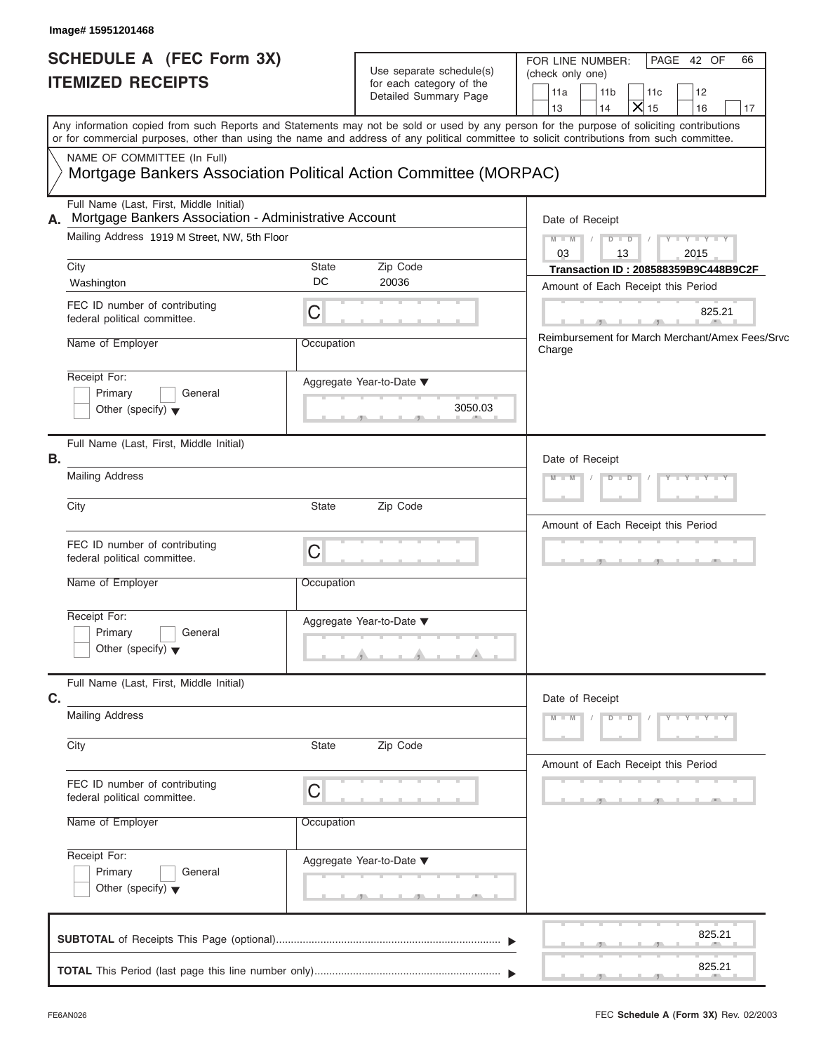| Image# 15951201468                                                                                                                                                                                                                                                                                                                              |                                                                                            |                                                                                                                                                                                                                                       |
|-------------------------------------------------------------------------------------------------------------------------------------------------------------------------------------------------------------------------------------------------------------------------------------------------------------------------------------------------|--------------------------------------------------------------------------------------------|---------------------------------------------------------------------------------------------------------------------------------------------------------------------------------------------------------------------------------------|
| SCHEDULE A (FEC Form 3X)<br><b>ITEMIZED RECEIPTS</b>                                                                                                                                                                                                                                                                                            | Use separate schedule(s)<br>for each category of the<br>Detailed Summary Page              | FOR LINE NUMBER:<br>PAGE 42 OF<br>66<br>(check only one)<br>11a<br>11 <sub>b</sub><br>11c<br>12<br>$\mathsf{X}$ 15<br>13<br>14<br>16<br>17                                                                                            |
| Any information copied from such Reports and Statements may not be sold or used by any person for the purpose of soliciting contributions<br>or for commercial purposes, other than using the name and address of any political committee to solicit contributions from such committee.<br>NAME OF COMMITTEE (In Full)                          | Mortgage Bankers Association Political Action Committee (MORPAC)                           |                                                                                                                                                                                                                                       |
| Full Name (Last, First, Middle Initial)<br>Mortgage Bankers Association - Administrative Account<br>А.<br>Mailing Address 1919 M Street, NW, 5th Floor<br>City<br>Washington<br>FEC ID number of contributing<br>federal political committee.<br>Name of Employer<br>Receipt For:<br>Primary<br>General<br>Other (specify) $\blacktriangledown$ | State<br>Zip Code<br>DC<br>20036<br>C<br>Occupation<br>Aggregate Year-to-Date ▼<br>3050.03 | Date of Receipt<br>$Y - Y - Y - Y - Y$<br>$M - M$<br>$D$ $D$<br>03<br>13<br>2015<br>Transaction ID: 208588359B9C448B9C2F<br>Amount of Each Receipt this Period<br>825.21<br>Reimbursement for March Merchant/Amex Fees/Srvc<br>Charge |
| Full Name (Last, First, Middle Initial)<br>В.<br><b>Mailing Address</b><br>City<br>FEC ID number of contributing<br>federal political committee.<br>Name of Employer<br>Receipt For:<br>Primary<br>General<br>Other (specify) $\blacktriangledown$                                                                                              | State<br>Zip Code<br>$\mathsf C$<br>Occupation<br>Aggregate Year-to-Date ▼                 | Date of Receipt<br>$D$ $D$<br>$Y - Y - Y - Y - Y$<br>$M - M$<br>Amount of Each Receipt this Period                                                                                                                                    |
| Full Name (Last, First, Middle Initial)<br>C.<br><b>Mailing Address</b><br>City<br>FEC ID number of contributing<br>federal political committee.<br>Name of Employer<br>Receipt For:<br>Primary<br>General                                                                                                                                      | Zip Code<br>State<br>C<br>Occupation<br>Aggregate Year-to-Date ▼                           | Date of Receipt<br>$Y - Y - Y - Y - Y$<br>$M - M$<br>$D$ $D$<br>Amount of Each Receipt this Period                                                                                                                                    |
| Other (specify) $\blacktriangledown$                                                                                                                                                                                                                                                                                                            |                                                                                            | 825.21<br>825.21                                                                                                                                                                                                                      |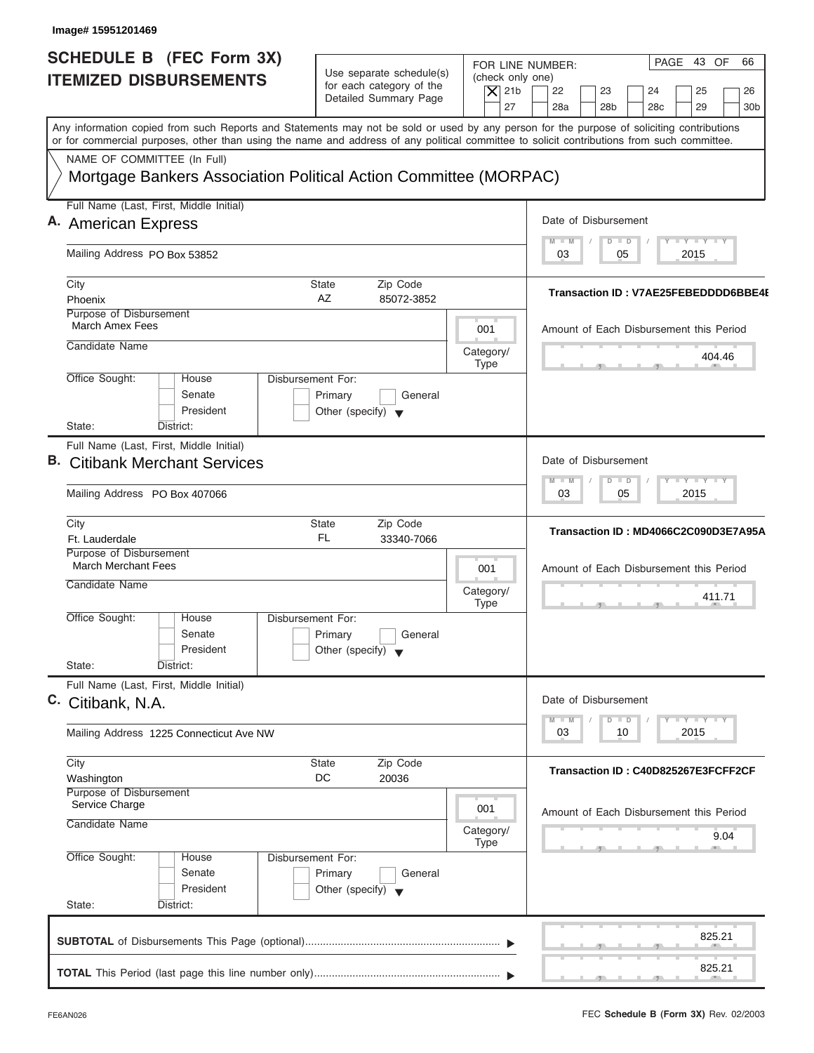| Image# 15951201469                                                                                                                                                                                                                                                                                                     |                                                                                        |                                                                  |                                                                                                                                |
|------------------------------------------------------------------------------------------------------------------------------------------------------------------------------------------------------------------------------------------------------------------------------------------------------------------------|----------------------------------------------------------------------------------------|------------------------------------------------------------------|--------------------------------------------------------------------------------------------------------------------------------|
| <b>SCHEDULE B (FEC Form 3X)</b><br><b>ITEMIZED DISBURSEMENTS</b>                                                                                                                                                                                                                                                       | Use separate schedule(s)<br>for each category of the<br>Detailed Summary Page          | FOR LINE NUMBER:<br>(check only one)<br>$\overline{X}$ 21b<br>27 | PAGE 43 OF<br>66<br>24<br>22<br>23<br>25<br>26<br>28a<br>28 <sub>b</sub><br>29<br>28c<br>30 <sub>b</sub>                       |
| Any information copied from such Reports and Statements may not be sold or used by any person for the purpose of soliciting contributions<br>or for commercial purposes, other than using the name and address of any political committee to solicit contributions from such committee.<br>NAME OF COMMITTEE (In Full) |                                                                                        |                                                                  |                                                                                                                                |
| Mortgage Bankers Association Political Action Committee (MORPAC)                                                                                                                                                                                                                                                       |                                                                                        |                                                                  |                                                                                                                                |
| Full Name (Last, First, Middle Initial)                                                                                                                                                                                                                                                                                |                                                                                        |                                                                  | Date of Disbursement                                                                                                           |
| A. American Express                                                                                                                                                                                                                                                                                                    |                                                                                        |                                                                  | $\mathbf{I}$ $\mathbf{Y}$ $\mathbf{I}$ $\mathbf{Y}$<br>$-M$<br>$\overline{D}$<br>$\Box$                                        |
| Mailing Address PO Box 53852                                                                                                                                                                                                                                                                                           |                                                                                        |                                                                  | 03<br>05<br>2015                                                                                                               |
| City                                                                                                                                                                                                                                                                                                                   | <b>State</b><br>Zip Code                                                               |                                                                  | Transaction ID: V7AE25FEBEDDDD6BBE4I                                                                                           |
| Phoenix<br>Purpose of Disbursement                                                                                                                                                                                                                                                                                     | AZ<br>85072-3852                                                                       |                                                                  |                                                                                                                                |
| March Amex Fees                                                                                                                                                                                                                                                                                                        |                                                                                        | 001                                                              | Amount of Each Disbursement this Period                                                                                        |
| Candidate Name                                                                                                                                                                                                                                                                                                         |                                                                                        | Category/<br><b>Type</b>                                         | 404.46                                                                                                                         |
| Office Sought:<br>House<br>Senate<br>President                                                                                                                                                                                                                                                                         | <b>Disbursement For:</b><br>Primary<br>General<br>Other (specify) $\blacktriangledown$ |                                                                  |                                                                                                                                |
| State:<br>District:<br>Full Name (Last, First, Middle Initial)                                                                                                                                                                                                                                                         |                                                                                        |                                                                  |                                                                                                                                |
| <b>B.</b> Citibank Merchant Services                                                                                                                                                                                                                                                                                   |                                                                                        |                                                                  | Date of Disbursement                                                                                                           |
| Mailing Address PO Box 407066                                                                                                                                                                                                                                                                                          |                                                                                        |                                                                  | $\mathbf{I} = \mathbf{Y}$<br>$M - M$<br>$\overline{D}$<br>$\blacksquare$<br>05<br>2015<br>03                                   |
| City<br>Ft. Lauderdale                                                                                                                                                                                                                                                                                                 | State<br>Zip Code<br><b>FL</b><br>33340-7066                                           |                                                                  | Transaction ID: MD4066C2C090D3E7A95A                                                                                           |
| Purpose of Disbursement<br><b>March Merchant Fees</b>                                                                                                                                                                                                                                                                  |                                                                                        |                                                                  |                                                                                                                                |
| Candidate Name                                                                                                                                                                                                                                                                                                         |                                                                                        | 001<br>Category/                                                 | Amount of Each Disbursement this Period<br>411.71                                                                              |
| Office Sought:<br>House<br>Senate<br>President<br>State:<br>District:                                                                                                                                                                                                                                                  | Disbursement For:<br>Primary<br>General<br>Other (specify)                             | <b>Type</b>                                                      |                                                                                                                                |
| Full Name (Last, First, Middle Initial)                                                                                                                                                                                                                                                                                |                                                                                        |                                                                  |                                                                                                                                |
| C. Citibank, N.A.                                                                                                                                                                                                                                                                                                      |                                                                                        |                                                                  | Date of Disbursement                                                                                                           |
| Mailing Address 1225 Connecticut Ave NW                                                                                                                                                                                                                                                                                |                                                                                        |                                                                  | $\Box$ $\Upsilon$ $\Box$ $\Upsilon$ $\Box$ $\Upsilon$<br>M<br>$\blacksquare$ M<br>$\overline{D}$<br>$\Box$<br>03<br>2015<br>10 |
| City<br>Washington                                                                                                                                                                                                                                                                                                     | State<br>Zip Code<br>DC<br>20036                                                       |                                                                  | Transaction ID: C40D825267E3FCFF2CF                                                                                            |
| Purpose of Disbursement<br>Service Charge                                                                                                                                                                                                                                                                              |                                                                                        | 001                                                              |                                                                                                                                |
| Candidate Name                                                                                                                                                                                                                                                                                                         |                                                                                        | Category/                                                        | Amount of Each Disbursement this Period<br>9.04                                                                                |
| Office Sought:<br>House<br>Senate<br>President<br>State:<br>District:                                                                                                                                                                                                                                                  | Disbursement For:<br>Primary<br>General<br>Other (specify) $\blacktriangledown$        | <b>Type</b>                                                      |                                                                                                                                |
|                                                                                                                                                                                                                                                                                                                        |                                                                                        |                                                                  |                                                                                                                                |
|                                                                                                                                                                                                                                                                                                                        |                                                                                        |                                                                  | 825.21                                                                                                                         |
|                                                                                                                                                                                                                                                                                                                        |                                                                                        |                                                                  | 825.21                                                                                                                         |

J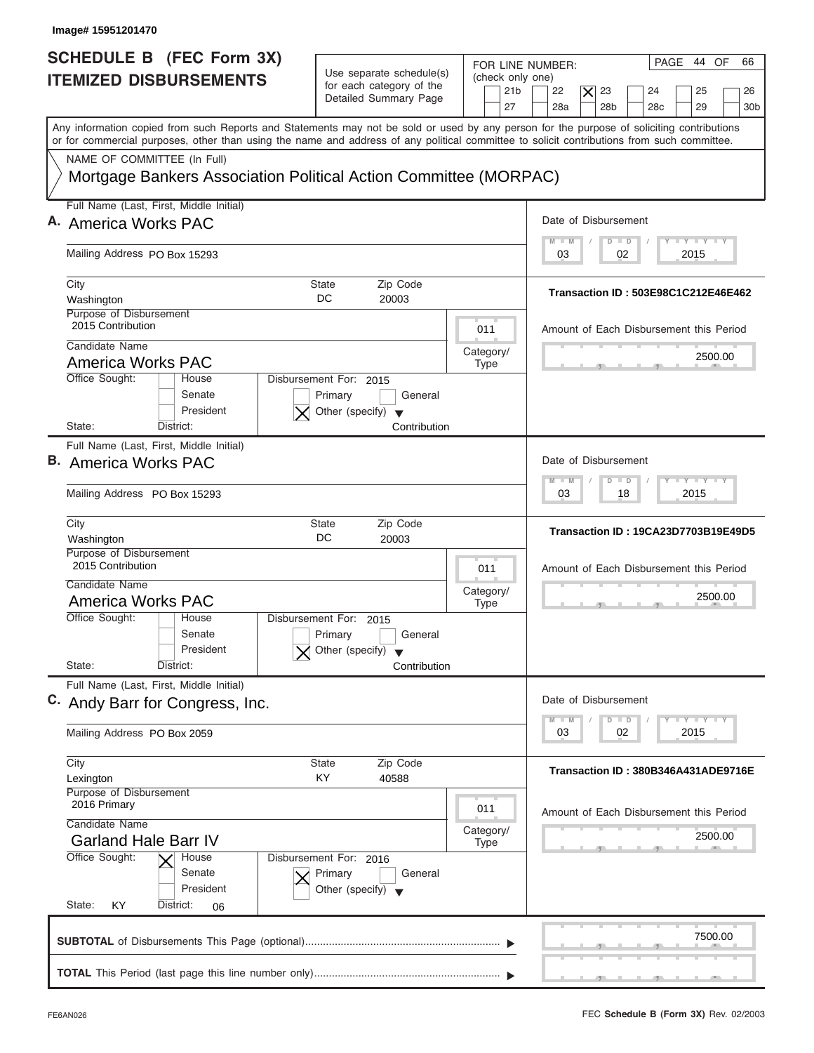| Image# 15951201470                                                                                                                                                                                                                                                                      |                                                                                                                            |                                                                                                                                                      |
|-----------------------------------------------------------------------------------------------------------------------------------------------------------------------------------------------------------------------------------------------------------------------------------------|----------------------------------------------------------------------------------------------------------------------------|------------------------------------------------------------------------------------------------------------------------------------------------------|
| <b>SCHEDULE B (FEC Form 3X)</b><br><b>ITEMIZED DISBURSEMENTS</b>                                                                                                                                                                                                                        | Use separate schedule(s)<br>(check only one)<br>for each category of the<br>21 <sub>b</sub><br>Detailed Summary Page<br>27 | PAGE 44 OF<br>66<br>FOR LINE NUMBER:<br>22<br>$\times$<br>23<br>24<br>25<br>26<br>28 <sub>b</sub><br>29<br>28a<br>28 <sub>c</sub><br>30 <sub>b</sub> |
| Any information copied from such Reports and Statements may not be sold or used by any person for the purpose of soliciting contributions<br>or for commercial purposes, other than using the name and address of any political committee to solicit contributions from such committee. |                                                                                                                            |                                                                                                                                                      |
| NAME OF COMMITTEE (In Full)                                                                                                                                                                                                                                                             |                                                                                                                            |                                                                                                                                                      |
| Mortgage Bankers Association Political Action Committee (MORPAC)                                                                                                                                                                                                                        |                                                                                                                            |                                                                                                                                                      |
| Full Name (Last, First, Middle Initial)                                                                                                                                                                                                                                                 |                                                                                                                            |                                                                                                                                                      |
| A. America Works PAC                                                                                                                                                                                                                                                                    |                                                                                                                            | Date of Disbursement<br>$T - Y = T - Y = T - Y$<br>$M - M$<br>$D$ $D$                                                                                |
| Mailing Address PO Box 15293                                                                                                                                                                                                                                                            |                                                                                                                            | 2015<br>03<br>02                                                                                                                                     |
| City                                                                                                                                                                                                                                                                                    | Zip Code<br>State                                                                                                          | Transaction ID: 503E98C1C212E46E462                                                                                                                  |
| Washington<br>Purpose of Disbursement                                                                                                                                                                                                                                                   | DC<br>20003                                                                                                                |                                                                                                                                                      |
| 2015 Contribution                                                                                                                                                                                                                                                                       | 011                                                                                                                        | Amount of Each Disbursement this Period                                                                                                              |
| Candidate Name                                                                                                                                                                                                                                                                          | Category/                                                                                                                  | 2500.00                                                                                                                                              |
| <b>America Works PAC</b><br>Office Sought:<br>House                                                                                                                                                                                                                                     | <b>Type</b><br>Disbursement For: 2015                                                                                      |                                                                                                                                                      |
| Senate<br>President<br>State:<br>District:                                                                                                                                                                                                                                              | General<br>Primary<br>Other (specify) $\blacktriangledown$<br>Contribution                                                 |                                                                                                                                                      |
| Full Name (Last, First, Middle Initial)                                                                                                                                                                                                                                                 |                                                                                                                            |                                                                                                                                                      |
| <b>B.</b> America Works PAC                                                                                                                                                                                                                                                             |                                                                                                                            | Date of Disbursement                                                                                                                                 |
| Mailing Address PO Box 15293                                                                                                                                                                                                                                                            |                                                                                                                            | $-1 - Y - 1 - Y - 1 - Y$<br>$M - M$<br>$\overline{D}$<br>$\Box$<br>2015<br>03<br>18                                                                  |
| City<br>Washington                                                                                                                                                                                                                                                                      | Zip Code<br><b>State</b><br>DC<br>20003                                                                                    | Transaction ID: 19CA23D7703B19E49D5                                                                                                                  |
| Purpose of Disbursement<br>2015 Contribution                                                                                                                                                                                                                                            | 011                                                                                                                        | Amount of Each Disbursement this Period                                                                                                              |
| Candidate Name<br>America Works PAC                                                                                                                                                                                                                                                     | Category/<br><b>Type</b>                                                                                                   | 2500.00                                                                                                                                              |
| Office Sought:<br>House                                                                                                                                                                                                                                                                 | Disbursement For: 2015                                                                                                     | __                                                                                                                                                   |
| Senate                                                                                                                                                                                                                                                                                  | Primary<br>General                                                                                                         |                                                                                                                                                      |
| President<br>State:<br>District:                                                                                                                                                                                                                                                        | Other (specify)<br>Contribution                                                                                            |                                                                                                                                                      |
| Full Name (Last, First, Middle Initial)                                                                                                                                                                                                                                                 |                                                                                                                            |                                                                                                                                                      |
| C. Andy Barr for Congress, Inc.                                                                                                                                                                                                                                                         |                                                                                                                            | Date of Disbursement                                                                                                                                 |
| Mailing Address PO Box 2059                                                                                                                                                                                                                                                             |                                                                                                                            | $T - Y$ $T - Y$ $T - Y$<br>$M - M$<br>D<br>$\Box$<br>2015<br>03<br>02                                                                                |
| City                                                                                                                                                                                                                                                                                    | State<br>Zip Code                                                                                                          | Transaction ID: 380B346A431ADE9716E                                                                                                                  |
| Lexington                                                                                                                                                                                                                                                                               | KY<br>40588                                                                                                                |                                                                                                                                                      |
| Purpose of Disbursement<br>2016 Primary                                                                                                                                                                                                                                                 | 011                                                                                                                        | Amount of Each Disbursement this Period                                                                                                              |
| Candidate Name<br><b>Garland Hale Barr IV</b>                                                                                                                                                                                                                                           | Category/<br><b>Type</b>                                                                                                   | 2500.00                                                                                                                                              |
| Office Sought:<br>House<br>Senate<br>President                                                                                                                                                                                                                                          | Disbursement For: 2016<br>Primary<br>General<br>Other (specify) $\blacktriangledown$                                       |                                                                                                                                                      |
| State:<br>District:<br>KY<br>06                                                                                                                                                                                                                                                         |                                                                                                                            |                                                                                                                                                      |
|                                                                                                                                                                                                                                                                                         |                                                                                                                            | 7500.00                                                                                                                                              |
|                                                                                                                                                                                                                                                                                         |                                                                                                                            |                                                                                                                                                      |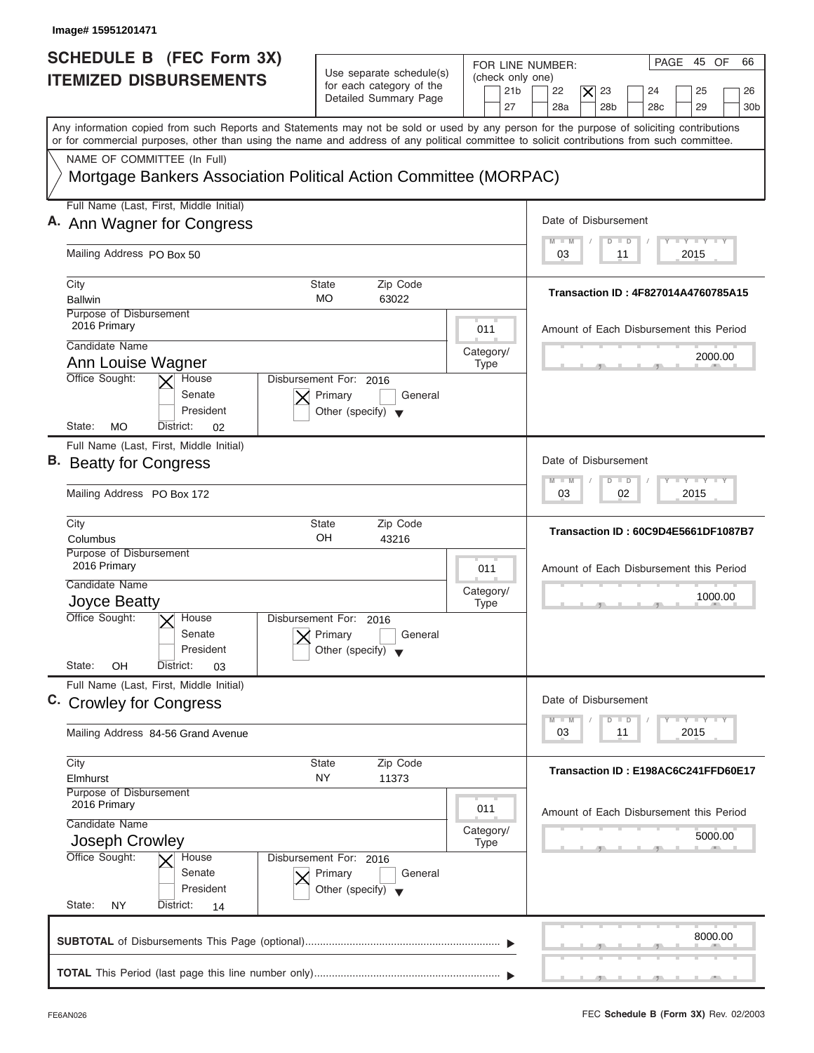| Image# 15951201471                                                                                                                                                                                                                                                                      |                                                                                                     |                                                                                                                                                                                                      |
|-----------------------------------------------------------------------------------------------------------------------------------------------------------------------------------------------------------------------------------------------------------------------------------------|-----------------------------------------------------------------------------------------------------|------------------------------------------------------------------------------------------------------------------------------------------------------------------------------------------------------|
| SCHEDULE B (FEC Form 3X)<br><b>ITEMIZED DISBURSEMENTS</b>                                                                                                                                                                                                                               | Use separate schedule(s)<br>for each category of the<br>Detailed Summary Page                       | PAGE 45 OF<br>66<br>FOR LINE NUMBER:<br>(check only one)<br>21 <sub>b</sub><br>22<br>$\overline{\mathsf{x}}$<br>23<br>24<br>25<br>26<br>28a<br>28 <sub>b</sub><br>29<br>27<br>28 <sub>c</sub><br>30b |
| Any information copied from such Reports and Statements may not be sold or used by any person for the purpose of soliciting contributions<br>or for commercial purposes, other than using the name and address of any political committee to solicit contributions from such committee. |                                                                                                     |                                                                                                                                                                                                      |
| NAME OF COMMITTEE (In Full)<br>Mortgage Bankers Association Political Action Committee (MORPAC)                                                                                                                                                                                         |                                                                                                     |                                                                                                                                                                                                      |
| Full Name (Last, First, Middle Initial)                                                                                                                                                                                                                                                 |                                                                                                     |                                                                                                                                                                                                      |
| A. Ann Wagner for Congress                                                                                                                                                                                                                                                              |                                                                                                     | Date of Disbursement                                                                                                                                                                                 |
| Mailing Address PO Box 50                                                                                                                                                                                                                                                               |                                                                                                     | $T - Y = T - Y = T - Y$<br>$\blacksquare$<br>$\Box$<br>D<br>2015<br>03<br>11                                                                                                                         |
| City                                                                                                                                                                                                                                                                                    | Zip Code<br>State                                                                                   |                                                                                                                                                                                                      |
| <b>Ballwin</b>                                                                                                                                                                                                                                                                          | <b>MO</b><br>63022                                                                                  | Transaction ID: 4F827014A4760785A15                                                                                                                                                                  |
| Purpose of Disbursement<br>2016 Primary                                                                                                                                                                                                                                                 | 011                                                                                                 | Amount of Each Disbursement this Period                                                                                                                                                              |
| Candidate Name<br>Ann Louise Wagner                                                                                                                                                                                                                                                     | Category/                                                                                           | 2000.00                                                                                                                                                                                              |
| Office Sought:<br>House<br>Senate<br>President<br>MO<br>State:<br>District:<br>02                                                                                                                                                                                                       | <b>Type</b><br>Disbursement For: 2016<br>Primary<br>General<br>Other (specify) $\blacktriangledown$ |                                                                                                                                                                                                      |
| Full Name (Last, First, Middle Initial)                                                                                                                                                                                                                                                 |                                                                                                     |                                                                                                                                                                                                      |
| B. Beatty for Congress                                                                                                                                                                                                                                                                  |                                                                                                     | Date of Disbursement                                                                                                                                                                                 |
| Mailing Address PO Box 172                                                                                                                                                                                                                                                              |                                                                                                     | $-1 - Y - 1 - Y - 1 - Y$<br>M<br>W<br>$\overline{D}$<br>$\Box$<br>2015<br>03<br>02                                                                                                                   |
| City<br>Columbus                                                                                                                                                                                                                                                                        | <b>State</b><br>Zip Code<br>OH<br>43216                                                             | Transaction ID: 60C9D4E5661DF1087B7                                                                                                                                                                  |
| Purpose of Disbursement<br>2016 Primary                                                                                                                                                                                                                                                 | 011                                                                                                 | Amount of Each Disbursement this Period                                                                                                                                                              |
| Candidate Name                                                                                                                                                                                                                                                                          | Category/                                                                                           |                                                                                                                                                                                                      |
| Joyce Beatty                                                                                                                                                                                                                                                                            | <b>Type</b>                                                                                         | 1000.00<br>$-5$                                                                                                                                                                                      |
| Office Sought:<br>$\times$ House<br>Senate<br>President<br>State:<br>OΗ<br>District:<br>03                                                                                                                                                                                              | Disbursement For: 2016<br>Primary<br>General<br>Other (specify) $\blacktriangledown$                |                                                                                                                                                                                                      |
| Full Name (Last, First, Middle Initial)                                                                                                                                                                                                                                                 |                                                                                                     |                                                                                                                                                                                                      |
| C. Crowley for Congress                                                                                                                                                                                                                                                                 |                                                                                                     | Date of Disbursement<br>$T - Y$ $T - Y$ $T - Y$<br>$M - M$<br>D<br>$\Box$                                                                                                                            |
| Mailing Address 84-56 Grand Avenue                                                                                                                                                                                                                                                      |                                                                                                     | 2015<br>03<br>11                                                                                                                                                                                     |
| City                                                                                                                                                                                                                                                                                    | <b>State</b><br>Zip Code                                                                            | Transaction ID: E198AC6C241FFD60E17                                                                                                                                                                  |
| Elmhurst<br>Purpose of Disbursement                                                                                                                                                                                                                                                     | NY<br>11373                                                                                         |                                                                                                                                                                                                      |
| 2016 Primary<br>Candidate Name                                                                                                                                                                                                                                                          | 011                                                                                                 | Amount of Each Disbursement this Period                                                                                                                                                              |
| Joseph Crowley                                                                                                                                                                                                                                                                          | Category/<br><b>Type</b>                                                                            | 5000.00                                                                                                                                                                                              |
| Office Sought:<br>House<br>Senate<br>President<br>State:<br>NY<br>District:<br>14                                                                                                                                                                                                       | Disbursement For: 2016<br>Primary<br>General<br>Other (specify) $\blacktriangledown$                |                                                                                                                                                                                                      |
|                                                                                                                                                                                                                                                                                         |                                                                                                     | 8000.00                                                                                                                                                                                              |
|                                                                                                                                                                                                                                                                                         |                                                                                                     |                                                                                                                                                                                                      |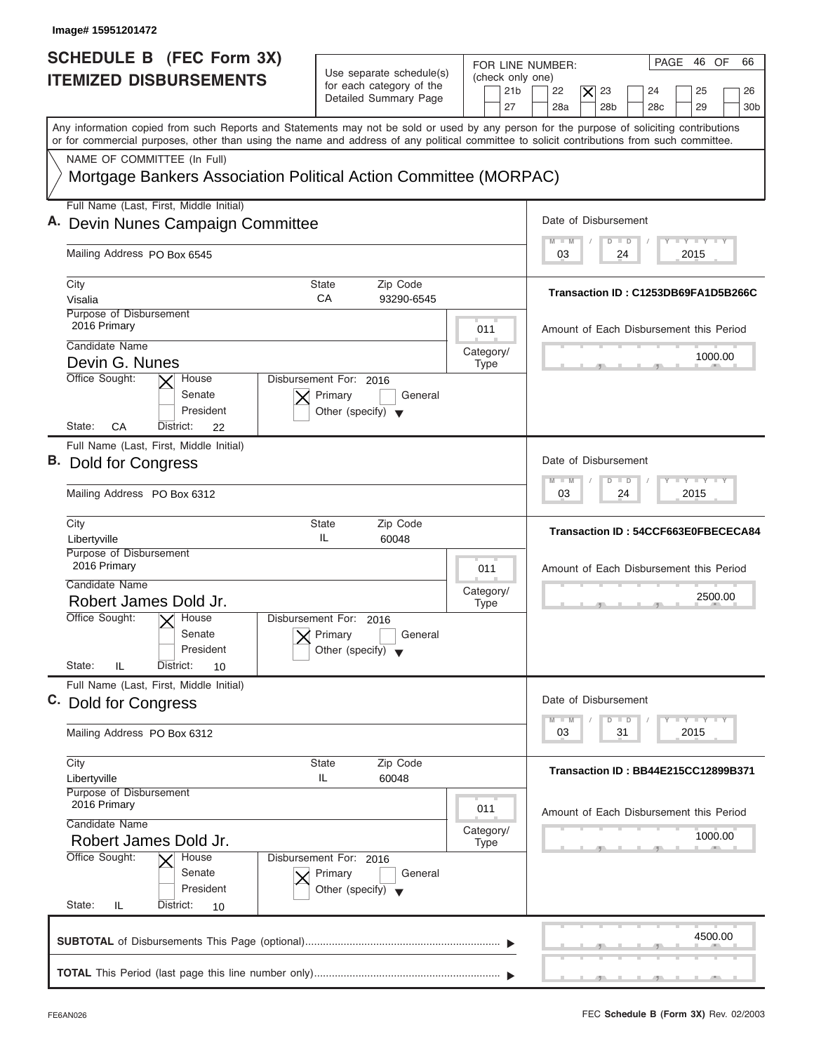| Image# 15951201472                                                                                                                                                                                                                                                                      |                                                                                      |                                                               |                                                                                                                                        |
|-----------------------------------------------------------------------------------------------------------------------------------------------------------------------------------------------------------------------------------------------------------------------------------------|--------------------------------------------------------------------------------------|---------------------------------------------------------------|----------------------------------------------------------------------------------------------------------------------------------------|
| SCHEDULE B (FEC Form 3X)<br><b>ITEMIZED DISBURSEMENTS</b>                                                                                                                                                                                                                               | Use separate schedule(s)<br>for each category of the<br>Detailed Summary Page        | FOR LINE NUMBER:<br>(check only one)<br>21 <sub>b</sub><br>27 | PAGE 46 OF<br>66<br>22<br>$ \mathsf{X} $<br>23<br>24<br>25<br>26<br>28a<br>28 <sub>b</sub><br>29<br>28 <sub>c</sub><br>30 <sub>b</sub> |
| Any information copied from such Reports and Statements may not be sold or used by any person for the purpose of soliciting contributions<br>or for commercial purposes, other than using the name and address of any political committee to solicit contributions from such committee. |                                                                                      |                                                               |                                                                                                                                        |
| NAME OF COMMITTEE (In Full)<br>Mortgage Bankers Association Political Action Committee (MORPAC)                                                                                                                                                                                         |                                                                                      |                                                               |                                                                                                                                        |
| Full Name (Last, First, Middle Initial)<br>A. Devin Nunes Campaign Committee                                                                                                                                                                                                            |                                                                                      |                                                               | Date of Disbursement                                                                                                                   |
| Mailing Address PO Box 6545                                                                                                                                                                                                                                                             |                                                                                      |                                                               | <b>LYLYLY</b><br>$\overline{D}$<br>$\Box$<br>2015<br>03<br>24                                                                          |
| City<br>Visalia<br>Purpose of Disbursement                                                                                                                                                                                                                                              | <b>State</b><br>Zip Code<br>CA<br>93290-6545                                         |                                                               | Transaction ID: C1253DB69FA1D5B266C                                                                                                    |
| 2016 Primary<br>Candidate Name                                                                                                                                                                                                                                                          |                                                                                      | 011<br>Category/                                              | Amount of Each Disbursement this Period                                                                                                |
| Devin G. Nunes<br>Office Sought:<br>House<br>Senate<br>President<br>State:<br>CA<br>District:<br>22                                                                                                                                                                                     | Disbursement For: 2016<br>Primary<br>General<br>Other (specify) $\blacktriangledown$ | <b>Type</b>                                                   | 1000.00                                                                                                                                |
| Full Name (Last, First, Middle Initial)<br>B. Dold for Congress<br>Mailing Address PO Box 6312                                                                                                                                                                                          |                                                                                      |                                                               | Date of Disbursement<br>$-1 - Y - 1 - Y - 1 - Y$<br>M<br>W<br>$\overline{D}$<br>$\Box$<br>2015<br>03<br>24                             |
| City<br>Libertyville                                                                                                                                                                                                                                                                    | <b>State</b><br>Zip Code<br>IL<br>60048                                              |                                                               | Transaction ID: 54CCF663E0FBECECA84                                                                                                    |
| Purpose of Disbursement<br>2016 Primary<br>Candidate Name<br>Robert James Dold Jr.<br>Office Sought:<br>$\times$ House<br>Senate<br>President                                                                                                                                           | Disbursement For: 2016<br>Primary<br>General<br>Other (specify) $\blacktriangledown$ | 011<br>Category/<br><b>Type</b>                               | Amount of Each Disbursement this Period<br>2500.00                                                                                     |
| State:<br>IL<br>District:<br>10<br>Full Name (Last, First, Middle Initial)                                                                                                                                                                                                              |                                                                                      |                                                               |                                                                                                                                        |
| C. Dold for Congress<br>Mailing Address PO Box 6312                                                                                                                                                                                                                                     |                                                                                      |                                                               | Date of Disbursement<br>$T - Y$ $T - Y$ $T - Y$<br>$M - M$<br>D<br>$\Box$<br>2015<br>03<br>31                                          |
| City<br>Libertyville<br>Purpose of Disbursement                                                                                                                                                                                                                                         | <b>State</b><br>Zip Code<br>IL<br>60048                                              |                                                               | <b>Transaction ID: BB44E215CC12899B371</b>                                                                                             |
| 2016 Primary<br>Candidate Name<br>Robert James Dold Jr.                                                                                                                                                                                                                                 |                                                                                      | 011<br>Category/<br><b>Type</b>                               | Amount of Each Disbursement this Period<br>1000.00                                                                                     |
| Office Sought:<br>House<br>Senate<br>President<br>State:<br>District:<br>IL<br>10                                                                                                                                                                                                       | Disbursement For: 2016<br>Primary<br>General<br>Other (specify) $\blacktriangledown$ |                                                               |                                                                                                                                        |
|                                                                                                                                                                                                                                                                                         |                                                                                      |                                                               | 4500.00                                                                                                                                |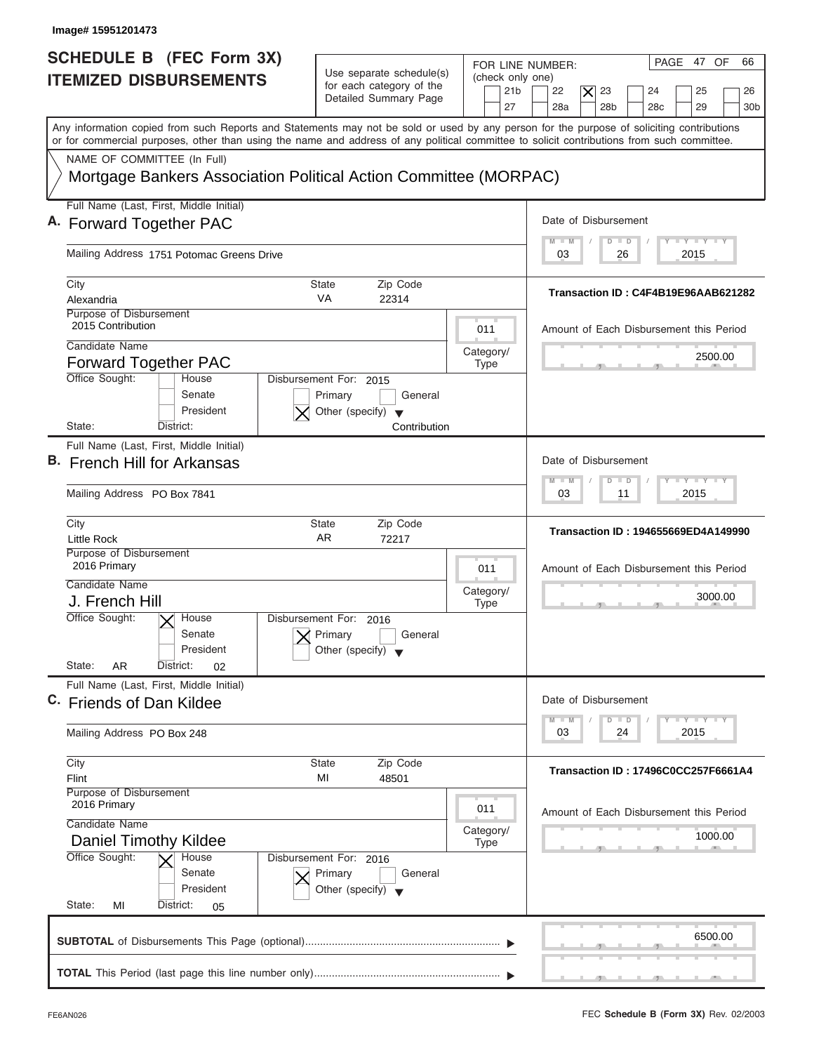| FOR LINE NUMBER:<br>(check only one)<br>21 <sub>b</sub><br>27<br>Mortgage Bankers Association Political Action Committee (MORPAC)<br>011 | PAGE 47 OF<br>66<br>22<br>$\boldsymbol{\times}$<br>23<br>24<br>25<br>26<br>28a<br>28 <sub>b</sub><br>29<br>28 <sub>c</sub><br>30 <sub>b</sub><br>Any information copied from such Reports and Statements may not be sold or used by any person for the purpose of soliciting contributions<br>or for commercial purposes, other than using the name and address of any political committee to solicit contributions from such committee.<br>Date of Disbursement<br>$T - Y = T - Y = T - Y$<br>$M - M$<br>$D$ $D$<br>2015<br>03<br>26<br>Transaction ID: C4F4B19E96AAB621282 |
|------------------------------------------------------------------------------------------------------------------------------------------|------------------------------------------------------------------------------------------------------------------------------------------------------------------------------------------------------------------------------------------------------------------------------------------------------------------------------------------------------------------------------------------------------------------------------------------------------------------------------------------------------------------------------------------------------------------------------|
|                                                                                                                                          |                                                                                                                                                                                                                                                                                                                                                                                                                                                                                                                                                                              |
|                                                                                                                                          |                                                                                                                                                                                                                                                                                                                                                                                                                                                                                                                                                                              |
|                                                                                                                                          |                                                                                                                                                                                                                                                                                                                                                                                                                                                                                                                                                                              |
|                                                                                                                                          |                                                                                                                                                                                                                                                                                                                                                                                                                                                                                                                                                                              |
|                                                                                                                                          |                                                                                                                                                                                                                                                                                                                                                                                                                                                                                                                                                                              |
|                                                                                                                                          |                                                                                                                                                                                                                                                                                                                                                                                                                                                                                                                                                                              |
| Category/                                                                                                                                | Amount of Each Disbursement this Period<br>2500.00                                                                                                                                                                                                                                                                                                                                                                                                                                                                                                                           |
|                                                                                                                                          |                                                                                                                                                                                                                                                                                                                                                                                                                                                                                                                                                                              |
|                                                                                                                                          | Date of Disbursement<br>$-1 - Y - 1 - Y - 1 - Y$<br>$M - M$<br>$\overline{D}$<br>$\Box$<br>2015<br>03<br>11                                                                                                                                                                                                                                                                                                                                                                                                                                                                  |
|                                                                                                                                          | Transaction ID: 194655669ED4A149990                                                                                                                                                                                                                                                                                                                                                                                                                                                                                                                                          |
| 011<br>Category/                                                                                                                         | Amount of Each Disbursement this Period<br>3000.00                                                                                                                                                                                                                                                                                                                                                                                                                                                                                                                           |
|                                                                                                                                          |                                                                                                                                                                                                                                                                                                                                                                                                                                                                                                                                                                              |
|                                                                                                                                          | Date of Disbursement<br>$T - Y = T - Y$<br>$M - M$<br>D<br>$\Box$                                                                                                                                                                                                                                                                                                                                                                                                                                                                                                            |
|                                                                                                                                          | 2015<br>03<br>24                                                                                                                                                                                                                                                                                                                                                                                                                                                                                                                                                             |
|                                                                                                                                          | <b>Transaction ID: 17496C0CC257F6661A4</b>                                                                                                                                                                                                                                                                                                                                                                                                                                                                                                                                   |
| Category/<br><b>Type</b>                                                                                                                 | Amount of Each Disbursement this Period<br>1000.00                                                                                                                                                                                                                                                                                                                                                                                                                                                                                                                           |
|                                                                                                                                          |                                                                                                                                                                                                                                                                                                                                                                                                                                                                                                                                                                              |
|                                                                                                                                          | <b>Type</b><br><b>Type</b><br>011                                                                                                                                                                                                                                                                                                                                                                                                                                                                                                                                            |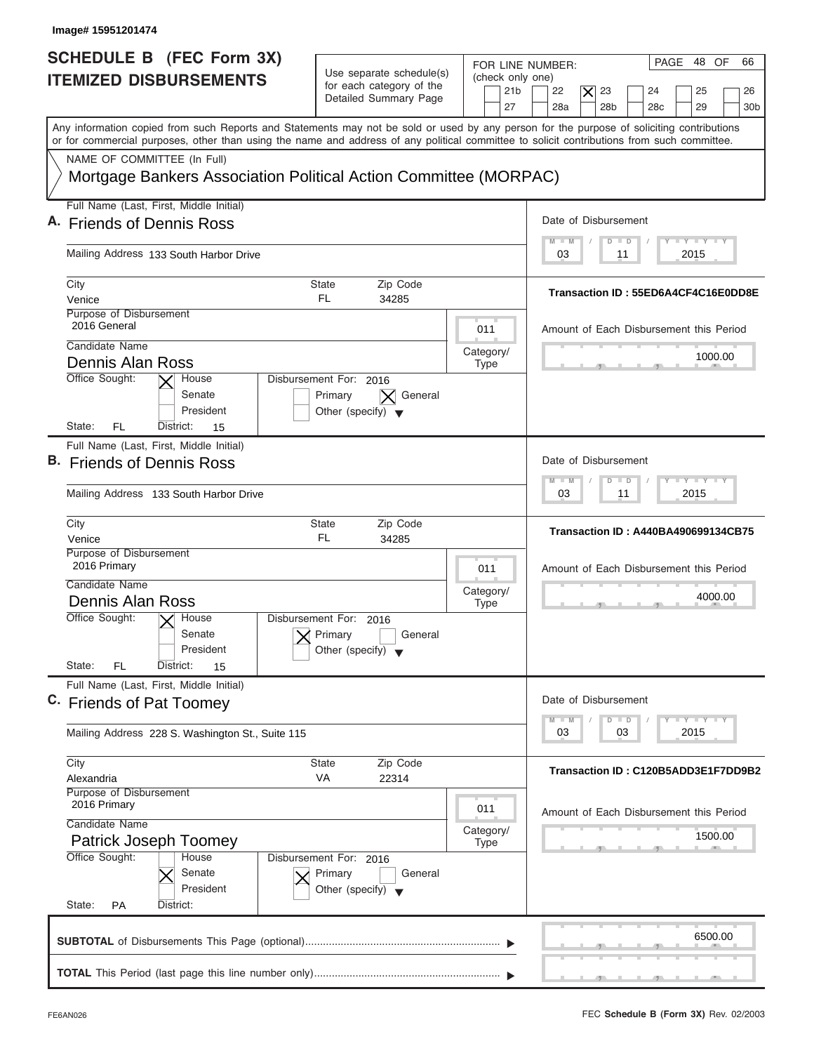| Image# 15951201474                                                                                                                                                                                                                                                                      |                                                                                      |                                                               |                                                                                                                                               |
|-----------------------------------------------------------------------------------------------------------------------------------------------------------------------------------------------------------------------------------------------------------------------------------------|--------------------------------------------------------------------------------------|---------------------------------------------------------------|-----------------------------------------------------------------------------------------------------------------------------------------------|
| SCHEDULE B (FEC Form 3X)<br><b>ITEMIZED DISBURSEMENTS</b>                                                                                                                                                                                                                               | Use separate schedule(s)<br>for each category of the<br>Detailed Summary Page        | FOR LINE NUMBER:<br>(check only one)<br>21 <sub>b</sub><br>27 | PAGE 48 OF<br>66<br>23<br>22<br>$\boldsymbol{\times}$<br>24<br>25<br>26<br>28a<br>28 <sub>b</sub><br>29<br>28 <sub>c</sub><br>30 <sub>b</sub> |
| Any information copied from such Reports and Statements may not be sold or used by any person for the purpose of soliciting contributions<br>or for commercial purposes, other than using the name and address of any political committee to solicit contributions from such committee. |                                                                                      |                                                               |                                                                                                                                               |
| NAME OF COMMITTEE (In Full)<br>Mortgage Bankers Association Political Action Committee (MORPAC)                                                                                                                                                                                         |                                                                                      |                                                               |                                                                                                                                               |
| Full Name (Last, First, Middle Initial)<br>A. Friends of Dennis Ross                                                                                                                                                                                                                    |                                                                                      |                                                               | Date of Disbursement                                                                                                                          |
| Mailing Address 133 South Harbor Drive                                                                                                                                                                                                                                                  |                                                                                      |                                                               | $T - Y = T - Y = T - Y$<br>$M - M$<br>$\overline{\mathsf{D}}$<br>$\Box$<br>2015<br>03<br>11                                                   |
| City<br>Venice                                                                                                                                                                                                                                                                          | <b>State</b><br>Zip Code<br>FL.<br>34285                                             |                                                               | Transaction ID: 55ED6A4CF4C16E0DD8E                                                                                                           |
| Purpose of Disbursement<br>2016 General<br>Candidate Name                                                                                                                                                                                                                               |                                                                                      | 011<br>Category/                                              | Amount of Each Disbursement this Period                                                                                                       |
| Dennis Alan Ross<br>Office Sought:<br>House<br>Senate<br>President                                                                                                                                                                                                                      | Disbursement For: 2016<br>Primary<br>General<br>Other (specify) $\blacktriangledown$ | <b>Type</b>                                                   | 1000.00                                                                                                                                       |
| FL<br>State:<br>District:<br>15<br>Full Name (Last, First, Middle Initial)<br>B. Friends of Dennis Ross<br>Mailing Address 133 South Harbor Drive                                                                                                                                       |                                                                                      |                                                               | Date of Disbursement<br>$-1 - Y - 1 - Y - 1 - Y$<br>$M - M$<br>$\overline{D}$<br>$\Box$<br>2015<br>03<br>11                                   |
| City<br>Venice<br>Purpose of Disbursement                                                                                                                                                                                                                                               | <b>State</b><br>Zip Code<br>FL<br>34285                                              |                                                               | <b>Transaction ID: A440BA490699134CB75</b>                                                                                                    |
| 2016 Primary<br>Candidate Name<br><b>Dennis Alan Ross</b>                                                                                                                                                                                                                               |                                                                                      | 011<br>Category/<br><b>Type</b>                               | Amount of Each Disbursement this Period<br>4000.00                                                                                            |
| Office Sought:<br>$\overline{X}$ House<br>Senate<br>President<br>State:<br>FL<br>District:<br>15                                                                                                                                                                                        | Disbursement For: 2016<br>Primary<br>General<br>Other (specify) $\blacktriangledown$ |                                                               |                                                                                                                                               |
| Full Name (Last, First, Middle Initial)<br>C. Friends of Pat Toomey                                                                                                                                                                                                                     |                                                                                      |                                                               | Date of Disbursement<br>$T - Y$ $T - Y$ $T - Y$<br>$M - M$<br>D<br>$\Box$                                                                     |
| Mailing Address 228 S. Washington St., Suite 115                                                                                                                                                                                                                                        |                                                                                      |                                                               | 2015<br>03<br>03                                                                                                                              |
| City<br>Alexandria<br>Purpose of Disbursement                                                                                                                                                                                                                                           | <b>State</b><br>Zip Code<br>VA<br>22314                                              |                                                               | Transaction ID: C120B5ADD3E1F7DD9B2                                                                                                           |
| 2016 Primary<br>Candidate Name<br>Patrick Joseph Toomey                                                                                                                                                                                                                                 |                                                                                      | 011<br>Category/                                              | Amount of Each Disbursement this Period<br>1500.00                                                                                            |
| Office Sought:<br>House<br>Senate<br>President<br>State:<br><b>PA</b><br>District:                                                                                                                                                                                                      | Disbursement For: 2016<br>Primary<br>General<br>Other (specify) $\blacktriangledown$ | <b>Type</b>                                                   |                                                                                                                                               |
|                                                                                                                                                                                                                                                                                         |                                                                                      |                                                               | 6500.00                                                                                                                                       |
|                                                                                                                                                                                                                                                                                         |                                                                                      |                                                               |                                                                                                                                               |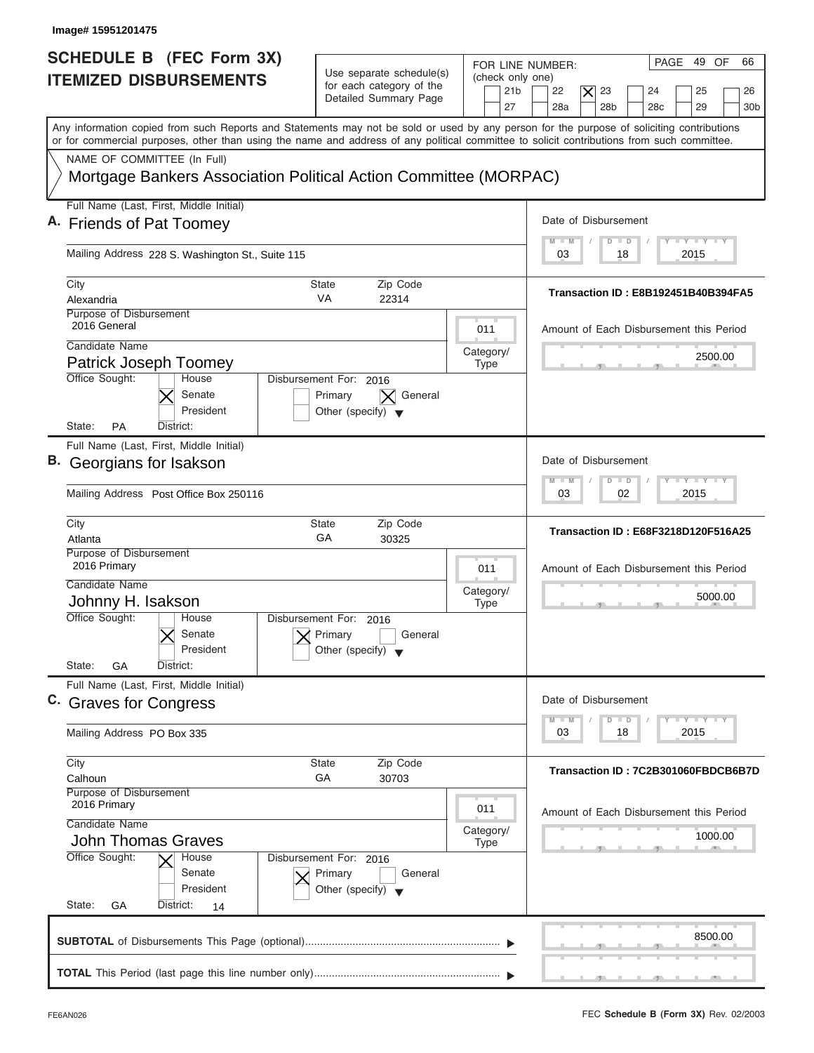| PAGE 49 OF<br>FOR LINE NUMBER:<br>Use separate schedule(s)<br>(check only one)<br>for each category of the<br>23<br>21 <sub>b</sub><br>22<br>$\times$<br>24<br>25<br>Detailed Summary Page<br>28a<br>28 <sub>b</sub><br>28 <sub>c</sub><br>29<br>27<br>Any information copied from such Reports and Statements may not be sold or used by any person for the purpose of soliciting contributions<br>or for commercial purposes, other than using the name and address of any political committee to solicit contributions from such committee.<br>NAME OF COMMITTEE (In Full)<br>Mortgage Bankers Association Political Action Committee (MORPAC)<br>Full Name (Last, First, Middle Initial)<br>Date of Disbursement<br>$T - Y = T - Y = T - Y$<br>$M - M$<br>$D$ $D$<br>Mailing Address 228 S. Washington St., Suite 115<br>2015<br>03<br>18<br>City<br>Zip Code<br>State<br><b>VA</b><br>Alexandria<br>22314<br>Purpose of Disbursement<br>2016 General<br>011<br>Candidate Name<br>Category/<br>2500.00<br>Patrick Joseph Toomey<br><b>Type</b><br>Office Sought:<br>House<br>Disbursement For: 2016<br>Senate<br>Primary<br>General<br>President<br>Other (specify) $\blacktriangledown$<br><b>PA</b><br>State:<br>District:<br>Full Name (Last, First, Middle Initial)<br>Date of Disbursement<br>$-1 - Y - 1 - Y - 1 - Y$<br>$M - M$<br>$\overline{D}$<br>$\Box$<br>02<br>2015<br>Mailing Address Post Office Box 250116<br>03<br>City<br>State<br>Zip Code<br>GA<br>Atlanta<br>30325<br>Purpose of Disbursement<br>2016 Primary<br>011<br>Candidate Name<br>Category/<br>Johnny H. Isakson<br><b>Type</b><br>$-5$<br>Office Sought:<br>House<br>Disbursement For: 2016<br>Senate<br>Primary<br>General<br>President<br>Other (specify) $\blacktriangledown$<br>State:<br>GA<br>District:<br>Full Name (Last, First, Middle Initial)<br>Date of Disbursement<br>$-1 - Y - 1 - Y - 1 - Y$<br>$M - M$<br>D<br>$\Box$<br>2015<br>Mailing Address PO Box 335<br>03<br>18<br>City<br><b>State</b><br>Zip Code<br>GA<br>30703<br>Calhoun<br>Purpose of Disbursement<br>2016 Primary<br>011<br>Candidate Name<br>Category/<br><b>John Thomas Graves</b><br><b>Type</b><br>Office Sought:<br>House<br>Disbursement For: 2016<br>Senate<br>Primary<br>General<br>President<br>Other (specify) $\blacktriangledown$ | Image# 15951201475                                               |  |                                                    |
|-----------------------------------------------------------------------------------------------------------------------------------------------------------------------------------------------------------------------------------------------------------------------------------------------------------------------------------------------------------------------------------------------------------------------------------------------------------------------------------------------------------------------------------------------------------------------------------------------------------------------------------------------------------------------------------------------------------------------------------------------------------------------------------------------------------------------------------------------------------------------------------------------------------------------------------------------------------------------------------------------------------------------------------------------------------------------------------------------------------------------------------------------------------------------------------------------------------------------------------------------------------------------------------------------------------------------------------------------------------------------------------------------------------------------------------------------------------------------------------------------------------------------------------------------------------------------------------------------------------------------------------------------------------------------------------------------------------------------------------------------------------------------------------------------------------------------------------------------------------------------------------------------------------------------------------------------------------------------------------------------------------------------------------------------------------------------------------------------------------------------------------------------------------------------------------------------------------------------------------------------------------------------------------------------------------------|------------------------------------------------------------------|--|----------------------------------------------------|
| B. Georgians for Isakson                                                                                                                                                                                                                                                                                                                                                                                                                                                                                                                                                                                                                                                                                                                                                                                                                                                                                                                                                                                                                                                                                                                                                                                                                                                                                                                                                                                                                                                                                                                                                                                                                                                                                                                                                                                                                                                                                                                                                                                                                                                                                                                                                                                                                                                                                        | <b>SCHEDULE B (FEC Form 3X)</b><br><b>ITEMIZED DISBURSEMENTS</b> |  | 66<br>26<br>30 <sub>b</sub>                        |
| A. Friends of Pat Toomey<br>C. Graves for Congress                                                                                                                                                                                                                                                                                                                                                                                                                                                                                                                                                                                                                                                                                                                                                                                                                                                                                                                                                                                                                                                                                                                                                                                                                                                                                                                                                                                                                                                                                                                                                                                                                                                                                                                                                                                                                                                                                                                                                                                                                                                                                                                                                                                                                                                              |                                                                  |  |                                                    |
|                                                                                                                                                                                                                                                                                                                                                                                                                                                                                                                                                                                                                                                                                                                                                                                                                                                                                                                                                                                                                                                                                                                                                                                                                                                                                                                                                                                                                                                                                                                                                                                                                                                                                                                                                                                                                                                                                                                                                                                                                                                                                                                                                                                                                                                                                                                 |                                                                  |  |                                                    |
|                                                                                                                                                                                                                                                                                                                                                                                                                                                                                                                                                                                                                                                                                                                                                                                                                                                                                                                                                                                                                                                                                                                                                                                                                                                                                                                                                                                                                                                                                                                                                                                                                                                                                                                                                                                                                                                                                                                                                                                                                                                                                                                                                                                                                                                                                                                 |                                                                  |  |                                                    |
|                                                                                                                                                                                                                                                                                                                                                                                                                                                                                                                                                                                                                                                                                                                                                                                                                                                                                                                                                                                                                                                                                                                                                                                                                                                                                                                                                                                                                                                                                                                                                                                                                                                                                                                                                                                                                                                                                                                                                                                                                                                                                                                                                                                                                                                                                                                 |                                                                  |  | Transaction ID: E8B192451B40B394FA5                |
|                                                                                                                                                                                                                                                                                                                                                                                                                                                                                                                                                                                                                                                                                                                                                                                                                                                                                                                                                                                                                                                                                                                                                                                                                                                                                                                                                                                                                                                                                                                                                                                                                                                                                                                                                                                                                                                                                                                                                                                                                                                                                                                                                                                                                                                                                                                 |                                                                  |  | Amount of Each Disbursement this Period            |
|                                                                                                                                                                                                                                                                                                                                                                                                                                                                                                                                                                                                                                                                                                                                                                                                                                                                                                                                                                                                                                                                                                                                                                                                                                                                                                                                                                                                                                                                                                                                                                                                                                                                                                                                                                                                                                                                                                                                                                                                                                                                                                                                                                                                                                                                                                                 |                                                                  |  |                                                    |
|                                                                                                                                                                                                                                                                                                                                                                                                                                                                                                                                                                                                                                                                                                                                                                                                                                                                                                                                                                                                                                                                                                                                                                                                                                                                                                                                                                                                                                                                                                                                                                                                                                                                                                                                                                                                                                                                                                                                                                                                                                                                                                                                                                                                                                                                                                                 |                                                                  |  |                                                    |
|                                                                                                                                                                                                                                                                                                                                                                                                                                                                                                                                                                                                                                                                                                                                                                                                                                                                                                                                                                                                                                                                                                                                                                                                                                                                                                                                                                                                                                                                                                                                                                                                                                                                                                                                                                                                                                                                                                                                                                                                                                                                                                                                                                                                                                                                                                                 |                                                                  |  | <b>Transaction ID: E68F3218D120F516A25</b>         |
|                                                                                                                                                                                                                                                                                                                                                                                                                                                                                                                                                                                                                                                                                                                                                                                                                                                                                                                                                                                                                                                                                                                                                                                                                                                                                                                                                                                                                                                                                                                                                                                                                                                                                                                                                                                                                                                                                                                                                                                                                                                                                                                                                                                                                                                                                                                 |                                                                  |  | Amount of Each Disbursement this Period<br>5000.00 |
|                                                                                                                                                                                                                                                                                                                                                                                                                                                                                                                                                                                                                                                                                                                                                                                                                                                                                                                                                                                                                                                                                                                                                                                                                                                                                                                                                                                                                                                                                                                                                                                                                                                                                                                                                                                                                                                                                                                                                                                                                                                                                                                                                                                                                                                                                                                 |                                                                  |  |                                                    |
|                                                                                                                                                                                                                                                                                                                                                                                                                                                                                                                                                                                                                                                                                                                                                                                                                                                                                                                                                                                                                                                                                                                                                                                                                                                                                                                                                                                                                                                                                                                                                                                                                                                                                                                                                                                                                                                                                                                                                                                                                                                                                                                                                                                                                                                                                                                 |                                                                  |  |                                                    |
|                                                                                                                                                                                                                                                                                                                                                                                                                                                                                                                                                                                                                                                                                                                                                                                                                                                                                                                                                                                                                                                                                                                                                                                                                                                                                                                                                                                                                                                                                                                                                                                                                                                                                                                                                                                                                                                                                                                                                                                                                                                                                                                                                                                                                                                                                                                 |                                                                  |  |                                                    |
|                                                                                                                                                                                                                                                                                                                                                                                                                                                                                                                                                                                                                                                                                                                                                                                                                                                                                                                                                                                                                                                                                                                                                                                                                                                                                                                                                                                                                                                                                                                                                                                                                                                                                                                                                                                                                                                                                                                                                                                                                                                                                                                                                                                                                                                                                                                 |                                                                  |  | Transaction ID: 7C2B301060FBDCB6B7D                |
|                                                                                                                                                                                                                                                                                                                                                                                                                                                                                                                                                                                                                                                                                                                                                                                                                                                                                                                                                                                                                                                                                                                                                                                                                                                                                                                                                                                                                                                                                                                                                                                                                                                                                                                                                                                                                                                                                                                                                                                                                                                                                                                                                                                                                                                                                                                 |                                                                  |  | Amount of Each Disbursement this Period<br>1000.00 |
|                                                                                                                                                                                                                                                                                                                                                                                                                                                                                                                                                                                                                                                                                                                                                                                                                                                                                                                                                                                                                                                                                                                                                                                                                                                                                                                                                                                                                                                                                                                                                                                                                                                                                                                                                                                                                                                                                                                                                                                                                                                                                                                                                                                                                                                                                                                 | State:<br>GA<br>District:<br>14                                  |  |                                                    |
|                                                                                                                                                                                                                                                                                                                                                                                                                                                                                                                                                                                                                                                                                                                                                                                                                                                                                                                                                                                                                                                                                                                                                                                                                                                                                                                                                                                                                                                                                                                                                                                                                                                                                                                                                                                                                                                                                                                                                                                                                                                                                                                                                                                                                                                                                                                 |                                                                  |  | 8500.00                                            |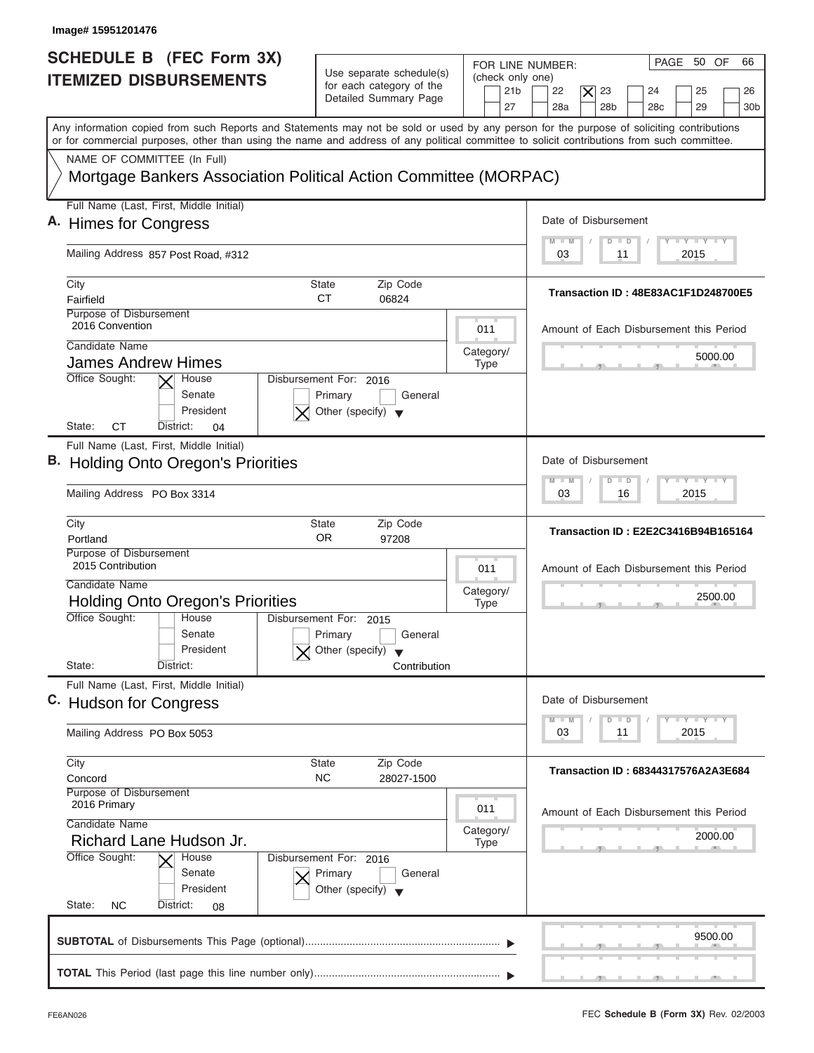| Image# 15951201476                                                                              |                                                                                      |                                                                                                                                                                                                                                                                                                                                                                     |
|-------------------------------------------------------------------------------------------------|--------------------------------------------------------------------------------------|---------------------------------------------------------------------------------------------------------------------------------------------------------------------------------------------------------------------------------------------------------------------------------------------------------------------------------------------------------------------|
| <b>SCHEDULE B (FEC Form 3X)</b><br><b>ITEMIZED DISBURSEMENTS</b>                                | Use separate schedule(s)<br>for each category of the<br>Detailed Summary Page        | PAGE 50 OF<br>66<br>FOR LINE NUMBER:<br>(check only one)<br>23<br>21 <sub>b</sub><br>22<br>$\times$<br>24<br>25<br>26                                                                                                                                                                                                                                               |
|                                                                                                 |                                                                                      | 28a<br>28 <sub>b</sub><br>28 <sub>c</sub><br>29<br>27<br>30 <sub>b</sub><br>Any information copied from such Reports and Statements may not be sold or used by any person for the purpose of soliciting contributions<br>or for commercial purposes, other than using the name and address of any political committee to solicit contributions from such committee. |
| NAME OF COMMITTEE (In Full)<br>Mortgage Bankers Association Political Action Committee (MORPAC) |                                                                                      |                                                                                                                                                                                                                                                                                                                                                                     |
| Full Name (Last, First, Middle Initial)                                                         |                                                                                      |                                                                                                                                                                                                                                                                                                                                                                     |
| A. Himes for Congress                                                                           |                                                                                      | Date of Disbursement                                                                                                                                                                                                                                                                                                                                                |
| Mailing Address 857 Post Road, #312                                                             |                                                                                      | $T - Y = T - Y = T - Y$<br>$M$ $M$<br>$D$ $D$<br>2015<br>03<br>11                                                                                                                                                                                                                                                                                                   |
| City                                                                                            | Zip Code<br>State                                                                    |                                                                                                                                                                                                                                                                                                                                                                     |
| Fairfield                                                                                       | <b>CT</b><br>06824                                                                   | Transaction ID: 48E83AC1F1D248700E5                                                                                                                                                                                                                                                                                                                                 |
| Purpose of Disbursement<br>2016 Convention                                                      | 011                                                                                  | Amount of Each Disbursement this Period                                                                                                                                                                                                                                                                                                                             |
| Candidate Name                                                                                  | Category/                                                                            | 5000.00                                                                                                                                                                                                                                                                                                                                                             |
| James Andrew Himes                                                                              | <b>Type</b>                                                                          |                                                                                                                                                                                                                                                                                                                                                                     |
| Office Sought:<br>House<br>Senate<br>President<br>СT<br>State:<br>District:<br>04               | Disbursement For: 2016<br>Primary<br>General<br>Other (specify) $\blacktriangledown$ |                                                                                                                                                                                                                                                                                                                                                                     |
| Full Name (Last, First, Middle Initial)                                                         |                                                                                      |                                                                                                                                                                                                                                                                                                                                                                     |
| <b>B.</b> Holding Onto Oregon's Priorities                                                      |                                                                                      | Date of Disbursement                                                                                                                                                                                                                                                                                                                                                |
| Mailing Address PO Box 3314                                                                     |                                                                                      | $-1 - Y - 1 - Y - 1 - Y$<br>$M - M$<br>$\overline{D}$<br>$\Box$<br>2015<br>03<br>16                                                                                                                                                                                                                                                                                 |
| City                                                                                            | <b>State</b><br>Zip Code                                                             |                                                                                                                                                                                                                                                                                                                                                                     |
| Portland                                                                                        | <b>OR</b><br>97208                                                                   | Transaction ID: E2E2C3416B94B165164                                                                                                                                                                                                                                                                                                                                 |
| Purpose of Disbursement<br>2015 Contribution                                                    | 011                                                                                  | Amount of Each Disbursement this Period                                                                                                                                                                                                                                                                                                                             |
| Candidate Name                                                                                  | Category/                                                                            | 2500.00                                                                                                                                                                                                                                                                                                                                                             |
| <b>Holding Onto Oregon's Priorities</b>                                                         | <b>Type</b>                                                                          | __                                                                                                                                                                                                                                                                                                                                                                  |
| Office Sought:<br>House<br>Senate                                                               | Disbursement For: 2015<br>General<br>Primary                                         |                                                                                                                                                                                                                                                                                                                                                                     |
| President                                                                                       | Other (specify)                                                                      |                                                                                                                                                                                                                                                                                                                                                                     |
| State:<br>District:                                                                             | Contribution                                                                         |                                                                                                                                                                                                                                                                                                                                                                     |
| Full Name (Last, First, Middle Initial)                                                         |                                                                                      |                                                                                                                                                                                                                                                                                                                                                                     |
| C. Hudson for Congress                                                                          |                                                                                      | Date of Disbursement                                                                                                                                                                                                                                                                                                                                                |
| Mailing Address PO Box 5053                                                                     |                                                                                      | $T - Y = Y - I - Y$<br>$M - M$<br>D<br>$\Box$<br>2015<br>03<br>11                                                                                                                                                                                                                                                                                                   |
| City                                                                                            | <b>State</b><br>Zip Code                                                             |                                                                                                                                                                                                                                                                                                                                                                     |
| Concord                                                                                         | <b>NC</b><br>28027-1500                                                              | Transaction ID: 68344317576A2A3E684                                                                                                                                                                                                                                                                                                                                 |
| Purpose of Disbursement<br>2016 Primary                                                         | 011                                                                                  | Amount of Each Disbursement this Period                                                                                                                                                                                                                                                                                                                             |
| Candidate Name                                                                                  | Category/                                                                            | 2000.00                                                                                                                                                                                                                                                                                                                                                             |
| Richard Lane Hudson Jr.                                                                         | <b>Type</b>                                                                          |                                                                                                                                                                                                                                                                                                                                                                     |
| Office Sought:<br>House<br>Senate<br>President                                                  | Disbursement For: 2016<br>Primary<br>General<br>Other (specify) $\blacktriangledown$ |                                                                                                                                                                                                                                                                                                                                                                     |
| State:<br><b>NC</b><br>District:<br>08                                                          |                                                                                      |                                                                                                                                                                                                                                                                                                                                                                     |
|                                                                                                 |                                                                                      | 9500.00                                                                                                                                                                                                                                                                                                                                                             |
|                                                                                                 |                                                                                      |                                                                                                                                                                                                                                                                                                                                                                     |
|                                                                                                 |                                                                                      |                                                                                                                                                                                                                                                                                                                                                                     |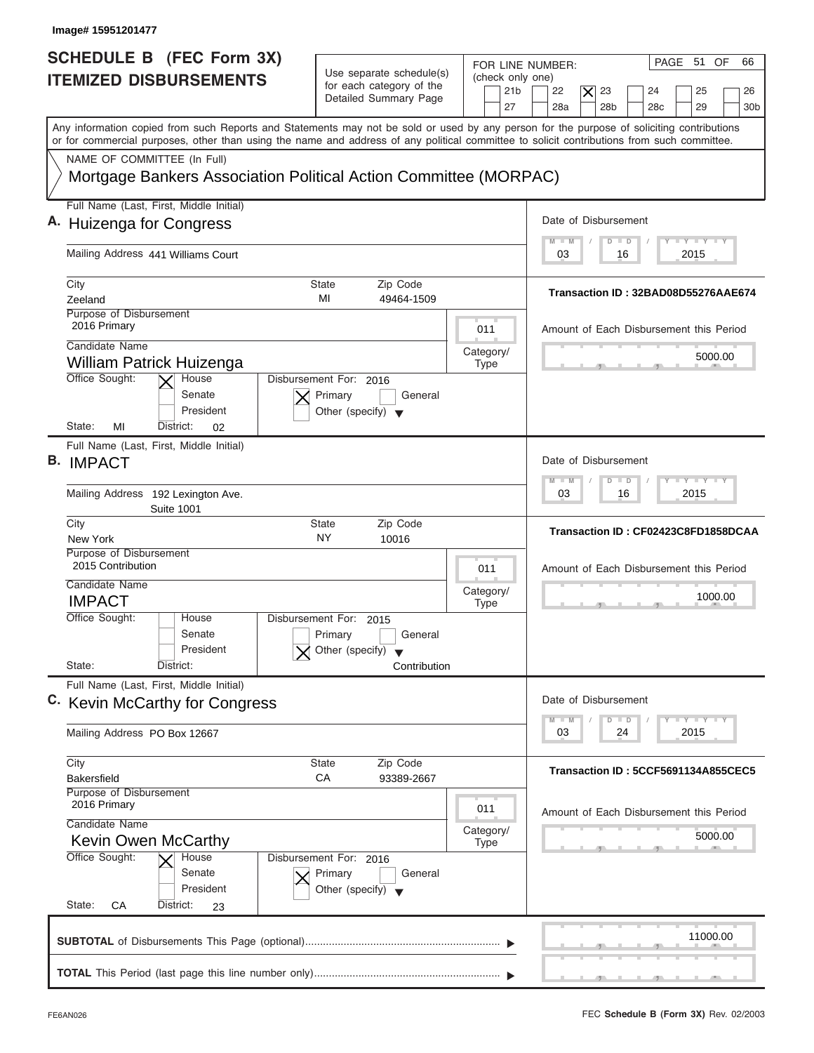| Image# 15951201477                                                                                                                                                                                                                                                                      |                                                                                      |                                                                                                                                                       |                                                       |
|-----------------------------------------------------------------------------------------------------------------------------------------------------------------------------------------------------------------------------------------------------------------------------------------|--------------------------------------------------------------------------------------|-------------------------------------------------------------------------------------------------------------------------------------------------------|-------------------------------------------------------|
| SCHEDULE B (FEC Form 3X)<br><b>ITEMIZED DISBURSEMENTS</b>                                                                                                                                                                                                                               | Use separate schedule(s)<br>for each category of the<br>Detailed Summary Page        | FOR LINE NUMBER:<br>(check only one)<br>23<br>21 <sub>b</sub><br>22<br>$\boldsymbol{\times}$<br>24<br>28a<br>28 <sub>b</sub><br>27<br>28 <sub>c</sub> | PAGE 51 OF<br>66<br>25<br>26<br>29<br>30 <sub>b</sub> |
| Any information copied from such Reports and Statements may not be sold or used by any person for the purpose of soliciting contributions<br>or for commercial purposes, other than using the name and address of any political committee to solicit contributions from such committee. |                                                                                      |                                                                                                                                                       |                                                       |
| NAME OF COMMITTEE (In Full)<br>Mortgage Bankers Association Political Action Committee (MORPAC)                                                                                                                                                                                         |                                                                                      |                                                                                                                                                       |                                                       |
| Full Name (Last, First, Middle Initial)                                                                                                                                                                                                                                                 |                                                                                      |                                                                                                                                                       |                                                       |
| A. Huizenga for Congress                                                                                                                                                                                                                                                                |                                                                                      | Date of Disbursement                                                                                                                                  |                                                       |
| Mailing Address 441 Williams Court                                                                                                                                                                                                                                                      |                                                                                      | $M - M$<br>$\Box$<br>$\Box$<br>03<br>16                                                                                                               | $T - Y = T - Y = T - Y$<br>2015                       |
| City                                                                                                                                                                                                                                                                                    | <b>State</b><br>Zip Code                                                             |                                                                                                                                                       |                                                       |
| Zeeland                                                                                                                                                                                                                                                                                 | MI<br>49464-1509                                                                     | Transaction ID: 32BAD08D55276AAE674                                                                                                                   |                                                       |
| Purpose of Disbursement<br>2016 Primary                                                                                                                                                                                                                                                 |                                                                                      | 011<br>Amount of Each Disbursement this Period                                                                                                        |                                                       |
| Candidate Name                                                                                                                                                                                                                                                                          |                                                                                      | Category/                                                                                                                                             | 5000.00                                               |
| William Patrick Huizenga<br>Office Sought:<br>House                                                                                                                                                                                                                                     | Disbursement For: 2016                                                               | <b>Type</b>                                                                                                                                           |                                                       |
| Senate<br>President<br>State:<br>MI<br>District:<br>02                                                                                                                                                                                                                                  | Primary<br>General<br>Other (specify) $\blacktriangledown$                           |                                                                                                                                                       |                                                       |
| Full Name (Last, First, Middle Initial)                                                                                                                                                                                                                                                 |                                                                                      |                                                                                                                                                       |                                                       |
| <b>B.</b> IMPACT                                                                                                                                                                                                                                                                        |                                                                                      | Date of Disbursement                                                                                                                                  |                                                       |
| Mailing Address 192 Lexington Ave.<br><b>Suite 1001</b>                                                                                                                                                                                                                                 |                                                                                      | $M - M$<br>$\overline{D}$<br>$\Box$<br>03<br>16                                                                                                       | $-1 - Y - 1 - Y - 1 - Y$<br>2015                      |
| City<br>New York                                                                                                                                                                                                                                                                        | Zip Code<br><b>State</b><br>NY<br>10016                                              | Transaction ID: CF02423C8FD1858DCAA                                                                                                                   |                                                       |
| Purpose of Disbursement                                                                                                                                                                                                                                                                 |                                                                                      |                                                                                                                                                       |                                                       |
| 2015 Contribution                                                                                                                                                                                                                                                                       |                                                                                      | 011<br>Amount of Each Disbursement this Period                                                                                                        |                                                       |
| Candidate Name                                                                                                                                                                                                                                                                          |                                                                                      | Category/                                                                                                                                             | 1000.00                                               |
| <b>IMPACT</b>                                                                                                                                                                                                                                                                           |                                                                                      | <b>Type</b><br>$-5$                                                                                                                                   |                                                       |
| Office Sought:<br>House<br>Senate                                                                                                                                                                                                                                                       | Disbursement For: 2015<br>General<br>Primary                                         |                                                                                                                                                       |                                                       |
| President<br>State:<br>District:                                                                                                                                                                                                                                                        | Other (specify)<br>Contribution                                                      |                                                                                                                                                       |                                                       |
| Full Name (Last, First, Middle Initial)                                                                                                                                                                                                                                                 |                                                                                      |                                                                                                                                                       |                                                       |
| C. Kevin McCarthy for Congress                                                                                                                                                                                                                                                          |                                                                                      | Date of Disbursement                                                                                                                                  |                                                       |
| Mailing Address PO Box 12667                                                                                                                                                                                                                                                            |                                                                                      | $M - M$<br>D<br>$\Box$<br>03<br>24                                                                                                                    | $T - Y$ $T - Y$<br>2015                               |
| City                                                                                                                                                                                                                                                                                    | Zip Code<br><b>State</b>                                                             |                                                                                                                                                       |                                                       |
| <b>Bakersfield</b>                                                                                                                                                                                                                                                                      | СA<br>93389-2667                                                                     | Transaction ID: 5CCF5691134A855CEC5                                                                                                                   |                                                       |
| <b>Purpose of Disbursement</b><br>2016 Primary                                                                                                                                                                                                                                          |                                                                                      | 011<br>Amount of Each Disbursement this Period                                                                                                        |                                                       |
| Candidate Name                                                                                                                                                                                                                                                                          |                                                                                      | Category/                                                                                                                                             |                                                       |
| Kevin Owen McCarthy                                                                                                                                                                                                                                                                     |                                                                                      | <b>Type</b>                                                                                                                                           | 5000.00                                               |
| Office Sought:<br>House<br>Senate<br>President                                                                                                                                                                                                                                          | Disbursement For: 2016<br>Primary<br>General<br>Other (specify) $\blacktriangledown$ |                                                                                                                                                       |                                                       |
| State:<br>СA<br>District:<br>23                                                                                                                                                                                                                                                         |                                                                                      |                                                                                                                                                       |                                                       |
|                                                                                                                                                                                                                                                                                         |                                                                                      |                                                                                                                                                       | 11000.00                                              |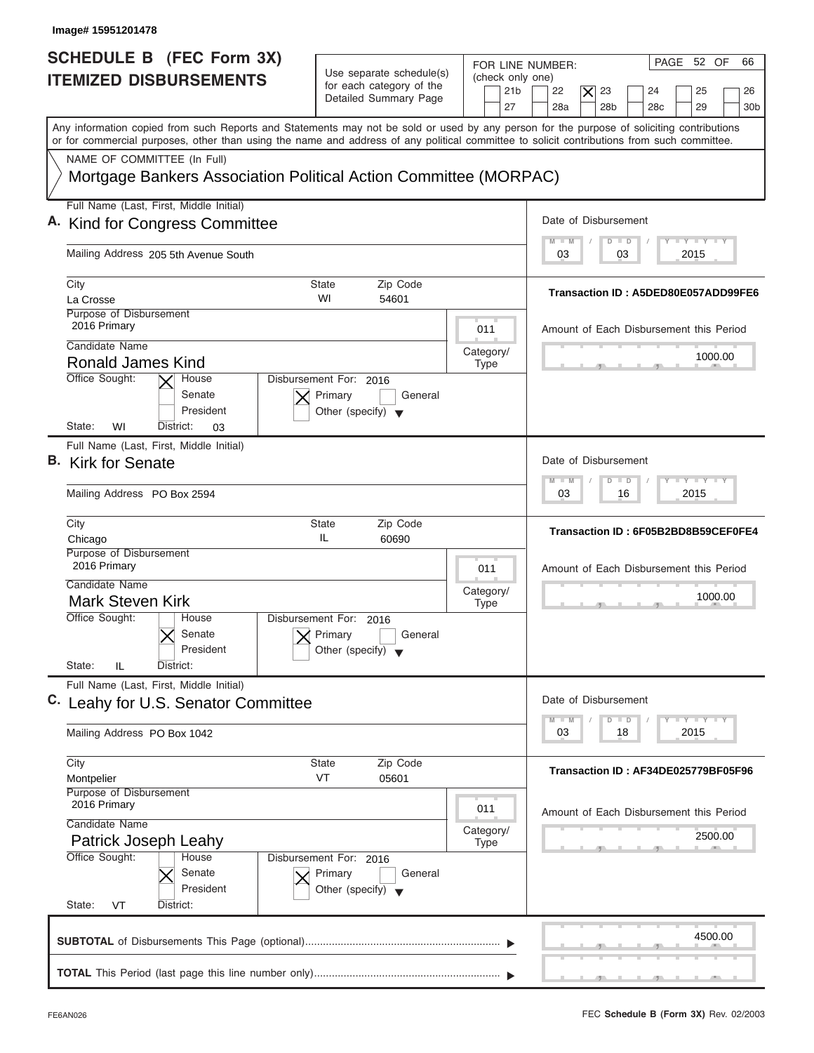| SCHEDULE B (FEC Form 3X)<br>Use separate schedule(s)<br><b>ITEMIZED DISBURSEMENTS</b><br>for each category of the<br>Detailed Summary Page                                                                                                                                              | PAGE 52 OF<br>66<br>FOR LINE NUMBER:<br>(check only one)<br>23<br>21 <sub>b</sub><br>22<br>$\overline{\mathsf{x}}$<br>24<br>25<br>26 |
|-----------------------------------------------------------------------------------------------------------------------------------------------------------------------------------------------------------------------------------------------------------------------------------------|--------------------------------------------------------------------------------------------------------------------------------------|
|                                                                                                                                                                                                                                                                                         | 28a<br>28 <sub>b</sub><br>29<br>27<br>28 <sub>c</sub><br>30 <sub>b</sub>                                                             |
| Any information copied from such Reports and Statements may not be sold or used by any person for the purpose of soliciting contributions<br>or for commercial purposes, other than using the name and address of any political committee to solicit contributions from such committee. |                                                                                                                                      |
| NAME OF COMMITTEE (In Full)<br>Mortgage Bankers Association Political Action Committee (MORPAC)                                                                                                                                                                                         |                                                                                                                                      |
| Full Name (Last, First, Middle Initial)<br>A. Kind for Congress Committee                                                                                                                                                                                                               | Date of Disbursement                                                                                                                 |
| Mailing Address 205 5th Avenue South                                                                                                                                                                                                                                                    | <b>LY LY LY</b><br>$M - M$<br>$D$ $D$<br>2015<br>03<br>03                                                                            |
| City<br>Zip Code<br>State<br>WI<br>La Crosse<br>54601<br>Purpose of Disbursement                                                                                                                                                                                                        | Transaction ID: A5DED80E057ADD99FE6                                                                                                  |
| 2016 Primary<br>Candidate Name<br><b>Ronald James Kind</b>                                                                                                                                                                                                                              | 011<br>Amount of Each Disbursement this Period<br>Category/<br>1000.00<br><b>Type</b>                                                |
| Office Sought:<br>Disbursement For: 2016<br>House<br>Senate<br>Primary<br>President<br>Other (specify) $\blacktriangledown$<br>State:<br>WI<br>District:<br>03                                                                                                                          | General                                                                                                                              |
| Full Name (Last, First, Middle Initial)<br>B. Kirk for Senate                                                                                                                                                                                                                           | Date of Disbursement<br>$-1 - Y - 1 - Y - 1 - Y$<br>$M - M$<br>$\overline{D}$<br>$\Box$                                              |
| Mailing Address PO Box 2594                                                                                                                                                                                                                                                             | 2015<br>03<br>16                                                                                                                     |
| Zip Code<br>City<br><b>State</b><br>IL<br>Chicago<br>60690                                                                                                                                                                                                                              | Transaction ID: 6F05B2BD8B59CEF0FE4                                                                                                  |
| Purpose of Disbursement<br>2016 Primary<br>Candidate Name                                                                                                                                                                                                                               | 011<br>Amount of Each Disbursement this Period<br>Category/<br>1000.00                                                               |
| <b>Mark Steven Kirk</b><br>Office Sought:<br>Disbursement For: 2016<br>House<br>Senate<br>Primary<br>President<br>Other (specify)<br>State:<br>IL<br>District:                                                                                                                          | <b>Type</b><br>$-7$<br>General                                                                                                       |
| Full Name (Last, First, Middle Initial)<br>C. Leahy for U.S. Senator Committee                                                                                                                                                                                                          | Date of Disbursement                                                                                                                 |
| Mailing Address PO Box 1042                                                                                                                                                                                                                                                             | $\mathbf{I}$ $\mathbf{Y}$ $\mathbf{I}$ $\mathbf{Y}$ $\mathbf{I}$ $\mathbf{Y}$<br>$M - M$<br>D<br>$\Box$<br>2015<br>03<br>18          |
| Zip Code<br>City<br><b>State</b><br><b>VT</b><br>05601<br>Montpelier<br>Purpose of Disbursement                                                                                                                                                                                         | Transaction ID: AF34DE025779BF05F96                                                                                                  |
| 2016 Primary<br>Candidate Name<br>Patrick Joseph Leahy                                                                                                                                                                                                                                  | 011<br>Amount of Each Disbursement this Period<br>Category/<br>2500.00<br><b>Type</b>                                                |
| Office Sought:<br>House<br>Disbursement For: 2016<br>Senate<br>Primary<br>President<br>Other (specify) $\blacktriangledown$<br>State:<br>VT<br>District:                                                                                                                                | General                                                                                                                              |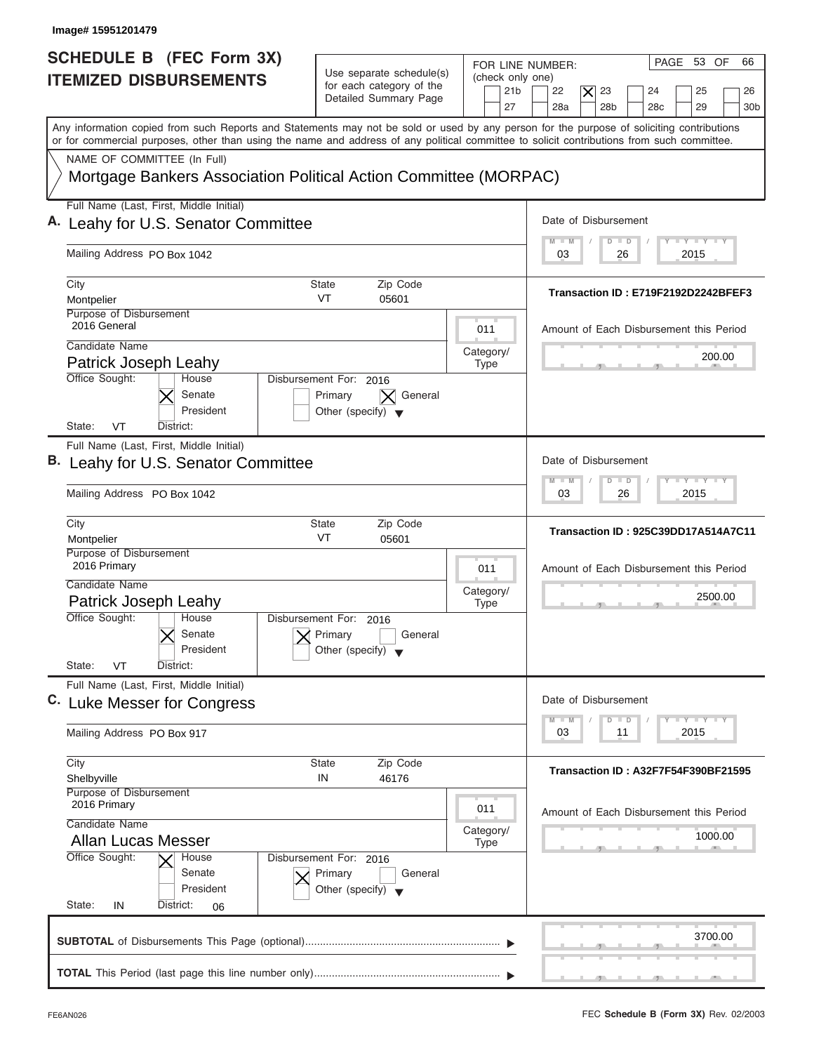| Image# 15951201479                                                                                                                                                                                                                                                                      |                                                                                      |                                                               |                                                                                                                                               |
|-----------------------------------------------------------------------------------------------------------------------------------------------------------------------------------------------------------------------------------------------------------------------------------------|--------------------------------------------------------------------------------------|---------------------------------------------------------------|-----------------------------------------------------------------------------------------------------------------------------------------------|
| <b>SCHEDULE B (FEC Form 3X)</b><br><b>ITEMIZED DISBURSEMENTS</b>                                                                                                                                                                                                                        | Use separate schedule(s)<br>for each category of the<br>Detailed Summary Page        | FOR LINE NUMBER:<br>(check only one)<br>21 <sub>b</sub><br>27 | PAGE 53 OF<br>66<br>22<br>23<br>25<br>$\boldsymbol{\times}$<br>24<br>26<br>28 <sub>b</sub><br>29<br>28a<br>28 <sub>c</sub><br>30 <sub>b</sub> |
| Any information copied from such Reports and Statements may not be sold or used by any person for the purpose of soliciting contributions<br>or for commercial purposes, other than using the name and address of any political committee to solicit contributions from such committee. |                                                                                      |                                                               |                                                                                                                                               |
| NAME OF COMMITTEE (In Full)<br>Mortgage Bankers Association Political Action Committee (MORPAC)                                                                                                                                                                                         |                                                                                      |                                                               |                                                                                                                                               |
| Full Name (Last, First, Middle Initial)<br>A. Leahy for U.S. Senator Committee                                                                                                                                                                                                          |                                                                                      |                                                               | Date of Disbursement                                                                                                                          |
| Mailing Address PO Box 1042                                                                                                                                                                                                                                                             |                                                                                      |                                                               | <b>TY TY TY</b><br>$M - M$<br>$D$ $D$<br>2015<br>03<br>26                                                                                     |
| City<br>Montpelier                                                                                                                                                                                                                                                                      | Zip Code<br>State<br>VT<br>05601                                                     |                                                               | Transaction ID: E719F2192D2242BFEF3                                                                                                           |
| Purpose of Disbursement<br>2016 General<br>Candidate Name                                                                                                                                                                                                                               |                                                                                      | 011                                                           | Amount of Each Disbursement this Period                                                                                                       |
| Patrick Joseph Leahy                                                                                                                                                                                                                                                                    |                                                                                      | Category/<br><b>Type</b>                                      | 200.00                                                                                                                                        |
| Office Sought:<br>House<br>Senate<br>President<br>State:<br>VT<br>District:                                                                                                                                                                                                             | Disbursement For: 2016<br>General<br>Primary<br>Other (specify) $\blacktriangledown$ |                                                               |                                                                                                                                               |
| Full Name (Last, First, Middle Initial)<br>B. Leahy for U.S. Senator Committee                                                                                                                                                                                                          |                                                                                      |                                                               | Date of Disbursement                                                                                                                          |
| Mailing Address PO Box 1042                                                                                                                                                                                                                                                             |                                                                                      |                                                               | $-1 - Y - 1 - Y - 1 - Y$<br>M<br>$\overline{D}$<br>$\Box$<br>$\blacksquare$ M<br>2015<br>03<br>26                                             |
| City<br>Montpelier                                                                                                                                                                                                                                                                      | <b>State</b><br>Zip Code<br>VT<br>05601                                              |                                                               | Transaction ID: 925C39DD17A514A7C11                                                                                                           |
| Purpose of Disbursement<br>2016 Primary                                                                                                                                                                                                                                                 |                                                                                      | 011                                                           | Amount of Each Disbursement this Period                                                                                                       |
| Candidate Name<br>Patrick Joseph Leahy<br>Office Sought:                                                                                                                                                                                                                                |                                                                                      | Category/<br><b>Type</b>                                      | 2500.00                                                                                                                                       |
| House<br>Senate<br>President<br>State:<br>VT<br>District:                                                                                                                                                                                                                               | Disbursement For:<br>2016<br>Primary<br>General<br>Other (specify)                   |                                                               |                                                                                                                                               |
| Full Name (Last, First, Middle Initial)<br>C. Luke Messer for Congress                                                                                                                                                                                                                  |                                                                                      |                                                               | Date of Disbursement                                                                                                                          |
| Mailing Address PO Box 917                                                                                                                                                                                                                                                              |                                                                                      |                                                               | $T - Y$ $T - Y$ $T - Y$<br>$M - M$<br>D<br>$\Box$<br>2015<br>03<br>11                                                                         |
| City<br>Shelbyville                                                                                                                                                                                                                                                                     | Zip Code<br><b>State</b><br>IN<br>46176                                              |                                                               | Transaction ID: A32F7F54F390BF21595                                                                                                           |
| Purpose of Disbursement<br>2016 Primary<br>Candidate Name                                                                                                                                                                                                                               |                                                                                      | 011                                                           | Amount of Each Disbursement this Period                                                                                                       |
| <b>Allan Lucas Messer</b><br>Office Sought:<br>House                                                                                                                                                                                                                                    | Disbursement For: 2016                                                               | Category/<br><b>Type</b>                                      | 1000.00                                                                                                                                       |
| Senate<br>President<br>State:<br>District:<br>IN<br>06                                                                                                                                                                                                                                  | Primary<br>General<br>Other (specify) $\blacktriangledown$                           |                                                               |                                                                                                                                               |
|                                                                                                                                                                                                                                                                                         |                                                                                      |                                                               | 3700.00                                                                                                                                       |
|                                                                                                                                                                                                                                                                                         |                                                                                      |                                                               |                                                                                                                                               |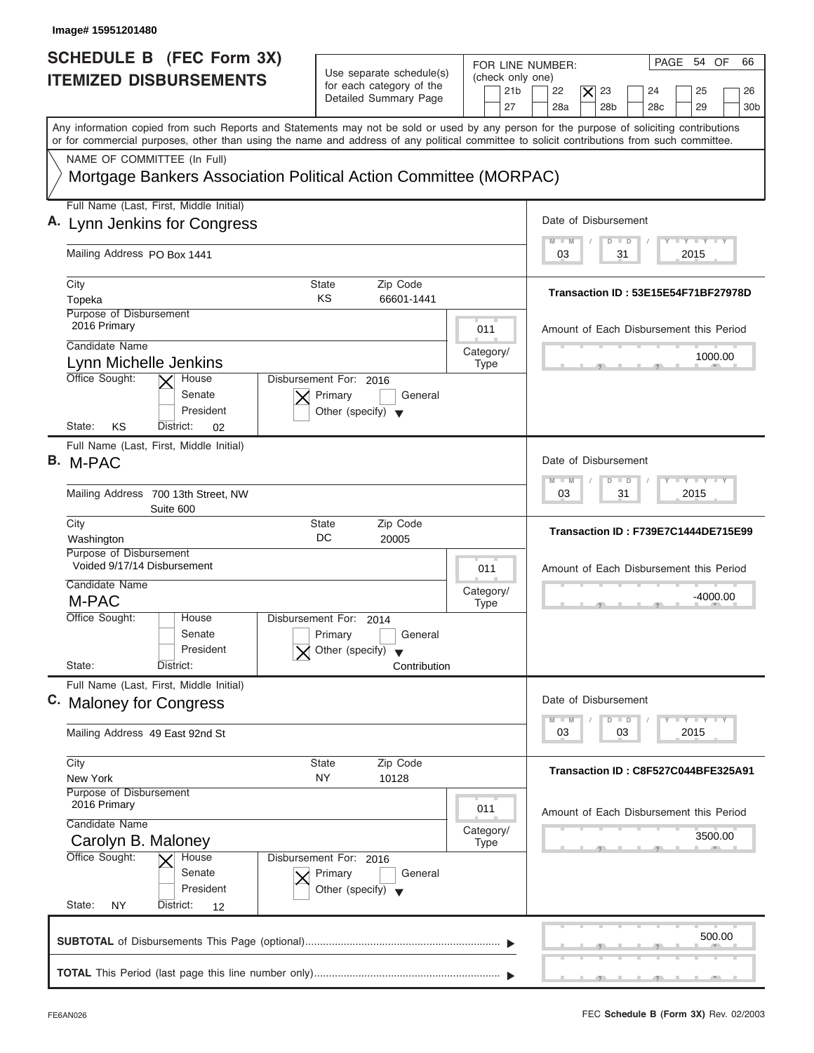| Image# 15951201480                                                                                                                                                                                                                                                                      |                                                                                                                            |                                                                                                                                                                     |
|-----------------------------------------------------------------------------------------------------------------------------------------------------------------------------------------------------------------------------------------------------------------------------------------|----------------------------------------------------------------------------------------------------------------------------|---------------------------------------------------------------------------------------------------------------------------------------------------------------------|
| <b>SCHEDULE B</b> (FEC Form 3X)<br><b>ITEMIZED DISBURSEMENTS</b>                                                                                                                                                                                                                        | Use separate schedule(s)<br>(check only one)<br>for each category of the<br>21 <sub>b</sub><br>Detailed Summary Page<br>27 | PAGE 54 OF<br>66<br>FOR LINE NUMBER:<br>23<br>22<br>$\overline{\mathsf{x}}$<br>24<br>25<br>26<br>28a<br>28 <sub>b</sub><br>29<br>28 <sub>c</sub><br>30 <sub>b</sub> |
| Any information copied from such Reports and Statements may not be sold or used by any person for the purpose of soliciting contributions<br>or for commercial purposes, other than using the name and address of any political committee to solicit contributions from such committee. |                                                                                                                            |                                                                                                                                                                     |
| NAME OF COMMITTEE (In Full)<br>Mortgage Bankers Association Political Action Committee (MORPAC)                                                                                                                                                                                         |                                                                                                                            |                                                                                                                                                                     |
| Full Name (Last, First, Middle Initial)<br>A. Lynn Jenkins for Congress                                                                                                                                                                                                                 |                                                                                                                            | Date of Disbursement                                                                                                                                                |
| Mailing Address PO Box 1441                                                                                                                                                                                                                                                             |                                                                                                                            | <b>LY LY LY</b><br>$M - M$<br>$D$ $D$<br>2015<br>03<br>31                                                                                                           |
| City<br>Topeka<br>Purpose of Disbursement                                                                                                                                                                                                                                               | State<br>Zip Code<br>KS<br>66601-1441                                                                                      | Transaction ID: 53E15E54F71BF27978D                                                                                                                                 |
| 2016 Primary<br>Candidate Name<br>Lynn Michelle Jenkins                                                                                                                                                                                                                                 | 011<br>Category/<br><b>Type</b>                                                                                            | Amount of Each Disbursement this Period<br>1000.00                                                                                                                  |
| Office Sought:<br>House<br>Senate<br>President<br>KS<br>State:<br>District:<br>02                                                                                                                                                                                                       | Disbursement For: 2016<br>Primary<br>General<br>Other (specify) $\blacktriangledown$                                       |                                                                                                                                                                     |
| Full Name (Last, First, Middle Initial)<br>В.<br>M-PAC                                                                                                                                                                                                                                  |                                                                                                                            | Date of Disbursement<br>$-1 - Y - 1 - Y - 1 - Y$<br>$M - M$<br>$\overline{D}$<br>$\Box$                                                                             |
| Mailing Address 700 13th Street, NW<br>Suite 600                                                                                                                                                                                                                                        |                                                                                                                            | 2015<br>03<br>31                                                                                                                                                    |
| City<br>Washington                                                                                                                                                                                                                                                                      | Zip Code<br><b>State</b><br>DC<br>20005                                                                                    | Transaction ID: F739E7C1444DE715E99                                                                                                                                 |
| Purpose of Disbursement<br>Voided 9/17/14 Disbursement<br>Candidate Name<br>M-PAC                                                                                                                                                                                                       | 011<br>Category/<br><b>Type</b>                                                                                            | Amount of Each Disbursement this Period<br>$-4000.00$<br>$-5$                                                                                                       |
| Office Sought:<br>House<br>Senate<br>President<br>State:<br>District:                                                                                                                                                                                                                   | Disbursement For:<br>2014<br>General<br>Primary<br>Other (specify)<br>Contribution                                         |                                                                                                                                                                     |
| Full Name (Last, First, Middle Initial)<br>C. Maloney for Congress                                                                                                                                                                                                                      |                                                                                                                            | Date of Disbursement                                                                                                                                                |
| Mailing Address 49 East 92nd St                                                                                                                                                                                                                                                         |                                                                                                                            | $\mathbf{I}$ $\mathbf{Y}$ $\mathbf{I}$ $\mathbf{Y}$ $\mathbf{I}$ $\mathbf{Y}$<br>$M - M$<br>D<br>$\Box$<br>2015<br>03<br>03                                         |
| City<br>New York<br>Purpose of Disbursement                                                                                                                                                                                                                                             | Zip Code<br>State<br>NY<br>10128                                                                                           | Transaction ID: C8F527C044BFE325A91                                                                                                                                 |
| 2016 Primary<br>Candidate Name<br>Carolyn B. Maloney                                                                                                                                                                                                                                    | 011<br>Category/<br><b>Type</b>                                                                                            | Amount of Each Disbursement this Period<br>3500.00                                                                                                                  |
| Office Sought:<br>House<br>Senate<br>President<br>State:<br>NY<br>District:<br>12                                                                                                                                                                                                       | Disbursement For: 2016<br>Primary<br>General<br>Other (specify) $\blacktriangledown$                                       |                                                                                                                                                                     |
|                                                                                                                                                                                                                                                                                         |                                                                                                                            | 500.00<br>$\mathbf{y}$ and $\mathbf{y}$ and $\mathbf{y}$ and $\mathbf{y}$                                                                                           |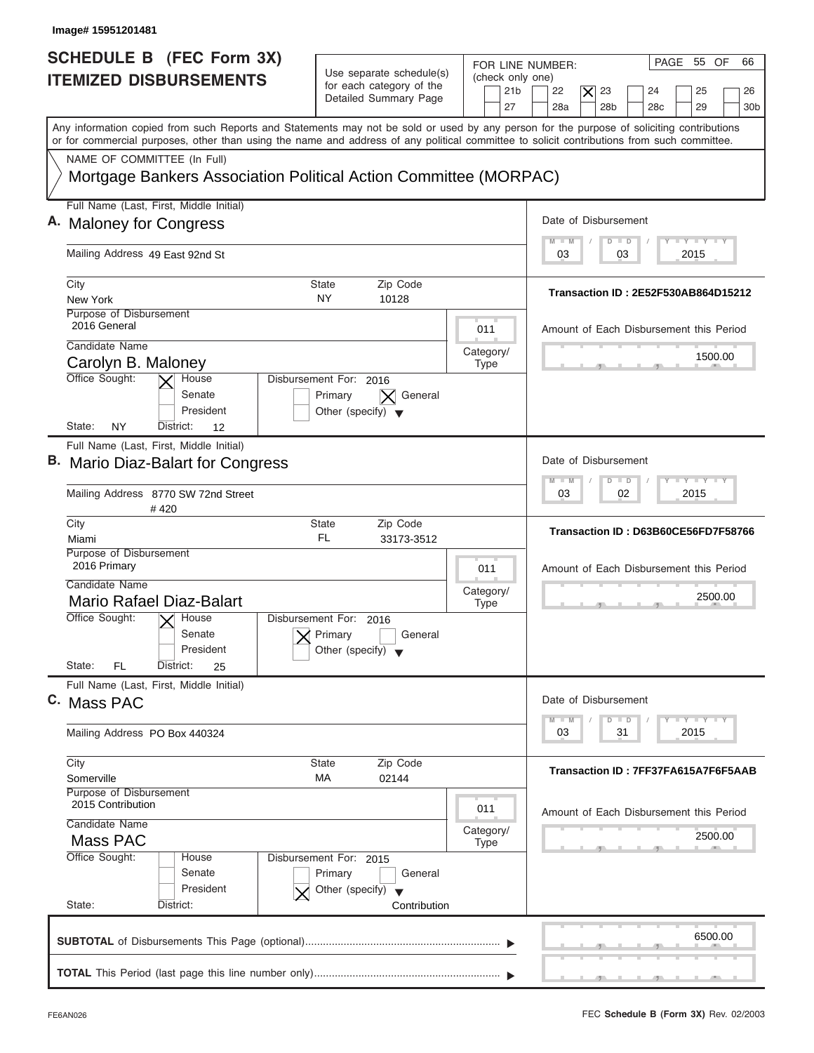| Image# 15951201481                                                                                                                                                                                                                                                                      |                                                                                      |                                                               |                                                                                                                                               |
|-----------------------------------------------------------------------------------------------------------------------------------------------------------------------------------------------------------------------------------------------------------------------------------------|--------------------------------------------------------------------------------------|---------------------------------------------------------------|-----------------------------------------------------------------------------------------------------------------------------------------------|
| SCHEDULE B (FEC Form 3X)<br><b>ITEMIZED DISBURSEMENTS</b>                                                                                                                                                                                                                               | Use separate schedule(s)<br>for each category of the<br>Detailed Summary Page        | FOR LINE NUMBER:<br>(check only one)<br>21 <sub>b</sub><br>27 | PAGE 55 OF<br>66<br>22<br>$\boldsymbol{\times}$<br>23<br>24<br>25<br>26<br>28a<br>28 <sub>b</sub><br>29<br>28 <sub>c</sub><br>30 <sub>b</sub> |
| Any information copied from such Reports and Statements may not be sold or used by any person for the purpose of soliciting contributions<br>or for commercial purposes, other than using the name and address of any political committee to solicit contributions from such committee. |                                                                                      |                                                               |                                                                                                                                               |
| NAME OF COMMITTEE (In Full)<br>Mortgage Bankers Association Political Action Committee (MORPAC)                                                                                                                                                                                         |                                                                                      |                                                               |                                                                                                                                               |
| Full Name (Last, First, Middle Initial)                                                                                                                                                                                                                                                 |                                                                                      |                                                               |                                                                                                                                               |
| A. Maloney for Congress                                                                                                                                                                                                                                                                 |                                                                                      |                                                               | Date of Disbursement                                                                                                                          |
| Mailing Address 49 East 92nd St                                                                                                                                                                                                                                                         |                                                                                      |                                                               | $T - Y = T - Y = T - Y$<br>$\blacksquare$<br>$D$ $D$<br>2015<br>03<br>03                                                                      |
| City                                                                                                                                                                                                                                                                                    | Zip Code<br>State                                                                    |                                                               |                                                                                                                                               |
| New York                                                                                                                                                                                                                                                                                | <b>NY</b><br>10128                                                                   |                                                               | <b>Transaction ID: 2E52F530AB864D15212</b>                                                                                                    |
| Purpose of Disbursement<br>2016 General                                                                                                                                                                                                                                                 |                                                                                      | 011                                                           | Amount of Each Disbursement this Period                                                                                                       |
| Candidate Name                                                                                                                                                                                                                                                                          |                                                                                      | Category/                                                     | 1500.00                                                                                                                                       |
| Carolyn B. Maloney                                                                                                                                                                                                                                                                      |                                                                                      | <b>Type</b>                                                   |                                                                                                                                               |
| Office Sought:<br>House<br>Senate<br>President<br>NY<br>State:<br>District:<br>12                                                                                                                                                                                                       | Disbursement For: 2016<br>Primary<br>General<br>Other (specify) $\blacktriangledown$ |                                                               |                                                                                                                                               |
| Full Name (Last, First, Middle Initial)                                                                                                                                                                                                                                                 |                                                                                      |                                                               |                                                                                                                                               |
| B. Mario Diaz-Balart for Congress                                                                                                                                                                                                                                                       |                                                                                      |                                                               | Date of Disbursement                                                                                                                          |
| Mailing Address 8770 SW 72nd Street<br>#420                                                                                                                                                                                                                                             |                                                                                      |                                                               | $-1 - Y - 1 - Y - 1 - Y$<br>M<br>W<br>$\overline{D}$<br>$\blacksquare$<br>2015<br>03<br>02                                                    |
| City                                                                                                                                                                                                                                                                                    | <b>State</b><br>Zip Code                                                             |                                                               | Transaction ID: D63B60CE56FD7F58766                                                                                                           |
| Miami<br>Purpose of Disbursement                                                                                                                                                                                                                                                        | FL<br>33173-3512                                                                     |                                                               |                                                                                                                                               |
| 2016 Primary                                                                                                                                                                                                                                                                            |                                                                                      | 011                                                           | Amount of Each Disbursement this Period                                                                                                       |
| Candidate Name                                                                                                                                                                                                                                                                          |                                                                                      | Category/                                                     |                                                                                                                                               |
| Mario Rafael Diaz-Balart                                                                                                                                                                                                                                                                |                                                                                      | <b>Type</b>                                                   | 2500.00                                                                                                                                       |
| Office Sought:<br>$\sqrt{\frac{1}{2}}$ House<br>Senate<br>President                                                                                                                                                                                                                     | Disbursement For: 2016<br>Primary<br>General<br>Other (specify) $\blacktriangledown$ |                                                               |                                                                                                                                               |
| State:<br>FL<br>District:<br>25                                                                                                                                                                                                                                                         |                                                                                      |                                                               |                                                                                                                                               |
| Full Name (Last, First, Middle Initial)<br>C. Mass PAC                                                                                                                                                                                                                                  |                                                                                      |                                                               | Date of Disbursement                                                                                                                          |
| Mailing Address PO Box 440324                                                                                                                                                                                                                                                           |                                                                                      |                                                               | $T - Y$ $T - Y$ $T - Y$<br>$M - M$<br>D<br>$\Box$<br>2015<br>03<br>31                                                                         |
| City<br>Somerville                                                                                                                                                                                                                                                                      | <b>State</b><br>Zip Code<br>МA<br>02144                                              |                                                               | Transaction ID: 7FF37FA615A7F6F5AAB                                                                                                           |
| Purpose of Disbursement                                                                                                                                                                                                                                                                 |                                                                                      |                                                               |                                                                                                                                               |
| 2015 Contribution<br>Candidate Name                                                                                                                                                                                                                                                     |                                                                                      | 011                                                           | Amount of Each Disbursement this Period                                                                                                       |
| Mass PAC                                                                                                                                                                                                                                                                                |                                                                                      | Category/<br><b>Type</b>                                      | 2500.00                                                                                                                                       |
| Office Sought:<br>House<br>Senate                                                                                                                                                                                                                                                       | Disbursement For: 2015<br>Primary<br>General                                         |                                                               |                                                                                                                                               |
| President<br>State:<br>District:                                                                                                                                                                                                                                                        | Other (specify) $\blacktriangledown$<br>Contribution                                 |                                                               |                                                                                                                                               |
|                                                                                                                                                                                                                                                                                         |                                                                                      |                                                               |                                                                                                                                               |
|                                                                                                                                                                                                                                                                                         |                                                                                      |                                                               | 6500.00                                                                                                                                       |
|                                                                                                                                                                                                                                                                                         |                                                                                      |                                                               |                                                                                                                                               |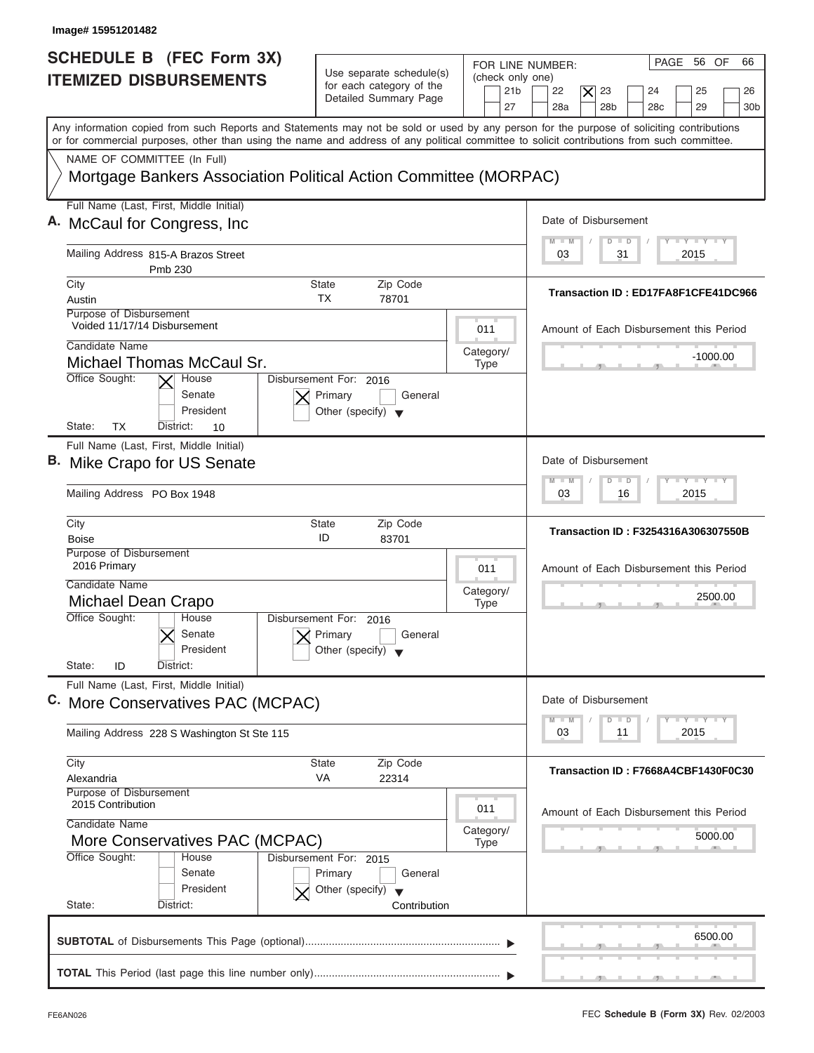| SCHEDULE B (FEC Form 3X)<br><b>ITEMIZED DISBURSEMENTS</b>                                                                                  | Use separate schedule(s)<br>for each category of the                                 | PAGE 56 OF<br>66<br>FOR LINE NUMBER:<br>(check only one)                                                                                           |
|--------------------------------------------------------------------------------------------------------------------------------------------|--------------------------------------------------------------------------------------|----------------------------------------------------------------------------------------------------------------------------------------------------|
|                                                                                                                                            | Detailed Summary Page                                                                | 21 <sub>b</sub><br>22<br>$\boldsymbol{\times}$<br>23<br>24<br>25<br>26<br>28a<br>28 <sub>b</sub><br>29<br>27<br>28 <sub>c</sub><br>30 <sub>b</sub> |
| or for commercial purposes, other than using the name and address of any political committee to solicit contributions from such committee. |                                                                                      | Any information copied from such Reports and Statements may not be sold or used by any person for the purpose of soliciting contributions          |
| NAME OF COMMITTEE (In Full)<br>Mortgage Bankers Association Political Action Committee (MORPAC)                                            |                                                                                      |                                                                                                                                                    |
| Full Name (Last, First, Middle Initial)                                                                                                    |                                                                                      |                                                                                                                                                    |
| A. McCaul for Congress, Inc.                                                                                                               |                                                                                      | Date of Disbursement                                                                                                                               |
| Mailing Address 815-A Brazos Street<br>Pmb 230                                                                                             |                                                                                      | $T - Y = T - Y = T - Y$<br>$\blacksquare$<br>$\Box$<br>$\Box$<br>2015<br>03<br>31                                                                  |
| City                                                                                                                                       | <b>State</b><br>Zip Code                                                             | Transaction ID: ED17FA8F1CFE41DC966                                                                                                                |
| Austin<br>Purpose of Disbursement                                                                                                          | <b>TX</b><br>78701                                                                   |                                                                                                                                                    |
| Voided 11/17/14 Disbursement                                                                                                               |                                                                                      | 011<br>Amount of Each Disbursement this Period                                                                                                     |
| Candidate Name                                                                                                                             |                                                                                      | Category/<br>$-1000.00$                                                                                                                            |
| Michael Thomas McCaul Sr.<br>Office Sought:<br>House                                                                                       | Disbursement For: 2016                                                               | <b>Type</b>                                                                                                                                        |
| Senate<br>President<br><b>TX</b><br>State:<br>District:<br>10                                                                              | Primary<br>General<br>Other (specify) $\blacktriangledown$                           |                                                                                                                                                    |
| Full Name (Last, First, Middle Initial)                                                                                                    |                                                                                      |                                                                                                                                                    |
| B. Mike Crapo for US Senate                                                                                                                |                                                                                      | Date of Disbursement                                                                                                                               |
| Mailing Address PO Box 1948                                                                                                                |                                                                                      | $-1 - Y - 1 - Y - 1 - Y$<br>M<br>W<br>$\overline{D}$<br>$\Box$<br>2015<br>03<br>16                                                                 |
| City                                                                                                                                       | <b>State</b><br>Zip Code                                                             | Transaction ID: F3254316A306307550B                                                                                                                |
| <b>Boise</b><br>Purpose of Disbursement                                                                                                    | ID<br>83701                                                                          |                                                                                                                                                    |
| 2016 Primary                                                                                                                               |                                                                                      | 011<br>Amount of Each Disbursement this Period                                                                                                     |
| Candidate Name                                                                                                                             |                                                                                      | Category/<br>2500.00                                                                                                                               |
| Michael Dean Crapo<br>Office Sought:<br>House                                                                                              | Disbursement For: 2016                                                               | <b>Type</b>                                                                                                                                        |
| Senate<br>President                                                                                                                        | Primary<br>General<br>Other (specify)                                                |                                                                                                                                                    |
| State:<br>ID<br>District:                                                                                                                  |                                                                                      |                                                                                                                                                    |
| Full Name (Last, First, Middle Initial)<br>C. More Conservatives PAC (MCPAC)                                                               |                                                                                      | Date of Disbursement<br>$T - Y$ $T - Y$<br>$M - M$<br>D<br>$\Box$                                                                                  |
| Mailing Address 228 S Washington St Ste 115                                                                                                |                                                                                      | 03<br>2015<br>11                                                                                                                                   |
| City<br>Alexandria                                                                                                                         | <b>State</b><br>Zip Code<br>VA<br>22314                                              | Transaction ID: F7668A4CBF1430F0C30                                                                                                                |
| Purpose of Disbursement<br>2015 Contribution<br>Candidate Name                                                                             |                                                                                      | 011<br>Amount of Each Disbursement this Period                                                                                                     |
| More Conservatives PAC (MCPAC)                                                                                                             |                                                                                      | Category/<br>5000.00<br><b>Type</b>                                                                                                                |
| Office Sought:<br>House<br>Senate<br>President                                                                                             | Disbursement For: 2015<br>Primary<br>General<br>Other (specify) $\blacktriangledown$ |                                                                                                                                                    |
| State:<br>District:                                                                                                                        | Contribution                                                                         |                                                                                                                                                    |
|                                                                                                                                            |                                                                                      | 6500.00                                                                                                                                            |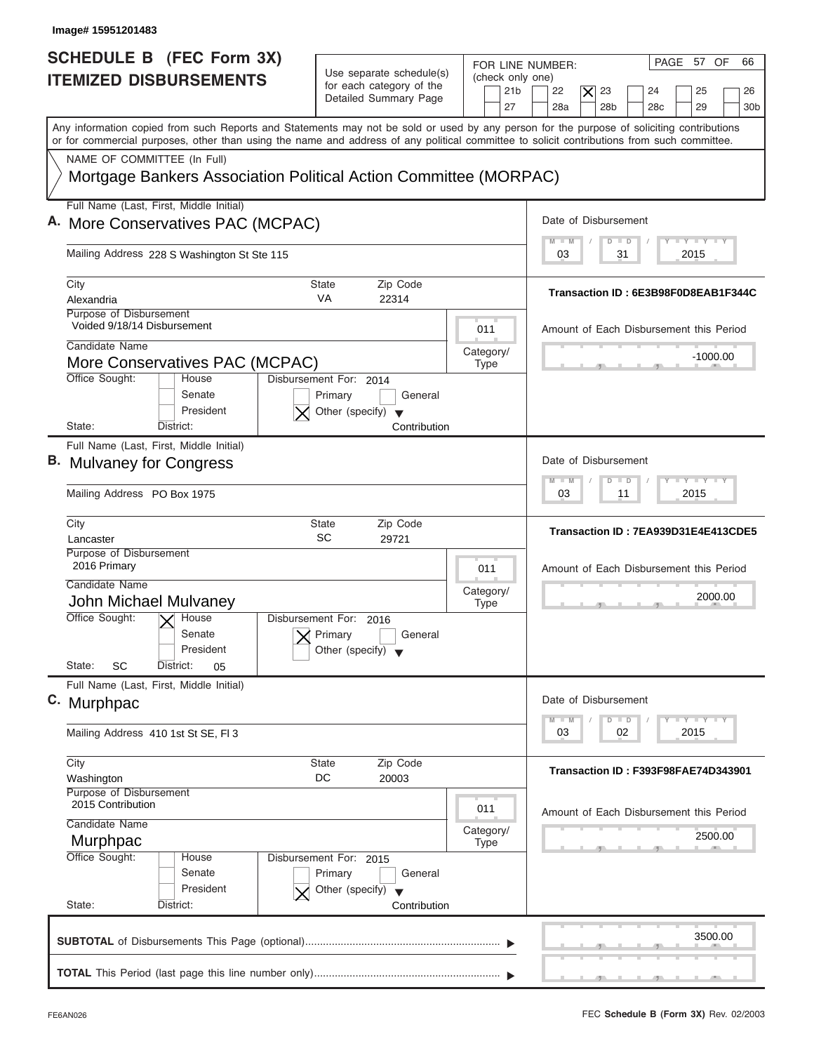| <b>SCHEDULE B (FEC Form 3X)</b><br>Use separate schedule(s)<br><b>ITEMIZED DISBURSEMENTS</b><br>for each category of the<br>Detailed Summary Page<br>Any information copied from such Reports and Statements may not be sold or used by any person for the purpose of soliciting contributions<br>or for commercial purposes, other than using the name and address of any political committee to solicit contributions from such committee. | FOR LINE NUMBER:<br>(check only one)<br>21 <sub>b</sub> | PAGE 57 OF<br>66                                                                                                |
|----------------------------------------------------------------------------------------------------------------------------------------------------------------------------------------------------------------------------------------------------------------------------------------------------------------------------------------------------------------------------------------------------------------------------------------------|---------------------------------------------------------|-----------------------------------------------------------------------------------------------------------------|
|                                                                                                                                                                                                                                                                                                                                                                                                                                              | 27                                                      | 22<br>$\overline{\mathsf{x}}$<br>23<br>24<br>25<br>26<br>28 <sub>b</sub><br>29<br>28a<br>28 <sub>c</sub><br>30b |
|                                                                                                                                                                                                                                                                                                                                                                                                                                              |                                                         |                                                                                                                 |
| NAME OF COMMITTEE (In Full)<br>Mortgage Bankers Association Political Action Committee (MORPAC)                                                                                                                                                                                                                                                                                                                                              |                                                         |                                                                                                                 |
| Full Name (Last, First, Middle Initial)<br>A. More Conservatives PAC (MCPAC)                                                                                                                                                                                                                                                                                                                                                                 |                                                         | Date of Disbursement                                                                                            |
| Mailing Address 228 S Washington St Ste 115                                                                                                                                                                                                                                                                                                                                                                                                  |                                                         | $T - Y = T - Y = T - Y$<br>$M - M$<br>$D$ $D$<br>2015<br>03<br>31                                               |
|                                                                                                                                                                                                                                                                                                                                                                                                                                              |                                                         |                                                                                                                 |
| City<br>Zip Code<br>State<br><b>VA</b><br>Alexandria<br>22314                                                                                                                                                                                                                                                                                                                                                                                |                                                         | Transaction ID: 6E3B98F0D8EAB1F344C                                                                             |
| Purpose of Disbursement<br>Voided 9/18/14 Disbursement                                                                                                                                                                                                                                                                                                                                                                                       | 011                                                     | Amount of Each Disbursement this Period                                                                         |
| Candidate Name                                                                                                                                                                                                                                                                                                                                                                                                                               | Category/                                               | $-1000.00$                                                                                                      |
| More Conservatives PAC (MCPAC)<br>Office Sought:<br>House<br>Disbursement For: 2014<br>Senate<br>Primary<br>General<br>President<br>Other (specify) $\blacktriangledown$                                                                                                                                                                                                                                                                     | <b>Type</b>                                             |                                                                                                                 |
| State:<br>Contribution<br>District:<br>Full Name (Last, First, Middle Initial)                                                                                                                                                                                                                                                                                                                                                               |                                                         |                                                                                                                 |
| B. Mulvaney for Congress                                                                                                                                                                                                                                                                                                                                                                                                                     |                                                         | Date of Disbursement                                                                                            |
| Mailing Address PO Box 1975                                                                                                                                                                                                                                                                                                                                                                                                                  |                                                         | $-1 - Y - 1 - Y - 1 - Y$<br>$M - M$<br>$\overline{D}$<br>$\Box$<br>2015<br>03<br>11                             |
| City<br><b>State</b><br>Zip Code<br>SC<br>29721<br>Lancaster                                                                                                                                                                                                                                                                                                                                                                                 |                                                         | Transaction ID: 7EA939D31E4E413CDE5                                                                             |
| Purpose of Disbursement<br>2016 Primary                                                                                                                                                                                                                                                                                                                                                                                                      | 011                                                     | Amount of Each Disbursement this Period                                                                         |
| Candidate Name<br>John Michael Mulvaney                                                                                                                                                                                                                                                                                                                                                                                                      | Category/<br><b>Type</b>                                | 2000.00                                                                                                         |
| Office Sought:<br>$\overline{X}$ House<br>Disbursement For:<br>2016<br>Senate<br>Primary<br>General<br>President<br>Other (specify)<br>State:<br>SC<br>District:<br>05                                                                                                                                                                                                                                                                       |                                                         |                                                                                                                 |
| Full Name (Last, First, Middle Initial)                                                                                                                                                                                                                                                                                                                                                                                                      |                                                         |                                                                                                                 |
| C. Murphpac                                                                                                                                                                                                                                                                                                                                                                                                                                  |                                                         | Date of Disbursement<br>$T - Y$ $T - Y$ $T - Y$<br>$M - M$                                                      |
| Mailing Address 410 1st St SE, FI 3                                                                                                                                                                                                                                                                                                                                                                                                          |                                                         | D<br>$\Box$<br>2015<br>03<br>02                                                                                 |
| City<br>State<br>Zip Code<br>DC<br>20003<br>Washington                                                                                                                                                                                                                                                                                                                                                                                       |                                                         | Transaction ID: F393F98FAE74D343901                                                                             |
| Purpose of Disbursement<br>2015 Contribution                                                                                                                                                                                                                                                                                                                                                                                                 | 011                                                     | Amount of Each Disbursement this Period                                                                         |
| Candidate Name<br>Murphpac                                                                                                                                                                                                                                                                                                                                                                                                                   | Category/<br><b>Type</b>                                | 2500.00                                                                                                         |
| Office Sought:<br>Disbursement For: 2015<br>House<br>Senate<br>Primary<br>General<br>President<br>Other (specify) $\blacktriangledown$                                                                                                                                                                                                                                                                                                       |                                                         |                                                                                                                 |
| State:<br>District:<br>Contribution                                                                                                                                                                                                                                                                                                                                                                                                          |                                                         |                                                                                                                 |
|                                                                                                                                                                                                                                                                                                                                                                                                                                              |                                                         | 3500.00                                                                                                         |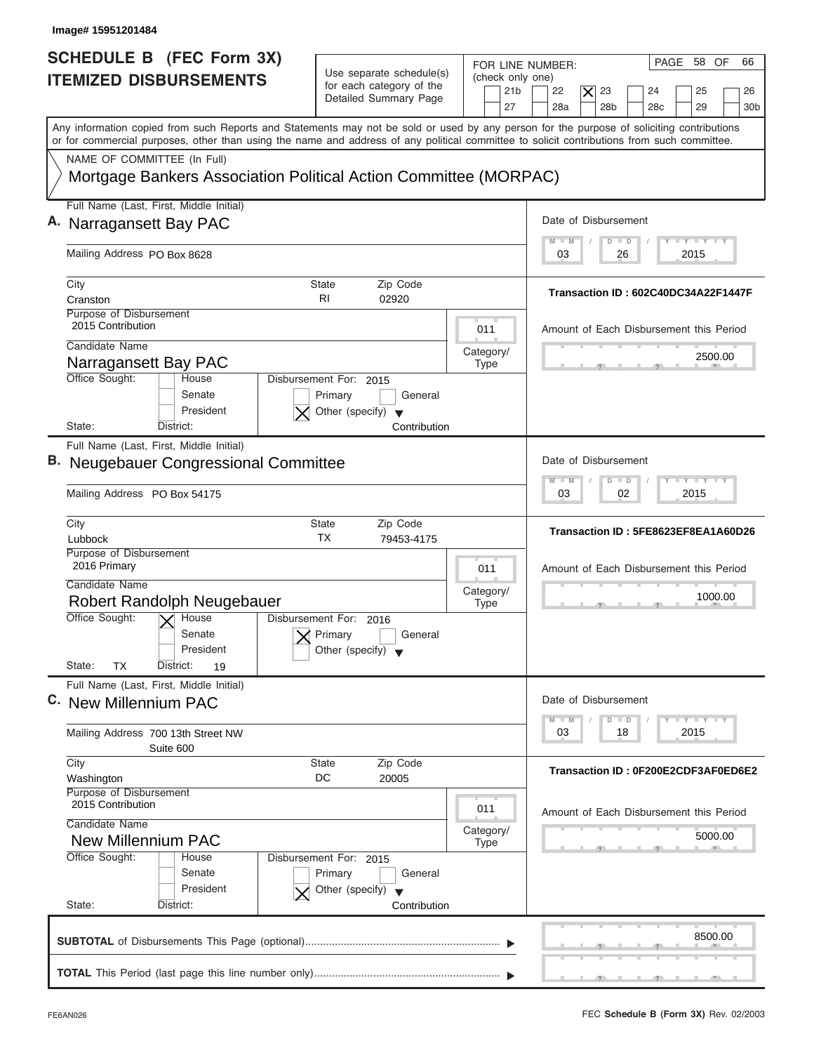| <b>SCHEDULE B (FEC Form 3X)</b><br><b>ITEMIZED DISBURSEMENTS</b>                                                                                                                                                                                                                        | Use separate schedule(s)<br>for each category of the<br>Detailed Summary Page                        | FOR LINE NUMBER:<br>(check only one)<br>21 <sub>b</sub><br>27 | PAGE 58 OF<br>66<br>22<br>23<br>25<br>$\times$<br>24<br>26<br>28a<br>28 <sub>b</sub><br>29<br>28 <sub>c</sub><br>30 <sub>b</sub> |
|-----------------------------------------------------------------------------------------------------------------------------------------------------------------------------------------------------------------------------------------------------------------------------------------|------------------------------------------------------------------------------------------------------|---------------------------------------------------------------|----------------------------------------------------------------------------------------------------------------------------------|
| Any information copied from such Reports and Statements may not be sold or used by any person for the purpose of soliciting contributions<br>or for commercial purposes, other than using the name and address of any political committee to solicit contributions from such committee. |                                                                                                      |                                                               |                                                                                                                                  |
| NAME OF COMMITTEE (In Full)<br>Mortgage Bankers Association Political Action Committee (MORPAC)                                                                                                                                                                                         |                                                                                                      |                                                               |                                                                                                                                  |
| Full Name (Last, First, Middle Initial)<br>A. Narragansett Bay PAC                                                                                                                                                                                                                      |                                                                                                      |                                                               | Date of Disbursement                                                                                                             |
| Mailing Address PO Box 8628                                                                                                                                                                                                                                                             |                                                                                                      |                                                               | $T - Y = T - Y = T - Y$<br>$M - M$<br>$\Box$<br>D<br>2015<br>03<br>26                                                            |
| City<br>Cranston                                                                                                                                                                                                                                                                        | Zip Code<br>State<br>R <sub>1</sub><br>02920                                                         |                                                               | Transaction ID: 602C40DC34A22F1447F                                                                                              |
| Purpose of Disbursement<br>2015 Contribution                                                                                                                                                                                                                                            |                                                                                                      | 011                                                           | Amount of Each Disbursement this Period                                                                                          |
| Candidate Name<br>Narragansett Bay PAC                                                                                                                                                                                                                                                  |                                                                                                      | Category/<br><b>Type</b>                                      | 2500.00                                                                                                                          |
| Office Sought:<br>House<br>Senate<br>President<br>State:<br>District:                                                                                                                                                                                                                   | Disbursement For: 2015<br>Primary<br>General<br>Other (specify) $\blacktriangledown$<br>Contribution |                                                               |                                                                                                                                  |
| Full Name (Last, First, Middle Initial)<br><b>B.</b> Neugebauer Congressional Committee                                                                                                                                                                                                 |                                                                                                      |                                                               | Date of Disbursement                                                                                                             |
| Mailing Address PO Box 54175                                                                                                                                                                                                                                                            |                                                                                                      |                                                               | <b>LEYTEY LEY</b><br>M<br>$\overline{D}$<br>$\Box$<br>W<br>2015<br>03<br>02                                                      |
| City<br>Lubbock                                                                                                                                                                                                                                                                         | <b>State</b><br>Zip Code<br>ТX<br>79453-4175                                                         |                                                               | Transaction ID: 5FE8623EF8EA1A60D26                                                                                              |
| Purpose of Disbursement<br>2016 Primary                                                                                                                                                                                                                                                 |                                                                                                      | 011                                                           | Amount of Each Disbursement this Period                                                                                          |
| Candidate Name<br>Robert Randolph Neugebauer                                                                                                                                                                                                                                            |                                                                                                      | Category/<br><b>Type</b>                                      | 1000.00                                                                                                                          |
| Office Sought:<br>$\overline{\mathsf{X}}$ House<br>Senate<br>President<br>State:<br>TX<br>District:<br>19                                                                                                                                                                               | Disbursement For:<br>2016<br>Primary<br>General<br>Other (specify)                                   |                                                               |                                                                                                                                  |
| Full Name (Last, First, Middle Initial)<br>C. New Millennium PAC                                                                                                                                                                                                                        |                                                                                                      |                                                               | Date of Disbursement                                                                                                             |
| Mailing Address 700 13th Street NW<br>Suite 600                                                                                                                                                                                                                                         |                                                                                                      |                                                               | $T - Y$ $T - Y$ $T - Y$<br>$M - M$<br>D<br>$\Box$<br>2015<br>03<br>18                                                            |
| City<br>Washington                                                                                                                                                                                                                                                                      | Zip Code<br>State<br>DC<br>20005                                                                     |                                                               | Transaction ID: 0F200E2CDF3AF0ED6E2                                                                                              |
| Purpose of Disbursement<br>2015 Contribution<br>Candidate Name                                                                                                                                                                                                                          |                                                                                                      | 011                                                           | Amount of Each Disbursement this Period                                                                                          |
| <b>New Millennium PAC</b><br>Office Sought:<br>House                                                                                                                                                                                                                                    | Disbursement For: 2015                                                                               | Category/<br><b>Type</b>                                      | 5000.00                                                                                                                          |
| Senate<br>President<br>State:<br>District:                                                                                                                                                                                                                                              | Primary<br>General<br>Other (specify) $\blacktriangledown$<br>Contribution                           |                                                               |                                                                                                                                  |
|                                                                                                                                                                                                                                                                                         |                                                                                                      |                                                               |                                                                                                                                  |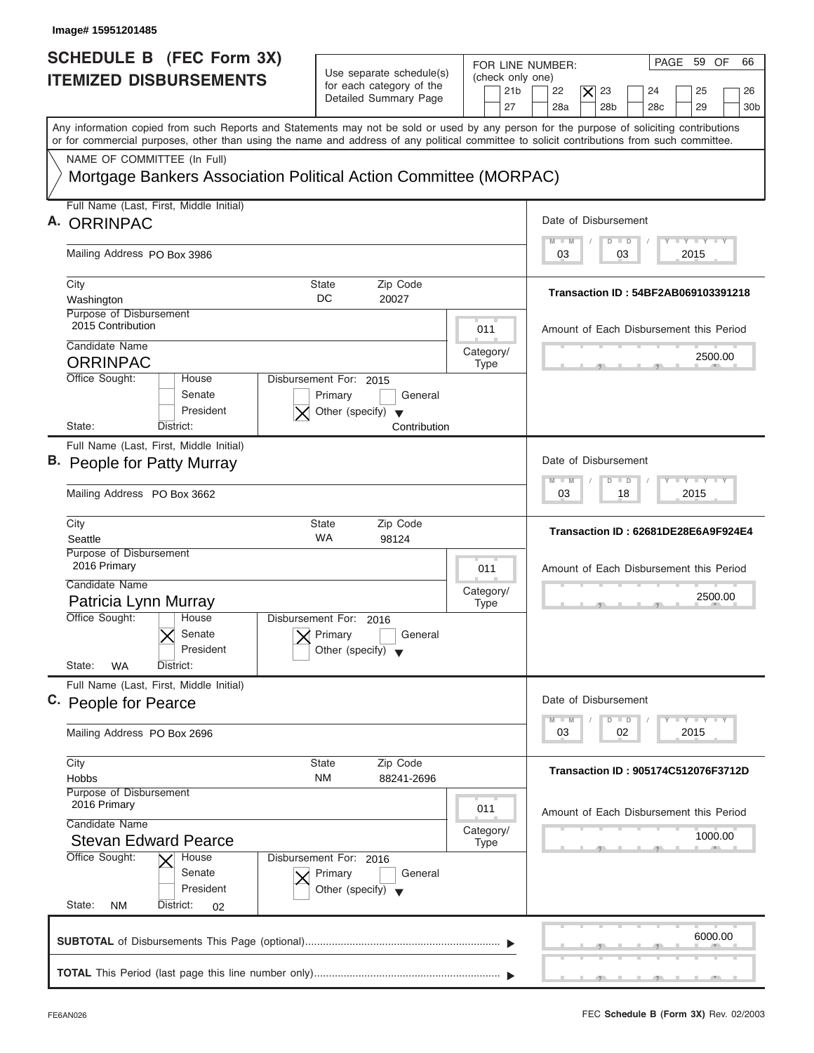| Image# 15951201485                                                                                                                         |                                                            |                          |                                                                                                              |
|--------------------------------------------------------------------------------------------------------------------------------------------|------------------------------------------------------------|--------------------------|--------------------------------------------------------------------------------------------------------------|
| SCHEDULE B (FEC Form 3X)                                                                                                                   |                                                            | FOR LINE NUMBER:         | PAGE 59 OF<br>66                                                                                             |
| <b>ITEMIZED DISBURSEMENTS</b>                                                                                                              | Use separate schedule(s)<br>for each category of the       | (check only one)         |                                                                                                              |
|                                                                                                                                            | Detailed Summary Page                                      | 21 <sub>b</sub><br>27    | 23<br>22<br>$\times$<br>24<br>25<br>26<br>28a<br>28 <sub>b</sub><br>29<br>28 <sub>c</sub><br>30 <sub>b</sub> |
| Any information copied from such Reports and Statements may not be sold or used by any person for the purpose of soliciting contributions  |                                                            |                          |                                                                                                              |
| or for commercial purposes, other than using the name and address of any political committee to solicit contributions from such committee. |                                                            |                          |                                                                                                              |
| NAME OF COMMITTEE (In Full)                                                                                                                |                                                            |                          |                                                                                                              |
| Mortgage Bankers Association Political Action Committee (MORPAC)                                                                           |                                                            |                          |                                                                                                              |
| Full Name (Last, First, Middle Initial)                                                                                                    |                                                            |                          |                                                                                                              |
| <b>ORRINPAC</b>                                                                                                                            |                                                            |                          | Date of Disbursement                                                                                         |
| Mailing Address PO Box 3986                                                                                                                |                                                            |                          | $T - Y = T - Y = T - Y$<br>$M - M$<br>$D$ $D$<br>2015<br>03<br>03                                            |
|                                                                                                                                            |                                                            |                          |                                                                                                              |
| City                                                                                                                                       | Zip Code<br>State                                          |                          | Transaction ID: 54BF2AB069103391218                                                                          |
| Washington<br>Purpose of Disbursement                                                                                                      | DC<br>20027                                                |                          |                                                                                                              |
| 2015 Contribution                                                                                                                          |                                                            | 011                      | Amount of Each Disbursement this Period                                                                      |
| Candidate Name                                                                                                                             |                                                            | Category/                |                                                                                                              |
| <b>ORRINPAC</b>                                                                                                                            |                                                            | <b>Type</b>              | 2500.00                                                                                                      |
| Office Sought:<br>House                                                                                                                    | Disbursement For: 2015                                     |                          |                                                                                                              |
| Senate<br>President                                                                                                                        | General<br>Primary<br>Other (specify) $\blacktriangledown$ |                          |                                                                                                              |
| State:<br>District:                                                                                                                        | Contribution                                               |                          |                                                                                                              |
| Full Name (Last, First, Middle Initial)                                                                                                    |                                                            |                          |                                                                                                              |
| B. People for Patty Murray                                                                                                                 |                                                            |                          | Date of Disbursement                                                                                         |
|                                                                                                                                            |                                                            |                          | $-1 - Y - 1 - Y - 1 - Y$<br>$M - M$<br>$\overline{D}$<br>$\Box$<br>2015                                      |
| Mailing Address PO Box 3662                                                                                                                |                                                            |                          | 03<br>18                                                                                                     |
| City                                                                                                                                       | <b>State</b><br>Zip Code                                   |                          | Transaction ID: 62681DE28E6A9F924E4                                                                          |
| Seattle<br>Purpose of Disbursement                                                                                                         | WA<br>98124                                                |                          |                                                                                                              |
| 2016 Primary                                                                                                                               |                                                            | 011                      | Amount of Each Disbursement this Period                                                                      |
| Candidate Name                                                                                                                             |                                                            | Category/                |                                                                                                              |
| Patricia Lynn Murray                                                                                                                       |                                                            | <b>Type</b>              | 2500.00<br>__                                                                                                |
| Office Sought:<br>House                                                                                                                    | Disbursement For: 2016                                     |                          |                                                                                                              |
| Senate<br>President                                                                                                                        | Primary<br>General                                         |                          |                                                                                                              |
| State:<br>WA<br>District:                                                                                                                  | Other (specify)                                            |                          |                                                                                                              |
| Full Name (Last, First, Middle Initial)                                                                                                    |                                                            |                          |                                                                                                              |
| C. People for Pearce                                                                                                                       |                                                            |                          | Date of Disbursement                                                                                         |
|                                                                                                                                            |                                                            |                          | $T - Y$ $T - Y$<br>$M - M$<br>D<br>$\Box$                                                                    |
| Mailing Address PO Box 2696                                                                                                                |                                                            |                          | 2015<br>03<br>02                                                                                             |
| City                                                                                                                                       | Zip Code<br><b>State</b>                                   |                          | Transaction ID: 905174C512076F3712D                                                                          |
| Hobbs                                                                                                                                      | NM<br>88241-2696                                           |                          |                                                                                                              |
| Purpose of Disbursement<br>2016 Primary                                                                                                    |                                                            | 011                      |                                                                                                              |
| Candidate Name                                                                                                                             |                                                            |                          | Amount of Each Disbursement this Period                                                                      |
| <b>Stevan Edward Pearce</b>                                                                                                                |                                                            | Category/<br><b>Type</b> | 1000.00                                                                                                      |
| Office Sought:<br>House                                                                                                                    | Disbursement For: 2016                                     |                          |                                                                                                              |
| Senate                                                                                                                                     | Primary<br>General                                         |                          |                                                                                                              |
| President<br>State:                                                                                                                        | Other (specify) $\blacktriangledown$                       |                          |                                                                                                              |
| <b>NM</b><br>District:<br>02                                                                                                               |                                                            |                          |                                                                                                              |
|                                                                                                                                            |                                                            |                          | 6000.00                                                                                                      |
|                                                                                                                                            |                                                            |                          |                                                                                                              |
|                                                                                                                                            |                                                            |                          |                                                                                                              |

J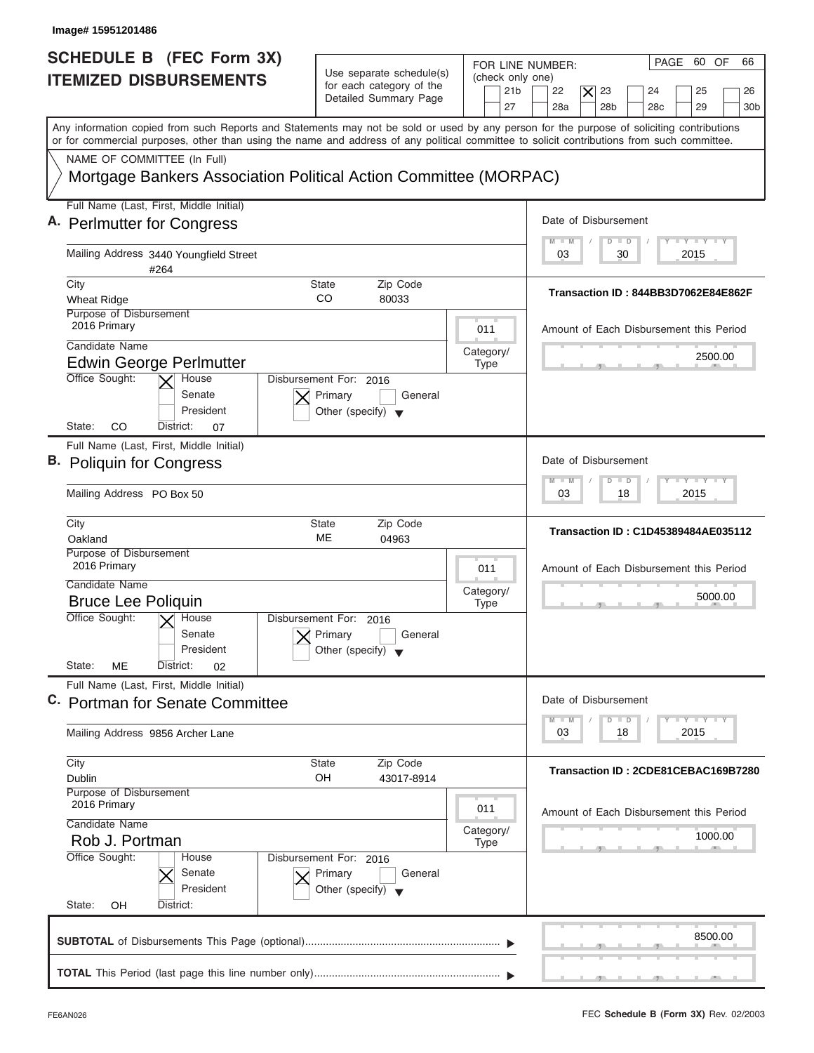| Image# 15951201486                                                                                                                                                                                                                                                                                                     |                                                                                      |                                                                                                                                                                                                   |
|------------------------------------------------------------------------------------------------------------------------------------------------------------------------------------------------------------------------------------------------------------------------------------------------------------------------|--------------------------------------------------------------------------------------|---------------------------------------------------------------------------------------------------------------------------------------------------------------------------------------------------|
| SCHEDULE B (FEC Form 3X)<br><b>ITEMIZED DISBURSEMENTS</b>                                                                                                                                                                                                                                                              | Use separate schedule(s)<br>for each category of the<br>Detailed Summary Page        | PAGE 60 OF<br>66<br>FOR LINE NUMBER:<br>(check only one)<br>23<br>21 <sub>b</sub><br>22<br>$\times$<br>24<br>25<br>26<br>27<br>28a<br>28 <sub>b</sub><br>29<br>28 <sub>c</sub><br>30 <sub>b</sub> |
| Any information copied from such Reports and Statements may not be sold or used by any person for the purpose of soliciting contributions<br>or for commercial purposes, other than using the name and address of any political committee to solicit contributions from such committee.<br>NAME OF COMMITTEE (In Full) |                                                                                      |                                                                                                                                                                                                   |
| Mortgage Bankers Association Political Action Committee (MORPAC)                                                                                                                                                                                                                                                       |                                                                                      |                                                                                                                                                                                                   |
| Full Name (Last, First, Middle Initial)                                                                                                                                                                                                                                                                                |                                                                                      |                                                                                                                                                                                                   |
| A. Perlmutter for Congress                                                                                                                                                                                                                                                                                             |                                                                                      | Date of Disbursement<br>$T - Y = T - Y = T - Y$<br>$M - M$<br>$D$ $D$                                                                                                                             |
| Mailing Address 3440 Youngfield Street<br>#264                                                                                                                                                                                                                                                                         |                                                                                      | 2015<br>03<br>30                                                                                                                                                                                  |
| City<br><b>Wheat Ridge</b>                                                                                                                                                                                                                                                                                             | Zip Code<br>State<br>CO<br>80033                                                     | Transaction ID: 844BB3D7062E84E862F                                                                                                                                                               |
| Purpose of Disbursement<br>2016 Primary                                                                                                                                                                                                                                                                                | 011                                                                                  | Amount of Each Disbursement this Period                                                                                                                                                           |
| Candidate Name                                                                                                                                                                                                                                                                                                         | Category/                                                                            | 2500.00                                                                                                                                                                                           |
| <b>Edwin George Perlmutter</b><br>Office Sought:<br>House                                                                                                                                                                                                                                                              | <b>Type</b><br>Disbursement For: 2016                                                |                                                                                                                                                                                                   |
| Senate<br>President<br>CO<br>State:<br>District:<br>07                                                                                                                                                                                                                                                                 | Primary<br>General<br>Other (specify) $\blacktriangledown$                           |                                                                                                                                                                                                   |
| Full Name (Last, First, Middle Initial)                                                                                                                                                                                                                                                                                |                                                                                      |                                                                                                                                                                                                   |
| B. Poliquin for Congress                                                                                                                                                                                                                                                                                               |                                                                                      | Date of Disbursement                                                                                                                                                                              |
| Mailing Address PO Box 50                                                                                                                                                                                                                                                                                              |                                                                                      | $-1 - Y - 1 - Y - 1 - Y$<br>$M - M$<br>$\overline{D}$<br>$\Box$<br>2015<br>03<br>18                                                                                                               |
| City<br>Oakland                                                                                                                                                                                                                                                                                                        | <b>State</b><br>Zip Code<br>ME<br>04963                                              | Transaction ID: C1D45389484AE035112                                                                                                                                                               |
| Purpose of Disbursement<br>2016 Primary                                                                                                                                                                                                                                                                                | 011                                                                                  | Amount of Each Disbursement this Period                                                                                                                                                           |
| Candidate Name<br><b>Bruce Lee Poliquin</b>                                                                                                                                                                                                                                                                            | Category/<br><b>Type</b>                                                             | 5000.00                                                                                                                                                                                           |
| Office Sought:<br>$\overline{X}$ House<br>Senate<br>President<br>State:<br>ME<br>District:<br>02                                                                                                                                                                                                                       | Disbursement For: 2016<br>Primary<br>General<br>Other (specify)                      | $-5$                                                                                                                                                                                              |
| Full Name (Last, First, Middle Initial)                                                                                                                                                                                                                                                                                |                                                                                      |                                                                                                                                                                                                   |
| C. Portman for Senate Committee                                                                                                                                                                                                                                                                                        |                                                                                      | Date of Disbursement<br>$-1 - Y - 1 - Y - 1 - Y$<br>$M - M$<br>D<br>$\Box$                                                                                                                        |
| Mailing Address 9856 Archer Lane                                                                                                                                                                                                                                                                                       |                                                                                      | 2015<br>03<br>18                                                                                                                                                                                  |
| City<br>Dublin                                                                                                                                                                                                                                                                                                         | Zip Code<br><b>State</b><br>OH<br>43017-8914                                         | Transaction ID: 2CDE81CEBAC169B7280                                                                                                                                                               |
| Purpose of Disbursement<br>2016 Primary<br>Candidate Name                                                                                                                                                                                                                                                              | 011                                                                                  | Amount of Each Disbursement this Period                                                                                                                                                           |
| Rob J. Portman                                                                                                                                                                                                                                                                                                         | Category/<br><b>Type</b>                                                             | 1000.00                                                                                                                                                                                           |
| Office Sought:<br>House<br>Senate<br>President                                                                                                                                                                                                                                                                         | Disbursement For: 2016<br>Primary<br>General<br>Other (specify) $\blacktriangledown$ |                                                                                                                                                                                                   |
| State:<br>OΗ<br>District:                                                                                                                                                                                                                                                                                              |                                                                                      |                                                                                                                                                                                                   |
|                                                                                                                                                                                                                                                                                                                        |                                                                                      | 8500.00                                                                                                                                                                                           |
|                                                                                                                                                                                                                                                                                                                        |                                                                                      |                                                                                                                                                                                                   |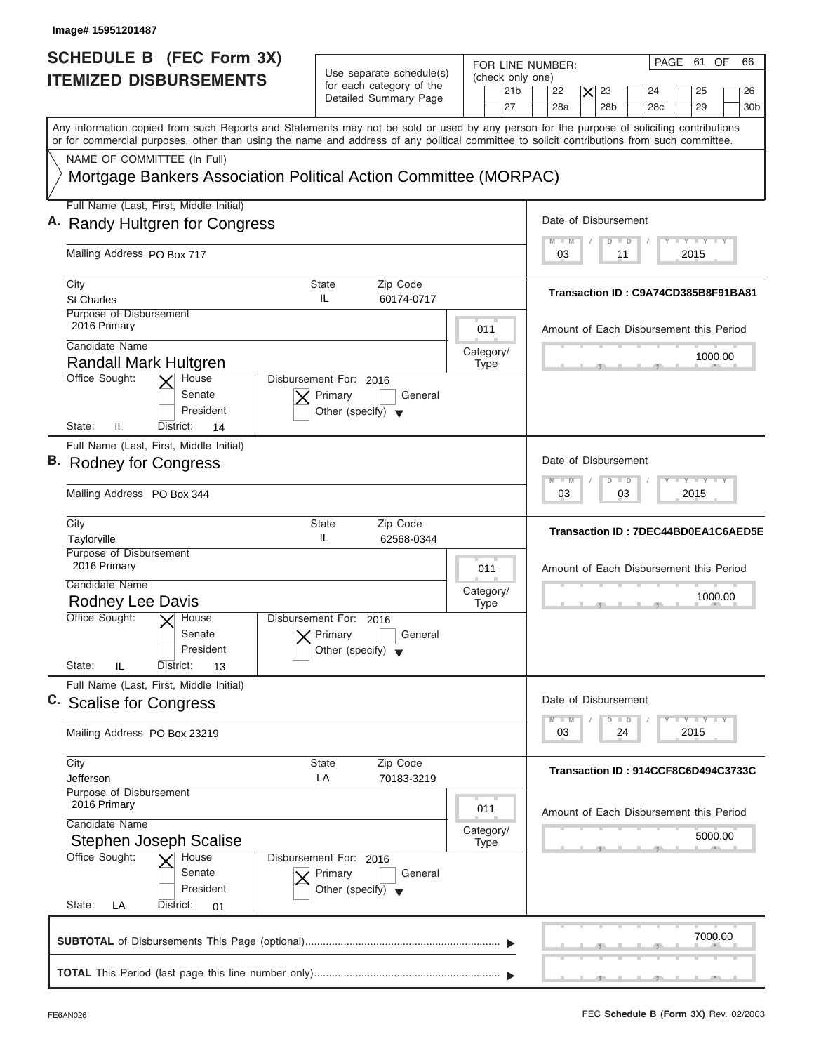| Image# 15951201487                                                                                                                                                                                                                                                                                                     |                                                                                      |                                                               |                                                                                                                                               |
|------------------------------------------------------------------------------------------------------------------------------------------------------------------------------------------------------------------------------------------------------------------------------------------------------------------------|--------------------------------------------------------------------------------------|---------------------------------------------------------------|-----------------------------------------------------------------------------------------------------------------------------------------------|
| SCHEDULE B (FEC Form 3X)<br><b>ITEMIZED DISBURSEMENTS</b>                                                                                                                                                                                                                                                              | Use separate schedule(s)<br>for each category of the<br>Detailed Summary Page        | FOR LINE NUMBER:<br>(check only one)<br>21 <sub>b</sub><br>27 | PAGE 61 OF<br>66<br>23<br>22<br>$\boldsymbol{\times}$<br>24<br>25<br>26<br>28a<br>28 <sub>b</sub><br>28 <sub>c</sub><br>29<br>30 <sub>b</sub> |
| Any information copied from such Reports and Statements may not be sold or used by any person for the purpose of soliciting contributions<br>or for commercial purposes, other than using the name and address of any political committee to solicit contributions from such committee.<br>NAME OF COMMITTEE (In Full) |                                                                                      |                                                               |                                                                                                                                               |
| Mortgage Bankers Association Political Action Committee (MORPAC)                                                                                                                                                                                                                                                       |                                                                                      |                                                               |                                                                                                                                               |
| Full Name (Last, First, Middle Initial)                                                                                                                                                                                                                                                                                |                                                                                      |                                                               |                                                                                                                                               |
| A. Randy Hultgren for Congress                                                                                                                                                                                                                                                                                         |                                                                                      |                                                               | Date of Disbursement                                                                                                                          |
| Mailing Address PO Box 717                                                                                                                                                                                                                                                                                             |                                                                                      |                                                               | $T - Y = T - Y = T - Y$<br>$M - M$<br>$\Box$<br>D<br>2015<br>03<br>11                                                                         |
| City                                                                                                                                                                                                                                                                                                                   | <b>State</b><br>Zip Code                                                             |                                                               |                                                                                                                                               |
| <b>St Charles</b>                                                                                                                                                                                                                                                                                                      | IL.<br>60174-0717                                                                    |                                                               | Transaction ID: C9A74CD385B8F91BA81                                                                                                           |
| Purpose of Disbursement<br>2016 Primary                                                                                                                                                                                                                                                                                |                                                                                      | 011                                                           | Amount of Each Disbursement this Period                                                                                                       |
| Candidate Name                                                                                                                                                                                                                                                                                                         |                                                                                      | Category/                                                     | 1000.00                                                                                                                                       |
| Randall Mark Hultgren<br>Office Sought:<br>House                                                                                                                                                                                                                                                                       | Disbursement For: 2016                                                               | Type                                                          |                                                                                                                                               |
| Senate<br>President<br>State:<br>IL<br>District:<br>14                                                                                                                                                                                                                                                                 | Primary<br>General<br>Other (specify) $\blacktriangledown$                           |                                                               |                                                                                                                                               |
| Full Name (Last, First, Middle Initial)                                                                                                                                                                                                                                                                                |                                                                                      |                                                               |                                                                                                                                               |
| B. Rodney for Congress                                                                                                                                                                                                                                                                                                 |                                                                                      |                                                               | Date of Disbursement                                                                                                                          |
| Mailing Address PO Box 344                                                                                                                                                                                                                                                                                             |                                                                                      |                                                               | $-1 - Y - 1 - Y - 1 - Y$<br>M<br>W<br>$\overline{D}$<br>$\blacksquare$<br>2015<br>03<br>03                                                    |
| City                                                                                                                                                                                                                                                                                                                   | <b>State</b><br>Zip Code                                                             |                                                               |                                                                                                                                               |
| Taylorville                                                                                                                                                                                                                                                                                                            | IL<br>62568-0344                                                                     |                                                               | Transaction ID: 7DEC44BD0EA1C6AED5E                                                                                                           |
| Purpose of Disbursement<br>2016 Primary                                                                                                                                                                                                                                                                                |                                                                                      | 011                                                           | Amount of Each Disbursement this Period                                                                                                       |
| Candidate Name<br>Rodney Lee Davis                                                                                                                                                                                                                                                                                     |                                                                                      | Category/                                                     | 1000.00                                                                                                                                       |
| Office Sought:<br>$\overline{X}$ House<br>Senate<br>President<br>State:<br>IL<br>District:<br>13                                                                                                                                                                                                                       | Disbursement For: 2016<br>Primary<br>General<br>Other (specify) $\blacktriangledown$ | <b>Type</b>                                                   |                                                                                                                                               |
| Full Name (Last, First, Middle Initial)                                                                                                                                                                                                                                                                                |                                                                                      |                                                               |                                                                                                                                               |
| C. Scalise for Congress                                                                                                                                                                                                                                                                                                |                                                                                      |                                                               | Date of Disbursement                                                                                                                          |
| Mailing Address PO Box 23219                                                                                                                                                                                                                                                                                           |                                                                                      |                                                               | $T$ $T$ $T$ $T$ $T$ $T$ $T$ $T$ $T$<br>$M - M$<br>D<br>$\Box$<br>2015<br>03<br>24                                                             |
| City                                                                                                                                                                                                                                                                                                                   | Zip Code<br><b>State</b>                                                             |                                                               |                                                                                                                                               |
| Jefferson                                                                                                                                                                                                                                                                                                              | LA<br>70183-3219                                                                     |                                                               | Transaction ID: 914CCF8C6D494C3733C                                                                                                           |
| Purpose of Disbursement                                                                                                                                                                                                                                                                                                |                                                                                      |                                                               |                                                                                                                                               |
| 2016 Primary                                                                                                                                                                                                                                                                                                           |                                                                                      | 011                                                           | Amount of Each Disbursement this Period                                                                                                       |
| Candidate Name<br><b>Stephen Joseph Scalise</b>                                                                                                                                                                                                                                                                        |                                                                                      | Category/                                                     | 5000.00                                                                                                                                       |
| Office Sought:<br>House<br>Senate<br>President                                                                                                                                                                                                                                                                         | Disbursement For: 2016<br>Primary<br>General<br>Other (specify) $\blacktriangledown$ | Type                                                          |                                                                                                                                               |
| State:<br>LA<br>District:<br>01                                                                                                                                                                                                                                                                                        |                                                                                      |                                                               |                                                                                                                                               |
|                                                                                                                                                                                                                                                                                                                        |                                                                                      |                                                               | 7000.00                                                                                                                                       |
|                                                                                                                                                                                                                                                                                                                        |                                                                                      |                                                               |                                                                                                                                               |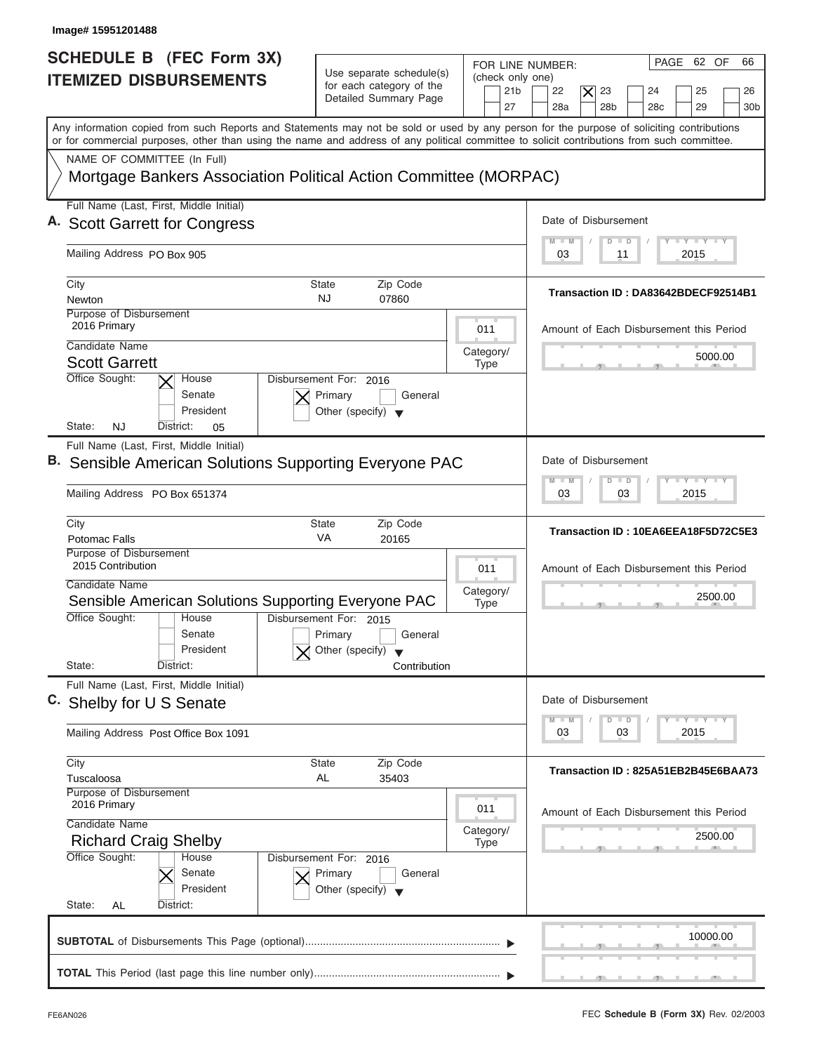| Image# 15951201488                                                                                                                                                                                                                                                                      |                                                                                      |                                                               |                                                                                                                                  |
|-----------------------------------------------------------------------------------------------------------------------------------------------------------------------------------------------------------------------------------------------------------------------------------------|--------------------------------------------------------------------------------------|---------------------------------------------------------------|----------------------------------------------------------------------------------------------------------------------------------|
| <b>SCHEDULE B (FEC Form 3X)</b><br><b>ITEMIZED DISBURSEMENTS</b>                                                                                                                                                                                                                        | Use separate schedule(s)<br>for each category of the<br>Detailed Summary Page        | FOR LINE NUMBER:<br>(check only one)<br>21 <sub>b</sub><br>27 | PAGE 62 OF<br>66<br>22<br>23<br>25<br>$\times$<br>24<br>26<br>28a<br>28 <sub>b</sub><br>29<br>28 <sub>c</sub><br>30 <sub>b</sub> |
| Any information copied from such Reports and Statements may not be sold or used by any person for the purpose of soliciting contributions<br>or for commercial purposes, other than using the name and address of any political committee to solicit contributions from such committee. |                                                                                      |                                                               |                                                                                                                                  |
| NAME OF COMMITTEE (In Full)<br>Mortgage Bankers Association Political Action Committee (MORPAC)                                                                                                                                                                                         |                                                                                      |                                                               |                                                                                                                                  |
| Full Name (Last, First, Middle Initial)                                                                                                                                                                                                                                                 |                                                                                      |                                                               | Date of Disbursement                                                                                                             |
| A. Scott Garrett for Congress                                                                                                                                                                                                                                                           |                                                                                      |                                                               | $T - Y = T - Y = T - Y$<br>$M - M$<br>$\Box$<br>D                                                                                |
| Mailing Address PO Box 905                                                                                                                                                                                                                                                              |                                                                                      |                                                               | 2015<br>03<br>11                                                                                                                 |
| City<br>Newton                                                                                                                                                                                                                                                                          | Zip Code<br>State<br><b>NJ</b><br>07860                                              |                                                               | Transaction ID: DA83642BDECF92514B1                                                                                              |
| Purpose of Disbursement<br>2016 Primary                                                                                                                                                                                                                                                 |                                                                                      | 011                                                           | Amount of Each Disbursement this Period                                                                                          |
| Candidate Name<br><b>Scott Garrett</b>                                                                                                                                                                                                                                                  |                                                                                      | Category/<br><b>Type</b>                                      | 5000.00                                                                                                                          |
| Office Sought:<br>House<br>Senate<br>President<br>State:<br>NJ<br>District:<br>05                                                                                                                                                                                                       | Disbursement For: 2016<br>Primary<br>General<br>Other (specify) $\blacktriangledown$ |                                                               |                                                                                                                                  |
| Full Name (Last, First, Middle Initial)<br>B. Sensible American Solutions Supporting Everyone PAC                                                                                                                                                                                       |                                                                                      |                                                               | Date of Disbursement<br><b>LEYTEY LEY</b>                                                                                        |
| Mailing Address PO Box 651374                                                                                                                                                                                                                                                           |                                                                                      |                                                               | M<br>$W = W$<br>$\overline{D}$<br>$\Box$<br>2015<br>03<br>03                                                                     |
| City<br>Potomac Falls                                                                                                                                                                                                                                                                   | <b>State</b><br>Zip Code<br>VA<br>20165                                              |                                                               | Transaction ID: 10EA6EEA18F5D72C5E3                                                                                              |
| Purpose of Disbursement<br>2015 Contribution<br>Candidate Name<br>Sensible American Solutions Supporting Everyone PAC                                                                                                                                                                   |                                                                                      | 011<br>Category/<br><b>Type</b>                               | Amount of Each Disbursement this Period<br>2500.00                                                                               |
| Office Sought:<br>House<br>Senate<br>President<br>State:<br>District:                                                                                                                                                                                                                   | Disbursement For: 2015<br>Primary<br>General<br>Other (specify)<br>Contribution      |                                                               |                                                                                                                                  |
| Full Name (Last, First, Middle Initial)<br>C. Shelby for U S Senate                                                                                                                                                                                                                     |                                                                                      |                                                               | Date of Disbursement<br>$T - Y$ $T - Y$<br>$M - M$<br>D<br>$\Box$                                                                |
| Mailing Address Post Office Box 1091                                                                                                                                                                                                                                                    |                                                                                      |                                                               | 2015<br>03<br>03                                                                                                                 |
| City<br>Tuscaloosa                                                                                                                                                                                                                                                                      | <b>State</b><br>Zip Code<br>AL<br>35403                                              |                                                               | Transaction ID: 825A51EB2B45E6BAA73                                                                                              |
| Purpose of Disbursement<br>2016 Primary<br>Candidate Name                                                                                                                                                                                                                               |                                                                                      | 011                                                           | Amount of Each Disbursement this Period                                                                                          |
| <b>Richard Craig Shelby</b>                                                                                                                                                                                                                                                             |                                                                                      | Category/<br><b>Type</b>                                      | 2500.00                                                                                                                          |
| Office Sought:<br>House<br>Senate<br>President<br>State:<br>AL<br>District:                                                                                                                                                                                                             | Disbursement For: 2016<br>Primary<br>General<br>Other (specify) $\blacktriangledown$ |                                                               |                                                                                                                                  |
|                                                                                                                                                                                                                                                                                         |                                                                                      |                                                               | 10000.00                                                                                                                         |
|                                                                                                                                                                                                                                                                                         |                                                                                      |                                                               |                                                                                                                                  |

J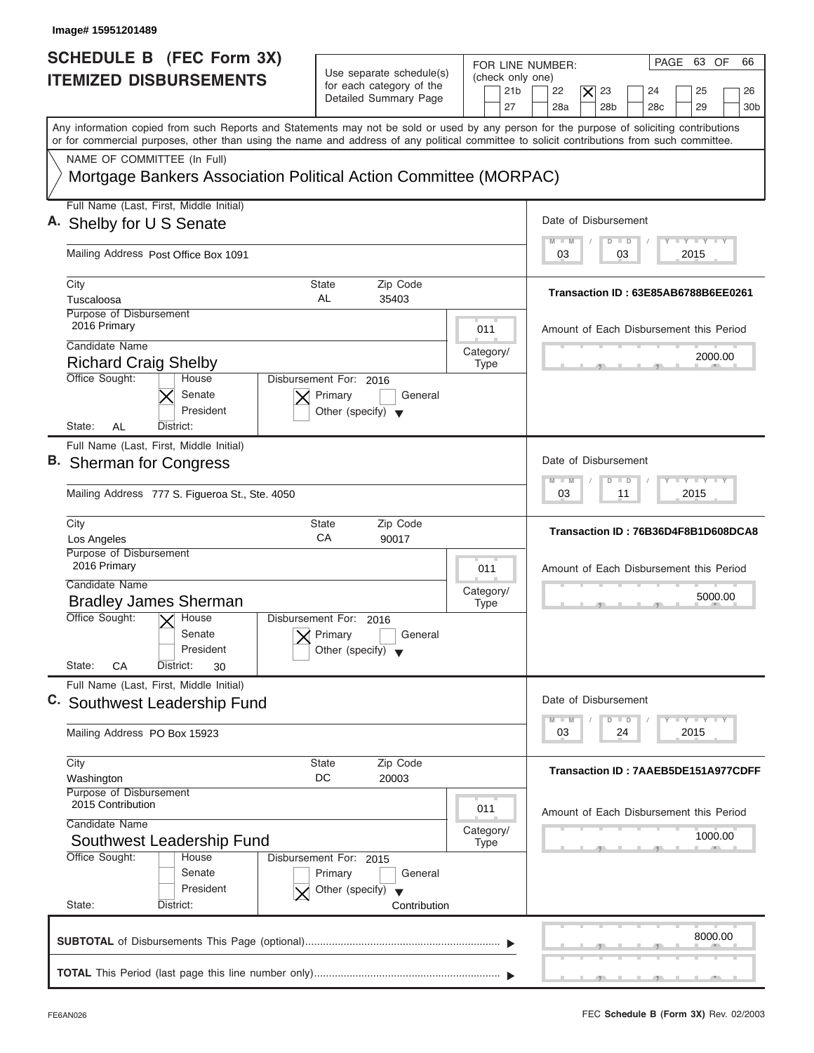| Image# 15951201489                                                                                                                                                                                                                                                                      |                                                                                                      |                                                                                                                                                                                                                  |
|-----------------------------------------------------------------------------------------------------------------------------------------------------------------------------------------------------------------------------------------------------------------------------------------|------------------------------------------------------------------------------------------------------|------------------------------------------------------------------------------------------------------------------------------------------------------------------------------------------------------------------|
| <b>SCHEDULE B (FEC Form 3X)</b><br><b>ITEMIZED DISBURSEMENTS</b>                                                                                                                                                                                                                        | Use separate schedule(s)<br>for each category of the<br>Detailed Summary Page                        | PAGE 63 OF<br>66<br>FOR LINE NUMBER:<br>(check only one)<br>21 <sub>b</sub><br>22<br>$\overline{\mathsf{x}}$<br>23<br>24<br>25<br>26<br>28 <sub>b</sub><br>29<br>27<br>28a<br>28 <sub>c</sub><br>30 <sub>b</sub> |
| Any information copied from such Reports and Statements may not be sold or used by any person for the purpose of soliciting contributions<br>or for commercial purposes, other than using the name and address of any political committee to solicit contributions from such committee. |                                                                                                      |                                                                                                                                                                                                                  |
| NAME OF COMMITTEE (In Full)<br>Mortgage Bankers Association Political Action Committee (MORPAC)                                                                                                                                                                                         |                                                                                                      |                                                                                                                                                                                                                  |
| Full Name (Last, First, Middle Initial)<br>A. Shelby for U S Senate                                                                                                                                                                                                                     |                                                                                                      | Date of Disbursement                                                                                                                                                                                             |
| Mailing Address Post Office Box 1091                                                                                                                                                                                                                                                    |                                                                                                      | <b>LY LY LY</b><br>$M - M$<br>$D$ $D$<br>2015<br>03<br>03                                                                                                                                                        |
| City<br>Tuscaloosa<br>Purpose of Disbursement<br>2016 Primary                                                                                                                                                                                                                           | Zip Code<br>State<br>AL<br>35403<br>011                                                              | Transaction ID: 63E85AB6788B6EE0261<br>Amount of Each Disbursement this Period                                                                                                                                   |
| Candidate Name<br><b>Richard Craig Shelby</b><br>Office Sought:<br>House                                                                                                                                                                                                                | Category/<br><b>Type</b><br>Disbursement For: 2016                                                   | 2000.00                                                                                                                                                                                                          |
| Senate<br>President<br>State:<br>AL<br>District:<br>Full Name (Last, First, Middle Initial)                                                                                                                                                                                             | Primary<br>General<br>Other (specify) $\blacktriangledown$                                           |                                                                                                                                                                                                                  |
| B. Sherman for Congress<br>Mailing Address 777 S. Figueroa St., Ste. 4050                                                                                                                                                                                                               |                                                                                                      | Date of Disbursement<br>$-1 - Y - 1 - Y - 1 - Y$<br>$M - M$<br>$\overline{D}$<br>$\Box$<br>2015<br>03<br>11                                                                                                      |
| City<br>Los Angeles                                                                                                                                                                                                                                                                     | State<br>Zip Code<br>CA<br>90017                                                                     | Transaction ID: 76B36D4F8B1D608DCA8                                                                                                                                                                              |
| Purpose of Disbursement<br>2016 Primary<br>Candidate Name<br><b>Bradley James Sherman</b>                                                                                                                                                                                               | 011<br>Category/<br><b>Type</b>                                                                      | Amount of Each Disbursement this Period<br>5000.00                                                                                                                                                               |
| Office Sought:<br>$X$ House<br>Senate<br>President<br>State:<br>CA<br>District:<br>30                                                                                                                                                                                                   | Disbursement For: 2016<br>Primary<br>General<br>Other (specify)                                      |                                                                                                                                                                                                                  |
| Full Name (Last, First, Middle Initial)<br>C. Southwest Leadership Fund                                                                                                                                                                                                                 |                                                                                                      | Date of Disbursement<br>$\mathbf{I}$ $\mathbf{Y}$ $\mathbf{I}$ $\mathbf{Y}$ $\mathbf{I}$ $\mathbf{Y}$<br>$M - M$<br>D<br>$\Box$                                                                                  |
| Mailing Address PO Box 15923                                                                                                                                                                                                                                                            |                                                                                                      | 2015<br>03<br>24                                                                                                                                                                                                 |
| City<br>Washington<br>Purpose of Disbursement<br>2015 Contribution                                                                                                                                                                                                                      | Zip Code<br>State<br>DC<br>20003                                                                     | Transaction ID: 7AAEB5DE151A977CDFF                                                                                                                                                                              |
| Candidate Name<br>Southwest Leadership Fund                                                                                                                                                                                                                                             | 011<br>Category/<br><b>Type</b>                                                                      | Amount of Each Disbursement this Period<br>1000.00                                                                                                                                                               |
| Office Sought:<br>House<br>Senate<br>President<br>State:<br>District:                                                                                                                                                                                                                   | Disbursement For: 2015<br>Primary<br>General<br>Other (specify) $\blacktriangledown$<br>Contribution |                                                                                                                                                                                                                  |
|                                                                                                                                                                                                                                                                                         |                                                                                                      | 8000.00                                                                                                                                                                                                          |
|                                                                                                                                                                                                                                                                                         |                                                                                                      | $\mathbf{y}$ and $\mathbf{y}$ and $\mathbf{y}$ and $\mathbf{y}$                                                                                                                                                  |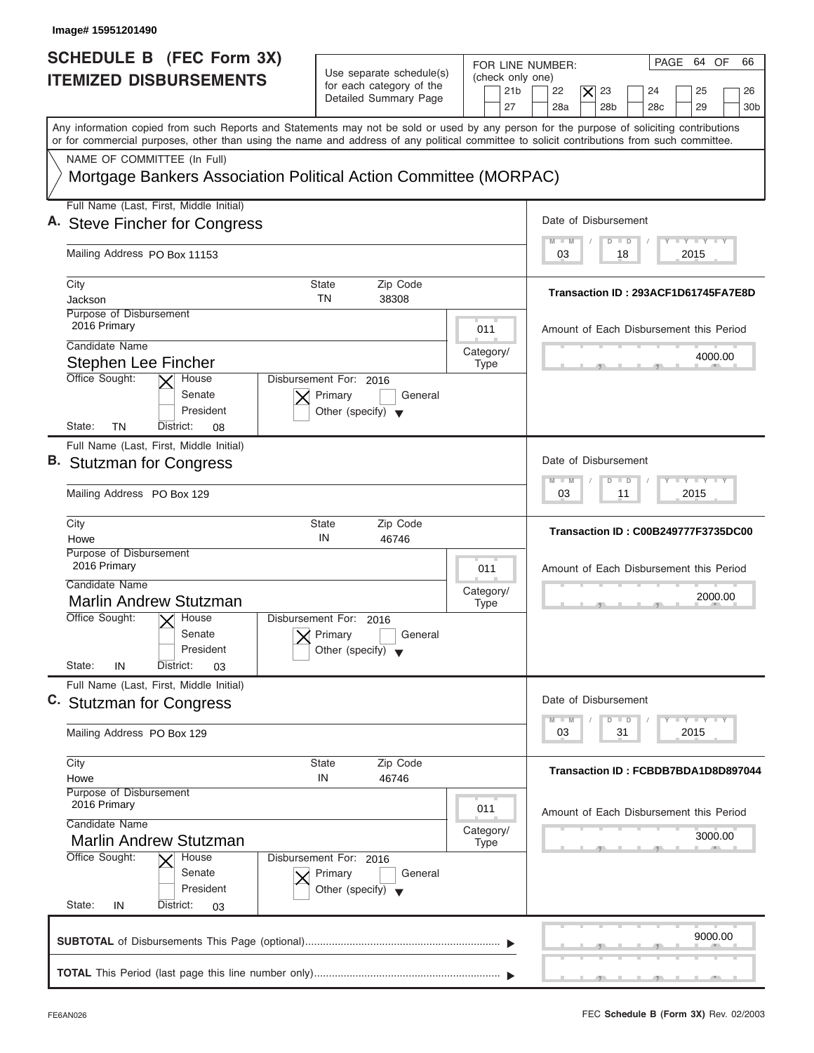| Image#15951201490                                                                                                                                                                                                                                                                       |                                                                                      |                                                               |                                                                                                                                                      |
|-----------------------------------------------------------------------------------------------------------------------------------------------------------------------------------------------------------------------------------------------------------------------------------------|--------------------------------------------------------------------------------------|---------------------------------------------------------------|------------------------------------------------------------------------------------------------------------------------------------------------------|
| SCHEDULE B (FEC Form 3X)<br><b>ITEMIZED DISBURSEMENTS</b>                                                                                                                                                                                                                               | Use separate schedule(s)<br>for each category of the<br>Detailed Summary Page        | FOR LINE NUMBER:<br>(check only one)<br>21 <sub>b</sub><br>27 | PAGE 64 OF<br>66<br>22<br>$\overline{\bm{\mathsf{x}}}$<br>23<br>24<br>25<br>26<br>28a<br>28 <sub>b</sub><br>29<br>28 <sub>c</sub><br>30 <sub>b</sub> |
| Any information copied from such Reports and Statements may not be sold or used by any person for the purpose of soliciting contributions<br>or for commercial purposes, other than using the name and address of any political committee to solicit contributions from such committee. |                                                                                      |                                                               |                                                                                                                                                      |
| NAME OF COMMITTEE (In Full)<br>Mortgage Bankers Association Political Action Committee (MORPAC)                                                                                                                                                                                         |                                                                                      |                                                               |                                                                                                                                                      |
| Full Name (Last, First, Middle Initial)                                                                                                                                                                                                                                                 |                                                                                      |                                                               |                                                                                                                                                      |
| A. Steve Fincher for Congress                                                                                                                                                                                                                                                           |                                                                                      |                                                               | Date of Disbursement                                                                                                                                 |
| Mailing Address PO Box 11153                                                                                                                                                                                                                                                            |                                                                                      |                                                               | $T - Y = T - Y = T - Y$<br>$\blacksquare$<br>$D$ $D$<br>2015<br>03<br>18                                                                             |
| City<br>Jackson                                                                                                                                                                                                                                                                         | <b>State</b><br>Zip Code<br><b>TN</b><br>38308                                       |                                                               | Transaction ID: 293ACF1D61745FA7E8D                                                                                                                  |
| Purpose of Disbursement                                                                                                                                                                                                                                                                 |                                                                                      |                                                               |                                                                                                                                                      |
| 2016 Primary<br>Candidate Name                                                                                                                                                                                                                                                          |                                                                                      | 011                                                           | Amount of Each Disbursement this Period                                                                                                              |
| Stephen Lee Fincher                                                                                                                                                                                                                                                                     |                                                                                      | Category/<br>Type                                             | 4000.00                                                                                                                                              |
| Office Sought:<br>House<br>Senate<br>President<br>State:<br>TN<br>District:<br>08                                                                                                                                                                                                       | Disbursement For: 2016<br>Primary<br>General<br>Other (specify) $\blacktriangledown$ |                                                               |                                                                                                                                                      |
| Full Name (Last, First, Middle Initial)                                                                                                                                                                                                                                                 |                                                                                      |                                                               |                                                                                                                                                      |
| <b>B.</b> Stutzman for Congress                                                                                                                                                                                                                                                         |                                                                                      |                                                               | Date of Disbursement                                                                                                                                 |
| Mailing Address PO Box 129                                                                                                                                                                                                                                                              |                                                                                      |                                                               | $-1 - Y - 1 - Y - 1 - Y$<br>$M - M$<br>$\overline{D}$<br>$\Box$<br>2015<br>03<br>11                                                                  |
| City<br>Howe                                                                                                                                                                                                                                                                            | <b>State</b><br>Zip Code<br>IN<br>46746                                              |                                                               | Transaction ID: C00B249777F3735DC00                                                                                                                  |
| Purpose of Disbursement<br>2016 Primary                                                                                                                                                                                                                                                 |                                                                                      | 011                                                           | Amount of Each Disbursement this Period                                                                                                              |
| Candidate Name                                                                                                                                                                                                                                                                          |                                                                                      | Category/                                                     | 2000.00                                                                                                                                              |
| <b>Marlin Andrew Stutzman</b><br>Office Sought:<br>$\sqrt{\frac{1}{2}}$ House<br>Senate<br>President                                                                                                                                                                                    | Disbursement For: 2016<br>Primary<br>General<br>Other (specify) $\blacktriangledown$ | <b>Type</b>                                                   |                                                                                                                                                      |
| State:<br>IN<br>District:<br>03                                                                                                                                                                                                                                                         |                                                                                      |                                                               |                                                                                                                                                      |
| Full Name (Last, First, Middle Initial)<br>C. Stutzman for Congress                                                                                                                                                                                                                     |                                                                                      |                                                               | Date of Disbursement                                                                                                                                 |
| Mailing Address PO Box 129                                                                                                                                                                                                                                                              |                                                                                      |                                                               | $T$ $T$ $T$ $T$ $T$ $T$ $T$ $T$ $T$<br>$M - M$<br>D<br>$\Box$<br>2015<br>03<br>31                                                                    |
| City                                                                                                                                                                                                                                                                                    | <b>State</b><br>Zip Code                                                             |                                                               | Transaction ID: FCBDB7BDA1D8D897044                                                                                                                  |
| Howe<br>Purpose of Disbursement                                                                                                                                                                                                                                                         | IN<br>46746                                                                          |                                                               |                                                                                                                                                      |
| 2016 Primary<br>Candidate Name                                                                                                                                                                                                                                                          |                                                                                      | 011                                                           | Amount of Each Disbursement this Period                                                                                                              |
| <b>Marlin Andrew Stutzman</b>                                                                                                                                                                                                                                                           |                                                                                      | Category/<br>Type                                             | 3000.00                                                                                                                                              |
| Office Sought:<br>House<br>Senate<br>President<br>State:<br>District:<br>IN<br>03                                                                                                                                                                                                       | Disbursement For: 2016<br>Primary<br>General<br>Other (specify) $\blacktriangledown$ |                                                               |                                                                                                                                                      |
|                                                                                                                                                                                                                                                                                         |                                                                                      |                                                               | 9000.00<br><u> 5 Juni - Juni - Juni - Juni - Juni - Juni - Juni - Juni - Juni - Juni - Juni - Juni - Juni - Juni - Juni - Ju</u>                     |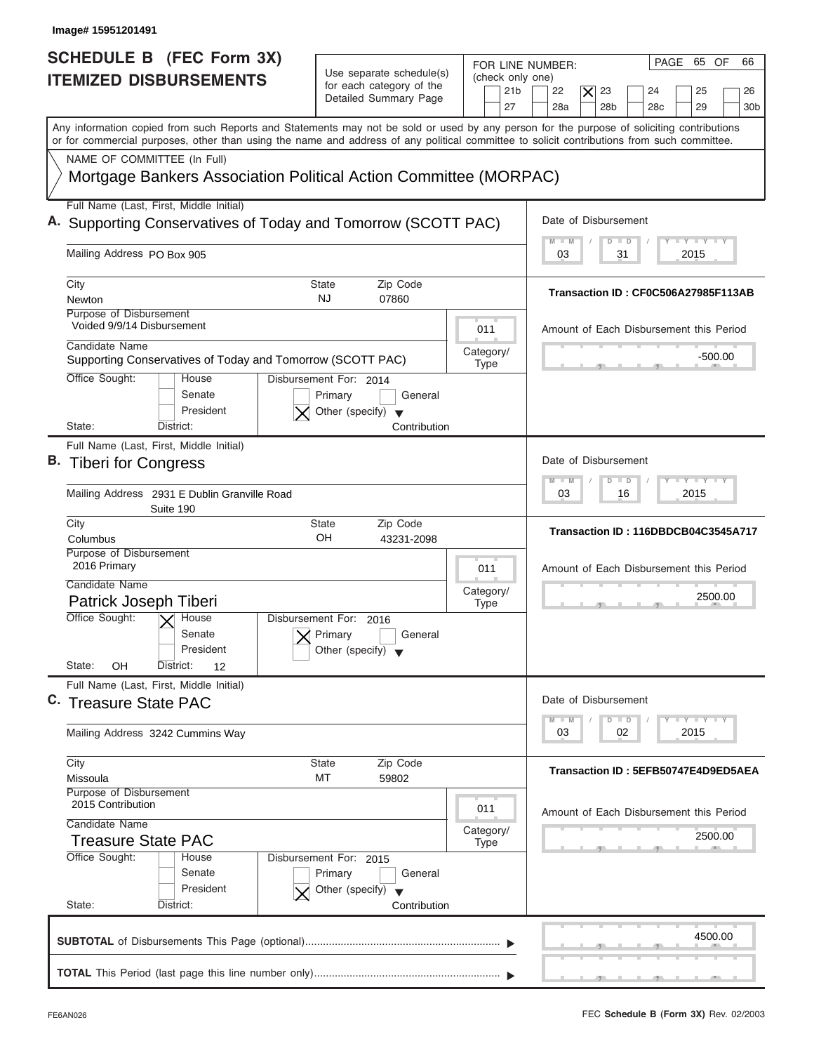| Image# 15951201491                                                                                                                                                                                                                                                                      |                                                                                                                            |                                                                                                                                                         |
|-----------------------------------------------------------------------------------------------------------------------------------------------------------------------------------------------------------------------------------------------------------------------------------------|----------------------------------------------------------------------------------------------------------------------------|---------------------------------------------------------------------------------------------------------------------------------------------------------|
| SCHEDULE B (FEC Form 3X)<br><b>ITEMIZED DISBURSEMENTS</b>                                                                                                                                                                                                                               | Use separate schedule(s)<br>(check only one)<br>for each category of the<br>21 <sub>b</sub><br>Detailed Summary Page<br>27 | PAGE 65 OF<br>66<br>FOR LINE NUMBER:<br>22<br>$\overline{\mathsf{x}}$<br>23<br>24<br>25<br>26<br>28 <sub>b</sub><br>29<br>28a<br>28 <sub>c</sub><br>30b |
| Any information copied from such Reports and Statements may not be sold or used by any person for the purpose of soliciting contributions<br>or for commercial purposes, other than using the name and address of any political committee to solicit contributions from such committee. |                                                                                                                            |                                                                                                                                                         |
| NAME OF COMMITTEE (In Full)<br>Mortgage Bankers Association Political Action Committee (MORPAC)                                                                                                                                                                                         |                                                                                                                            |                                                                                                                                                         |
| Full Name (Last, First, Middle Initial)<br>A. Supporting Conservatives of Today and Tomorrow (SCOTT PAC)                                                                                                                                                                                |                                                                                                                            | Date of Disbursement                                                                                                                                    |
| Mailing Address PO Box 905                                                                                                                                                                                                                                                              |                                                                                                                            | $T - Y = T - Y = T - Y$<br>$M - M$<br>$D$ $D$<br>2015<br>03<br>31                                                                                       |
| City<br>Newton                                                                                                                                                                                                                                                                          | Zip Code<br>State<br><b>NJ</b><br>07860                                                                                    | Transaction ID: CF0C506A27985F113AB                                                                                                                     |
| Purpose of Disbursement<br>Voided 9/9/14 Disbursement<br>Candidate Name                                                                                                                                                                                                                 | 011                                                                                                                        | Amount of Each Disbursement this Period                                                                                                                 |
| Supporting Conservatives of Today and Tomorrow (SCOTT PAC)<br>Office Sought:<br>House                                                                                                                                                                                                   | Category/<br><b>Type</b><br>Disbursement For: 2014                                                                         | $-500.00$                                                                                                                                               |
| Senate<br>President<br>State:<br>District:                                                                                                                                                                                                                                              | General<br>Primary<br>Other (specify) $\blacktriangledown$<br>Contribution                                                 |                                                                                                                                                         |
| Full Name (Last, First, Middle Initial)<br>B. Tiberi for Congress                                                                                                                                                                                                                       |                                                                                                                            | Date of Disbursement<br>$-1 - Y - 1 - Y - 1 - Y$<br>$M - M$<br>$\overline{D}$<br>$\Box$                                                                 |
| Mailing Address 2931 E Dublin Granville Road<br>Suite 190                                                                                                                                                                                                                               |                                                                                                                            | 2015<br>03<br>16                                                                                                                                        |
| City<br>Columbus                                                                                                                                                                                                                                                                        | State<br>Zip Code<br>OH<br>43231-2098                                                                                      | Transaction ID: 116DBDCB04C3545A717                                                                                                                     |
| Purpose of Disbursement<br>2016 Primary<br>Candidate Name                                                                                                                                                                                                                               | 011                                                                                                                        | Amount of Each Disbursement this Period                                                                                                                 |
| Patrick Joseph Tiberi<br>Office Sought:<br>$\vee$ House                                                                                                                                                                                                                                 | Category/<br><b>Type</b><br>Disbursement For: 2016                                                                         | 2500.00                                                                                                                                                 |
| Senate<br>President<br>State:<br>OΗ<br>District:<br>12                                                                                                                                                                                                                                  | Primary<br>General<br>Other (specify)                                                                                      |                                                                                                                                                         |
| Full Name (Last, First, Middle Initial)<br>C. Treasure State PAC                                                                                                                                                                                                                        |                                                                                                                            | Date of Disbursement                                                                                                                                    |
| Mailing Address 3242 Cummins Way                                                                                                                                                                                                                                                        |                                                                                                                            | $\mathbf{I}$ $\mathbf{Y}$ $\mathbf{I}$ $\mathbf{Y}$ $\mathbf{I}$ $\mathbf{Y}$<br>$M - M$<br>D<br>$\Box$<br>2015<br>03<br>02                             |
| City<br>Missoula                                                                                                                                                                                                                                                                        | Zip Code<br>State<br>МT<br>59802                                                                                           | Transaction ID: 5EFB50747E4D9ED5AEA                                                                                                                     |
| Purpose of Disbursement<br>2015 Contribution<br>Candidate Name                                                                                                                                                                                                                          | 011                                                                                                                        | Amount of Each Disbursement this Period                                                                                                                 |
| Treasure State PAC<br>Office Sought:<br>House                                                                                                                                                                                                                                           | Category/<br><b>Type</b><br>Disbursement For: 2015                                                                         | 2500.00                                                                                                                                                 |
| Senate<br>President<br>State:<br>District:                                                                                                                                                                                                                                              | Primary<br>General<br>Other (specify) $\blacktriangledown$<br>Contribution                                                 |                                                                                                                                                         |
|                                                                                                                                                                                                                                                                                         |                                                                                                                            |                                                                                                                                                         |